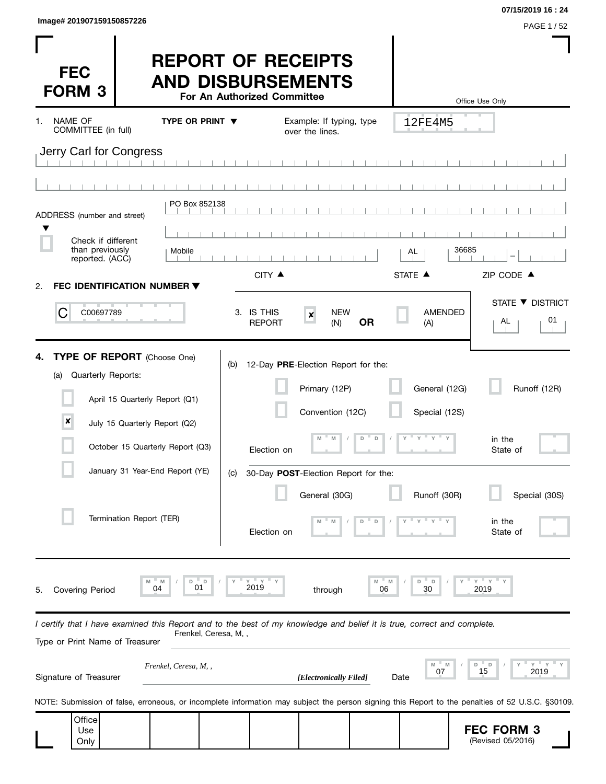| Image# 201907159150857226 |           |
|---------------------------|-----------|
|                           | PAGE 1/52 |

**07/15/2019 16 : 24**

| <b>FEC</b><br><b>FORM 3</b>                                                                                                                                |                                                                                                                                        |                                    | For An Authorized Committee | <b>REPORT OF RECEIPTS</b><br><b>AND DISBURSEMENTS</b>                                                                 |                  |                                                 | Office Use Only                                                                                                                                  |
|------------------------------------------------------------------------------------------------------------------------------------------------------------|----------------------------------------------------------------------------------------------------------------------------------------|------------------------------------|-----------------------------|-----------------------------------------------------------------------------------------------------------------------|------------------|-------------------------------------------------|--------------------------------------------------------------------------------------------------------------------------------------------------|
| NAME OF<br>1.<br>COMMITTEE (in full)                                                                                                                       |                                                                                                                                        | TYPE OR PRINT $\blacktriangledown$ |                             | Example: If typing, type<br>over the lines.                                                                           |                  | 12FE4M5                                         |                                                                                                                                                  |
| Jerry Carl for Congress                                                                                                                                    |                                                                                                                                        |                                    |                             |                                                                                                                       |                  |                                                 |                                                                                                                                                  |
|                                                                                                                                                            |                                                                                                                                        |                                    |                             |                                                                                                                       |                  |                                                 |                                                                                                                                                  |
| ADDRESS (number and street)                                                                                                                                |                                                                                                                                        | PO Box 852138                      |                             |                                                                                                                       |                  |                                                 |                                                                                                                                                  |
| Check if different                                                                                                                                         |                                                                                                                                        |                                    |                             |                                                                                                                       |                  |                                                 |                                                                                                                                                  |
| than previously<br>reported. (ACC)                                                                                                                         |                                                                                                                                        | Mobile                             |                             |                                                                                                                       |                  | AL                                              | 36685                                                                                                                                            |
| FEC IDENTIFICATION NUMBER ▼<br>2.                                                                                                                          |                                                                                                                                        |                                    | CITY ▲                      |                                                                                                                       |                  | STATE A                                         | ZIP CODE ▲                                                                                                                                       |
| C<br>C00697789                                                                                                                                             |                                                                                                                                        |                                    | 3. IS THIS<br><b>REPORT</b> | <b>NEW</b><br>$\pmb{\times}$<br>(N)                                                                                   | <b>OR</b>        | <b>AMENDED</b><br>(A)                           | STATE ▼ DISTRICT<br>01<br>AL                                                                                                                     |
| TYPE OF REPORT (Choose One)<br>4.<br>Quarterly Reports:<br>(a)<br>×                                                                                        | April 15 Quarterly Report (Q1)<br>July 15 Quarterly Report (Q2)<br>October 15 Quarterly Report (Q3)<br>January 31 Year-End Report (YE) |                                    | (b)<br>Election on<br>(C)   | 12-Day PRE-Election Report for the:<br>Primary (12P)<br>Convention (12C)<br>M<br>30-Day POST-Election Report for the: | D<br>$\mathsf D$ | General (12G)<br>Special (12S)<br>ү = ү = ү = ү | Runoff (12R)<br>in the<br>State of                                                                                                               |
|                                                                                                                                                            | Termination Report (TER)                                                                                                               |                                    | Election on                 | General (30G)                                                                                                         | D                | Runoff (30R)                                    | Special (30S)<br>in the<br>State of                                                                                                              |
| Covering Period<br>5.                                                                                                                                      | M<br>04                                                                                                                                | D<br>D<br>01                       | Y Y<br>2019                 | through                                                                                                               | M<br>M<br>06     | D<br>D<br>30                                    | $Y = Y$<br>2019                                                                                                                                  |
| I certify that I have examined this Report and to the best of my knowledge and belief it is true, correct and complete.<br>Type or Print Name of Treasurer |                                                                                                                                        | Frenkel, Ceresa, M,,               |                             |                                                                                                                       |                  |                                                 |                                                                                                                                                  |
| Signature of Treasurer                                                                                                                                     |                                                                                                                                        | Frenkel, Ceresa, M, ,              |                             | [Electronically Filed]                                                                                                |                  | M<br>07<br>Date                                 | $Y = Y$<br>D<br>D<br>15<br>2019                                                                                                                  |
|                                                                                                                                                            |                                                                                                                                        |                                    |                             |                                                                                                                       |                  |                                                 | NOTE: Submission of false, erroneous, or incomplete information may subject the person signing this Report to the penalties of 52 U.S.C. §30109. |
| Office<br>Use<br>Only                                                                                                                                      |                                                                                                                                        |                                    |                             |                                                                                                                       |                  |                                                 | <b>FEC FORM 3</b><br>(Revised 05/2016)                                                                                                           |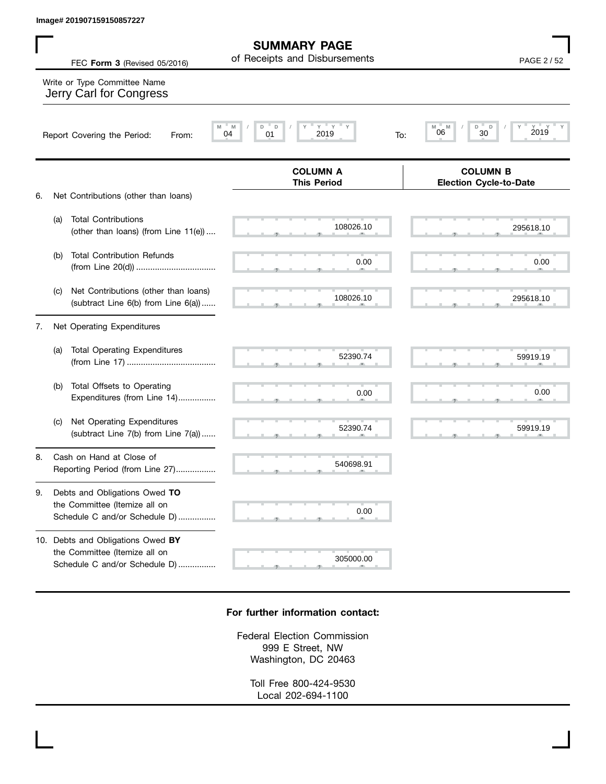| Image# 201907159150857227                                                                             |                                                        |                                                  |
|-------------------------------------------------------------------------------------------------------|--------------------------------------------------------|--------------------------------------------------|
| FEC Form 3 (Revised 05/2016)                                                                          | <b>SUMMARY PAGE</b><br>of Receipts and Disbursements   | PAGE 2/52                                        |
| Write or Type Committee Name<br>Jerry Carl for Congress                                               |                                                        |                                                  |
| Report Covering the Period:<br>From:                                                                  | $Y = Y$<br>M<br>M<br>D<br>D<br>2019<br>04<br>01<br>To: | D<br>D<br>M<br>M<br>2019<br>06<br>30             |
|                                                                                                       | <b>COLUMN A</b><br><b>This Period</b>                  | <b>COLUMN B</b><br><b>Election Cycle-to-Date</b> |
| Net Contributions (other than loans)<br>6.                                                            |                                                        |                                                  |
| <b>Total Contributions</b><br>(a)<br>(other than loans) (from Line 11(e))                             | 108026.10                                              | 295618.10                                        |
| <b>Total Contribution Refunds</b><br>(b)                                                              | 0.00                                                   | 0.00                                             |
| Net Contributions (other than loans)<br>(c)<br>(subtract Line 6(b) from Line 6(a))                    | 108026.10                                              | 295618.10                                        |
| Net Operating Expenditures<br>7.                                                                      |                                                        |                                                  |
| <b>Total Operating Expenditures</b><br>(a)                                                            | 52390.74                                               | 59919.19                                         |
| Total Offsets to Operating<br>(b)<br>Expenditures (from Line 14)                                      | 0.00                                                   | 0.00                                             |
| Net Operating Expenditures<br>(C)<br>(subtract Line 7(b) from Line 7(a))                              | 52390.74                                               | 59919.19                                         |
| Cash on Hand at Close of<br>8.<br>Reporting Period (from Line 27)                                     | 540698.91                                              |                                                  |
| Debts and Obligations Owed TO<br>9.<br>the Committee (Itemize all on<br>Schedule C and/or Schedule D) | 0.00                                                   |                                                  |
| 10. Debts and Obligations Owed BY                                                                     |                                                        |                                                  |

## **For further information contact:**

the Committee (Itemize all on

Schedule C and/or Schedule D) ................

, , . 305000.00

Federal Election Commission 999 E Street, NW Washington, DC 20463

> Toll Free 800-424-9530 Local 202-694-1100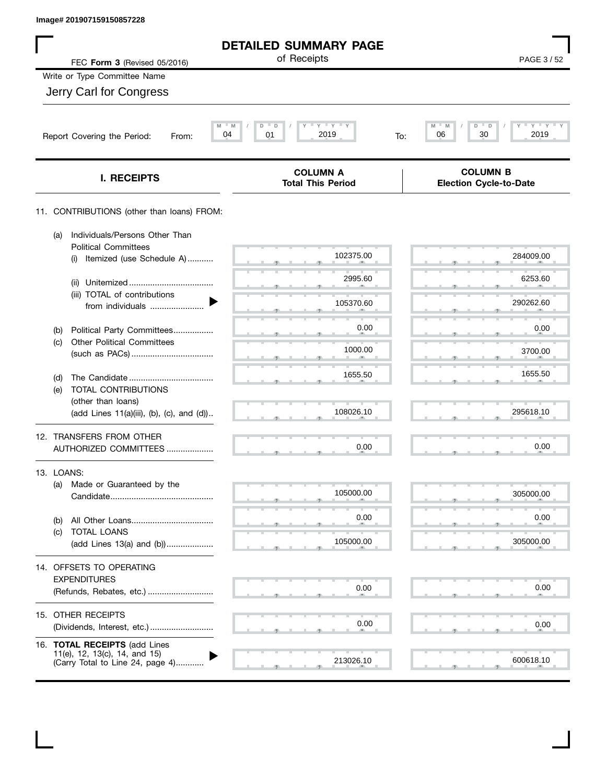| Image# 201907159150857228                                                                          |                                               |                                                  |
|----------------------------------------------------------------------------------------------------|-----------------------------------------------|--------------------------------------------------|
|                                                                                                    | <b>DETAILED SUMMARY PAGE</b>                  |                                                  |
| FEC Form 3 (Revised 05/2016)                                                                       | of Receipts                                   | PAGE 3/52                                        |
| Write or Type Committee Name                                                                       |                                               |                                                  |
| Jerry Carl for Congress                                                                            |                                               |                                                  |
| M<br>04<br>Report Covering the Period:<br>From:                                                    | $Y = Y =$<br>M<br>D<br>D<br>01<br>2019<br>To: | $Y$ $Y$<br>M<br>D<br>D<br>30<br>06<br>2019       |
| I. RECEIPTS                                                                                        | <b>COLUMN A</b><br><b>Total This Period</b>   | <b>COLUMN B</b><br><b>Election Cycle-to-Date</b> |
| 11. CONTRIBUTIONS (other than loans) FROM:                                                         |                                               |                                                  |
| Individuals/Persons Other Than<br>(a)<br><b>Political Committees</b>                               |                                               |                                                  |
| Itemized (use Schedule A)<br>(i)                                                                   | 102375.00                                     | 284009.00                                        |
| (ii)                                                                                               | 2995.60                                       | 6253.60                                          |
| (iii) TOTAL of contributions<br>from individuals                                                   | 105370.60                                     | 290262.60                                        |
| Political Party Committees<br>(b)                                                                  | 0.00                                          | 0.00                                             |
| <b>Other Political Committees</b><br>(c)                                                           | 1000.00                                       | 3700.00                                          |
| (d)                                                                                                | 1655.50                                       | 1655.50                                          |
| TOTAL CONTRIBUTIONS<br>(e)                                                                         |                                               |                                                  |
| (other than loans)<br>(add Lines 11(a)(iii), (b), (c), and (d))                                    | 108026.10                                     | 295618.10                                        |
| 12. TRANSFERS FROM OTHER<br>AUTHORIZED COMMITTEES                                                  | 0.00                                          | 0.00                                             |
| 13. LOANS:                                                                                         |                                               |                                                  |
| Made or Guaranteed by the<br>(a)                                                                   | 105000.00                                     | 305000.00                                        |
| (b)                                                                                                | 0.00                                          | 0.00                                             |
| TOTAL LOANS<br>(c)<br>(add Lines 13(a) and (b))                                                    | 105000.00                                     | 305000.00                                        |
| 14. OFFSETS TO OPERATING<br><b>EXPENDITURES</b>                                                    |                                               |                                                  |
| (Refunds, Rebates, etc.)                                                                           | 0.00                                          | 0.00                                             |
| 15. OTHER RECEIPTS<br>(Dividends, Interest, etc.)                                                  | 0.00                                          | 0.00                                             |
| 16. TOTAL RECEIPTS (add Lines<br>11(e), 12, 13(c), 14, and 15)<br>(Carry Total to Line 24, page 4) | 213026.10                                     | 600618.10                                        |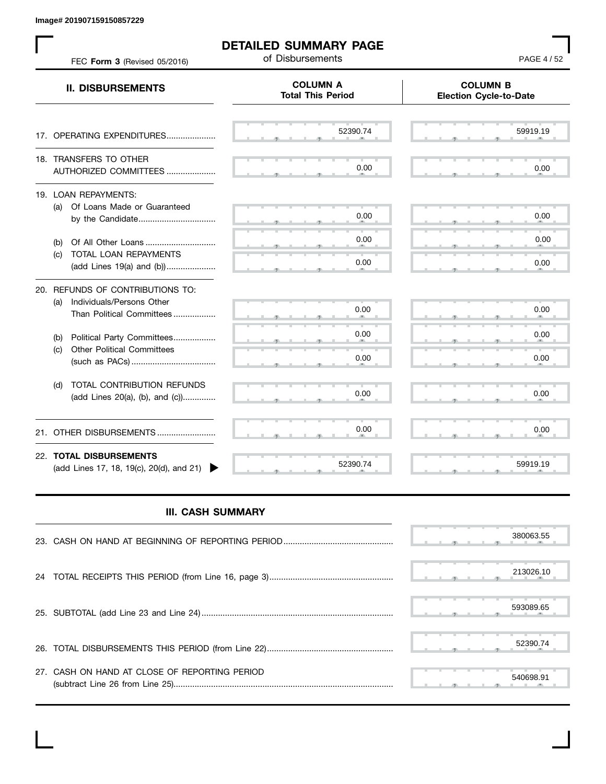**Image# 201907159150857229**

 $\mathbf{L}$ 

| FEC Form 3 (Revised 05/2016)                                                                   | <b>DETAILED SUMMARY PAGE</b><br>of Disbursements | PAGE 4/52                                        |  |  |
|------------------------------------------------------------------------------------------------|--------------------------------------------------|--------------------------------------------------|--|--|
| <b>II. DISBURSEMENTS</b>                                                                       | <b>COLUMN A</b><br><b>Total This Period</b>      | <b>COLUMN B</b><br><b>Election Cycle-to-Date</b> |  |  |
| 17. OPERATING EXPENDITURES                                                                     | 52390.74                                         | 59919.19                                         |  |  |
| 18. TRANSFERS TO OTHER<br>AUTHORIZED COMMITTEES                                                | 0.00                                             | 0.00                                             |  |  |
| 19. LOAN REPAYMENTS:<br>(a) Of Loans Made or Guaranteed<br>by the Candidate                    | 0.00                                             | 0.00                                             |  |  |
| (b)<br>(c) TOTAL LOAN REPAYMENTS<br>(add Lines 19(a) and (b))                                  | 0.00<br>0.00                                     | 0.00<br>0.00                                     |  |  |
| 20. REFUNDS OF CONTRIBUTIONS TO:<br>(a) Individuals/Persons Other<br>Than Political Committees | 0.00                                             | 0.00                                             |  |  |
| Political Party Committees<br>(b)<br><b>Other Political Committees</b><br>(C)                  | 0.00<br>0.00                                     | 0.00<br>0.00                                     |  |  |
| <b>TOTAL CONTRIBUTION REFUNDS</b><br>(d)<br>(add Lines 20(a), (b), and (c))                    | 0.00                                             | 0.00                                             |  |  |
| OTHER DISBURSEMENTS<br>21.                                                                     | 0.00                                             | 0.00                                             |  |  |
| 22. TOTAL DISBURSEMENTS<br>(add Lines 17, 18, 19(c), 20(d), and 21)                            | 52390.74                                         | 59919.19                                         |  |  |

## **III. CASH SUMMARY**

|                                               |  |  |  | 380063.55 |
|-----------------------------------------------|--|--|--|-----------|
|                                               |  |  |  | 213026.10 |
|                                               |  |  |  | 593089.65 |
|                                               |  |  |  | 52390.74  |
| 27. CASH ON HAND AT CLOSE OF REPORTING PERIOD |  |  |  | 540698.91 |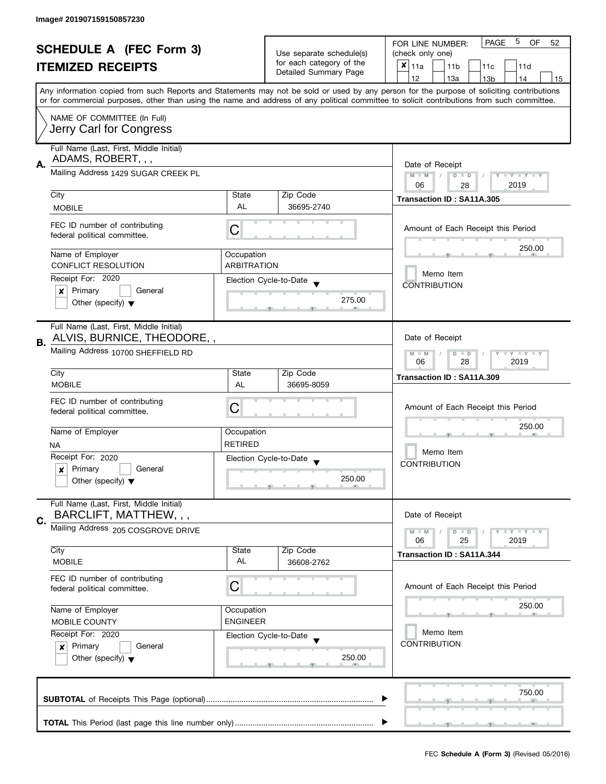|                                |                                                                                                                                                                       |                                                   |                                                   | 5<br>PAGE<br><b>OF</b>                                                                                                                     |  |  |  |  |  |
|--------------------------------|-----------------------------------------------------------------------------------------------------------------------------------------------------------------------|---------------------------------------------------|---------------------------------------------------|--------------------------------------------------------------------------------------------------------------------------------------------|--|--|--|--|--|
| <b>SCHEDULE A (FEC Form 3)</b> |                                                                                                                                                                       | Use separate schedule(s)                          | FOR LINE NUMBER:<br>52<br>(check only one)        |                                                                                                                                            |  |  |  |  |  |
|                                | <b>ITEMIZED RECEIPTS</b><br>Any information copied from such Reports and Statements may not be sold or used by any person for the purpose of soliciting contributions |                                                   | for each category of the                          | $x _{11a}$<br>11 <sub>b</sub><br>11c<br>11d                                                                                                |  |  |  |  |  |
|                                |                                                                                                                                                                       |                                                   | Detailed Summary Page                             | 12<br>13a<br>13 <sub>b</sub><br>14<br>15                                                                                                   |  |  |  |  |  |
|                                |                                                                                                                                                                       |                                                   |                                                   |                                                                                                                                            |  |  |  |  |  |
|                                |                                                                                                                                                                       |                                                   |                                                   | or for commercial purposes, other than using the name and address of any political committee to solicit contributions from such committee. |  |  |  |  |  |
|                                | NAME OF COMMITTEE (In Full)                                                                                                                                           |                                                   |                                                   |                                                                                                                                            |  |  |  |  |  |
|                                | Jerry Carl for Congress                                                                                                                                               |                                                   |                                                   |                                                                                                                                            |  |  |  |  |  |
|                                |                                                                                                                                                                       |                                                   |                                                   |                                                                                                                                            |  |  |  |  |  |
|                                | Full Name (Last, First, Middle Initial)                                                                                                                               |                                                   |                                                   |                                                                                                                                            |  |  |  |  |  |
| А.                             | ADAMS, ROBERT, , ,                                                                                                                                                    | Date of Receipt                                   |                                                   |                                                                                                                                            |  |  |  |  |  |
|                                | Mailing Address 1429 SUGAR CREEK PL                                                                                                                                   | $M - M$<br>$\sqrt{2}$<br>$D$ $D$<br>Y I Y I Y I Y |                                                   |                                                                                                                                            |  |  |  |  |  |
|                                |                                                                                                                                                                       |                                                   |                                                   | 06<br>2019<br>28                                                                                                                           |  |  |  |  |  |
|                                | City                                                                                                                                                                  | State<br>AL                                       | Zip Code                                          | Transaction ID: SA11A.305                                                                                                                  |  |  |  |  |  |
|                                | <b>MOBILE</b>                                                                                                                                                         |                                                   | 36695-2740                                        |                                                                                                                                            |  |  |  |  |  |
|                                | FEC ID number of contributing                                                                                                                                         | С                                                 |                                                   | Amount of Each Receipt this Period                                                                                                         |  |  |  |  |  |
|                                | federal political committee.                                                                                                                                          |                                                   |                                                   |                                                                                                                                            |  |  |  |  |  |
|                                | Name of Employer                                                                                                                                                      | Occupation                                        |                                                   | 250.00                                                                                                                                     |  |  |  |  |  |
|                                | <b>CONFLICT RESOLUTION</b>                                                                                                                                            | <b>ARBITRATION</b>                                |                                                   |                                                                                                                                            |  |  |  |  |  |
|                                | Receipt For: 2020                                                                                                                                                     |                                                   |                                                   | Memo Item                                                                                                                                  |  |  |  |  |  |
|                                | Primary<br>General<br>×                                                                                                                                               |                                                   | Election Cycle-to-Date                            | <b>CONTRIBUTION</b>                                                                                                                        |  |  |  |  |  |
|                                | Other (specify) $\blacktriangledown$                                                                                                                                  |                                                   | 275.00                                            |                                                                                                                                            |  |  |  |  |  |
|                                |                                                                                                                                                                       |                                                   |                                                   |                                                                                                                                            |  |  |  |  |  |
|                                | Full Name (Last, First, Middle Initial)                                                                                                                               |                                                   |                                                   |                                                                                                                                            |  |  |  |  |  |
| В.                             | ALVIS, BURNICE, THEODORE,,                                                                                                                                            |                                                   |                                                   | Date of Receipt                                                                                                                            |  |  |  |  |  |
|                                | Mailing Address 10700 SHEFFIELD RD                                                                                                                                    |                                                   |                                                   | $Y = Y = Y$<br>$M - M$<br>$D$ $D$                                                                                                          |  |  |  |  |  |
|                                |                                                                                                                                                                       |                                                   |                                                   | 28<br>2019<br>06                                                                                                                           |  |  |  |  |  |
|                                | City                                                                                                                                                                  | State                                             | Zip Code                                          | Transaction ID: SA11A.309                                                                                                                  |  |  |  |  |  |
|                                | <b>MOBILE</b>                                                                                                                                                         | AL                                                | 36695-8059                                        |                                                                                                                                            |  |  |  |  |  |
|                                | FEC ID number of contributing                                                                                                                                         |                                                   |                                                   |                                                                                                                                            |  |  |  |  |  |
|                                | federal political committee.                                                                                                                                          | С                                                 |                                                   | Amount of Each Receipt this Period<br>250.00                                                                                               |  |  |  |  |  |
|                                |                                                                                                                                                                       |                                                   |                                                   |                                                                                                                                            |  |  |  |  |  |
|                                | Name of Employer                                                                                                                                                      | Occupation<br><b>RETIRED</b>                      |                                                   | Memo Item                                                                                                                                  |  |  |  |  |  |
|                                | NA                                                                                                                                                                    |                                                   |                                                   |                                                                                                                                            |  |  |  |  |  |
|                                | Receipt For: 2020<br>Primary<br>General                                                                                                                               |                                                   | Election Cycle-to-Date<br>$\overline{\mathbf{v}}$ | <b>CONTRIBUTION</b>                                                                                                                        |  |  |  |  |  |
|                                | $\boldsymbol{x}$<br>Other (specify) $\blacktriangledown$                                                                                                              |                                                   | 250.00                                            |                                                                                                                                            |  |  |  |  |  |
|                                |                                                                                                                                                                       |                                                   |                                                   |                                                                                                                                            |  |  |  |  |  |
|                                | Full Name (Last, First, Middle Initial)                                                                                                                               |                                                   |                                                   |                                                                                                                                            |  |  |  |  |  |
| C.                             | BARCLIFT, MATTHEW, , ,                                                                                                                                                |                                                   |                                                   | Date of Receipt                                                                                                                            |  |  |  |  |  |
|                                | Mailing Address 205 COSGROVE DRIVE                                                                                                                                    |                                                   |                                                   | $M - M$<br>$\Box$ $\Upsilon$ $\Box$ $\Upsilon$ $\Upsilon$ $\Upsilon$<br>$D$ $D$                                                            |  |  |  |  |  |
|                                |                                                                                                                                                                       |                                                   |                                                   | 06<br>25<br>2019                                                                                                                           |  |  |  |  |  |
|                                | City                                                                                                                                                                  | State                                             | Zip Code                                          | Transaction ID: SA11A.344                                                                                                                  |  |  |  |  |  |
|                                | <b>MOBILE</b>                                                                                                                                                         | AL                                                | 36608-2762                                        |                                                                                                                                            |  |  |  |  |  |
|                                | FEC ID number of contributing                                                                                                                                         |                                                   |                                                   |                                                                                                                                            |  |  |  |  |  |
|                                | federal political committee.                                                                                                                                          | C                                                 |                                                   | Amount of Each Receipt this Period                                                                                                         |  |  |  |  |  |
|                                | Name of Employer                                                                                                                                                      | Occupation                                        |                                                   | 250.00                                                                                                                                     |  |  |  |  |  |
|                                | MOBILE COUNTY                                                                                                                                                         | <b>ENGINEER</b>                                   |                                                   |                                                                                                                                            |  |  |  |  |  |
|                                | Receipt For: 2020                                                                                                                                                     |                                                   |                                                   | Memo Item                                                                                                                                  |  |  |  |  |  |
|                                | Primary<br>General<br>$\mathbf{x}$                                                                                                                                    |                                                   | Election Cycle-to-Date                            | <b>CONTRIBUTION</b>                                                                                                                        |  |  |  |  |  |
|                                | Other (specify) $\blacktriangledown$                                                                                                                                  |                                                   | 250.00                                            |                                                                                                                                            |  |  |  |  |  |
|                                |                                                                                                                                                                       |                                                   |                                                   |                                                                                                                                            |  |  |  |  |  |
|                                |                                                                                                                                                                       |                                                   |                                                   |                                                                                                                                            |  |  |  |  |  |
|                                |                                                                                                                                                                       |                                                   |                                                   | 750.00                                                                                                                                     |  |  |  |  |  |
|                                |                                                                                                                                                                       |                                                   |                                                   |                                                                                                                                            |  |  |  |  |  |
|                                |                                                                                                                                                                       |                                                   |                                                   |                                                                                                                                            |  |  |  |  |  |
|                                |                                                                                                                                                                       |                                                   |                                                   |                                                                                                                                            |  |  |  |  |  |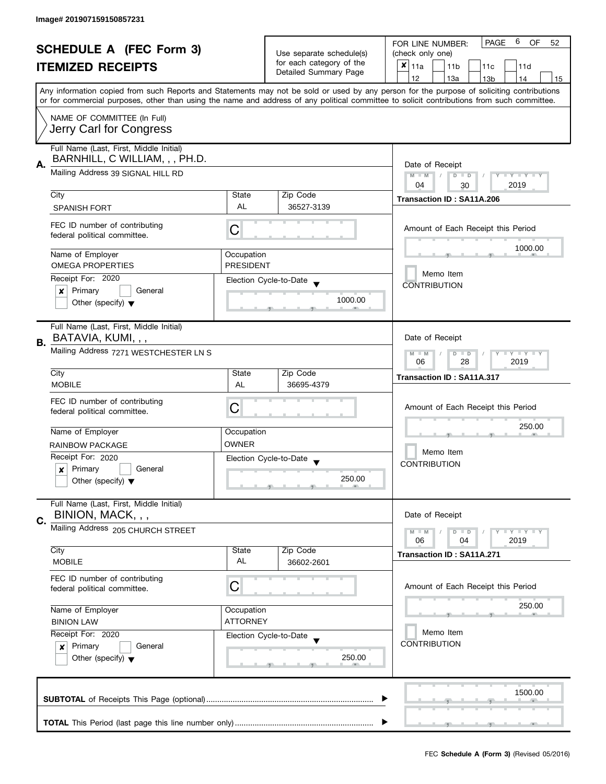| <b>SCHEDULE A (FEC Form 3)</b><br><b>ITEMIZED RECEIPTS</b> |                                                                                                                                           |                                     | <b>PAGE</b><br>6<br>OF<br>FOR LINE NUMBER:<br>52 |                                                                                                                                            |  |  |  |  |  |  |
|------------------------------------------------------------|-------------------------------------------------------------------------------------------------------------------------------------------|-------------------------------------|--------------------------------------------------|--------------------------------------------------------------------------------------------------------------------------------------------|--|--|--|--|--|--|
|                                                            |                                                                                                                                           | Use separate schedule(s)            | (check only one)                                 |                                                                                                                                            |  |  |  |  |  |  |
|                                                            |                                                                                                                                           | for each category of the            | $x _{11a}$<br>11 <sub>b</sub><br>11c<br>11d      |                                                                                                                                            |  |  |  |  |  |  |
|                                                            |                                                                                                                                           |                                     | Detailed Summary Page                            | 12<br>13a<br>14<br>13 <sub>b</sub><br>15                                                                                                   |  |  |  |  |  |  |
|                                                            | Any information copied from such Reports and Statements may not be sold or used by any person for the purpose of soliciting contributions |                                     |                                                  |                                                                                                                                            |  |  |  |  |  |  |
|                                                            |                                                                                                                                           |                                     |                                                  | or for commercial purposes, other than using the name and address of any political committee to solicit contributions from such committee. |  |  |  |  |  |  |
|                                                            |                                                                                                                                           |                                     |                                                  |                                                                                                                                            |  |  |  |  |  |  |
|                                                            | NAME OF COMMITTEE (In Full)                                                                                                               |                                     |                                                  |                                                                                                                                            |  |  |  |  |  |  |
|                                                            | Jerry Carl for Congress                                                                                                                   |                                     |                                                  |                                                                                                                                            |  |  |  |  |  |  |
|                                                            |                                                                                                                                           |                                     |                                                  |                                                                                                                                            |  |  |  |  |  |  |
|                                                            | Full Name (Last, First, Middle Initial)                                                                                                   |                                     |                                                  |                                                                                                                                            |  |  |  |  |  |  |
| Α.                                                         | BARNHILL, C WILLIAM, , , PH.D.                                                                                                            | Date of Receipt                     |                                                  |                                                                                                                                            |  |  |  |  |  |  |
|                                                            | Mailing Address 39 SIGNAL HILL RD                                                                                                         | $M - M$<br>$D$ $D$<br>Y I Y I Y I Y |                                                  |                                                                                                                                            |  |  |  |  |  |  |
|                                                            |                                                                                                                                           |                                     |                                                  | 04<br>2019<br>30                                                                                                                           |  |  |  |  |  |  |
|                                                            | City                                                                                                                                      | State                               | Zip Code                                         | Transaction ID: SA11A.206                                                                                                                  |  |  |  |  |  |  |
|                                                            | <b>SPANISH FORT</b>                                                                                                                       | AL                                  | 36527-3139                                       |                                                                                                                                            |  |  |  |  |  |  |
|                                                            |                                                                                                                                           |                                     |                                                  |                                                                                                                                            |  |  |  |  |  |  |
|                                                            | FEC ID number of contributing                                                                                                             | С                                   |                                                  | Amount of Each Receipt this Period                                                                                                         |  |  |  |  |  |  |
|                                                            | federal political committee.                                                                                                              |                                     |                                                  |                                                                                                                                            |  |  |  |  |  |  |
|                                                            | Name of Employer                                                                                                                          | Occupation                          |                                                  | 1000.00                                                                                                                                    |  |  |  |  |  |  |
|                                                            | <b>OMEGA PROPERTIES</b>                                                                                                                   | <b>PRESIDENT</b>                    |                                                  |                                                                                                                                            |  |  |  |  |  |  |
|                                                            |                                                                                                                                           |                                     |                                                  | Memo Item                                                                                                                                  |  |  |  |  |  |  |
|                                                            | Receipt For: 2020                                                                                                                         |                                     | Election Cycle-to-Date                           | <b>CONTRIBUTION</b>                                                                                                                        |  |  |  |  |  |  |
|                                                            | Primary<br>General<br>×                                                                                                                   |                                     |                                                  |                                                                                                                                            |  |  |  |  |  |  |
|                                                            | Other (specify) $\blacktriangledown$                                                                                                      |                                     | 1000.00                                          |                                                                                                                                            |  |  |  |  |  |  |
|                                                            |                                                                                                                                           |                                     |                                                  |                                                                                                                                            |  |  |  |  |  |  |
|                                                            | Full Name (Last, First, Middle Initial)                                                                                                   |                                     |                                                  |                                                                                                                                            |  |  |  |  |  |  |
|                                                            | BATAVIA, KUMI, , ,                                                                                                                        |                                     |                                                  | Date of Receipt                                                                                                                            |  |  |  |  |  |  |
| В.                                                         | Mailing Address 7271 WESTCHESTER LN S                                                                                                     |                                     |                                                  | <b>LYLYLY</b>                                                                                                                              |  |  |  |  |  |  |
|                                                            |                                                                                                                                           |                                     |                                                  | $D$ $D$<br>$M - M$<br>28<br>2019<br>06                                                                                                     |  |  |  |  |  |  |
|                                                            | City                                                                                                                                      | State                               | Zip Code                                         |                                                                                                                                            |  |  |  |  |  |  |
|                                                            | <b>MOBILE</b>                                                                                                                             | AL                                  | 36695-4379                                       | <b>Transaction ID: SA11A.317</b>                                                                                                           |  |  |  |  |  |  |
|                                                            |                                                                                                                                           |                                     |                                                  |                                                                                                                                            |  |  |  |  |  |  |
|                                                            | FEC ID number of contributing                                                                                                             |                                     |                                                  |                                                                                                                                            |  |  |  |  |  |  |
|                                                            | federal political committee.                                                                                                              | С                                   |                                                  | Amount of Each Receipt this Period                                                                                                         |  |  |  |  |  |  |
|                                                            |                                                                                                                                           |                                     |                                                  | 250.00                                                                                                                                     |  |  |  |  |  |  |
|                                                            | Name of Employer                                                                                                                          | Occupation                          |                                                  |                                                                                                                                            |  |  |  |  |  |  |
|                                                            | RAINBOW PACKAGE                                                                                                                           | <b>OWNER</b>                        |                                                  |                                                                                                                                            |  |  |  |  |  |  |
|                                                            | Receipt For: 2020                                                                                                                         |                                     | Election Cycle-to-Date                           | Memo Item                                                                                                                                  |  |  |  |  |  |  |
|                                                            | Primary<br>General<br>×                                                                                                                   |                                     |                                                  | <b>CONTRIBUTION</b>                                                                                                                        |  |  |  |  |  |  |
|                                                            | Other (specify) $\blacktriangledown$                                                                                                      |                                     | 250.00                                           |                                                                                                                                            |  |  |  |  |  |  |
|                                                            |                                                                                                                                           |                                     |                                                  |                                                                                                                                            |  |  |  |  |  |  |
|                                                            | Full Name (Last, First, Middle Initial)                                                                                                   |                                     |                                                  |                                                                                                                                            |  |  |  |  |  |  |
|                                                            | BINION, MACK, , ,                                                                                                                         |                                     |                                                  | Date of Receipt                                                                                                                            |  |  |  |  |  |  |
| C.                                                         | Mailing Address 205 CHURCH STREET                                                                                                         |                                     |                                                  |                                                                                                                                            |  |  |  |  |  |  |
|                                                            |                                                                                                                                           |                                     |                                                  | <b>LYLYLY</b><br>$M - M$<br>$D$ $D$                                                                                                        |  |  |  |  |  |  |
|                                                            | City                                                                                                                                      | State                               | Zip Code                                         | 06<br>04<br>2019                                                                                                                           |  |  |  |  |  |  |
|                                                            | <b>MOBILE</b>                                                                                                                             | AL                                  |                                                  | Transaction ID: SA11A.271                                                                                                                  |  |  |  |  |  |  |
|                                                            |                                                                                                                                           |                                     | 36602-2601                                       |                                                                                                                                            |  |  |  |  |  |  |
|                                                            | FEC ID number of contributing                                                                                                             |                                     |                                                  |                                                                                                                                            |  |  |  |  |  |  |
|                                                            | federal political committee.                                                                                                              | C                                   |                                                  | Amount of Each Receipt this Period                                                                                                         |  |  |  |  |  |  |
|                                                            |                                                                                                                                           |                                     |                                                  |                                                                                                                                            |  |  |  |  |  |  |
|                                                            | Name of Employer                                                                                                                          | Occupation                          |                                                  | 250.00                                                                                                                                     |  |  |  |  |  |  |
|                                                            | <b>BINION LAW</b>                                                                                                                         | <b>ATTORNEY</b>                     |                                                  |                                                                                                                                            |  |  |  |  |  |  |
|                                                            | Receipt For: 2020                                                                                                                         |                                     | Election Cycle-to-Date                           | Memo Item                                                                                                                                  |  |  |  |  |  |  |
|                                                            | Primary<br>General<br>$\mathbf{x}$                                                                                                        |                                     |                                                  | <b>CONTRIBUTION</b>                                                                                                                        |  |  |  |  |  |  |
|                                                            | Other (specify) $\blacktriangledown$                                                                                                      |                                     | 250.00                                           |                                                                                                                                            |  |  |  |  |  |  |
|                                                            |                                                                                                                                           |                                     |                                                  |                                                                                                                                            |  |  |  |  |  |  |
|                                                            |                                                                                                                                           |                                     |                                                  |                                                                                                                                            |  |  |  |  |  |  |
|                                                            |                                                                                                                                           |                                     |                                                  | 1500.00                                                                                                                                    |  |  |  |  |  |  |
|                                                            |                                                                                                                                           |                                     |                                                  |                                                                                                                                            |  |  |  |  |  |  |
|                                                            |                                                                                                                                           |                                     |                                                  |                                                                                                                                            |  |  |  |  |  |  |
|                                                            |                                                                                                                                           |                                     |                                                  |                                                                                                                                            |  |  |  |  |  |  |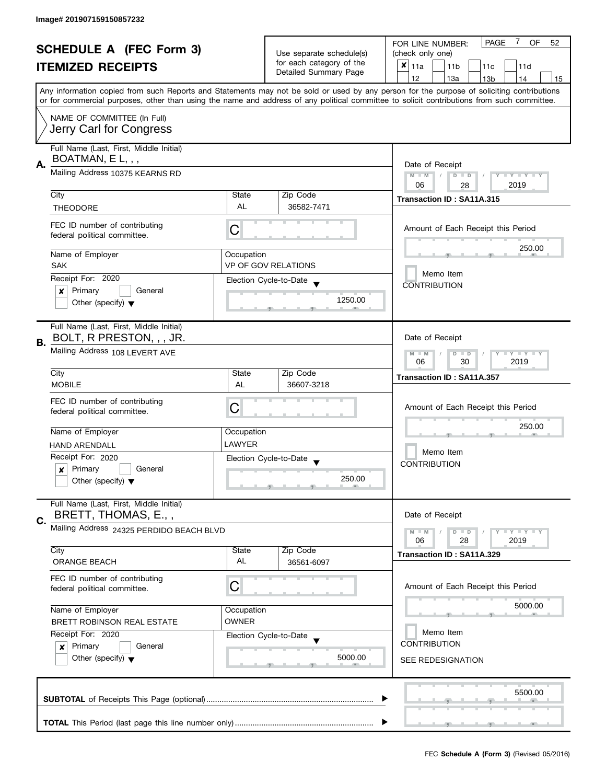| <b>SCHEDULE A (FEC Form 3)</b> |                                                                                                                                                                       |                                                           | 7<br><b>PAGE</b><br>OF<br>FOR LINE NUMBER:<br>52 |                                                                                                                                            |  |  |  |  |  |  |
|--------------------------------|-----------------------------------------------------------------------------------------------------------------------------------------------------------------------|-----------------------------------------------------------|--------------------------------------------------|--------------------------------------------------------------------------------------------------------------------------------------------|--|--|--|--|--|--|
|                                |                                                                                                                                                                       | Use separate schedule(s)                                  | (check only one)                                 |                                                                                                                                            |  |  |  |  |  |  |
|                                | <b>ITEMIZED RECEIPTS</b><br>Any information copied from such Reports and Statements may not be sold or used by any person for the purpose of soliciting contributions |                                                           | for each category of the                         | $x _{11a}$<br>11 <sub>b</sub><br>11c<br>11d                                                                                                |  |  |  |  |  |  |
|                                |                                                                                                                                                                       |                                                           | Detailed Summary Page                            | 12<br>13a<br>14<br>13 <sub>b</sub><br>15                                                                                                   |  |  |  |  |  |  |
|                                |                                                                                                                                                                       |                                                           |                                                  |                                                                                                                                            |  |  |  |  |  |  |
|                                |                                                                                                                                                                       |                                                           |                                                  | or for commercial purposes, other than using the name and address of any political committee to solicit contributions from such committee. |  |  |  |  |  |  |
|                                | NAME OF COMMITTEE (In Full)                                                                                                                                           |                                                           |                                                  |                                                                                                                                            |  |  |  |  |  |  |
|                                | Jerry Carl for Congress                                                                                                                                               |                                                           |                                                  |                                                                                                                                            |  |  |  |  |  |  |
|                                |                                                                                                                                                                       |                                                           |                                                  |                                                                                                                                            |  |  |  |  |  |  |
|                                | Full Name (Last, First, Middle Initial)                                                                                                                               |                                                           |                                                  |                                                                                                                                            |  |  |  |  |  |  |
| Α.                             | BOATMAN, $E L,$ ,                                                                                                                                                     | Date of Receipt                                           |                                                  |                                                                                                                                            |  |  |  |  |  |  |
|                                | Mailing Address 10375 KEARNS RD                                                                                                                                       | Y TY TY TY<br>$M - M$<br>$\sqrt{2}$<br>$D$ $D$            |                                                  |                                                                                                                                            |  |  |  |  |  |  |
|                                |                                                                                                                                                                       |                                                           |                                                  | 06<br>2019<br>28                                                                                                                           |  |  |  |  |  |  |
|                                | City                                                                                                                                                                  | State                                                     | Zip Code                                         | Transaction ID: SA11A.315                                                                                                                  |  |  |  |  |  |  |
|                                | <b>THEODORE</b>                                                                                                                                                       | AL                                                        | 36582-7471                                       |                                                                                                                                            |  |  |  |  |  |  |
|                                |                                                                                                                                                                       |                                                           |                                                  |                                                                                                                                            |  |  |  |  |  |  |
|                                | FEC ID number of contributing<br>federal political committee.                                                                                                         | C                                                         |                                                  | Amount of Each Receipt this Period                                                                                                         |  |  |  |  |  |  |
|                                |                                                                                                                                                                       |                                                           |                                                  |                                                                                                                                            |  |  |  |  |  |  |
|                                | Name of Employer                                                                                                                                                      | Occupation                                                |                                                  | 250.00                                                                                                                                     |  |  |  |  |  |  |
|                                | <b>SAK</b>                                                                                                                                                            |                                                           | <b>VP OF GOV RELATIONS</b>                       |                                                                                                                                            |  |  |  |  |  |  |
|                                | Receipt For: 2020                                                                                                                                                     |                                                           | Election Cycle-to-Date                           | Memo Item                                                                                                                                  |  |  |  |  |  |  |
|                                | Primary<br>General<br>x                                                                                                                                               |                                                           |                                                  | <b>CONTRIBUTION</b>                                                                                                                        |  |  |  |  |  |  |
|                                | Other (specify) $\blacktriangledown$                                                                                                                                  |                                                           | 1250.00                                          |                                                                                                                                            |  |  |  |  |  |  |
|                                |                                                                                                                                                                       |                                                           |                                                  |                                                                                                                                            |  |  |  |  |  |  |
|                                | Full Name (Last, First, Middle Initial)                                                                                                                               |                                                           |                                                  |                                                                                                                                            |  |  |  |  |  |  |
|                                | BOLT, R PRESTON, , , JR.                                                                                                                                              |                                                           |                                                  | Date of Receipt                                                                                                                            |  |  |  |  |  |  |
| В.                             | Mailing Address 108 LEVERT AVE                                                                                                                                        |                                                           |                                                  |                                                                                                                                            |  |  |  |  |  |  |
|                                |                                                                                                                                                                       | <b>LY LY LY</b><br>$D$ $D$<br>$M - M$<br>30<br>2019<br>06 |                                                  |                                                                                                                                            |  |  |  |  |  |  |
|                                | City                                                                                                                                                                  | State                                                     | Zip Code                                         |                                                                                                                                            |  |  |  |  |  |  |
|                                | <b>MOBILE</b>                                                                                                                                                         | AL                                                        | 36607-3218                                       | Transaction ID: SA11A.357                                                                                                                  |  |  |  |  |  |  |
|                                |                                                                                                                                                                       |                                                           |                                                  |                                                                                                                                            |  |  |  |  |  |  |
|                                | FEC ID number of contributing<br>federal political committee.                                                                                                         | С                                                         |                                                  | Amount of Each Receipt this Period<br>250.00                                                                                               |  |  |  |  |  |  |
|                                |                                                                                                                                                                       |                                                           |                                                  |                                                                                                                                            |  |  |  |  |  |  |
|                                | Name of Employer                                                                                                                                                      | Occupation                                                |                                                  |                                                                                                                                            |  |  |  |  |  |  |
|                                | <b>HAND ARENDALL</b>                                                                                                                                                  | LAWYER                                                    |                                                  |                                                                                                                                            |  |  |  |  |  |  |
|                                | Receipt For: 2020                                                                                                                                                     |                                                           | Election Cycle-to-Date                           | Memo Item                                                                                                                                  |  |  |  |  |  |  |
|                                | Primary<br>General<br>x                                                                                                                                               |                                                           |                                                  | <b>CONTRIBUTION</b>                                                                                                                        |  |  |  |  |  |  |
|                                | Other (specify) $\blacktriangledown$                                                                                                                                  |                                                           | 250.00                                           |                                                                                                                                            |  |  |  |  |  |  |
|                                |                                                                                                                                                                       |                                                           |                                                  |                                                                                                                                            |  |  |  |  |  |  |
|                                | Full Name (Last, First, Middle Initial)                                                                                                                               |                                                           |                                                  |                                                                                                                                            |  |  |  |  |  |  |
| C.                             | BRETT, THOMAS, E.,,                                                                                                                                                   |                                                           |                                                  | Date of Receipt                                                                                                                            |  |  |  |  |  |  |
|                                | Mailing Address 24325 PERDIDO BEACH BLVD                                                                                                                              |                                                           |                                                  | <b>LYLYLY</b><br>$M - M$<br>$D$ $D$                                                                                                        |  |  |  |  |  |  |
|                                |                                                                                                                                                                       |                                                           |                                                  | 06<br>28<br>2019                                                                                                                           |  |  |  |  |  |  |
|                                | City                                                                                                                                                                  | State                                                     | Zip Code                                         | Transaction ID: SA11A.329                                                                                                                  |  |  |  |  |  |  |
|                                | <b>ORANGE BEACH</b>                                                                                                                                                   | AL                                                        | 36561-6097                                       |                                                                                                                                            |  |  |  |  |  |  |
|                                | FEC ID number of contributing                                                                                                                                         |                                                           |                                                  |                                                                                                                                            |  |  |  |  |  |  |
|                                | federal political committee.                                                                                                                                          | С                                                         |                                                  | Amount of Each Receipt this Period                                                                                                         |  |  |  |  |  |  |
|                                | Name of Employer<br>Occupation                                                                                                                                        |                                                           |                                                  |                                                                                                                                            |  |  |  |  |  |  |
|                                |                                                                                                                                                                       |                                                           |                                                  | 5000.00                                                                                                                                    |  |  |  |  |  |  |
|                                | BRETT ROBINSON REAL ESTATE                                                                                                                                            | <b>OWNER</b>                                              |                                                  |                                                                                                                                            |  |  |  |  |  |  |
|                                | Receipt For: 2020                                                                                                                                                     |                                                           | Election Cycle-to-Date                           | Memo Item                                                                                                                                  |  |  |  |  |  |  |
|                                | Primary<br>General<br>$\boldsymbol{x}$                                                                                                                                |                                                           |                                                  | <b>CONTRIBUTION</b>                                                                                                                        |  |  |  |  |  |  |
|                                | Other (specify) $\blacktriangledown$                                                                                                                                  |                                                           | 5000.00                                          | SEE REDESIGNATION                                                                                                                          |  |  |  |  |  |  |
|                                |                                                                                                                                                                       |                                                           |                                                  |                                                                                                                                            |  |  |  |  |  |  |
|                                |                                                                                                                                                                       |                                                           |                                                  |                                                                                                                                            |  |  |  |  |  |  |
|                                |                                                                                                                                                                       |                                                           |                                                  | 5500.00                                                                                                                                    |  |  |  |  |  |  |
|                                |                                                                                                                                                                       |                                                           |                                                  |                                                                                                                                            |  |  |  |  |  |  |
|                                |                                                                                                                                                                       |                                                           |                                                  |                                                                                                                                            |  |  |  |  |  |  |
|                                |                                                                                                                                                                       |                                                           |                                                  |                                                                                                                                            |  |  |  |  |  |  |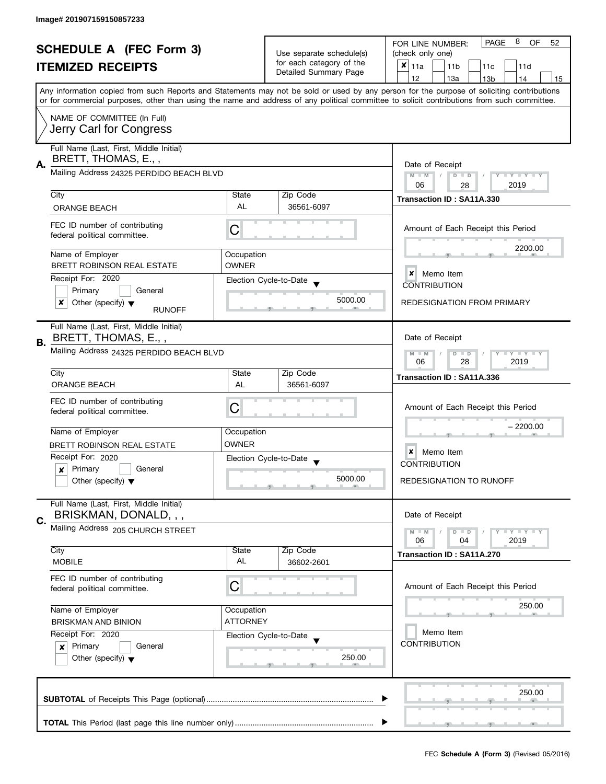|                                |                                                                |                          |                                                   | 8<br>PAGE<br>OF<br>FOR LINE NUMBER:<br>52                                                                                                                                                                                                                                               |  |  |  |  |
|--------------------------------|----------------------------------------------------------------|--------------------------|---------------------------------------------------|-----------------------------------------------------------------------------------------------------------------------------------------------------------------------------------------------------------------------------------------------------------------------------------------|--|--|--|--|
| <b>SCHEDULE A (FEC Form 3)</b> |                                                                | Use separate schedule(s) | (check only one)                                  |                                                                                                                                                                                                                                                                                         |  |  |  |  |
|                                | <b>ITEMIZED RECEIPTS</b>                                       |                          | for each category of the<br>Detailed Summary Page | ×<br>11a<br>11 <sub>b</sub><br>11c<br>11d                                                                                                                                                                                                                                               |  |  |  |  |
|                                |                                                                |                          |                                                   | 12<br>13a<br>13 <sub>b</sub><br>14<br>15                                                                                                                                                                                                                                                |  |  |  |  |
|                                |                                                                |                          |                                                   | Any information copied from such Reports and Statements may not be sold or used by any person for the purpose of soliciting contributions<br>or for commercial purposes, other than using the name and address of any political committee to solicit contributions from such committee. |  |  |  |  |
|                                | NAME OF COMMITTEE (In Full)                                    |                          |                                                   |                                                                                                                                                                                                                                                                                         |  |  |  |  |
|                                | Jerry Carl for Congress                                        |                          |                                                   |                                                                                                                                                                                                                                                                                         |  |  |  |  |
|                                | Full Name (Last, First, Middle Initial)                        |                          |                                                   |                                                                                                                                                                                                                                                                                         |  |  |  |  |
| Α.                             | BRETT, THOMAS, E.,,                                            |                          |                                                   | Date of Receipt                                                                                                                                                                                                                                                                         |  |  |  |  |
|                                | Mailing Address 24325 PERDIDO BEACH BLVD                       |                          |                                                   | $D$ $D$<br>$M$ $M$ $/$<br>Y FY FY F                                                                                                                                                                                                                                                     |  |  |  |  |
|                                |                                                                |                          |                                                   | 06<br>2019<br>28                                                                                                                                                                                                                                                                        |  |  |  |  |
|                                | City                                                           | State<br>AL              | Zip Code                                          | Transaction ID: SA11A.330                                                                                                                                                                                                                                                               |  |  |  |  |
|                                | ORANGE BEACH                                                   |                          | 36561-6097                                        |                                                                                                                                                                                                                                                                                         |  |  |  |  |
|                                | FEC ID number of contributing<br>federal political committee.  | C                        |                                                   | Amount of Each Receipt this Period                                                                                                                                                                                                                                                      |  |  |  |  |
|                                | Name of Employer                                               | Occupation               |                                                   | 2200.00                                                                                                                                                                                                                                                                                 |  |  |  |  |
|                                | BRETT ROBINSON REAL ESTATE                                     | <b>OWNER</b>             |                                                   |                                                                                                                                                                                                                                                                                         |  |  |  |  |
|                                | Receipt For: 2020                                              |                          |                                                   | x<br>Memo Item                                                                                                                                                                                                                                                                          |  |  |  |  |
|                                | Primary<br>General                                             |                          | Election Cycle-to-Date                            | <b>CONTRIBUTION</b>                                                                                                                                                                                                                                                                     |  |  |  |  |
|                                | Other (specify) $\blacktriangledown$<br>x                      |                          | 5000.00                                           | <b>REDESIGNATION FROM PRIMARY</b>                                                                                                                                                                                                                                                       |  |  |  |  |
|                                | <b>RUNOFF</b>                                                  |                          |                                                   |                                                                                                                                                                                                                                                                                         |  |  |  |  |
|                                | Full Name (Last, First, Middle Initial)<br>BRETT, THOMAS, E.,, |                          |                                                   | Date of Receipt                                                                                                                                                                                                                                                                         |  |  |  |  |
| <b>B.</b>                      | Mailing Address 24325 PERDIDO BEACH BLVD                       |                          |                                                   |                                                                                                                                                                                                                                                                                         |  |  |  |  |
|                                |                                                                |                          |                                                   | $M - M$<br>$D$ $D$<br>$\bot$ $\gamma$ $\bot$ $\gamma$ $\bot$ $\gamma$<br>06<br>28<br>2019                                                                                                                                                                                               |  |  |  |  |
|                                | City                                                           | State                    | Zip Code                                          | Transaction ID: SA11A.336                                                                                                                                                                                                                                                               |  |  |  |  |
|                                | <b>ORANGE BEACH</b>                                            | AL                       | 36561-6097                                        |                                                                                                                                                                                                                                                                                         |  |  |  |  |
|                                | FEC ID number of contributing                                  |                          |                                                   |                                                                                                                                                                                                                                                                                         |  |  |  |  |
|                                | federal political committee.                                   | С                        |                                                   | Amount of Each Receipt this Period                                                                                                                                                                                                                                                      |  |  |  |  |
|                                |                                                                |                          |                                                   | – 2200.00                                                                                                                                                                                                                                                                               |  |  |  |  |
|                                | Name of Employer                                               | Occupation               |                                                   |                                                                                                                                                                                                                                                                                         |  |  |  |  |
|                                | BRETT ROBINSON REAL ESTATE                                     | <b>OWNER</b>             |                                                   | ×<br>Memo Item                                                                                                                                                                                                                                                                          |  |  |  |  |
|                                | Receipt For: 2020                                              |                          | Election Cycle-to-Date                            | <b>CONTRIBUTION</b>                                                                                                                                                                                                                                                                     |  |  |  |  |
|                                | $\mathbf{x}$ Primary<br>General                                |                          | 5000.00                                           |                                                                                                                                                                                                                                                                                         |  |  |  |  |
|                                | Other (specify) $\blacktriangledown$                           |                          | m                                                 | <b>REDESIGNATION TO RUNOFF</b>                                                                                                                                                                                                                                                          |  |  |  |  |
|                                | Full Name (Last, First, Middle Initial)                        |                          |                                                   |                                                                                                                                                                                                                                                                                         |  |  |  |  |
| С.                             | BRISKMAN, DONALD, , ,                                          |                          |                                                   | Date of Receipt                                                                                                                                                                                                                                                                         |  |  |  |  |
|                                | Mailing Address 205 CHURCH STREET                              |                          |                                                   | $T+Y$ $T+Y$ $T+Y$<br>$M - M$<br>$D$ $D$                                                                                                                                                                                                                                                 |  |  |  |  |
|                                |                                                                |                          |                                                   | 06<br>04<br>2019                                                                                                                                                                                                                                                                        |  |  |  |  |
|                                | City                                                           | State                    | Zip Code                                          | Transaction ID: SA11A.270                                                                                                                                                                                                                                                               |  |  |  |  |
|                                | <b>MOBILE</b>                                                  | AL                       | 36602-2601                                        |                                                                                                                                                                                                                                                                                         |  |  |  |  |
|                                | FEC ID number of contributing                                  |                          |                                                   |                                                                                                                                                                                                                                                                                         |  |  |  |  |
|                                | federal political committee.                                   | C                        |                                                   | Amount of Each Receipt this Period                                                                                                                                                                                                                                                      |  |  |  |  |
|                                | Name of Employer                                               | Occupation               |                                                   | 250.00                                                                                                                                                                                                                                                                                  |  |  |  |  |
|                                | <b>BRISKMAN AND BINION</b>                                     | <b>ATTORNEY</b>          |                                                   |                                                                                                                                                                                                                                                                                         |  |  |  |  |
|                                | Receipt For: 2020                                              |                          |                                                   | Memo Item                                                                                                                                                                                                                                                                               |  |  |  |  |
|                                | Primary<br>General<br>x                                        |                          | Election Cycle-to-Date                            | <b>CONTRIBUTION</b>                                                                                                                                                                                                                                                                     |  |  |  |  |
|                                | Other (specify) $\blacktriangledown$                           |                          | 250.00                                            |                                                                                                                                                                                                                                                                                         |  |  |  |  |
|                                |                                                                |                          |                                                   |                                                                                                                                                                                                                                                                                         |  |  |  |  |
|                                |                                                                |                          |                                                   |                                                                                                                                                                                                                                                                                         |  |  |  |  |
|                                |                                                                |                          |                                                   | 250.00                                                                                                                                                                                                                                                                                  |  |  |  |  |
|                                |                                                                |                          |                                                   |                                                                                                                                                                                                                                                                                         |  |  |  |  |
|                                |                                                                |                          |                                                   |                                                                                                                                                                                                                                                                                         |  |  |  |  |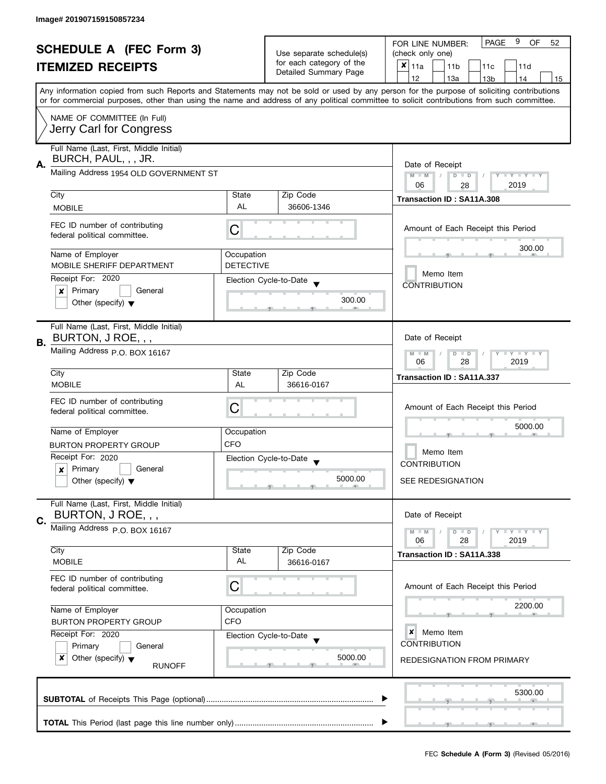| <b>SCHEDULE A (FEC Form 3)</b> |                                                                 |                                                      | 9<br><b>PAGE</b><br><b>OF</b><br>52<br>FOR LINE NUMBER: |                                                                                                                                                                                                                                                                                         |  |  |  |  |
|--------------------------------|-----------------------------------------------------------------|------------------------------------------------------|---------------------------------------------------------|-----------------------------------------------------------------------------------------------------------------------------------------------------------------------------------------------------------------------------------------------------------------------------------------|--|--|--|--|
|                                |                                                                 | Use separate schedule(s)<br>for each category of the | (check only one)                                        |                                                                                                                                                                                                                                                                                         |  |  |  |  |
|                                | <b>ITEMIZED RECEIPTS</b>                                        |                                                      | Detailed Summary Page                                   | X<br>11a<br>11 <sub>b</sub><br>11d<br>11c                                                                                                                                                                                                                                               |  |  |  |  |
|                                |                                                                 |                                                      |                                                         | 12<br>13a<br>13 <sub>b</sub><br>14<br>15                                                                                                                                                                                                                                                |  |  |  |  |
|                                |                                                                 |                                                      |                                                         | Any information copied from such Reports and Statements may not be sold or used by any person for the purpose of soliciting contributions<br>or for commercial purposes, other than using the name and address of any political committee to solicit contributions from such committee. |  |  |  |  |
|                                | NAME OF COMMITTEE (In Full)                                     |                                                      |                                                         |                                                                                                                                                                                                                                                                                         |  |  |  |  |
|                                | Jerry Carl for Congress                                         |                                                      |                                                         |                                                                                                                                                                                                                                                                                         |  |  |  |  |
|                                | Full Name (Last, First, Middle Initial)                         |                                                      |                                                         |                                                                                                                                                                                                                                                                                         |  |  |  |  |
| Α.                             | BURCH, PAUL, , , JR.                                            |                                                      |                                                         | Date of Receipt                                                                                                                                                                                                                                                                         |  |  |  |  |
|                                | Mailing Address 1954 OLD GOVERNMENT ST                          |                                                      |                                                         | $M - M$<br>$D$ $D$<br>$Y \perp Y \perp$                                                                                                                                                                                                                                                 |  |  |  |  |
|                                | City                                                            | State                                                | Zip Code                                                | 06<br>2019<br>28                                                                                                                                                                                                                                                                        |  |  |  |  |
|                                | <b>MOBILE</b>                                                   | AL                                                   | 36606-1346                                              | Transaction ID: SA11A.308                                                                                                                                                                                                                                                               |  |  |  |  |
|                                |                                                                 |                                                      |                                                         |                                                                                                                                                                                                                                                                                         |  |  |  |  |
|                                | FEC ID number of contributing<br>federal political committee.   | C                                                    |                                                         | Amount of Each Receipt this Period                                                                                                                                                                                                                                                      |  |  |  |  |
|                                |                                                                 |                                                      |                                                         | 300.00                                                                                                                                                                                                                                                                                  |  |  |  |  |
|                                | Name of Employer<br>MOBILE SHERIFF DEPARTMENT                   | Occupation<br><b>DETECTIVE</b>                       |                                                         |                                                                                                                                                                                                                                                                                         |  |  |  |  |
|                                | Receipt For: 2020                                               |                                                      |                                                         | Memo Item                                                                                                                                                                                                                                                                               |  |  |  |  |
|                                | Primary<br>General<br>×                                         |                                                      | Election Cycle-to-Date                                  | <b>CONTRIBUTION</b>                                                                                                                                                                                                                                                                     |  |  |  |  |
|                                | Other (specify) $\blacktriangledown$                            |                                                      | 300.00                                                  |                                                                                                                                                                                                                                                                                         |  |  |  |  |
|                                |                                                                 |                                                      |                                                         |                                                                                                                                                                                                                                                                                         |  |  |  |  |
|                                | Full Name (Last, First, Middle Initial)                         |                                                      |                                                         |                                                                                                                                                                                                                                                                                         |  |  |  |  |
| <b>B.</b>                      | BURTON, J ROE, , ,                                              |                                                      |                                                         | Date of Receipt                                                                                                                                                                                                                                                                         |  |  |  |  |
|                                | Mailing Address p.O. BOX 16167                                  |                                                      |                                                         | $\Box$ $\Upsilon$ $\Box$ $\Upsilon$ $\Box$<br>$M - M$<br>D<br>$\blacksquare$<br>2019<br>06<br>28                                                                                                                                                                                        |  |  |  |  |
|                                | City                                                            | State                                                | Zip Code                                                |                                                                                                                                                                                                                                                                                         |  |  |  |  |
|                                | <b>MOBILE</b>                                                   | AL                                                   | 36616-0167                                              | Transaction ID: SA11A.337                                                                                                                                                                                                                                                               |  |  |  |  |
|                                | FEC ID number of contributing                                   |                                                      |                                                         |                                                                                                                                                                                                                                                                                         |  |  |  |  |
|                                | federal political committee.                                    | С                                                    |                                                         | Amount of Each Receipt this Period                                                                                                                                                                                                                                                      |  |  |  |  |
|                                | Name of Employer                                                | Occupation                                           |                                                         | 5000.00<br>Memo Item                                                                                                                                                                                                                                                                    |  |  |  |  |
|                                | BURTON PROPERTY GROUP                                           | <b>CFO</b>                                           |                                                         |                                                                                                                                                                                                                                                                                         |  |  |  |  |
|                                | Receipt For: 2020                                               |                                                      | Election Cycle-to-Date                                  |                                                                                                                                                                                                                                                                                         |  |  |  |  |
|                                | $\mathbf{x}$ Primary<br>General                                 |                                                      |                                                         | <b>CONTRIBUTION</b>                                                                                                                                                                                                                                                                     |  |  |  |  |
|                                | Other (specify) $\blacktriangledown$                            |                                                      | 5000.00                                                 | SEE REDESIGNATION                                                                                                                                                                                                                                                                       |  |  |  |  |
|                                | Full Name (Last, First, Middle Initial)                         |                                                      |                                                         |                                                                                                                                                                                                                                                                                         |  |  |  |  |
|                                | BURTON, J ROE, , ,                                              |                                                      |                                                         | Date of Receipt                                                                                                                                                                                                                                                                         |  |  |  |  |
| C.                             | Mailing Address P.O. BOX 16167                                  |                                                      |                                                         | $\bot$ $\gamma$ $\bot$ $\gamma$ $\bot$ $\gamma$<br>$\Box$                                                                                                                                                                                                                               |  |  |  |  |
|                                |                                                                 |                                                      |                                                         | 2019<br>06<br>28                                                                                                                                                                                                                                                                        |  |  |  |  |
|                                | City                                                            | State                                                | Zip Code                                                | Transaction ID: SA11A.338                                                                                                                                                                                                                                                               |  |  |  |  |
|                                | <b>MOBILE</b>                                                   | AL                                                   | 36616-0167                                              |                                                                                                                                                                                                                                                                                         |  |  |  |  |
|                                | FEC ID number of contributing<br>federal political committee.   | C                                                    |                                                         | Amount of Each Receipt this Period                                                                                                                                                                                                                                                      |  |  |  |  |
|                                |                                                                 |                                                      |                                                         |                                                                                                                                                                                                                                                                                         |  |  |  |  |
|                                | Name of Employer                                                | Occupation                                           |                                                         | 2200.00                                                                                                                                                                                                                                                                                 |  |  |  |  |
|                                | <b>BURTON PROPERTY GROUP</b>                                    | <b>CFO</b>                                           |                                                         |                                                                                                                                                                                                                                                                                         |  |  |  |  |
|                                | Receipt For: 2020                                               |                                                      | Election Cycle-to-Date                                  | Memo Item<br>×<br><b>CONTRIBUTION</b>                                                                                                                                                                                                                                                   |  |  |  |  |
|                                | Primary<br>General<br>Other (specify) $\blacktriangledown$<br>× |                                                      | 5000.00                                                 |                                                                                                                                                                                                                                                                                         |  |  |  |  |
|                                | <b>RUNOFF</b>                                                   |                                                      |                                                         | <b>REDESIGNATION FROM PRIMARY</b>                                                                                                                                                                                                                                                       |  |  |  |  |
|                                |                                                                 |                                                      |                                                         |                                                                                                                                                                                                                                                                                         |  |  |  |  |
|                                |                                                                 |                                                      |                                                         | 5300.00                                                                                                                                                                                                                                                                                 |  |  |  |  |
|                                |                                                                 |                                                      |                                                         |                                                                                                                                                                                                                                                                                         |  |  |  |  |
|                                |                                                                 |                                                      |                                                         |                                                                                                                                                                                                                                                                                         |  |  |  |  |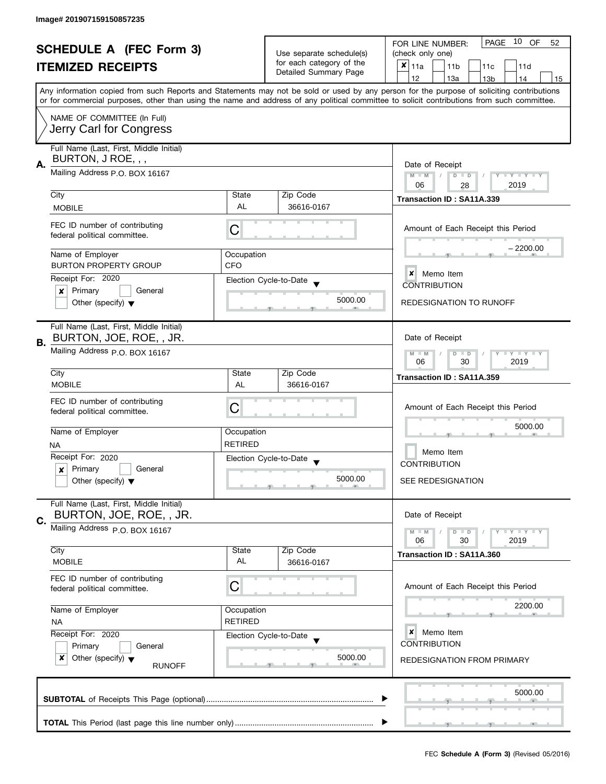| <b>SCHEDULE A (FEC Form 3)</b><br><b>ITEMIZED RECEIPTS</b> |                                                                                  |                                                                         | Use separate schedule(s)<br>for each category of the | PAGE 10 OF<br>FOR LINE NUMBER:<br>52<br>(check only one)<br>$x _{11a}$<br>11 <sub>b</sub><br>11c<br>11d                                                                                                                                                                                 |  |  |
|------------------------------------------------------------|----------------------------------------------------------------------------------|-------------------------------------------------------------------------|------------------------------------------------------|-----------------------------------------------------------------------------------------------------------------------------------------------------------------------------------------------------------------------------------------------------------------------------------------|--|--|
|                                                            |                                                                                  |                                                                         | Detailed Summary Page                                | 12<br>13a<br>13 <sub>b</sub><br>14<br>15                                                                                                                                                                                                                                                |  |  |
|                                                            |                                                                                  |                                                                         |                                                      | Any information copied from such Reports and Statements may not be sold or used by any person for the purpose of soliciting contributions<br>or for commercial purposes, other than using the name and address of any political committee to solicit contributions from such committee. |  |  |
|                                                            | NAME OF COMMITTEE (In Full)<br>Jerry Carl for Congress                           |                                                                         |                                                      |                                                                                                                                                                                                                                                                                         |  |  |
|                                                            | Full Name (Last, First, Middle Initial)<br>BURTON, J ROE, , ,                    |                                                                         |                                                      |                                                                                                                                                                                                                                                                                         |  |  |
| А.                                                         | Mailing Address P.O. BOX 16167                                                   | Date of Receipt<br>$M - M$<br>Y TY TY TY<br>$D$ $D$<br>2019<br>06<br>28 |                                                      |                                                                                                                                                                                                                                                                                         |  |  |
|                                                            | City<br><b>MOBILE</b>                                                            | State<br>AL                                                             | Zip Code<br>36616-0167                               | Transaction ID: SA11A.339                                                                                                                                                                                                                                                               |  |  |
|                                                            | FEC ID number of contributing<br>federal political committee.                    | C                                                                       |                                                      | Amount of Each Receipt this Period                                                                                                                                                                                                                                                      |  |  |
|                                                            | Name of Employer                                                                 | Occupation                                                              |                                                      | $-2200.00$                                                                                                                                                                                                                                                                              |  |  |
|                                                            | <b>BURTON PROPERTY GROUP</b><br>Receipt For: 2020                                | <b>CFO</b>                                                              | Election Cycle-to-Date                               | $\boldsymbol{x}$<br>Memo Item<br><b>CONTRIBUTION</b>                                                                                                                                                                                                                                    |  |  |
|                                                            | Primary<br>General<br>x<br>Other (specify) $\blacktriangledown$                  |                                                                         | 5000.00                                              | <b>REDESIGNATION TO RUNOFF</b>                                                                                                                                                                                                                                                          |  |  |
| В.                                                         | Full Name (Last, First, Middle Initial)<br>BURTON, JOE, ROE, , JR.               |                                                                         |                                                      | Date of Receipt                                                                                                                                                                                                                                                                         |  |  |
|                                                            | Mailing Address p.O. BOX 16167                                                   |                                                                         |                                                      | $T$ $Y$ $T$ $Y$ $T$ $Y$<br>$M - M$<br>$D$ $D$<br>30<br>2019<br>06                                                                                                                                                                                                                       |  |  |
|                                                            | City<br><b>MOBILE</b>                                                            | State<br>AL                                                             | Zip Code<br>36616-0167                               | Transaction ID: SA11A.359                                                                                                                                                                                                                                                               |  |  |
|                                                            | FEC ID number of contributing<br>federal political committee.                    | С                                                                       |                                                      | Amount of Each Receipt this Period                                                                                                                                                                                                                                                      |  |  |
|                                                            | Name of Employer                                                                 | Occupation                                                              |                                                      | 5000.00                                                                                                                                                                                                                                                                                 |  |  |
|                                                            | <b>NA</b><br>Receipt For: 2020                                                   | <b>RETIRED</b>                                                          |                                                      | Memo Item                                                                                                                                                                                                                                                                               |  |  |
|                                                            | Primary<br>General<br>$\boldsymbol{x}$                                           |                                                                         | Election Cycle-to-Date<br>$\overline{\phantom{a}}$   | <b>CONTRIBUTION</b>                                                                                                                                                                                                                                                                     |  |  |
|                                                            | Other (specify) $\blacktriangledown$                                             |                                                                         | 5000.00                                              | <b>SEE REDESIGNATION</b>                                                                                                                                                                                                                                                                |  |  |
| C.                                                         | Full Name (Last, First, Middle Initial)<br>BURTON, JOE, ROE, , JR.               |                                                                         |                                                      | Date of Receipt                                                                                                                                                                                                                                                                         |  |  |
|                                                            | Mailing Address P.O. BOX 16167                                                   |                                                                         |                                                      | $T - Y = T - Y$<br>$M - M$<br>$D$ $D$<br>2019<br>06<br>30                                                                                                                                                                                                                               |  |  |
|                                                            | City<br><b>MOBILE</b>                                                            | State<br>AL                                                             | Zip Code<br>36616-0167                               | Transaction ID: SA11A.360                                                                                                                                                                                                                                                               |  |  |
|                                                            | FEC ID number of contributing<br>federal political committee.                    | C                                                                       |                                                      | Amount of Each Receipt this Period                                                                                                                                                                                                                                                      |  |  |
|                                                            | Name of Employer<br><b>NA</b>                                                    | Occupation<br><b>RETIRED</b>                                            |                                                      | 2200.00                                                                                                                                                                                                                                                                                 |  |  |
|                                                            | Receipt For: 2020                                                                |                                                                         | Election Cycle-to-Date                               | ×<br>Memo Item<br><b>CONTRIBUTION</b>                                                                                                                                                                                                                                                   |  |  |
|                                                            | Primary<br>General<br>Other (specify) $\blacktriangledown$<br>x<br><b>RUNOFF</b> |                                                                         | 5000.00                                              | REDESIGNATION FROM PRIMARY                                                                                                                                                                                                                                                              |  |  |
|                                                            |                                                                                  |                                                                         |                                                      | 5000.00                                                                                                                                                                                                                                                                                 |  |  |
|                                                            |                                                                                  |                                                                         |                                                      |                                                                                                                                                                                                                                                                                         |  |  |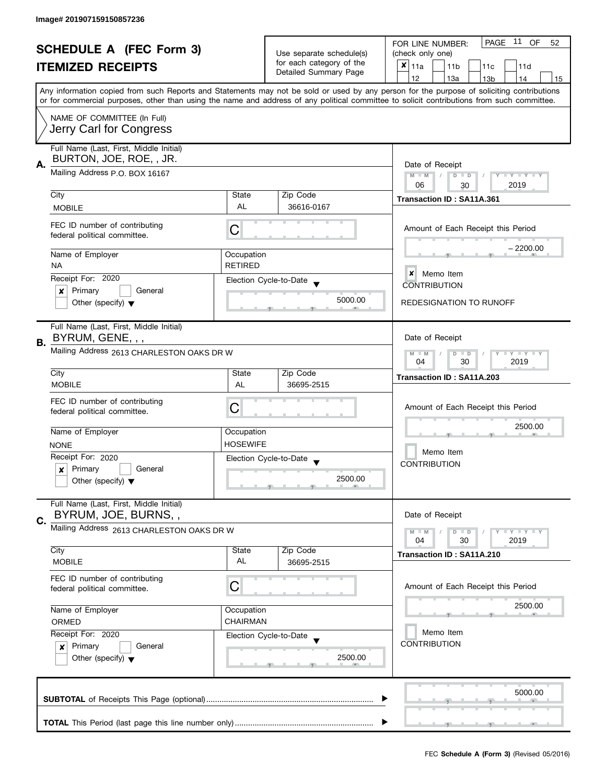| <b>SCHEDULE A (FEC Form 3)</b> |                                                                                |                                                                    | PAGE 11<br>OF<br>FOR LINE NUMBER:<br>52                       |                                                                                                                                                                                                                                                                                         |
|--------------------------------|--------------------------------------------------------------------------------|--------------------------------------------------------------------|---------------------------------------------------------------|-----------------------------------------------------------------------------------------------------------------------------------------------------------------------------------------------------------------------------------------------------------------------------------------|
|                                |                                                                                | Use separate schedule(s)                                           | (check only one)                                              |                                                                                                                                                                                                                                                                                         |
|                                | <b>ITEMIZED RECEIPTS</b>                                                       |                                                                    | for each category of the<br>Detailed Summary Page             | $x _{11a}$<br>11 <sub>b</sub><br>11c<br>11d                                                                                                                                                                                                                                             |
|                                |                                                                                |                                                                    |                                                               | 12<br>13a<br>13 <sub>b</sub><br>14<br>15                                                                                                                                                                                                                                                |
|                                |                                                                                |                                                                    |                                                               | Any information copied from such Reports and Statements may not be sold or used by any person for the purpose of soliciting contributions<br>or for commercial purposes, other than using the name and address of any political committee to solicit contributions from such committee. |
|                                | NAME OF COMMITTEE (In Full)<br>Jerry Carl for Congress                         |                                                                    |                                                               |                                                                                                                                                                                                                                                                                         |
| А.                             | Full Name (Last, First, Middle Initial)<br>BURTON, JOE, ROE, , JR.             |                                                                    |                                                               | Date of Receipt                                                                                                                                                                                                                                                                         |
|                                | Mailing Address P.O. BOX 16167                                                 | Y TY TY TY<br>$M - M$<br>$\sqrt{2}$<br>$D$ $D$<br>06<br>2019<br>30 |                                                               |                                                                                                                                                                                                                                                                                         |
|                                | City                                                                           | State                                                              | Zip Code                                                      | Transaction ID: SA11A.361                                                                                                                                                                                                                                                               |
|                                | <b>MOBILE</b>                                                                  | AL                                                                 | 36616-0167                                                    |                                                                                                                                                                                                                                                                                         |
|                                | FEC ID number of contributing<br>federal political committee.                  | С                                                                  |                                                               | Amount of Each Receipt this Period                                                                                                                                                                                                                                                      |
|                                | Name of Employer<br><b>NA</b>                                                  | Occupation<br><b>RETIRED</b>                                       |                                                               | – 2200.00                                                                                                                                                                                                                                                                               |
|                                | Receipt For: 2020                                                              |                                                                    | Election Cycle-to-Date                                        | $\boldsymbol{x}$<br>Memo Item<br><b>CONTRIBUTION</b>                                                                                                                                                                                                                                    |
|                                | Primary<br>General<br>×<br>Other (specify) $\blacktriangledown$                |                                                                    | 5000.00                                                       | REDESIGNATION TO RUNOFF                                                                                                                                                                                                                                                                 |
| В.                             | Full Name (Last, First, Middle Initial)<br>BYRUM, GENE, , ,                    |                                                                    |                                                               | Date of Receipt                                                                                                                                                                                                                                                                         |
|                                | Mailing Address 2613 CHARLESTON OAKS DR W                                      |                                                                    | $Y - Y - Y - Y - Y$<br>$M - M$<br>$D$ $D$<br>04<br>30<br>2019 |                                                                                                                                                                                                                                                                                         |
|                                | City                                                                           | State                                                              | Zip Code                                                      | Transaction ID: SA11A.203                                                                                                                                                                                                                                                               |
|                                | <b>MOBILE</b>                                                                  | AL                                                                 | 36695-2515                                                    |                                                                                                                                                                                                                                                                                         |
|                                | FEC ID number of contributing<br>federal political committee.                  | С                                                                  |                                                               | Amount of Each Receipt this Period                                                                                                                                                                                                                                                      |
|                                | Name of Employer                                                               | Occupation                                                         |                                                               | 2500.00                                                                                                                                                                                                                                                                                 |
|                                | <b>NONE</b>                                                                    | <b>HOSEWIFE</b>                                                    |                                                               |                                                                                                                                                                                                                                                                                         |
|                                | Receipt For: 2020                                                              |                                                                    | Election Cycle-to-Date                                        | Memo Item                                                                                                                                                                                                                                                                               |
|                                | Primary<br>General<br>×                                                        |                                                                    |                                                               | <b>CONTRIBUTION</b>                                                                                                                                                                                                                                                                     |
|                                | Other (specify) $\blacktriangledown$                                           |                                                                    | 2500.00                                                       |                                                                                                                                                                                                                                                                                         |
|                                | Full Name (Last, First, Middle Initial)<br>BYRUM, JOE, BURNS,,                 |                                                                    |                                                               | Date of Receipt                                                                                                                                                                                                                                                                         |
| C.                             | Mailing Address 2613 CHARLESTON OAKS DR W                                      |                                                                    |                                                               | $M - M$<br>$D$ $D$<br>04<br>30<br>2019                                                                                                                                                                                                                                                  |
|                                | City                                                                           | State                                                              | Zip Code                                                      | Transaction ID: SA11A.210                                                                                                                                                                                                                                                               |
|                                | <b>MOBILE</b>                                                                  | AL                                                                 | 36695-2515                                                    |                                                                                                                                                                                                                                                                                         |
|                                | FEC ID number of contributing<br>federal political committee.                  | С                                                                  |                                                               | Amount of Each Receipt this Period                                                                                                                                                                                                                                                      |
|                                | Name of Employer<br>ORMED                                                      | Occupation<br>CHAIRMAN                                             |                                                               | 2500.00                                                                                                                                                                                                                                                                                 |
|                                | Receipt For: 2020                                                              |                                                                    | Election Cycle-to-Date                                        | Memo Item                                                                                                                                                                                                                                                                               |
|                                | Primary<br>General<br>$\boldsymbol{x}$<br>Other (specify) $\blacktriangledown$ |                                                                    | 2500.00                                                       | <b>CONTRIBUTION</b>                                                                                                                                                                                                                                                                     |
|                                |                                                                                |                                                                    |                                                               | 5000.00                                                                                                                                                                                                                                                                                 |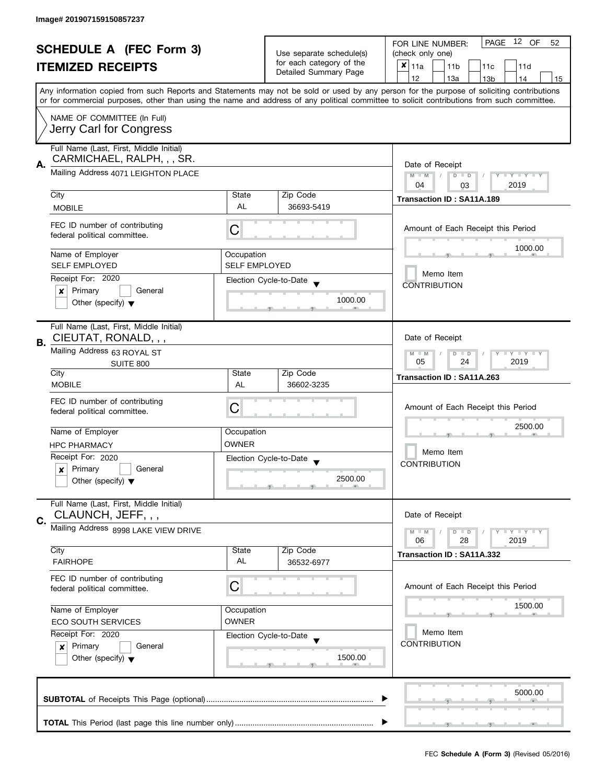| <b>SCHEDULE A (FEC Form 3)</b> |                                                                       |                                                                         | 12 OF<br>PAGE<br>FOR LINE NUMBER:<br>52        |                                                                                                                                                                                                                                                                                         |  |
|--------------------------------|-----------------------------------------------------------------------|-------------------------------------------------------------------------|------------------------------------------------|-----------------------------------------------------------------------------------------------------------------------------------------------------------------------------------------------------------------------------------------------------------------------------------------|--|
|                                |                                                                       |                                                                         | Use separate schedule(s)                       | (check only one)                                                                                                                                                                                                                                                                        |  |
| <b>ITEMIZED RECEIPTS</b>       |                                                                       | for each category of the                                                | $x _{11a}$<br>11 <sub>b</sub><br>11c<br>11d    |                                                                                                                                                                                                                                                                                         |  |
|                                |                                                                       |                                                                         | Detailed Summary Page                          | 12<br>13a<br>13 <sub>b</sub><br>14<br>15                                                                                                                                                                                                                                                |  |
|                                |                                                                       |                                                                         |                                                | Any information copied from such Reports and Statements may not be sold or used by any person for the purpose of soliciting contributions<br>or for commercial purposes, other than using the name and address of any political committee to solicit contributions from such committee. |  |
|                                | NAME OF COMMITTEE (In Full)                                           |                                                                         |                                                |                                                                                                                                                                                                                                                                                         |  |
|                                | Jerry Carl for Congress                                               |                                                                         |                                                |                                                                                                                                                                                                                                                                                         |  |
|                                | Full Name (Last, First, Middle Initial)<br>CARMICHAEL, RALPH, , , SR. |                                                                         |                                                |                                                                                                                                                                                                                                                                                         |  |
| А.                             | Mailing Address 4071 LEIGHTON PLACE                                   | Date of Receipt<br>Y TY TY TY<br>$M - M$<br>$D$ $D$<br>2019<br>04<br>03 |                                                |                                                                                                                                                                                                                                                                                         |  |
|                                | City                                                                  | State                                                                   | Zip Code                                       |                                                                                                                                                                                                                                                                                         |  |
|                                | <b>MOBILE</b>                                                         | AL                                                                      | 36693-5419                                     | Transaction ID: SA11A.189                                                                                                                                                                                                                                                               |  |
|                                | FEC ID number of contributing                                         |                                                                         |                                                | Amount of Each Receipt this Period                                                                                                                                                                                                                                                      |  |
|                                | federal political committee.                                          | С                                                                       |                                                | 1000.00                                                                                                                                                                                                                                                                                 |  |
|                                | Name of Employer                                                      | Occupation                                                              |                                                |                                                                                                                                                                                                                                                                                         |  |
|                                | <b>SELF EMPLOYED</b>                                                  | <b>SELF EMPLOYED</b>                                                    |                                                | Memo Item                                                                                                                                                                                                                                                                               |  |
|                                | Receipt For: 2020                                                     |                                                                         | Election Cycle-to-Date                         | <b>CONTRIBUTION</b>                                                                                                                                                                                                                                                                     |  |
|                                | Primary<br>General<br>×                                               |                                                                         |                                                |                                                                                                                                                                                                                                                                                         |  |
|                                | Other (specify) $\blacktriangledown$                                  |                                                                         | 1000.00                                        |                                                                                                                                                                                                                                                                                         |  |
|                                | Full Name (Last, First, Middle Initial)                               |                                                                         |                                                |                                                                                                                                                                                                                                                                                         |  |
| В.                             | CIEUTAT, RONALD, , ,                                                  |                                                                         |                                                | Date of Receipt                                                                                                                                                                                                                                                                         |  |
|                                | Mailing Address 63 ROYAL ST                                           |                                                                         |                                                | <b>LYLYLY</b><br>$M - M$<br>$D$ $D$<br>24<br>2019<br>05                                                                                                                                                                                                                                 |  |
|                                | SUITE 800<br>City                                                     | State                                                                   | Zip Code                                       | Transaction ID: SA11A.263                                                                                                                                                                                                                                                               |  |
|                                | <b>MOBILE</b>                                                         | AL                                                                      | 36602-3235                                     |                                                                                                                                                                                                                                                                                         |  |
|                                | FEC ID number of contributing                                         |                                                                         |                                                |                                                                                                                                                                                                                                                                                         |  |
|                                | federal political committee.                                          | C                                                                       |                                                | Amount of Each Receipt this Period                                                                                                                                                                                                                                                      |  |
|                                |                                                                       |                                                                         |                                                | 2500.00                                                                                                                                                                                                                                                                                 |  |
|                                | Name of Employer                                                      | Occupation<br><b>OWNER</b>                                              |                                                |                                                                                                                                                                                                                                                                                         |  |
|                                | <b>HPC PHARMACY</b>                                                   |                                                                         |                                                | Memo Item                                                                                                                                                                                                                                                                               |  |
|                                | Receipt For: 2020                                                     |                                                                         | Election Cycle-to-Date<br>$\blacktriangledown$ | <b>CONTRIBUTION</b>                                                                                                                                                                                                                                                                     |  |
|                                | Primary<br>General<br>x<br>Other (specify) $\blacktriangledown$       |                                                                         | 2500.00                                        |                                                                                                                                                                                                                                                                                         |  |
|                                |                                                                       |                                                                         |                                                |                                                                                                                                                                                                                                                                                         |  |
|                                | Full Name (Last, First, Middle Initial)<br>CLAUNCH, JEFF, , ,         |                                                                         |                                                | Date of Receipt                                                                                                                                                                                                                                                                         |  |
| C.                             | Mailing Address 8998 LAKE VIEW DRIVE                                  |                                                                         |                                                |                                                                                                                                                                                                                                                                                         |  |
|                                |                                                                       |                                                                         |                                                | <b>LEY LEY LEY</b><br>$M - M$<br>$D$ $D$<br>06<br>28<br>2019                                                                                                                                                                                                                            |  |
|                                | City                                                                  | State                                                                   | Zip Code                                       | Transaction ID: SA11A.332                                                                                                                                                                                                                                                               |  |
|                                | <b>FAIRHOPE</b>                                                       | AL                                                                      | 36532-6977                                     |                                                                                                                                                                                                                                                                                         |  |
|                                | FEC ID number of contributing<br>federal political committee.         | С                                                                       |                                                | Amount of Each Receipt this Period                                                                                                                                                                                                                                                      |  |
|                                | Name of Employer                                                      |                                                                         |                                                | 1500.00                                                                                                                                                                                                                                                                                 |  |
|                                | Occupation<br><b>OWNER</b><br><b>ECO SOUTH SERVICES</b>               |                                                                         |                                                |                                                                                                                                                                                                                                                                                         |  |
|                                | Receipt For: 2020                                                     |                                                                         | Election Cycle-to-Date                         | Memo Item                                                                                                                                                                                                                                                                               |  |
|                                | Primary<br>General<br>$\mathsf{x}$                                    |                                                                         |                                                | <b>CONTRIBUTION</b>                                                                                                                                                                                                                                                                     |  |
|                                | Other (specify) $\blacktriangledown$                                  |                                                                         | 1500.00                                        |                                                                                                                                                                                                                                                                                         |  |
|                                |                                                                       |                                                                         |                                                |                                                                                                                                                                                                                                                                                         |  |
|                                |                                                                       |                                                                         |                                                |                                                                                                                                                                                                                                                                                         |  |
|                                |                                                                       |                                                                         |                                                | 5000.00                                                                                                                                                                                                                                                                                 |  |
|                                |                                                                       |                                                                         |                                                |                                                                                                                                                                                                                                                                                         |  |
|                                |                                                                       |                                                                         |                                                |                                                                                                                                                                                                                                                                                         |  |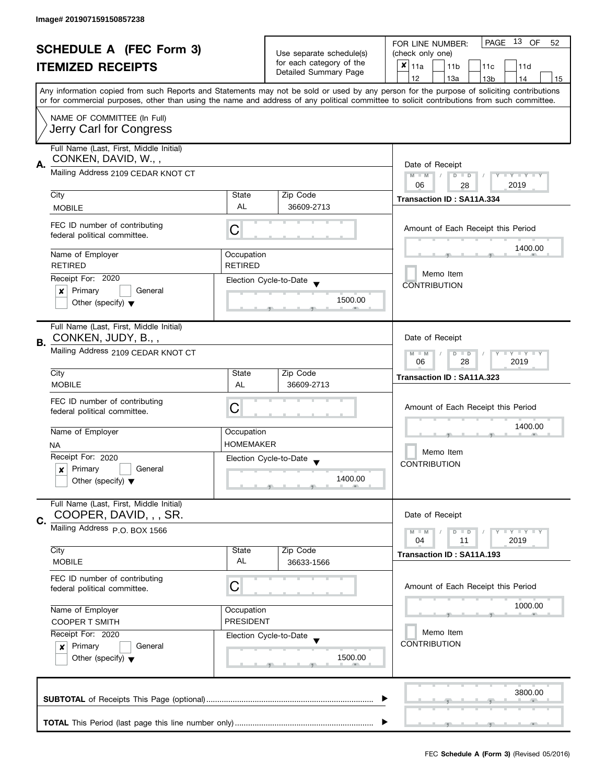| <b>SCHEDULE A (FEC Form 3)</b> |                                                               |                                | 13 OF<br>PAGE<br>FOR LINE NUMBER:<br>52              |                                                                                                                                                                                                                                                                                         |  |  |
|--------------------------------|---------------------------------------------------------------|--------------------------------|------------------------------------------------------|-----------------------------------------------------------------------------------------------------------------------------------------------------------------------------------------------------------------------------------------------------------------------------------------|--|--|
|                                |                                                               |                                | Use separate schedule(s)<br>for each category of the | (check only one)                                                                                                                                                                                                                                                                        |  |  |
|                                | <b>ITEMIZED RECEIPTS</b>                                      |                                | Detailed Summary Page                                | $x _{11a}$<br>11 <sub>b</sub><br>11c<br>11d                                                                                                                                                                                                                                             |  |  |
|                                |                                                               |                                |                                                      | 12<br>13a<br>13 <sub>b</sub><br>14<br>15                                                                                                                                                                                                                                                |  |  |
|                                |                                                               |                                |                                                      | Any information copied from such Reports and Statements may not be sold or used by any person for the purpose of soliciting contributions<br>or for commercial purposes, other than using the name and address of any political committee to solicit contributions from such committee. |  |  |
|                                | NAME OF COMMITTEE (In Full)                                   |                                |                                                      |                                                                                                                                                                                                                                                                                         |  |  |
|                                | Jerry Carl for Congress                                       |                                |                                                      |                                                                                                                                                                                                                                                                                         |  |  |
|                                | Full Name (Last, First, Middle Initial)                       |                                |                                                      |                                                                                                                                                                                                                                                                                         |  |  |
| А.                             | CONKEN, DAVID, W.,,                                           |                                |                                                      |                                                                                                                                                                                                                                                                                         |  |  |
|                                | Mailing Address 2109 CEDAR KNOT CT                            |                                |                                                      | Y TY TY TY<br>$M - M$<br>$D$ $D$                                                                                                                                                                                                                                                        |  |  |
|                                |                                                               | State                          | Zip Code                                             | 06<br>2019<br>28                                                                                                                                                                                                                                                                        |  |  |
|                                | City<br><b>MOBILE</b>                                         | AL                             | 36609-2713                                           | Transaction ID: SA11A.334                                                                                                                                                                                                                                                               |  |  |
|                                |                                                               |                                |                                                      |                                                                                                                                                                                                                                                                                         |  |  |
|                                | FEC ID number of contributing<br>federal political committee. | С                              |                                                      | Amount of Each Receipt this Period                                                                                                                                                                                                                                                      |  |  |
|                                |                                                               |                                |                                                      | 1400.00                                                                                                                                                                                                                                                                                 |  |  |
|                                | Name of Employer<br><b>RETIRED</b>                            | Occupation<br><b>RETIRED</b>   |                                                      |                                                                                                                                                                                                                                                                                         |  |  |
|                                | Receipt For: 2020                                             |                                | Election Cycle-to-Date                               | Memo Item                                                                                                                                                                                                                                                                               |  |  |
|                                | Primary<br>General<br>×                                       |                                |                                                      | <b>CONTRIBUTION</b>                                                                                                                                                                                                                                                                     |  |  |
|                                | Other (specify) $\blacktriangledown$                          |                                | 1500.00                                              |                                                                                                                                                                                                                                                                                         |  |  |
|                                |                                                               |                                |                                                      |                                                                                                                                                                                                                                                                                         |  |  |
|                                | Full Name (Last, First, Middle Initial)                       |                                |                                                      |                                                                                                                                                                                                                                                                                         |  |  |
| В.                             | CONKEN, JUDY, B.,,                                            |                                |                                                      | Date of Receipt                                                                                                                                                                                                                                                                         |  |  |
|                                | Mailing Address 2109 CEDAR KNOT CT                            |                                |                                                      | $Y - Y - Y - Y - Y$<br>$M - M$<br>$D$ $D$<br>28<br>2019<br>06                                                                                                                                                                                                                           |  |  |
|                                | City                                                          | State                          | Zip Code                                             | Transaction ID: SA11A.323                                                                                                                                                                                                                                                               |  |  |
|                                | <b>MOBILE</b>                                                 | AL                             | 36609-2713                                           |                                                                                                                                                                                                                                                                                         |  |  |
|                                | FEC ID number of contributing                                 |                                |                                                      |                                                                                                                                                                                                                                                                                         |  |  |
|                                | federal political committee.                                  | С                              |                                                      | Amount of Each Receipt this Period                                                                                                                                                                                                                                                      |  |  |
|                                | Name of Employer                                              | Occupation                     |                                                      | 1400.00                                                                                                                                                                                                                                                                                 |  |  |
|                                | NA.                                                           | <b>HOMEMAKER</b>               |                                                      |                                                                                                                                                                                                                                                                                         |  |  |
|                                | Receipt For: 2020                                             |                                | Election Cycle-to-Date<br>$\overline{\phantom{a}}$   | Memo Item                                                                                                                                                                                                                                                                               |  |  |
|                                | Primary<br>General<br>$\boldsymbol{x}$                        |                                |                                                      | <b>CONTRIBUTION</b>                                                                                                                                                                                                                                                                     |  |  |
|                                | Other (specify) $\blacktriangledown$                          |                                | 1400.00                                              |                                                                                                                                                                                                                                                                                         |  |  |
|                                | Full Name (Last, First, Middle Initial)                       |                                |                                                      |                                                                                                                                                                                                                                                                                         |  |  |
| C.                             | COOPER, DAVID, , , SR.                                        |                                |                                                      | Date of Receipt                                                                                                                                                                                                                                                                         |  |  |
|                                | Mailing Address P.O. BOX 1566                                 |                                |                                                      | Y I Y I Y I Y<br>$M - M$<br>$D$ $D$                                                                                                                                                                                                                                                     |  |  |
|                                | City                                                          | State                          | Zip Code                                             | 04<br>2019<br>11                                                                                                                                                                                                                                                                        |  |  |
|                                | <b>MOBILE</b>                                                 | AL                             | 36633-1566                                           | Transaction ID: SA11A.193                                                                                                                                                                                                                                                               |  |  |
|                                | FEC ID number of contributing                                 |                                |                                                      |                                                                                                                                                                                                                                                                                         |  |  |
|                                | federal political committee.                                  | С                              |                                                      | Amount of Each Receipt this Period                                                                                                                                                                                                                                                      |  |  |
|                                |                                                               |                                |                                                      | 1000.00                                                                                                                                                                                                                                                                                 |  |  |
|                                | Name of Employer<br><b>COOPER T SMITH</b>                     | Occupation<br><b>PRESIDENT</b> |                                                      |                                                                                                                                                                                                                                                                                         |  |  |
|                                | Receipt For: 2020                                             |                                | Election Cycle-to-Date                               | Memo Item                                                                                                                                                                                                                                                                               |  |  |
|                                | Primary<br>General<br>$\boldsymbol{x}$                        |                                |                                                      | <b>CONTRIBUTION</b>                                                                                                                                                                                                                                                                     |  |  |
|                                | Other (specify) $\blacktriangledown$                          |                                | 1500.00                                              |                                                                                                                                                                                                                                                                                         |  |  |
|                                |                                                               |                                |                                                      |                                                                                                                                                                                                                                                                                         |  |  |
|                                |                                                               |                                |                                                      |                                                                                                                                                                                                                                                                                         |  |  |
|                                |                                                               |                                |                                                      | 3800.00                                                                                                                                                                                                                                                                                 |  |  |
|                                |                                                               |                                |                                                      |                                                                                                                                                                                                                                                                                         |  |  |
|                                |                                                               |                                |                                                      |                                                                                                                                                                                                                                                                                         |  |  |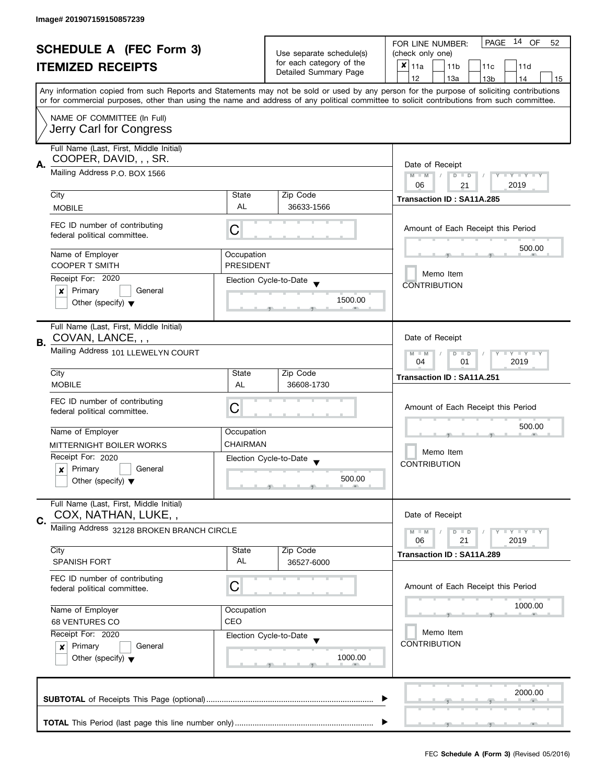| <b>SCHEDULE A (FEC Form 3)</b><br><b>ITEMIZED RECEIPTS</b> |                                                                                                     | Use separate schedule(s)<br>for each category of the | PAGE 14 OF<br>FOR LINE NUMBER:<br>52        |                                                                                                                                            |  |
|------------------------------------------------------------|-----------------------------------------------------------------------------------------------------|------------------------------------------------------|---------------------------------------------|--------------------------------------------------------------------------------------------------------------------------------------------|--|
|                                                            |                                                                                                     |                                                      | (check only one)                            |                                                                                                                                            |  |
|                                                            |                                                                                                     |                                                      | $x _{11a}$<br>11 <sub>b</sub><br>11c<br>11d |                                                                                                                                            |  |
|                                                            |                                                                                                     |                                                      | Detailed Summary Page                       | 12<br>13a<br>13 <sub>b</sub><br>14<br>15                                                                                                   |  |
|                                                            |                                                                                                     |                                                      |                                             | Any information copied from such Reports and Statements may not be sold or used by any person for the purpose of soliciting contributions  |  |
|                                                            |                                                                                                     |                                                      |                                             | or for commercial purposes, other than using the name and address of any political committee to solicit contributions from such committee. |  |
|                                                            | NAME OF COMMITTEE (In Full)                                                                         |                                                      |                                             |                                                                                                                                            |  |
|                                                            | Jerry Carl for Congress                                                                             |                                                      |                                             |                                                                                                                                            |  |
|                                                            |                                                                                                     |                                                      |                                             |                                                                                                                                            |  |
|                                                            | Full Name (Last, First, Middle Initial)                                                             |                                                      |                                             |                                                                                                                                            |  |
|                                                            | COOPER, DAVID, , , SR.                                                                              |                                                      |                                             |                                                                                                                                            |  |
| Α.                                                         | Mailing Address P.O. BOX 1566                                                                       |                                                      |                                             | Date of Receipt<br>$M - M$<br>$D$ $D$<br>Y I Y I Y I Y<br>$\sqrt{2}$                                                                       |  |
|                                                            |                                                                                                     |                                                      |                                             | 06<br>2019<br>21                                                                                                                           |  |
|                                                            | City                                                                                                | State                                                | Zip Code                                    | Transaction ID: SA11A.285                                                                                                                  |  |
|                                                            | <b>MOBILE</b>                                                                                       | <b>AL</b>                                            | 36633-1566                                  |                                                                                                                                            |  |
|                                                            |                                                                                                     |                                                      |                                             |                                                                                                                                            |  |
|                                                            | FEC ID number of contributing                                                                       | С                                                    |                                             | Amount of Each Receipt this Period                                                                                                         |  |
|                                                            | federal political committee.                                                                        |                                                      |                                             |                                                                                                                                            |  |
|                                                            | Name of Employer                                                                                    | Occupation                                           |                                             | 500.00                                                                                                                                     |  |
|                                                            | <b>COOPER T SMITH</b>                                                                               | <b>PRESIDENT</b>                                     |                                             |                                                                                                                                            |  |
|                                                            | Receipt For: 2020                                                                                   |                                                      | Election Cycle-to-Date                      | Memo Item                                                                                                                                  |  |
|                                                            | Primary<br>General<br>x                                                                             |                                                      |                                             | <b>CONTRIBUTION</b>                                                                                                                        |  |
|                                                            | Other (specify) $\blacktriangledown$                                                                |                                                      | 1500.00                                     |                                                                                                                                            |  |
|                                                            |                                                                                                     |                                                      |                                             |                                                                                                                                            |  |
|                                                            | Full Name (Last, First, Middle Initial)                                                             |                                                      |                                             |                                                                                                                                            |  |
|                                                            | COVAN, LANCE, , ,                                                                                   |                                                      |                                             | Date of Receipt                                                                                                                            |  |
| В.                                                         | Mailing Address 101 LLEWELYN COURT                                                                  |                                                      |                                             |                                                                                                                                            |  |
|                                                            |                                                                                                     |                                                      |                                             | $Y - Y - Y$<br>$M - M$<br>D<br>$\Box$<br>2019<br>04<br>01                                                                                  |  |
|                                                            | City                                                                                                | State                                                | Zip Code                                    |                                                                                                                                            |  |
|                                                            | <b>MOBILE</b>                                                                                       | AL                                                   | 36608-1730                                  | Transaction ID: SA11A.251                                                                                                                  |  |
|                                                            |                                                                                                     |                                                      |                                             |                                                                                                                                            |  |
|                                                            | FEC ID number of contributing<br>federal political committee.                                       | С                                                    |                                             | Amount of Each Receipt this Period                                                                                                         |  |
|                                                            |                                                                                                     |                                                      |                                             |                                                                                                                                            |  |
|                                                            | Name of Employer                                                                                    | Occupation                                           |                                             | 500.00                                                                                                                                     |  |
|                                                            | MITTERNIGHT BOILER WORKS                                                                            | <b>CHAIRMAN</b>                                      |                                             |                                                                                                                                            |  |
|                                                            | Receipt For: 2020                                                                                   |                                                      | Election Cycle-to-Date                      | Memo Item                                                                                                                                  |  |
|                                                            | Primary<br>General<br>x                                                                             |                                                      |                                             | <b>CONTRIBUTION</b>                                                                                                                        |  |
|                                                            | Other (specify) $\blacktriangledown$                                                                |                                                      | 500.00                                      |                                                                                                                                            |  |
|                                                            |                                                                                                     |                                                      |                                             |                                                                                                                                            |  |
|                                                            | Full Name (Last, First, Middle Initial)                                                             |                                                      |                                             |                                                                                                                                            |  |
|                                                            | COX, NATHAN, LUKE,,                                                                                 |                                                      |                                             | Date of Receipt                                                                                                                            |  |
| C.                                                         | Mailing Address 32128 BROKEN BRANCH CIRCLE                                                          |                                                      |                                             | $M - M$<br>$Y = Y + Y$<br>$D$ $D$                                                                                                          |  |
|                                                            |                                                                                                     |                                                      |                                             | 06<br>2019<br>21                                                                                                                           |  |
|                                                            | City                                                                                                | State                                                | Zip Code                                    | Transaction ID: SA11A.289                                                                                                                  |  |
|                                                            | <b>SPANISH FORT</b>                                                                                 | AL                                                   | 36527-6000                                  |                                                                                                                                            |  |
|                                                            | FEC ID number of contributing                                                                       |                                                      |                                             |                                                                                                                                            |  |
|                                                            | federal political committee.                                                                        | C                                                    |                                             | Amount of Each Receipt this Period                                                                                                         |  |
|                                                            |                                                                                                     |                                                      |                                             |                                                                                                                                            |  |
|                                                            | Name of Employer<br>Occupation                                                                      |                                                      |                                             | 1000.00                                                                                                                                    |  |
|                                                            | 68 VENTURES CO                                                                                      | CEO                                                  |                                             |                                                                                                                                            |  |
|                                                            | Receipt For: 2020<br>Primary<br>General<br>$\boldsymbol{x}$<br>Other (specify) $\blacktriangledown$ |                                                      | Election Cycle-to-Date                      | Memo Item                                                                                                                                  |  |
|                                                            |                                                                                                     |                                                      |                                             | <b>CONTRIBUTION</b>                                                                                                                        |  |
|                                                            |                                                                                                     |                                                      | 1000.00                                     |                                                                                                                                            |  |
|                                                            |                                                                                                     |                                                      |                                             |                                                                                                                                            |  |
|                                                            |                                                                                                     |                                                      |                                             |                                                                                                                                            |  |
|                                                            |                                                                                                     |                                                      |                                             | 2000.00                                                                                                                                    |  |
|                                                            |                                                                                                     |                                                      |                                             |                                                                                                                                            |  |
|                                                            |                                                                                                     |                                                      |                                             |                                                                                                                                            |  |
|                                                            |                                                                                                     |                                                      |                                             |                                                                                                                                            |  |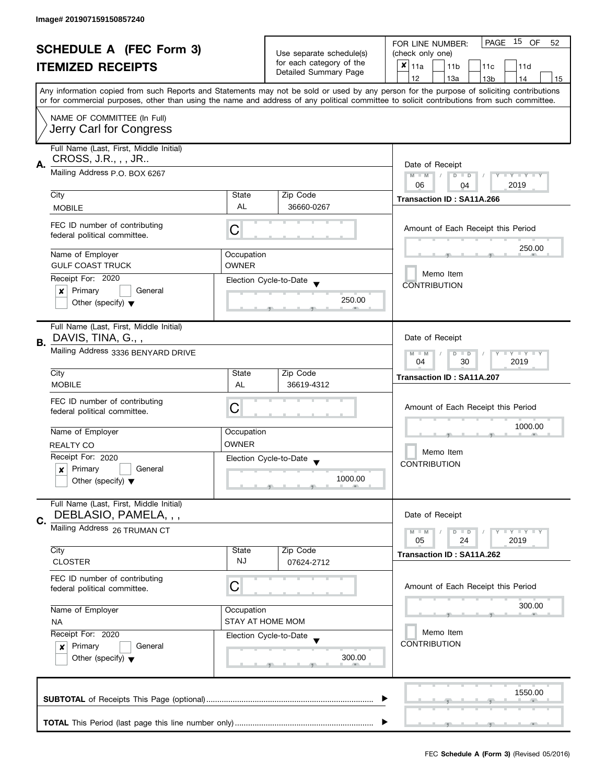|    |                                                                                                                               |                         | 15 OF<br>PAGE<br>FOR LINE NUMBER:<br>52 |                                                                                                                                            |
|----|-------------------------------------------------------------------------------------------------------------------------------|-------------------------|-----------------------------------------|--------------------------------------------------------------------------------------------------------------------------------------------|
|    | <b>SCHEDULE A (FEC Form 3)</b>                                                                                                |                         | Use separate schedule(s)                | (check only one)                                                                                                                           |
|    | <b>ITEMIZED RECEIPTS</b>                                                                                                      |                         | for each category of the                | $x _{11a}$<br>11 <sub>b</sub><br>11c<br>11d                                                                                                |
|    |                                                                                                                               |                         | Detailed Summary Page                   | 12<br>13a<br>14<br>13 <sub>b</sub><br>15                                                                                                   |
|    |                                                                                                                               |                         |                                         | Any information copied from such Reports and Statements may not be sold or used by any person for the purpose of soliciting contributions  |
|    |                                                                                                                               |                         |                                         | or for commercial purposes, other than using the name and address of any political committee to solicit contributions from such committee. |
|    | NAME OF COMMITTEE (In Full)                                                                                                   |                         |                                         |                                                                                                                                            |
|    | Jerry Carl for Congress                                                                                                       |                         |                                         |                                                                                                                                            |
|    |                                                                                                                               |                         |                                         |                                                                                                                                            |
|    | Full Name (Last, First, Middle Initial)                                                                                       |                         |                                         |                                                                                                                                            |
| Α. | CROSS, J.R., , , JR                                                                                                           |                         |                                         | Date of Receipt                                                                                                                            |
|    | Mailing Address P.O. BOX 6267                                                                                                 |                         |                                         | $M - M$<br>$\sqrt{2}$<br>$D$ $D$<br>Y FY FY FY                                                                                             |
|    |                                                                                                                               |                         |                                         | 06<br>2019<br>04                                                                                                                           |
|    | City                                                                                                                          | State                   | Zip Code                                | Transaction ID: SA11A.266                                                                                                                  |
|    | <b>MOBILE</b>                                                                                                                 | <b>AL</b>               | 36660-0267                              |                                                                                                                                            |
|    | FEC ID number of contributing                                                                                                 |                         |                                         |                                                                                                                                            |
|    | federal political committee.                                                                                                  | С                       |                                         | Amount of Each Receipt this Period                                                                                                         |
|    |                                                                                                                               |                         |                                         | 250.00                                                                                                                                     |
|    | Name of Employer                                                                                                              | Occupation              |                                         |                                                                                                                                            |
|    | <b>GULF COAST TRUCK</b>                                                                                                       | <b>OWNER</b>            |                                         | Memo Item                                                                                                                                  |
|    | Receipt For: 2020                                                                                                             |                         | Election Cycle-to-Date                  | <b>CONTRIBUTION</b>                                                                                                                        |
|    | Primary<br>General<br>X                                                                                                       |                         |                                         |                                                                                                                                            |
|    | Other (specify) $\blacktriangledown$                                                                                          |                         | 250.00                                  |                                                                                                                                            |
|    |                                                                                                                               |                         |                                         |                                                                                                                                            |
|    | Full Name (Last, First, Middle Initial)                                                                                       |                         |                                         |                                                                                                                                            |
| В. | DAVIS, TINA, G.,,                                                                                                             |                         |                                         | Date of Receipt                                                                                                                            |
|    | Mailing Address 3336 BENYARD DRIVE                                                                                            |                         |                                         | $Y = Y + Y$<br>D<br>$\Box$<br>$M - M$                                                                                                      |
|    |                                                                                                                               | 30<br>2019<br>04        |                                         |                                                                                                                                            |
|    | City                                                                                                                          | State                   | Zip Code                                | Transaction ID: SA11A.207                                                                                                                  |
|    | <b>MOBILE</b>                                                                                                                 | AL                      | 36619-4312                              |                                                                                                                                            |
|    | FEC ID number of contributing                                                                                                 |                         |                                         |                                                                                                                                            |
|    | federal political committee.                                                                                                  | С                       |                                         | Amount of Each Receipt this Period                                                                                                         |
|    |                                                                                                                               |                         |                                         | 1000.00                                                                                                                                    |
|    | Name of Employer                                                                                                              | Occupation              |                                         |                                                                                                                                            |
|    | REALTY CO                                                                                                                     | <b>OWNER</b>            |                                         | Memo Item                                                                                                                                  |
|    | Receipt For: 2020                                                                                                             |                         | Election Cycle-to-Date                  | <b>CONTRIBUTION</b>                                                                                                                        |
|    | Primary<br>General<br>x                                                                                                       |                         |                                         |                                                                                                                                            |
|    | Other (specify) $\blacktriangledown$                                                                                          |                         | 1000.00                                 |                                                                                                                                            |
|    |                                                                                                                               |                         |                                         |                                                                                                                                            |
|    | Full Name (Last, First, Middle Initial)                                                                                       |                         |                                         |                                                                                                                                            |
| C. | DEBLASIO, PAMELA, , ,                                                                                                         |                         |                                         | Date of Receipt                                                                                                                            |
|    | Mailing Address 26 TRUMAN CT                                                                                                  |                         |                                         | $Y = Y = Y$<br>$M - M$<br>$D$ $D$                                                                                                          |
|    | City                                                                                                                          | State                   | Zip Code                                | 05<br>2019<br>24                                                                                                                           |
|    | <b>CLOSTER</b>                                                                                                                | NJ                      | 07624-2712                              | Transaction ID: SA11A.262                                                                                                                  |
|    |                                                                                                                               |                         |                                         |                                                                                                                                            |
|    | FEC ID number of contributing                                                                                                 | C                       |                                         | Amount of Each Receipt this Period                                                                                                         |
|    | federal political committee.                                                                                                  |                         |                                         |                                                                                                                                            |
|    | Name of Employer                                                                                                              | Occupation              |                                         | 300.00                                                                                                                                     |
|    | <b>NA</b>                                                                                                                     | <b>STAY AT HOME MOM</b> |                                         |                                                                                                                                            |
|    | Receipt For: 2020<br>Election Cycle-to-Date<br>Primary<br>General<br>$\boldsymbol{x}$<br>Other (specify) $\blacktriangledown$ |                         |                                         | Memo Item                                                                                                                                  |
|    |                                                                                                                               |                         |                                         | <b>CONTRIBUTION</b>                                                                                                                        |
|    |                                                                                                                               |                         | 300.00                                  |                                                                                                                                            |
|    |                                                                                                                               |                         |                                         |                                                                                                                                            |
|    |                                                                                                                               |                         |                                         |                                                                                                                                            |
|    |                                                                                                                               |                         |                                         | 1550.00                                                                                                                                    |
|    |                                                                                                                               |                         |                                         |                                                                                                                                            |
|    |                                                                                                                               |                         |                                         |                                                                                                                                            |
|    |                                                                                                                               |                         |                                         |                                                                                                                                            |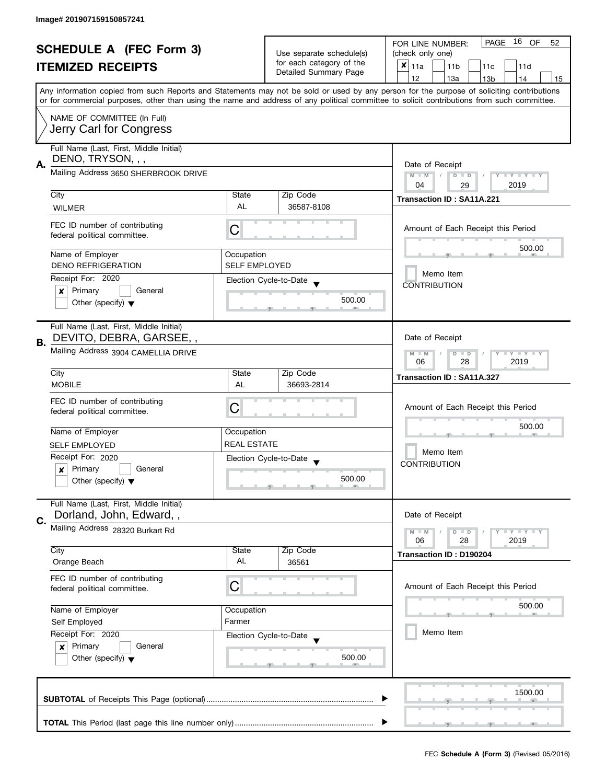| <b>SCHEDULE A (FEC Form 3)</b> |                                                                                                        |                                                      | 16 OF<br>PAGE<br>FOR LINE NUMBER:<br>52                   |                                                                                                                                                                                                                                                                                         |
|--------------------------------|--------------------------------------------------------------------------------------------------------|------------------------------------------------------|-----------------------------------------------------------|-----------------------------------------------------------------------------------------------------------------------------------------------------------------------------------------------------------------------------------------------------------------------------------------|
|                                |                                                                                                        |                                                      | Use separate schedule(s)                                  | (check only one)                                                                                                                                                                                                                                                                        |
|                                | <b>ITEMIZED RECEIPTS</b>                                                                               |                                                      | for each category of the<br>Detailed Summary Page         | $x _{11a}$<br>11 <sub>b</sub><br>11c<br>11d                                                                                                                                                                                                                                             |
|                                |                                                                                                        |                                                      |                                                           | 12<br>13a<br>13 <sub>b</sub><br>14<br>15                                                                                                                                                                                                                                                |
|                                |                                                                                                        |                                                      |                                                           | Any information copied from such Reports and Statements may not be sold or used by any person for the purpose of soliciting contributions<br>or for commercial purposes, other than using the name and address of any political committee to solicit contributions from such committee. |
|                                | NAME OF COMMITTEE (In Full)                                                                            |                                                      |                                                           |                                                                                                                                                                                                                                                                                         |
|                                | Jerry Carl for Congress                                                                                |                                                      |                                                           |                                                                                                                                                                                                                                                                                         |
| А.                             | Full Name (Last, First, Middle Initial)<br>DENO, TRYSON, , ,                                           |                                                      |                                                           | Date of Receipt                                                                                                                                                                                                                                                                         |
|                                | Mailing Address 3650 SHERBROOK DRIVE                                                                   | Y TY TY TY<br>$M - M$<br>$D$ $D$<br>2019<br>04<br>29 |                                                           |                                                                                                                                                                                                                                                                                         |
|                                | City                                                                                                   | State                                                | Zip Code                                                  | Transaction ID: SA11A.221                                                                                                                                                                                                                                                               |
|                                | <b>WILMER</b>                                                                                          | AL                                                   | 36587-8108                                                |                                                                                                                                                                                                                                                                                         |
|                                | FEC ID number of contributing<br>federal political committee.                                          | С                                                    |                                                           | Amount of Each Receipt this Period                                                                                                                                                                                                                                                      |
|                                | Name of Employer                                                                                       | Occupation                                           |                                                           | 500.00                                                                                                                                                                                                                                                                                  |
|                                | <b>DENO REFRIGERATION</b>                                                                              | <b>SELF EMPLOYED</b>                                 |                                                           |                                                                                                                                                                                                                                                                                         |
|                                | Receipt For: 2020                                                                                      |                                                      | Election Cycle-to-Date                                    | Memo Item                                                                                                                                                                                                                                                                               |
|                                | Primary<br>General<br>x                                                                                |                                                      |                                                           | <b>CONTRIBUTION</b>                                                                                                                                                                                                                                                                     |
|                                | Other (specify) $\blacktriangledown$                                                                   |                                                      | 500.00                                                    |                                                                                                                                                                                                                                                                                         |
|                                | Full Name (Last, First, Middle Initial)                                                                |                                                      |                                                           |                                                                                                                                                                                                                                                                                         |
| В.                             | DEVITO, DEBRA, GARSEE,,                                                                                |                                                      |                                                           | Date of Receipt                                                                                                                                                                                                                                                                         |
|                                | Mailing Address 3904 CAMELLIA DRIVE                                                                    |                                                      | <b>LY LY LY</b><br>$M - M$<br>$D$ $D$<br>28<br>2019<br>06 |                                                                                                                                                                                                                                                                                         |
|                                | City                                                                                                   | State                                                | Zip Code                                                  | Transaction ID: SA11A.327                                                                                                                                                                                                                                                               |
|                                | <b>MOBILE</b>                                                                                          | AL                                                   | 36693-2814                                                |                                                                                                                                                                                                                                                                                         |
|                                | FEC ID number of contributing                                                                          |                                                      |                                                           |                                                                                                                                                                                                                                                                                         |
|                                | federal political committee.                                                                           | С                                                    |                                                           | Amount of Each Receipt this Period                                                                                                                                                                                                                                                      |
|                                |                                                                                                        |                                                      |                                                           | 500.00                                                                                                                                                                                                                                                                                  |
|                                | Name of Employer                                                                                       | Occupation                                           |                                                           |                                                                                                                                                                                                                                                                                         |
|                                | <b>SELF EMPLOYED</b>                                                                                   | <b>REAL ESTATE</b>                                   |                                                           | Memo Item                                                                                                                                                                                                                                                                               |
|                                | Receipt For: 2020                                                                                      |                                                      | Election Cycle-to-Date<br>$\overline{\phantom{a}}$        | <b>CONTRIBUTION</b>                                                                                                                                                                                                                                                                     |
|                                | Primary<br>General<br>×                                                                                |                                                      |                                                           |                                                                                                                                                                                                                                                                                         |
|                                | Other (specify) $\blacktriangledown$                                                                   |                                                      | 500.00                                                    |                                                                                                                                                                                                                                                                                         |
| C.                             | Full Name (Last, First, Middle Initial)<br>Dorland, John, Edward,,                                     |                                                      |                                                           | Date of Receipt                                                                                                                                                                                                                                                                         |
|                                | Mailing Address 28320 Burkart Rd                                                                       |                                                      |                                                           | <b>LYLY LY</b><br>$M - M$<br>$D$ $D$                                                                                                                                                                                                                                                    |
|                                | City                                                                                                   | State                                                | Zip Code                                                  | 06<br>28<br>2019                                                                                                                                                                                                                                                                        |
|                                | Orange Beach                                                                                           | AL                                                   | 36561                                                     | Transaction ID: D190204                                                                                                                                                                                                                                                                 |
|                                | FEC ID number of contributing<br>federal political committee.                                          | С                                                    |                                                           | Amount of Each Receipt this Period                                                                                                                                                                                                                                                      |
|                                |                                                                                                        |                                                      |                                                           | 500.00                                                                                                                                                                                                                                                                                  |
|                                | Name of Employer                                                                                       | Occupation<br>Farmer                                 |                                                           |                                                                                                                                                                                                                                                                                         |
|                                | Self Employed<br>Receipt For: 2020<br>Election Cycle-to-Date<br>Primary<br>General<br>$\boldsymbol{x}$ |                                                      |                                                           | Memo Item                                                                                                                                                                                                                                                                               |
|                                |                                                                                                        |                                                      |                                                           |                                                                                                                                                                                                                                                                                         |
|                                |                                                                                                        |                                                      |                                                           |                                                                                                                                                                                                                                                                                         |
|                                | Other (specify) $\blacktriangledown$                                                                   |                                                      | 500.00                                                    |                                                                                                                                                                                                                                                                                         |
|                                |                                                                                                        |                                                      |                                                           | 1500.00                                                                                                                                                                                                                                                                                 |
|                                |                                                                                                        |                                                      |                                                           |                                                                                                                                                                                                                                                                                         |
|                                |                                                                                                        |                                                      |                                                           |                                                                                                                                                                                                                                                                                         |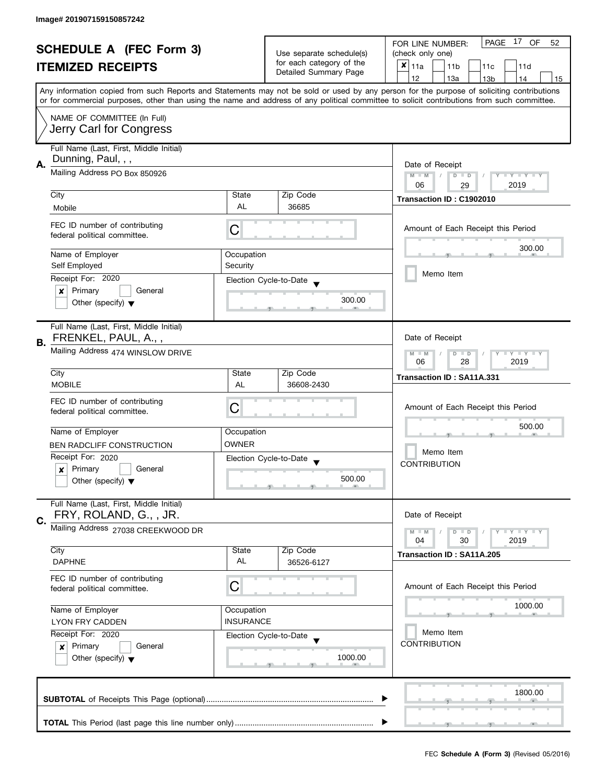| <b>SCHEDULE A (FEC Form 3)</b> |                                                                                                                                                                             |                          | 17<br>PAGE<br>OF<br>FOR LINE NUMBER:<br>52        |                                                                                                                                                                                                                                                                                         |  |  |  |
|--------------------------------|-----------------------------------------------------------------------------------------------------------------------------------------------------------------------------|--------------------------|---------------------------------------------------|-----------------------------------------------------------------------------------------------------------------------------------------------------------------------------------------------------------------------------------------------------------------------------------------|--|--|--|
|                                |                                                                                                                                                                             | Use separate schedule(s) | (check only one)                                  |                                                                                                                                                                                                                                                                                         |  |  |  |
|                                | <b>ITEMIZED RECEIPTS</b>                                                                                                                                                    |                          | for each category of the                          | $x _{11a}$<br>11 <sub>b</sub><br>11c<br>11d                                                                                                                                                                                                                                             |  |  |  |
|                                |                                                                                                                                                                             |                          | Detailed Summary Page                             | 12<br>13a<br>14<br>13 <sub>b</sub><br>15                                                                                                                                                                                                                                                |  |  |  |
|                                |                                                                                                                                                                             |                          |                                                   | Any information copied from such Reports and Statements may not be sold or used by any person for the purpose of soliciting contributions<br>or for commercial purposes, other than using the name and address of any political committee to solicit contributions from such committee. |  |  |  |
|                                |                                                                                                                                                                             |                          |                                                   |                                                                                                                                                                                                                                                                                         |  |  |  |
|                                | NAME OF COMMITTEE (In Full)<br>Jerry Carl for Congress                                                                                                                      |                          |                                                   |                                                                                                                                                                                                                                                                                         |  |  |  |
|                                | Full Name (Last, First, Middle Initial)                                                                                                                                     |                          |                                                   |                                                                                                                                                                                                                                                                                         |  |  |  |
|                                | Dunning, Paul, , ,<br>Α.<br>Mailing Address PO Box 850926                                                                                                                   |                          |                                                   | Date of Receipt                                                                                                                                                                                                                                                                         |  |  |  |
|                                |                                                                                                                                                                             |                          |                                                   | $M - M$<br>$\sqrt{2}$<br>$D$ $D$<br>Y I Y I Y I Y                                                                                                                                                                                                                                       |  |  |  |
|                                | City                                                                                                                                                                        | State                    | Zip Code                                          | 06<br>2019<br>29                                                                                                                                                                                                                                                                        |  |  |  |
|                                | Mobile                                                                                                                                                                      | AL                       | 36685                                             | Transaction ID: C1902010                                                                                                                                                                                                                                                                |  |  |  |
|                                |                                                                                                                                                                             |                          |                                                   |                                                                                                                                                                                                                                                                                         |  |  |  |
|                                | FEC ID number of contributing<br>federal political committee.                                                                                                               | C                        |                                                   | Amount of Each Receipt this Period                                                                                                                                                                                                                                                      |  |  |  |
|                                | Name of Employer                                                                                                                                                            | Occupation               |                                                   | 300.00                                                                                                                                                                                                                                                                                  |  |  |  |
|                                | Self Employed                                                                                                                                                               | Security                 |                                                   |                                                                                                                                                                                                                                                                                         |  |  |  |
|                                | Receipt For: 2020                                                                                                                                                           |                          | Election Cycle-to-Date                            | Memo Item                                                                                                                                                                                                                                                                               |  |  |  |
|                                | Primary<br>General<br>X                                                                                                                                                     |                          |                                                   |                                                                                                                                                                                                                                                                                         |  |  |  |
|                                | Other (specify) $\blacktriangledown$                                                                                                                                        |                          | 300.00                                            |                                                                                                                                                                                                                                                                                         |  |  |  |
|                                | Full Name (Last, First, Middle Initial)                                                                                                                                     |                          |                                                   |                                                                                                                                                                                                                                                                                         |  |  |  |
| В.                             | FRENKEL, PAUL, A.,,                                                                                                                                                         |                          |                                                   | Date of Receipt                                                                                                                                                                                                                                                                         |  |  |  |
|                                | Mailing Address 474 WINSLOW DRIVE                                                                                                                                           |                          |                                                   |                                                                                                                                                                                                                                                                                         |  |  |  |
|                                | City                                                                                                                                                                        | State                    | Zip Code                                          | Transaction ID: SA11A.331                                                                                                                                                                                                                                                               |  |  |  |
|                                | <b>MOBILE</b>                                                                                                                                                               | AL                       | 36608-2430                                        |                                                                                                                                                                                                                                                                                         |  |  |  |
|                                | FEC ID number of contributing                                                                                                                                               |                          |                                                   |                                                                                                                                                                                                                                                                                         |  |  |  |
|                                | federal political committee.                                                                                                                                                | С                        |                                                   | Amount of Each Receipt this Period                                                                                                                                                                                                                                                      |  |  |  |
|                                |                                                                                                                                                                             |                          |                                                   | 500.00                                                                                                                                                                                                                                                                                  |  |  |  |
|                                | Name of Employer                                                                                                                                                            | Occupation               |                                                   |                                                                                                                                                                                                                                                                                         |  |  |  |
|                                | <b>BEN RADCLIFF CONSTRUCTION</b>                                                                                                                                            | OWNER                    |                                                   | Memo Item                                                                                                                                                                                                                                                                               |  |  |  |
|                                | Receipt For: 2020                                                                                                                                                           |                          | Election Cycle-to-Date<br>$\overline{\mathbf{v}}$ | <b>CONTRIBUTION</b>                                                                                                                                                                                                                                                                     |  |  |  |
|                                | Primary<br>General<br>x                                                                                                                                                     |                          | 500.00                                            |                                                                                                                                                                                                                                                                                         |  |  |  |
|                                | Other (specify) $\blacktriangledown$                                                                                                                                        |                          |                                                   |                                                                                                                                                                                                                                                                                         |  |  |  |
|                                | Full Name (Last, First, Middle Initial)<br>FRY, ROLAND, G., , JR.                                                                                                           |                          |                                                   | Date of Receipt                                                                                                                                                                                                                                                                         |  |  |  |
| C.                             | Mailing Address 27038 CREEKWOOD DR                                                                                                                                          |                          |                                                   |                                                                                                                                                                                                                                                                                         |  |  |  |
|                                |                                                                                                                                                                             |                          |                                                   | $Y = Y = Y$<br>$M - M$<br>$D$ $D$<br>04<br>30<br>2019                                                                                                                                                                                                                                   |  |  |  |
|                                | City                                                                                                                                                                        | State                    | Zip Code                                          | Transaction ID: SA11A.205                                                                                                                                                                                                                                                               |  |  |  |
|                                | <b>DAPHNE</b>                                                                                                                                                               | AL                       | 36526-6127                                        |                                                                                                                                                                                                                                                                                         |  |  |  |
|                                | FEC ID number of contributing                                                                                                                                               |                          |                                                   |                                                                                                                                                                                                                                                                                         |  |  |  |
|                                | federal political committee.                                                                                                                                                | С                        |                                                   | Amount of Each Receipt this Period                                                                                                                                                                                                                                                      |  |  |  |
|                                |                                                                                                                                                                             |                          |                                                   | 1000.00                                                                                                                                                                                                                                                                                 |  |  |  |
|                                | Name of Employer                                                                                                                                                            | Occupation               |                                                   |                                                                                                                                                                                                                                                                                         |  |  |  |
|                                | <b>INSURANCE</b><br><b>LYON FRY CADDEN</b><br>Receipt For: 2020<br>Election Cycle-to-Date<br>Primary<br>General<br>$\boldsymbol{x}$<br>Other (specify) $\blacktriangledown$ |                          |                                                   | Memo Item                                                                                                                                                                                                                                                                               |  |  |  |
|                                |                                                                                                                                                                             |                          |                                                   | <b>CONTRIBUTION</b>                                                                                                                                                                                                                                                                     |  |  |  |
|                                |                                                                                                                                                                             |                          | 1000.00                                           |                                                                                                                                                                                                                                                                                         |  |  |  |
|                                |                                                                                                                                                                             |                          |                                                   |                                                                                                                                                                                                                                                                                         |  |  |  |
|                                |                                                                                                                                                                             |                          |                                                   |                                                                                                                                                                                                                                                                                         |  |  |  |
|                                |                                                                                                                                                                             |                          |                                                   | 1800.00                                                                                                                                                                                                                                                                                 |  |  |  |
|                                |                                                                                                                                                                             |                          |                                                   |                                                                                                                                                                                                                                                                                         |  |  |  |
|                                |                                                                                                                                                                             |                          |                                                   |                                                                                                                                                                                                                                                                                         |  |  |  |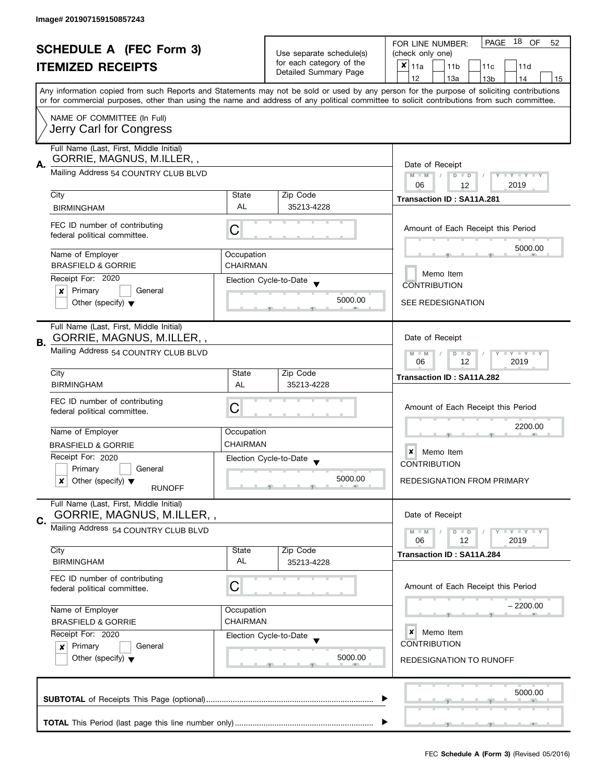|    | <b>SCHEDULE A</b> (FEC Form 3)<br><b>ITEMIZED RECEIPTS</b>                                                   |                        | Use separate schedule(s)<br>for each category of the<br>Detailed Summary Page | PAGE 18 OF<br>FOR LINE NUMBER:<br>52<br>(check only one)<br>$\boldsymbol{x}$<br>11a<br>11 <sub>b</sub><br>11c<br>11d                                                                  |
|----|--------------------------------------------------------------------------------------------------------------|------------------------|-------------------------------------------------------------------------------|---------------------------------------------------------------------------------------------------------------------------------------------------------------------------------------|
|    |                                                                                                              |                        |                                                                               | 12<br>13a<br>14<br>13 <sub>b</sub><br>15<br>Any information copied from such Reports and Statements may not be sold or used by any person for the purpose of soliciting contributions |
|    | NAME OF COMMITTEE (In Full)<br>Jerry Carl for Congress                                                       |                        |                                                                               | or for commercial purposes, other than using the name and address of any political committee to solicit contributions from such committee.                                            |
| А. | Full Name (Last, First, Middle Initial)<br>GORRIE, MAGNUS, M.ILLER,,<br>Mailing Address 54 COUNTRY CLUB BLVD |                        |                                                                               | Date of Receipt<br>Y TY TY TY<br>$M - M$<br>$D$ $D$                                                                                                                                   |
|    |                                                                                                              |                        |                                                                               | 2019<br>06<br>12                                                                                                                                                                      |
|    | City<br><b>BIRMINGHAM</b>                                                                                    | State<br>AL            | Zip Code<br>35213-4228                                                        | <b>Transaction ID: SA11A.281</b>                                                                                                                                                      |
|    | FEC ID number of contributing<br>federal political committee.                                                | C                      |                                                                               | Amount of Each Receipt this Period                                                                                                                                                    |
|    | Name of Employer                                                                                             | Occupation             |                                                                               | 5000.00                                                                                                                                                                               |
|    | <b>BRASFIELD &amp; GORRIE</b>                                                                                | CHAIRMAN               |                                                                               | Memo Item                                                                                                                                                                             |
|    | Receipt For: 2020                                                                                            |                        | Election Cycle-to-Date                                                        | <b>CONTRIBUTION</b>                                                                                                                                                                   |
|    | Primary<br>General<br>×<br>Other (specify) $\blacktriangledown$                                              |                        | 5000.00                                                                       | <b>SEE REDESIGNATION</b>                                                                                                                                                              |
|    | Full Name (Last, First, Middle Initial)<br>GORRIE, MAGNUS, M.ILLER,,                                         |                        |                                                                               | Date of Receipt                                                                                                                                                                       |
| В. | Mailing Address 54 COUNTRY CLUB BLVD                                                                         |                        |                                                                               | $T - Y = T - Y$<br>$M - M$<br>$D$ $D$<br>12<br>2019<br>06                                                                                                                             |
|    | City                                                                                                         | State                  | Zip Code                                                                      | Transaction ID: SA11A.282                                                                                                                                                             |
|    | <b>BIRMINGHAM</b><br>FEC ID number of contributing<br>federal political committee.                           | AL<br>С                | 35213-4228                                                                    | Amount of Each Receipt this Period                                                                                                                                                    |
|    | Name of Employer                                                                                             | Occupation             |                                                                               | 2200.00                                                                                                                                                                               |
|    | <b>BRASFIELD &amp; GORRIE</b>                                                                                | <b>CHAIRMAN</b>        |                                                                               |                                                                                                                                                                                       |
|    | Receipt For: 2020                                                                                            |                        | Election Cycle-to-Date<br>$\overline{\phantom{a}}$                            | ×<br>Memo Item<br><b>CONTRIBUTION</b>                                                                                                                                                 |
|    | Primary<br>General<br>Other (specify) $\blacktriangledown$<br>x<br><b>RUNOFF</b>                             |                        | 5000.00                                                                       | <b>REDESIGNATION FROM PRIMARY</b>                                                                                                                                                     |
|    | Full Name (Last, First, Middle Initial)<br>GORRIE, MAGNUS, M.ILLER,,                                         |                        |                                                                               | Date of Receipt                                                                                                                                                                       |
| C. | Mailing Address 54 COUNTRY CLUB BLVD                                                                         |                        |                                                                               | Y FY FY FY<br>$M - M$<br>$D$ $D$                                                                                                                                                      |
|    | City                                                                                                         | State                  | Zip Code                                                                      | 2019<br>06<br>12<br>Transaction ID: SA11A.284                                                                                                                                         |
|    | <b>BIRMINGHAM</b>                                                                                            | AL                     | 35213-4228                                                                    |                                                                                                                                                                                       |
|    | FEC ID number of contributing<br>federal political committee.                                                | C                      |                                                                               | Amount of Each Receipt this Period                                                                                                                                                    |
|    | Name of Employer<br><b>BRASFIELD &amp; GORRIE</b>                                                            | Occupation<br>CHAIRMAN |                                                                               | – 2200.00                                                                                                                                                                             |
|    | Receipt For: 2020                                                                                            |                        | Election Cycle-to-Date                                                        | ×<br>Memo Item                                                                                                                                                                        |
|    | Primary<br>General<br>x<br>Other (specify) $\blacktriangledown$                                              |                        | 5000.00                                                                       | <b>CONTRIBUTION</b><br><b>REDESIGNATION TO RUNOFF</b>                                                                                                                                 |
|    |                                                                                                              |                        |                                                                               | 5000.00                                                                                                                                                                               |
|    |                                                                                                              |                        |                                                                               |                                                                                                                                                                                       |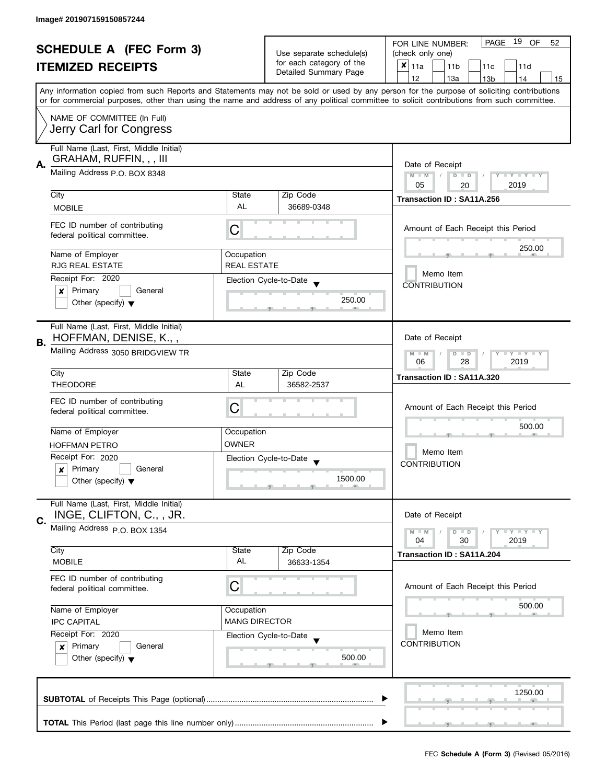| <b>SCHEDULE A (FEC Form 3)</b><br><b>ITEMIZED RECEIPTS</b> |                                                                                |                      | Use separate schedule(s)                           | PAGE 19 OF<br>FOR LINE NUMBER:<br>52<br>(check only one)                                                                                                                              |  |
|------------------------------------------------------------|--------------------------------------------------------------------------------|----------------------|----------------------------------------------------|---------------------------------------------------------------------------------------------------------------------------------------------------------------------------------------|--|
|                                                            |                                                                                |                      | for each category of the<br>Detailed Summary Page  | $x _{11a}$<br>11 <sub>b</sub><br>11c<br>11d                                                                                                                                           |  |
|                                                            |                                                                                |                      |                                                    | 12<br>13a<br>13 <sub>b</sub><br>14<br>15<br>Any information copied from such Reports and Statements may not be sold or used by any person for the purpose of soliciting contributions |  |
|                                                            |                                                                                |                      |                                                    | or for commercial purposes, other than using the name and address of any political committee to solicit contributions from such committee.                                            |  |
|                                                            | NAME OF COMMITTEE (In Full)<br>Jerry Carl for Congress                         |                      |                                                    |                                                                                                                                                                                       |  |
| А.                                                         | Full Name (Last, First, Middle Initial)<br>GRAHAM, RUFFIN, , , III             |                      |                                                    | Date of Receipt                                                                                                                                                                       |  |
|                                                            | Mailing Address P.O. BOX 8348                                                  |                      |                                                    | Y TY TY TY<br>$M - M$<br>$D$ $D$<br>05<br>2019<br>20                                                                                                                                  |  |
|                                                            | City                                                                           | State                | Zip Code                                           | Transaction ID: SA11A.256                                                                                                                                                             |  |
|                                                            | <b>MOBILE</b>                                                                  | AL                   | 36689-0348                                         |                                                                                                                                                                                       |  |
|                                                            | FEC ID number of contributing<br>federal political committee.                  | C                    |                                                    | Amount of Each Receipt this Period                                                                                                                                                    |  |
|                                                            | Name of Employer                                                               | Occupation           |                                                    | 250.00                                                                                                                                                                                |  |
|                                                            | <b>RJG REAL ESTATE</b>                                                         | <b>REAL ESTATE</b>   |                                                    | Memo Item                                                                                                                                                                             |  |
|                                                            | Receipt For: 2020                                                              |                      | Election Cycle-to-Date                             | <b>CONTRIBUTION</b>                                                                                                                                                                   |  |
|                                                            | Primary<br>General<br>x<br>Other (specify) $\blacktriangledown$                |                      | 250.00                                             |                                                                                                                                                                                       |  |
| В.                                                         | Full Name (Last, First, Middle Initial)<br>HOFFMAN, DENISE, K.,,               |                      |                                                    | Date of Receipt                                                                                                                                                                       |  |
|                                                            | Mailing Address 3050 BRIDGVIEW TR                                              |                      |                                                    | $T - Y = T - Y$<br>$M - M$<br>$D$ $D$<br>06<br>28<br>2019                                                                                                                             |  |
|                                                            | City                                                                           | State                | Zip Code                                           | Transaction ID: SA11A.320                                                                                                                                                             |  |
|                                                            | <b>THEODORE</b>                                                                | AL                   | 36582-2537                                         |                                                                                                                                                                                       |  |
|                                                            | FEC ID number of contributing<br>federal political committee.                  | С                    |                                                    | Amount of Each Receipt this Period                                                                                                                                                    |  |
|                                                            | Name of Employer                                                               | Occupation           |                                                    | 500.00                                                                                                                                                                                |  |
|                                                            | <b>HOFFMAN PETRO</b>                                                           | <b>OWNER</b>         |                                                    | Memo Item                                                                                                                                                                             |  |
|                                                            | Receipt For: 2020                                                              |                      | Election Cycle-to-Date<br>$\overline{\phantom{a}}$ | <b>CONTRIBUTION</b>                                                                                                                                                                   |  |
|                                                            | Primary<br>General<br>$\boldsymbol{x}$<br>Other (specify) $\blacktriangledown$ |                      | 1500.00                                            |                                                                                                                                                                                       |  |
|                                                            | Full Name (Last, First, Middle Initial)<br>INGE, CLIFTON, C., , JR.            |                      |                                                    | Date of Receipt                                                                                                                                                                       |  |
| C.                                                         | Mailing Address P.O. BOX 1354                                                  |                      |                                                    | Y FY FY FY<br>$M - M$<br>$D$ $D$<br>2019<br>04<br>30                                                                                                                                  |  |
|                                                            | City                                                                           | State                | Zip Code                                           | Transaction ID: SA11A.204                                                                                                                                                             |  |
|                                                            | <b>MOBILE</b>                                                                  | AL                   | 36633-1354                                         |                                                                                                                                                                                       |  |
|                                                            | FEC ID number of contributing<br>federal political committee.                  | C                    |                                                    | Amount of Each Receipt this Period                                                                                                                                                    |  |
|                                                            | Name of Employer                                                               | Occupation           |                                                    | 500.00                                                                                                                                                                                |  |
|                                                            | <b>IPC CAPITAL</b>                                                             | <b>MANG DIRECTOR</b> |                                                    |                                                                                                                                                                                       |  |
|                                                            | Receipt For: 2020                                                              |                      | Election Cycle-to-Date                             | Memo Item<br><b>CONTRIBUTION</b>                                                                                                                                                      |  |
|                                                            | Primary<br>General<br>$\boldsymbol{x}$<br>Other (specify) $\blacktriangledown$ |                      | 500.00                                             |                                                                                                                                                                                       |  |
|                                                            |                                                                                |                      |                                                    | 1250.00                                                                                                                                                                               |  |
|                                                            |                                                                                |                      |                                                    |                                                                                                                                                                                       |  |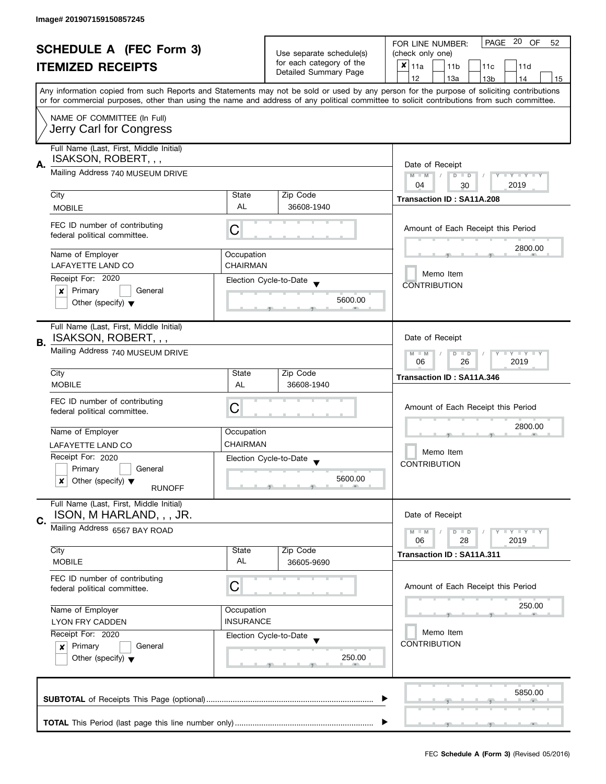| <b>SCHEDULE A (FEC Form 3)</b> |                                                            |                          | PAGE 20 OF<br>FOR LINE NUMBER:<br>52               |                                                                                                                                            |  |  |
|--------------------------------|------------------------------------------------------------|--------------------------|----------------------------------------------------|--------------------------------------------------------------------------------------------------------------------------------------------|--|--|
|                                |                                                            |                          | Use separate schedule(s)                           | (check only one)                                                                                                                           |  |  |
| <b>ITEMIZED RECEIPTS</b>       |                                                            | for each category of the | $x _{11a}$<br>11 <sub>b</sub><br>11c<br>11d        |                                                                                                                                            |  |  |
|                                |                                                            |                          | Detailed Summary Page                              | 12<br>13a<br>13 <sub>b</sub><br>14<br>15                                                                                                   |  |  |
|                                |                                                            |                          |                                                    | Any information copied from such Reports and Statements may not be sold or used by any person for the purpose of soliciting contributions  |  |  |
|                                |                                                            |                          |                                                    | or for commercial purposes, other than using the name and address of any political committee to solicit contributions from such committee. |  |  |
|                                | NAME OF COMMITTEE (In Full)                                |                          |                                                    |                                                                                                                                            |  |  |
|                                | Jerry Carl for Congress                                    |                          |                                                    |                                                                                                                                            |  |  |
|                                |                                                            |                          |                                                    |                                                                                                                                            |  |  |
|                                | Full Name (Last, First, Middle Initial)                    |                          |                                                    |                                                                                                                                            |  |  |
| А.                             | ISAKSON, ROBERT, , ,                                       |                          |                                                    | Date of Receipt                                                                                                                            |  |  |
|                                | Mailing Address 740 MUSEUM DRIVE                           |                          |                                                    | $M - M$<br>Y I Y I Y I Y<br>$D$ $D$                                                                                                        |  |  |
|                                |                                                            |                          |                                                    | 2019<br>04<br>30                                                                                                                           |  |  |
|                                | City                                                       | State                    | Zip Code                                           | Transaction ID: SA11A.208                                                                                                                  |  |  |
|                                | <b>MOBILE</b>                                              | AL                       | 36608-1940                                         |                                                                                                                                            |  |  |
|                                | FEC ID number of contributing                              |                          |                                                    |                                                                                                                                            |  |  |
|                                | federal political committee.                               | С                        |                                                    | Amount of Each Receipt this Period                                                                                                         |  |  |
|                                |                                                            |                          |                                                    | 2800.00                                                                                                                                    |  |  |
|                                | Name of Employer                                           | Occupation               |                                                    |                                                                                                                                            |  |  |
|                                | LAFAYETTE LAND CO                                          | <b>CHAIRMAN</b>          |                                                    |                                                                                                                                            |  |  |
|                                | Receipt For: 2020                                          |                          | Election Cycle-to-Date                             | Memo Item                                                                                                                                  |  |  |
|                                | Primary<br>General<br>×                                    |                          |                                                    | <b>CONTRIBUTION</b>                                                                                                                        |  |  |
|                                | Other (specify) $\blacktriangledown$                       |                          | 5600.00                                            |                                                                                                                                            |  |  |
|                                |                                                            |                          |                                                    |                                                                                                                                            |  |  |
|                                | Full Name (Last, First, Middle Initial)                    |                          |                                                    |                                                                                                                                            |  |  |
|                                | ISAKSON, ROBERT, , ,                                       |                          |                                                    | Date of Receipt                                                                                                                            |  |  |
| В.                             |                                                            |                          |                                                    | <b>LYLYLY</b><br>$M - M$                                                                                                                   |  |  |
|                                | Mailing Address 740 MUSEUM DRIVE                           |                          |                                                    |                                                                                                                                            |  |  |
|                                |                                                            | State                    |                                                    | 26<br>2019<br>06                                                                                                                           |  |  |
|                                | City<br><b>MOBILE</b>                                      | AL                       | Zip Code                                           | Transaction ID: SA11A.346                                                                                                                  |  |  |
|                                |                                                            |                          | 36608-1940                                         |                                                                                                                                            |  |  |
|                                | FEC ID number of contributing                              |                          |                                                    | Amount of Each Receipt this Period                                                                                                         |  |  |
|                                | federal political committee.                               | С                        |                                                    |                                                                                                                                            |  |  |
|                                |                                                            |                          |                                                    | 2800.00                                                                                                                                    |  |  |
|                                | Name of Employer                                           | Occupation               |                                                    |                                                                                                                                            |  |  |
|                                | LAFAYETTE LAND CO                                          | <b>CHAIRMAN</b>          |                                                    | Memo Item                                                                                                                                  |  |  |
|                                | Receipt For: 2020                                          |                          | Election Cycle-to-Date<br>$\overline{\phantom{a}}$ | <b>CONTRIBUTION</b>                                                                                                                        |  |  |
|                                | Primary<br>General                                         |                          |                                                    |                                                                                                                                            |  |  |
|                                | Other (specify) $\blacktriangledown$<br>x<br><b>RUNOFF</b> |                          | 5600.00                                            |                                                                                                                                            |  |  |
|                                |                                                            |                          |                                                    |                                                                                                                                            |  |  |
|                                | Full Name (Last, First, Middle Initial)                    |                          |                                                    |                                                                                                                                            |  |  |
| C.                             | ISON, M HARLAND, , , JR.                                   |                          |                                                    | Date of Receipt                                                                                                                            |  |  |
|                                | Mailing Address 6567 BAY ROAD                              |                          |                                                    | <b>LYLYLY</b><br>$M - M$<br>$D$ $D$                                                                                                        |  |  |
|                                |                                                            |                          |                                                    | 06<br>28<br>2019                                                                                                                           |  |  |
|                                | City                                                       | State                    | Zip Code                                           | Transaction ID: SA11A.311                                                                                                                  |  |  |
|                                | <b>MOBILE</b>                                              | AL                       | 36605-9690                                         |                                                                                                                                            |  |  |
|                                | FEC ID number of contributing                              |                          |                                                    |                                                                                                                                            |  |  |
|                                | federal political committee.                               | С                        |                                                    | Amount of Each Receipt this Period                                                                                                         |  |  |
|                                |                                                            |                          |                                                    |                                                                                                                                            |  |  |
|                                | Name of Employer                                           | Occupation               |                                                    | 250.00                                                                                                                                     |  |  |
|                                | <b>INSURANCE</b><br><b>LYON FRY CADDEN</b>                 |                          |                                                    |                                                                                                                                            |  |  |
|                                | Receipt For: 2020                                          |                          | Election Cycle-to-Date                             | Memo Item                                                                                                                                  |  |  |
|                                | Primary<br>General<br>$\mathsf{x}$                         |                          |                                                    | <b>CONTRIBUTION</b>                                                                                                                        |  |  |
|                                | Other (specify) $\blacktriangledown$                       |                          | 250.00                                             |                                                                                                                                            |  |  |
|                                |                                                            |                          |                                                    |                                                                                                                                            |  |  |
|                                |                                                            |                          |                                                    |                                                                                                                                            |  |  |
|                                |                                                            |                          |                                                    | 5850.00                                                                                                                                    |  |  |
|                                |                                                            |                          |                                                    |                                                                                                                                            |  |  |
|                                |                                                            |                          |                                                    |                                                                                                                                            |  |  |
|                                |                                                            |                          |                                                    |                                                                                                                                            |  |  |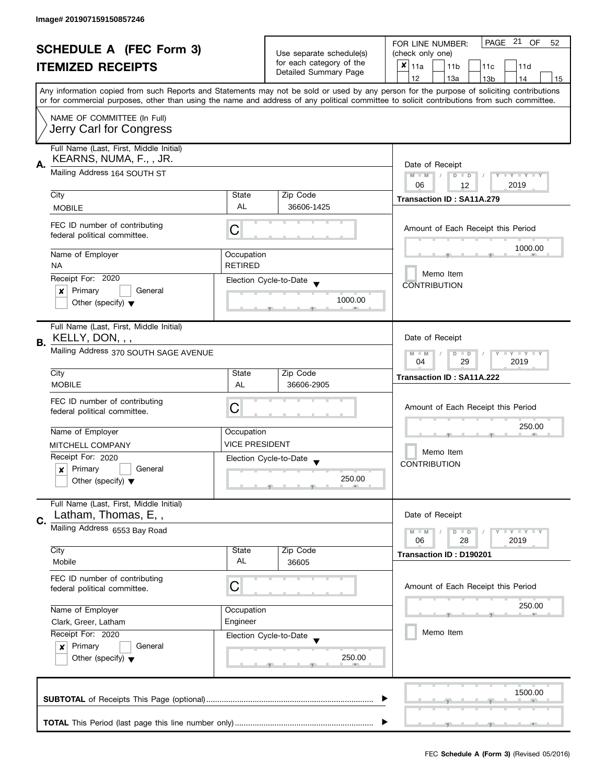| <b>SCHEDULE A (FEC Form 3)</b> |                                                                                                                           |                                                                                                                                            | PAGE 21<br>OF<br>FOR LINE NUMBER:<br>52                                       |                                                                                                                                           |  |
|--------------------------------|---------------------------------------------------------------------------------------------------------------------------|--------------------------------------------------------------------------------------------------------------------------------------------|-------------------------------------------------------------------------------|-------------------------------------------------------------------------------------------------------------------------------------------|--|
|                                |                                                                                                                           |                                                                                                                                            | Use separate schedule(s)<br>for each category of the<br>Detailed Summary Page | (check only one)                                                                                                                          |  |
|                                | <b>ITEMIZED RECEIPTS</b>                                                                                                  |                                                                                                                                            |                                                                               | $x _{11a}$<br>11 <sub>b</sub><br>11c<br>11d                                                                                               |  |
|                                |                                                                                                                           |                                                                                                                                            |                                                                               | 12<br>13a<br>13 <sub>b</sub><br>14<br>15                                                                                                  |  |
|                                |                                                                                                                           |                                                                                                                                            |                                                                               | Any information copied from such Reports and Statements may not be sold or used by any person for the purpose of soliciting contributions |  |
|                                |                                                                                                                           | or for commercial purposes, other than using the name and address of any political committee to solicit contributions from such committee. |                                                                               |                                                                                                                                           |  |
|                                | NAME OF COMMITTEE (In Full)                                                                                               |                                                                                                                                            |                                                                               |                                                                                                                                           |  |
|                                | Jerry Carl for Congress                                                                                                   |                                                                                                                                            |                                                                               |                                                                                                                                           |  |
|                                | Full Name (Last, First, Middle Initial)                                                                                   |                                                                                                                                            |                                                                               |                                                                                                                                           |  |
|                                | KEARNS, NUMA, F.,, JR.                                                                                                    |                                                                                                                                            |                                                                               |                                                                                                                                           |  |
| А.                             | Mailing Address 164 SOUTH ST                                                                                              |                                                                                                                                            |                                                                               | Date of Receipt<br>Y TY TY TY<br>$M - M$<br>$\sqrt{2}$<br>$D$ $D$                                                                         |  |
|                                |                                                                                                                           |                                                                                                                                            |                                                                               | 06<br>2019<br>12                                                                                                                          |  |
|                                | City                                                                                                                      | State                                                                                                                                      | Zip Code                                                                      | Transaction ID: SA11A.279                                                                                                                 |  |
|                                | <b>MOBILE</b>                                                                                                             | <b>AL</b>                                                                                                                                  | 36606-1425                                                                    |                                                                                                                                           |  |
|                                |                                                                                                                           |                                                                                                                                            |                                                                               |                                                                                                                                           |  |
|                                | FEC ID number of contributing<br>federal political committee.                                                             | С                                                                                                                                          |                                                                               | Amount of Each Receipt this Period                                                                                                        |  |
|                                |                                                                                                                           |                                                                                                                                            |                                                                               | 1000.00                                                                                                                                   |  |
|                                | Name of Employer                                                                                                          | Occupation                                                                                                                                 |                                                                               |                                                                                                                                           |  |
|                                | <b>NA</b>                                                                                                                 | <b>RETIRED</b>                                                                                                                             |                                                                               | Memo Item                                                                                                                                 |  |
|                                | Receipt For: 2020                                                                                                         |                                                                                                                                            | Election Cycle-to-Date                                                        | <b>CONTRIBUTION</b>                                                                                                                       |  |
|                                | Primary<br>General<br>×                                                                                                   |                                                                                                                                            |                                                                               |                                                                                                                                           |  |
|                                | Other (specify) $\blacktriangledown$                                                                                      |                                                                                                                                            | 1000.00                                                                       |                                                                                                                                           |  |
|                                |                                                                                                                           |                                                                                                                                            |                                                                               |                                                                                                                                           |  |
|                                | Full Name (Last, First, Middle Initial)<br>KELLY, DON, , ,                                                                |                                                                                                                                            |                                                                               | Date of Receipt                                                                                                                           |  |
| В.                             |                                                                                                                           |                                                                                                                                            |                                                                               |                                                                                                                                           |  |
|                                | Mailing Address 370 SOUTH SAGE AVENUE                                                                                     |                                                                                                                                            |                                                                               | $Y = Y + Y$<br>$M - M$<br>$D$ $D$<br>29<br>2019<br>04                                                                                     |  |
|                                | City                                                                                                                      | State                                                                                                                                      | Zip Code                                                                      |                                                                                                                                           |  |
|                                | <b>MOBILE</b>                                                                                                             | AL                                                                                                                                         | 36606-2905                                                                    | Transaction ID: SA11A.222                                                                                                                 |  |
|                                |                                                                                                                           |                                                                                                                                            |                                                                               |                                                                                                                                           |  |
|                                | FEC ID number of contributing<br>federal political committee.                                                             | С                                                                                                                                          |                                                                               | Amount of Each Receipt this Period                                                                                                        |  |
|                                |                                                                                                                           |                                                                                                                                            |                                                                               |                                                                                                                                           |  |
|                                | Name of Employer                                                                                                          | Occupation                                                                                                                                 |                                                                               | 250.00                                                                                                                                    |  |
|                                | MITCHELL COMPANY                                                                                                          | <b>VICE PRESIDENT</b>                                                                                                                      |                                                                               |                                                                                                                                           |  |
|                                | Receipt For: 2020                                                                                                         |                                                                                                                                            | Election Cycle-to-Date                                                        | Memo Item                                                                                                                                 |  |
|                                | Primary<br>General<br>$\boldsymbol{x}$                                                                                    |                                                                                                                                            |                                                                               | <b>CONTRIBUTION</b>                                                                                                                       |  |
|                                | Other (specify) $\blacktriangledown$                                                                                      |                                                                                                                                            | 250.00                                                                        |                                                                                                                                           |  |
|                                |                                                                                                                           |                                                                                                                                            |                                                                               |                                                                                                                                           |  |
|                                | Full Name (Last, First, Middle Initial)                                                                                   |                                                                                                                                            |                                                                               |                                                                                                                                           |  |
| C.                             | Latham, Thomas, E,,                                                                                                       |                                                                                                                                            |                                                                               | Date of Receipt                                                                                                                           |  |
|                                | Mailing Address 6553 Bay Road                                                                                             |                                                                                                                                            |                                                                               | $Y = Y = Y$<br>$M - M$<br>$D$ $D$                                                                                                         |  |
|                                | City                                                                                                                      | State                                                                                                                                      | Zip Code                                                                      | 06<br>28<br>2019                                                                                                                          |  |
|                                | Mobile                                                                                                                    | AL                                                                                                                                         | 36605                                                                         | Transaction ID: D190201                                                                                                                   |  |
|                                |                                                                                                                           |                                                                                                                                            |                                                                               |                                                                                                                                           |  |
|                                | FEC ID number of contributing<br>federal political committee.                                                             | C                                                                                                                                          |                                                                               | Amount of Each Receipt this Period                                                                                                        |  |
|                                |                                                                                                                           |                                                                                                                                            |                                                                               |                                                                                                                                           |  |
|                                | Name of Employer                                                                                                          | Occupation                                                                                                                                 |                                                                               | 250.00                                                                                                                                    |  |
|                                | Clark, Greer, Latham                                                                                                      | Engineer                                                                                                                                   |                                                                               |                                                                                                                                           |  |
|                                | Receipt For: 2020<br>Election Cycle-to-Date<br>Primary<br>General<br>$\mathbf{x}$<br>Other (specify) $\blacktriangledown$ |                                                                                                                                            |                                                                               | Memo Item                                                                                                                                 |  |
|                                |                                                                                                                           |                                                                                                                                            |                                                                               |                                                                                                                                           |  |
|                                |                                                                                                                           |                                                                                                                                            | 250.00                                                                        |                                                                                                                                           |  |
|                                |                                                                                                                           |                                                                                                                                            |                                                                               |                                                                                                                                           |  |
|                                |                                                                                                                           |                                                                                                                                            |                                                                               |                                                                                                                                           |  |
|                                |                                                                                                                           |                                                                                                                                            |                                                                               | 1500.00                                                                                                                                   |  |
|                                |                                                                                                                           |                                                                                                                                            |                                                                               |                                                                                                                                           |  |
|                                |                                                                                                                           |                                                                                                                                            |                                                                               |                                                                                                                                           |  |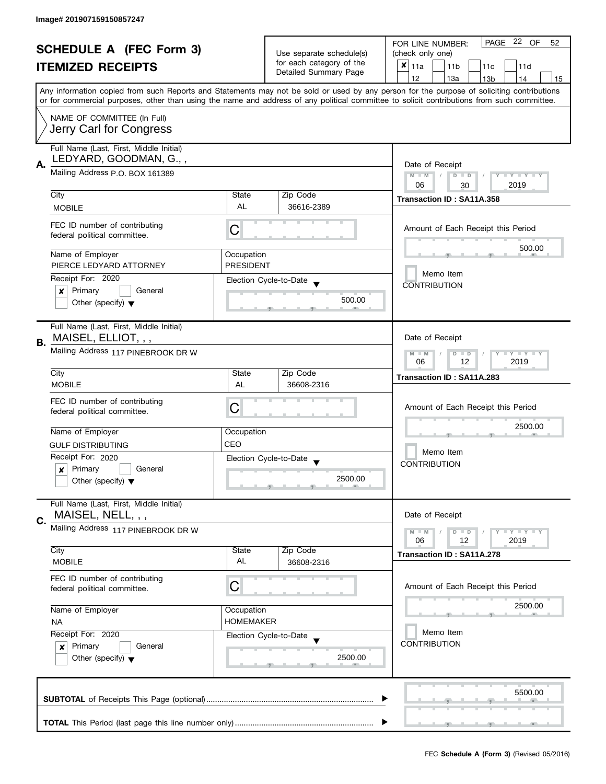| <b>SCHEDULE A (FEC Form 3)</b> |                                                               |                          | PAGE 22 OF<br>FOR LINE NUMBER:<br>52 |                                                                                                                                                                                                                                                                                         |  |  |  |
|--------------------------------|---------------------------------------------------------------|--------------------------|--------------------------------------|-----------------------------------------------------------------------------------------------------------------------------------------------------------------------------------------------------------------------------------------------------------------------------------------|--|--|--|
|                                |                                                               | Use separate schedule(s) | (check only one)                     |                                                                                                                                                                                                                                                                                         |  |  |  |
|                                | <b>ITEMIZED RECEIPTS</b>                                      |                          | for each category of the             | $x _{11a}$<br>11 <sub>b</sub><br>11c<br>11d                                                                                                                                                                                                                                             |  |  |  |
|                                |                                                               |                          | Detailed Summary Page                | 12<br>13a<br>13 <sub>b</sub><br>14<br>15                                                                                                                                                                                                                                                |  |  |  |
|                                |                                                               |                          |                                      | Any information copied from such Reports and Statements may not be sold or used by any person for the purpose of soliciting contributions<br>or for commercial purposes, other than using the name and address of any political committee to solicit contributions from such committee. |  |  |  |
|                                |                                                               |                          |                                      |                                                                                                                                                                                                                                                                                         |  |  |  |
|                                | NAME OF COMMITTEE (In Full)<br>Jerry Carl for Congress        |                          |                                      |                                                                                                                                                                                                                                                                                         |  |  |  |
|                                | Full Name (Last, First, Middle Initial)                       |                          |                                      |                                                                                                                                                                                                                                                                                         |  |  |  |
|                                | LEDYARD, GOODMAN, G.,,                                        |                          |                                      |                                                                                                                                                                                                                                                                                         |  |  |  |
| А.                             | Mailing Address P.O. BOX 161389                               | Date of Receipt          |                                      |                                                                                                                                                                                                                                                                                         |  |  |  |
|                                |                                                               |                          |                                      | $M - M$<br>$D$ $D$<br>Y TY TY TY<br>06<br>2019<br>30                                                                                                                                                                                                                                    |  |  |  |
|                                | City                                                          | State                    | Zip Code                             |                                                                                                                                                                                                                                                                                         |  |  |  |
|                                | <b>MOBILE</b>                                                 | <b>AL</b>                | 36616-2389                           | Transaction ID: SA11A.358                                                                                                                                                                                                                                                               |  |  |  |
|                                |                                                               |                          |                                      |                                                                                                                                                                                                                                                                                         |  |  |  |
|                                | FEC ID number of contributing<br>federal political committee. | C                        |                                      | Amount of Each Receipt this Period                                                                                                                                                                                                                                                      |  |  |  |
|                                | Name of Employer                                              | Occupation               |                                      | 500.00                                                                                                                                                                                                                                                                                  |  |  |  |
|                                | PIERCE LEDYARD ATTORNEY                                       | <b>PRESIDENT</b>         |                                      |                                                                                                                                                                                                                                                                                         |  |  |  |
|                                | Receipt For: 2020                                             |                          | Election Cycle-to-Date               | Memo Item                                                                                                                                                                                                                                                                               |  |  |  |
|                                | Primary<br>General<br>×                                       |                          |                                      | <b>CONTRIBUTION</b>                                                                                                                                                                                                                                                                     |  |  |  |
|                                | Other (specify) $\blacktriangledown$                          |                          | 500.00                               |                                                                                                                                                                                                                                                                                         |  |  |  |
|                                |                                                               |                          |                                      |                                                                                                                                                                                                                                                                                         |  |  |  |
|                                | Full Name (Last, First, Middle Initial)                       |                          |                                      |                                                                                                                                                                                                                                                                                         |  |  |  |
| В.                             | MAISEL, ELLIOT, , ,                                           |                          |                                      | Date of Receipt                                                                                                                                                                                                                                                                         |  |  |  |
|                                | Mailing Address 117 PINEBROOK DR W                            |                          |                                      | Y LY LY<br>$M - M$<br>$D$ $D$<br>12<br>2019<br>06                                                                                                                                                                                                                                       |  |  |  |
|                                | City<br>State                                                 |                          | Zip Code                             |                                                                                                                                                                                                                                                                                         |  |  |  |
|                                | <b>MOBILE</b>                                                 | AL                       | 36608-2316                           | Transaction ID: SA11A.283                                                                                                                                                                                                                                                               |  |  |  |
|                                |                                                               |                          |                                      |                                                                                                                                                                                                                                                                                         |  |  |  |
|                                | FEC ID number of contributing<br>federal political committee. | C                        |                                      | Amount of Each Receipt this Period                                                                                                                                                                                                                                                      |  |  |  |
|                                |                                                               |                          |                                      |                                                                                                                                                                                                                                                                                         |  |  |  |
|                                | Name of Employer                                              | Occupation               |                                      | 2500.00                                                                                                                                                                                                                                                                                 |  |  |  |
|                                | <b>GULF DISTRIBUTING</b>                                      | CEO                      |                                      |                                                                                                                                                                                                                                                                                         |  |  |  |
|                                | Receipt For: 2020                                             |                          | Election Cycle-to-Date               | Memo Item                                                                                                                                                                                                                                                                               |  |  |  |
|                                | Primary<br>General<br>x                                       |                          |                                      | <b>CONTRIBUTION</b>                                                                                                                                                                                                                                                                     |  |  |  |
|                                | Other (specify) $\blacktriangledown$                          |                          | 2500.00                              |                                                                                                                                                                                                                                                                                         |  |  |  |
|                                |                                                               |                          |                                      |                                                                                                                                                                                                                                                                                         |  |  |  |
|                                | Full Name (Last, First, Middle Initial)                       |                          |                                      |                                                                                                                                                                                                                                                                                         |  |  |  |
|                                | MAISEL, NELL, , ,                                             |                          |                                      | Date of Receipt                                                                                                                                                                                                                                                                         |  |  |  |
| C.                             | Mailing Address 117 PINEBROOK DR W                            |                          |                                      | $M - M$<br>$Y \perp Y \perp Y$<br>$D$ $D$                                                                                                                                                                                                                                               |  |  |  |
|                                |                                                               |                          |                                      | 06<br>12<br>2019                                                                                                                                                                                                                                                                        |  |  |  |
|                                | City                                                          | State                    | Zip Code                             | Transaction ID: SA11A.278                                                                                                                                                                                                                                                               |  |  |  |
|                                | <b>MOBILE</b>                                                 | AL                       | 36608-2316                           |                                                                                                                                                                                                                                                                                         |  |  |  |
|                                | FEC ID number of contributing                                 |                          |                                      |                                                                                                                                                                                                                                                                                         |  |  |  |
|                                | federal political committee.                                  | С                        |                                      | Amount of Each Receipt this Period                                                                                                                                                                                                                                                      |  |  |  |
|                                |                                                               |                          |                                      |                                                                                                                                                                                                                                                                                         |  |  |  |
|                                | Name of Employer                                              | Occupation               |                                      | 2500.00                                                                                                                                                                                                                                                                                 |  |  |  |
|                                | <b>NA</b>                                                     | <b>HOMEMAKER</b>         |                                      |                                                                                                                                                                                                                                                                                         |  |  |  |
|                                | Receipt For: 2020                                             |                          | Election Cycle-to-Date               | Memo Item                                                                                                                                                                                                                                                                               |  |  |  |
|                                | Primary<br>General<br>$\boldsymbol{x}$                        |                          |                                      | <b>CONTRIBUTION</b>                                                                                                                                                                                                                                                                     |  |  |  |
|                                | Other (specify) $\blacktriangledown$                          |                          | 2500.00                              |                                                                                                                                                                                                                                                                                         |  |  |  |
|                                |                                                               |                          |                                      |                                                                                                                                                                                                                                                                                         |  |  |  |
|                                |                                                               |                          |                                      |                                                                                                                                                                                                                                                                                         |  |  |  |
|                                |                                                               |                          |                                      | 5500.00                                                                                                                                                                                                                                                                                 |  |  |  |
|                                |                                                               |                          |                                      |                                                                                                                                                                                                                                                                                         |  |  |  |
|                                |                                                               |                          |                                      |                                                                                                                                                                                                                                                                                         |  |  |  |
|                                |                                                               |                          |                                      |                                                                                                                                                                                                                                                                                         |  |  |  |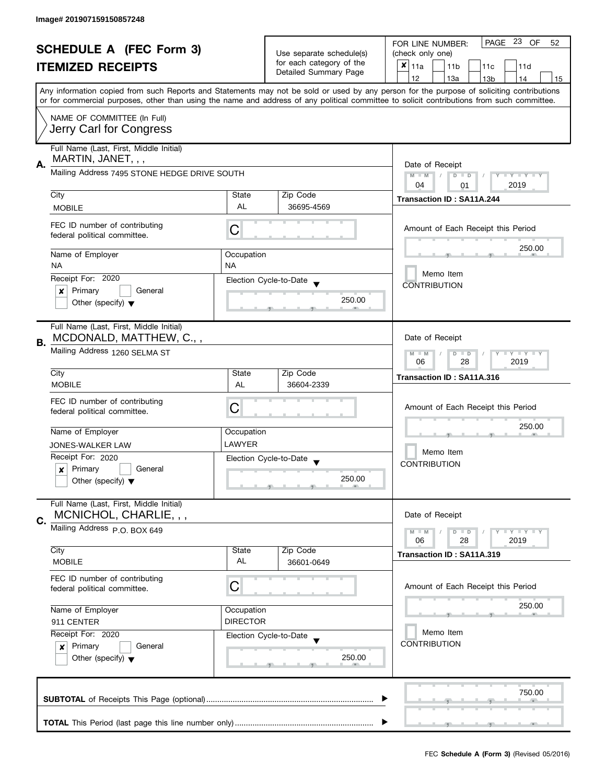| <b>SCHEDULE A</b> (FEC Form 3) |                                                               |                          | PAGE 23 OF<br>52<br>FOR LINE NUMBER:              |                                                                                                                                                                                                                                                                                         |  |  |  |
|--------------------------------|---------------------------------------------------------------|--------------------------|---------------------------------------------------|-----------------------------------------------------------------------------------------------------------------------------------------------------------------------------------------------------------------------------------------------------------------------------------------|--|--|--|
|                                |                                                               | Use separate schedule(s) | (check only one)                                  |                                                                                                                                                                                                                                                                                         |  |  |  |
|                                | <b>ITEMIZED RECEIPTS</b>                                      |                          | for each category of the<br>Detailed Summary Page | ×<br>11a<br>11d<br>11 <sub>b</sub><br>11c                                                                                                                                                                                                                                               |  |  |  |
|                                |                                                               |                          |                                                   | 12<br>13a<br>13 <sub>b</sub><br>14<br>15                                                                                                                                                                                                                                                |  |  |  |
|                                |                                                               |                          |                                                   | Any information copied from such Reports and Statements may not be sold or used by any person for the purpose of soliciting contributions<br>or for commercial purposes, other than using the name and address of any political committee to solicit contributions from such committee. |  |  |  |
|                                | NAME OF COMMITTEE (In Full)                                   |                          |                                                   |                                                                                                                                                                                                                                                                                         |  |  |  |
|                                | Jerry Carl for Congress                                       |                          |                                                   |                                                                                                                                                                                                                                                                                         |  |  |  |
|                                | Full Name (Last, First, Middle Initial)<br>MARTIN, JANET, , , |                          |                                                   |                                                                                                                                                                                                                                                                                         |  |  |  |
| А.                             | Mailing Address 7495 STONE HEDGE DRIVE SOUTH                  |                          |                                                   | Date of Receipt<br>$Y = Y + Y$<br>$M - M$<br>D<br>$\Box$                                                                                                                                                                                                                                |  |  |  |
|                                |                                                               |                          |                                                   | 2019<br>04<br>01                                                                                                                                                                                                                                                                        |  |  |  |
|                                | City                                                          | State<br><b>AL</b>       | Zip Code                                          | Transaction ID: SA11A.244                                                                                                                                                                                                                                                               |  |  |  |
|                                | <b>MOBILE</b>                                                 |                          | 36695-4569                                        |                                                                                                                                                                                                                                                                                         |  |  |  |
|                                | FEC ID number of contributing<br>federal political committee. | С                        |                                                   | Amount of Each Receipt this Period                                                                                                                                                                                                                                                      |  |  |  |
|                                | Name of Employer                                              | Occupation               |                                                   | 250.00                                                                                                                                                                                                                                                                                  |  |  |  |
|                                | <b>NA</b>                                                     | <b>NA</b>                |                                                   |                                                                                                                                                                                                                                                                                         |  |  |  |
|                                | Receipt For: 2020                                             |                          | Election Cycle-to-Date                            | Memo Item                                                                                                                                                                                                                                                                               |  |  |  |
|                                | Primary<br>General<br>×                                       |                          |                                                   | <b>CONTRIBUTION</b>                                                                                                                                                                                                                                                                     |  |  |  |
|                                | Other (specify) $\blacktriangledown$                          |                          | 250.00                                            |                                                                                                                                                                                                                                                                                         |  |  |  |
|                                | Full Name (Last, First, Middle Initial)                       |                          |                                                   |                                                                                                                                                                                                                                                                                         |  |  |  |
| В.                             | MCDONALD, MATTHEW, C.,,                                       |                          |                                                   | Date of Receipt                                                                                                                                                                                                                                                                         |  |  |  |
|                                | Mailing Address 1260 SELMA ST                                 |                          |                                                   | $\bot$ $\gamma$ $\bot$ $\gamma$ $\bot$ $\gamma$<br>$M - M$<br>$D$ $D$<br>2019<br>06<br>28                                                                                                                                                                                               |  |  |  |
|                                | City                                                          | State                    | Zip Code                                          | Transaction ID: SA11A.316                                                                                                                                                                                                                                                               |  |  |  |
|                                | <b>MOBILE</b>                                                 | <b>AL</b>                | 36604-2339                                        |                                                                                                                                                                                                                                                                                         |  |  |  |
|                                | FEC ID number of contributing                                 |                          |                                                   |                                                                                                                                                                                                                                                                                         |  |  |  |
|                                | federal political committee.                                  | С                        |                                                   | Amount of Each Receipt this Period                                                                                                                                                                                                                                                      |  |  |  |
|                                |                                                               |                          |                                                   | 250.00                                                                                                                                                                                                                                                                                  |  |  |  |
|                                | Name of Employer                                              | Occupation<br>LAWYER     |                                                   |                                                                                                                                                                                                                                                                                         |  |  |  |
|                                | JONES-WALKER LAW                                              |                          |                                                   | Memo Item<br><b>CONTRIBUTION</b>                                                                                                                                                                                                                                                        |  |  |  |
|                                | Receipt For: 2020<br>Primary<br>General                       |                          | Election Cycle-to-Date                            |                                                                                                                                                                                                                                                                                         |  |  |  |
|                                | $\boldsymbol{x}$<br>Other (specify) $\blacktriangledown$      |                          | 250.00                                            |                                                                                                                                                                                                                                                                                         |  |  |  |
|                                |                                                               |                          |                                                   |                                                                                                                                                                                                                                                                                         |  |  |  |
|                                | Full Name (Last, First, Middle Initial)                       |                          |                                                   |                                                                                                                                                                                                                                                                                         |  |  |  |
| С.                             | MCNICHOL, CHARLIE, , ,                                        |                          |                                                   | Date of Receipt                                                                                                                                                                                                                                                                         |  |  |  |
|                                | Mailing Address P.O. BOX 649                                  |                          |                                                   | Y TY TY TY<br>$M - M$<br>D<br>$\Box$                                                                                                                                                                                                                                                    |  |  |  |
|                                | City                                                          | State                    | Zip Code                                          | 2019<br>28<br>06                                                                                                                                                                                                                                                                        |  |  |  |
|                                | <b>MOBILE</b>                                                 | AL                       | 36601-0649                                        | Transaction ID: SA11A.319                                                                                                                                                                                                                                                               |  |  |  |
|                                | FEC ID number of contributing                                 |                          |                                                   |                                                                                                                                                                                                                                                                                         |  |  |  |
|                                | federal political committee.                                  | С                        |                                                   | Amount of Each Receipt this Period                                                                                                                                                                                                                                                      |  |  |  |
|                                | Name of Employer                                              | Occupation               |                                                   | 250.00                                                                                                                                                                                                                                                                                  |  |  |  |
|                                | 911 CENTER                                                    | <b>DIRECTOR</b>          |                                                   |                                                                                                                                                                                                                                                                                         |  |  |  |
|                                | Receipt For: 2020                                             |                          | Election Cycle-to-Date                            | Memo Item                                                                                                                                                                                                                                                                               |  |  |  |
|                                | Primary<br>General<br>$\pmb{\times}$                          |                          |                                                   | <b>CONTRIBUTION</b>                                                                                                                                                                                                                                                                     |  |  |  |
|                                | Other (specify) $\blacktriangledown$                          |                          | 250.00                                            |                                                                                                                                                                                                                                                                                         |  |  |  |
|                                |                                                               |                          |                                                   |                                                                                                                                                                                                                                                                                         |  |  |  |
|                                |                                                               |                          |                                                   |                                                                                                                                                                                                                                                                                         |  |  |  |
|                                |                                                               |                          |                                                   | 750.00                                                                                                                                                                                                                                                                                  |  |  |  |
|                                |                                                               |                          |                                                   |                                                                                                                                                                                                                                                                                         |  |  |  |
|                                | ___                                                           |                          |                                                   |                                                                                                                                                                                                                                                                                         |  |  |  |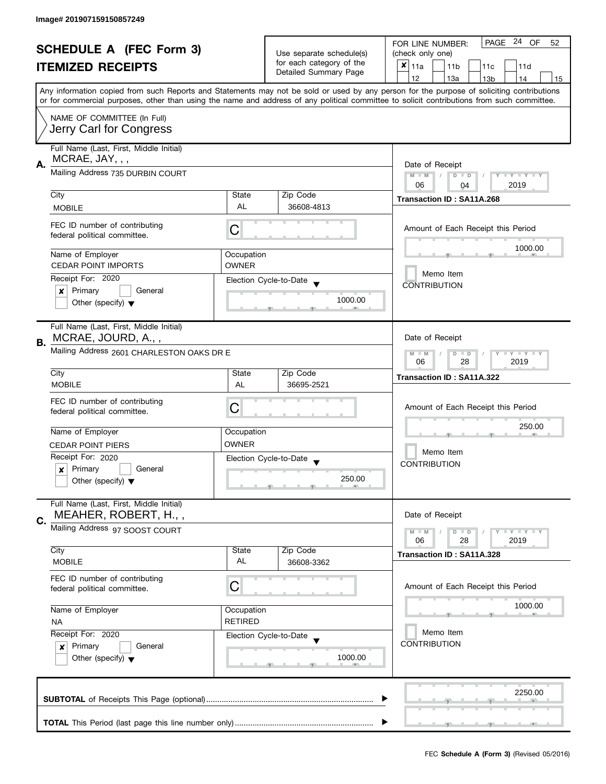| <b>SCHEDULE A (FEC Form 3)</b><br><b>ITEMIZED RECEIPTS</b> |                                                                 | Use separate schedule(s)<br>for each category of the<br>Detailed Summary Page | PAGE 24 OF<br>FOR LINE NUMBER:<br>52           |                                                                                                                                                                                                                                                                                         |  |
|------------------------------------------------------------|-----------------------------------------------------------------|-------------------------------------------------------------------------------|------------------------------------------------|-----------------------------------------------------------------------------------------------------------------------------------------------------------------------------------------------------------------------------------------------------------------------------------------|--|
|                                                            |                                                                 |                                                                               | (check only one)                               |                                                                                                                                                                                                                                                                                         |  |
|                                                            |                                                                 |                                                                               | $x _{11a}$<br>11 <sub>b</sub><br>11c<br>11d    |                                                                                                                                                                                                                                                                                         |  |
|                                                            |                                                                 |                                                                               |                                                | 12<br>13a<br>13 <sub>b</sub><br>14<br>15                                                                                                                                                                                                                                                |  |
|                                                            |                                                                 |                                                                               |                                                | Any information copied from such Reports and Statements may not be sold or used by any person for the purpose of soliciting contributions<br>or for commercial purposes, other than using the name and address of any political committee to solicit contributions from such committee. |  |
|                                                            | NAME OF COMMITTEE (In Full)                                     |                                                                               |                                                |                                                                                                                                                                                                                                                                                         |  |
|                                                            | Jerry Carl for Congress                                         |                                                                               |                                                |                                                                                                                                                                                                                                                                                         |  |
| А.                                                         | Full Name (Last, First, Middle Initial)<br>MCRAE, JAY, , ,      |                                                                               |                                                | Date of Receipt                                                                                                                                                                                                                                                                         |  |
|                                                            | Mailing Address 735 DURBIN COURT                                | $M - M$<br>$D$ $D$<br>Y I Y I Y I Y<br>06<br>2019<br>04                       |                                                |                                                                                                                                                                                                                                                                                         |  |
|                                                            | City                                                            | State                                                                         | Zip Code                                       | Transaction ID: SA11A.268                                                                                                                                                                                                                                                               |  |
|                                                            | <b>MOBILE</b>                                                   | AL                                                                            | 36608-4813                                     |                                                                                                                                                                                                                                                                                         |  |
|                                                            | FEC ID number of contributing<br>federal political committee.   | С                                                                             |                                                | Amount of Each Receipt this Period                                                                                                                                                                                                                                                      |  |
|                                                            | Name of Employer                                                | Occupation                                                                    |                                                | 1000.00                                                                                                                                                                                                                                                                                 |  |
|                                                            | <b>CEDAR POINT IMPORTS</b>                                      | OWNER                                                                         |                                                |                                                                                                                                                                                                                                                                                         |  |
|                                                            | Receipt For: 2020                                               |                                                                               | Election Cycle-to-Date                         | Memo Item<br><b>CONTRIBUTION</b>                                                                                                                                                                                                                                                        |  |
|                                                            | Primary<br>General<br>×                                         |                                                                               |                                                |                                                                                                                                                                                                                                                                                         |  |
|                                                            | Other (specify) $\blacktriangledown$                            |                                                                               | 1000.00                                        |                                                                                                                                                                                                                                                                                         |  |
|                                                            | Full Name (Last, First, Middle Initial)<br>MCRAE, JOURD, A.,,   |                                                                               |                                                | Date of Receipt                                                                                                                                                                                                                                                                         |  |
| В.                                                         | Mailing Address 2601 CHARLESTON OAKS DR E                       |                                                                               |                                                | <b>LY LY LY</b><br>$M - M$<br>$D$ $D$<br>28<br>2019<br>06                                                                                                                                                                                                                               |  |
|                                                            | City                                                            | State                                                                         | Zip Code                                       | Transaction ID: SA11A.322                                                                                                                                                                                                                                                               |  |
|                                                            | <b>MOBILE</b>                                                   | AL                                                                            | 36695-2521                                     |                                                                                                                                                                                                                                                                                         |  |
|                                                            | FEC ID number of contributing                                   |                                                                               |                                                |                                                                                                                                                                                                                                                                                         |  |
|                                                            | federal political committee.                                    | С                                                                             |                                                | Amount of Each Receipt this Period                                                                                                                                                                                                                                                      |  |
|                                                            |                                                                 |                                                                               |                                                | 250.00                                                                                                                                                                                                                                                                                  |  |
|                                                            | Name of Employer                                                | Occupation                                                                    |                                                |                                                                                                                                                                                                                                                                                         |  |
|                                                            | <b>CEDAR POINT PIERS</b>                                        | <b>OWNER</b>                                                                  |                                                | Memo Item                                                                                                                                                                                                                                                                               |  |
|                                                            | Receipt For: 2020                                               |                                                                               | Election Cycle-to-Date<br>$\blacktriangledown$ | <b>CONTRIBUTION</b>                                                                                                                                                                                                                                                                     |  |
|                                                            | Primary<br>General<br>x                                         |                                                                               | 250.00                                         |                                                                                                                                                                                                                                                                                         |  |
|                                                            | Other (specify) $\blacktriangledown$                            |                                                                               |                                                |                                                                                                                                                                                                                                                                                         |  |
|                                                            | Full Name (Last, First, Middle Initial)<br>MEAHER, ROBERT, H.,, |                                                                               |                                                | Date of Receipt                                                                                                                                                                                                                                                                         |  |
| C.                                                         | Mailing Address 97 SOOST COURT                                  |                                                                               |                                                | <b>LEY LEY LEY</b><br>$M - M$<br>$D$ $D$                                                                                                                                                                                                                                                |  |
|                                                            |                                                                 |                                                                               |                                                | 06<br>28<br>2019                                                                                                                                                                                                                                                                        |  |
|                                                            | City                                                            | State                                                                         | Zip Code                                       | Transaction ID: SA11A.328                                                                                                                                                                                                                                                               |  |
|                                                            | <b>MOBILE</b>                                                   | AL                                                                            | 36608-3362                                     |                                                                                                                                                                                                                                                                                         |  |
|                                                            | FEC ID number of contributing<br>federal political committee.   | C                                                                             |                                                | Amount of Each Receipt this Period                                                                                                                                                                                                                                                      |  |
|                                                            |                                                                 |                                                                               |                                                |                                                                                                                                                                                                                                                                                         |  |
|                                                            | Name of Employer                                                | Occupation                                                                    |                                                | 1000.00                                                                                                                                                                                                                                                                                 |  |
|                                                            | <b>NA</b>                                                       | <b>RETIRED</b>                                                                |                                                | Memo Item                                                                                                                                                                                                                                                                               |  |
|                                                            | Receipt For: 2020                                               |                                                                               | Election Cycle-to-Date                         | <b>CONTRIBUTION</b>                                                                                                                                                                                                                                                                     |  |
|                                                            | Primary<br>General<br>x                                         |                                                                               |                                                |                                                                                                                                                                                                                                                                                         |  |
|                                                            | Other (specify) $\blacktriangledown$                            |                                                                               | 1000.00                                        |                                                                                                                                                                                                                                                                                         |  |
|                                                            |                                                                 |                                                                               |                                                | 2250.00                                                                                                                                                                                                                                                                                 |  |
|                                                            |                                                                 |                                                                               |                                                |                                                                                                                                                                                                                                                                                         |  |
|                                                            |                                                                 |                                                                               |                                                |                                                                                                                                                                                                                                                                                         |  |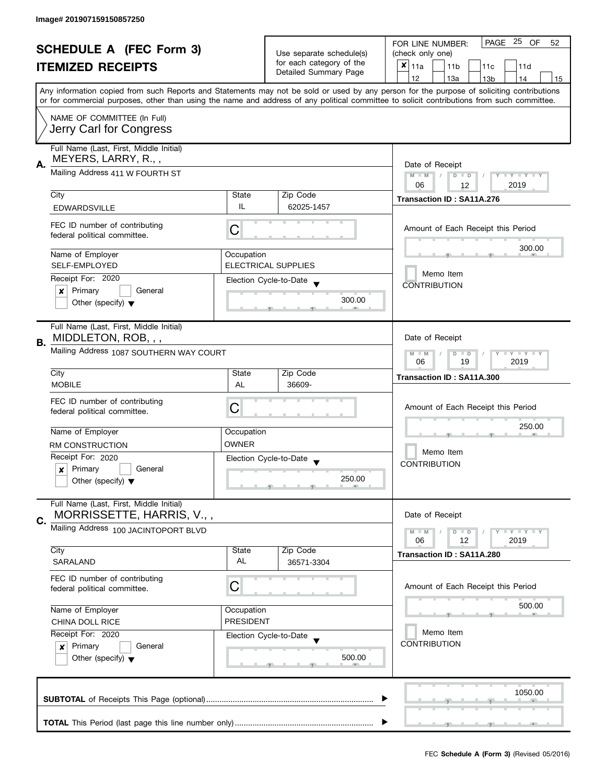| <b>SCHEDULE A (FEC Form 3)</b> |                                                               |                  | PAGE 25<br>OF<br>FOR LINE NUMBER:<br>52              |                                                                                                                                            |  |
|--------------------------------|---------------------------------------------------------------|------------------|------------------------------------------------------|--------------------------------------------------------------------------------------------------------------------------------------------|--|
|                                | <b>ITEMIZED RECEIPTS</b>                                      |                  | Use separate schedule(s)<br>for each category of the | (check only one)                                                                                                                           |  |
|                                |                                                               |                  |                                                      | $x _{11a}$<br>11 <sub>b</sub><br>11c<br>11d                                                                                                |  |
|                                |                                                               |                  | Detailed Summary Page                                | 12<br>13a<br>14<br>13 <sub>b</sub><br>15                                                                                                   |  |
|                                |                                                               |                  |                                                      | Any information copied from such Reports and Statements may not be sold or used by any person for the purpose of soliciting contributions  |  |
|                                |                                                               |                  |                                                      | or for commercial purposes, other than using the name and address of any political committee to solicit contributions from such committee. |  |
|                                | NAME OF COMMITTEE (In Full)                                   |                  |                                                      |                                                                                                                                            |  |
|                                |                                                               |                  |                                                      |                                                                                                                                            |  |
| Jerry Carl for Congress        |                                                               |                  |                                                      |                                                                                                                                            |  |
|                                | Full Name (Last, First, Middle Initial)                       |                  |                                                      |                                                                                                                                            |  |
|                                | MEYERS, LARRY, R.,,                                           |                  |                                                      |                                                                                                                                            |  |
| А.                             | Mailing Address 411 W FOURTH ST                               |                  |                                                      | Date of Receipt<br>$M - M$<br>$D$ $D$<br>Y I Y I Y I Y                                                                                     |  |
|                                |                                                               |                  |                                                      | 06<br>2019<br>12                                                                                                                           |  |
|                                | City                                                          | State            | Zip Code                                             |                                                                                                                                            |  |
|                                | <b>EDWARDSVILLE</b>                                           | IL               | 62025-1457                                           | Transaction ID: SA11A.276                                                                                                                  |  |
|                                |                                                               |                  |                                                      |                                                                                                                                            |  |
|                                | FEC ID number of contributing                                 | С                |                                                      | Amount of Each Receipt this Period                                                                                                         |  |
|                                | federal political committee.                                  |                  |                                                      |                                                                                                                                            |  |
|                                | Name of Employer                                              | Occupation       |                                                      | 300.00                                                                                                                                     |  |
|                                | SELF-EMPLOYED                                                 |                  | <b>ELECTRICAL SUPPLIES</b>                           |                                                                                                                                            |  |
|                                |                                                               |                  |                                                      | Memo Item                                                                                                                                  |  |
|                                | Receipt For: 2020                                             |                  | Election Cycle-to-Date                               | <b>CONTRIBUTION</b>                                                                                                                        |  |
|                                | Primary<br>General<br>×                                       |                  | 300.00                                               |                                                                                                                                            |  |
|                                | Other (specify) $\blacktriangledown$                          |                  |                                                      |                                                                                                                                            |  |
|                                |                                                               |                  |                                                      |                                                                                                                                            |  |
|                                | Full Name (Last, First, Middle Initial)                       |                  |                                                      |                                                                                                                                            |  |
| В.                             | MIDDLETON, ROB, , ,                                           |                  |                                                      | Date of Receipt                                                                                                                            |  |
|                                | Mailing Address 1087 SOUTHERN WAY COURT                       |                  |                                                      | Y LY LY<br>$M - M$<br>$D$ $D$                                                                                                              |  |
|                                |                                                               |                  |                                                      | 19<br>2019<br>06                                                                                                                           |  |
|                                | City                                                          | State            | Zip Code                                             | Transaction ID: SA11A.300                                                                                                                  |  |
|                                | <b>MOBILE</b>                                                 | AL               | 36609-                                               |                                                                                                                                            |  |
|                                | FEC ID number of contributing                                 |                  |                                                      | Amount of Each Receipt this Period                                                                                                         |  |
|                                | federal political committee.                                  | C                |                                                      |                                                                                                                                            |  |
|                                | Name of Employer                                              | Occupation       |                                                      | 250.00                                                                                                                                     |  |
|                                |                                                               | <b>OWNER</b>     |                                                      |                                                                                                                                            |  |
|                                | RM CONSTRUCTION                                               |                  |                                                      | Memo Item                                                                                                                                  |  |
|                                | Receipt For: 2020                                             |                  | Election Cycle-to-Date                               | <b>CONTRIBUTION</b>                                                                                                                        |  |
|                                | Primary<br>General<br>$\boldsymbol{x}$                        |                  | 250.00                                               |                                                                                                                                            |  |
|                                | Other (specify) $\blacktriangledown$                          |                  |                                                      |                                                                                                                                            |  |
|                                | Full Name (Last, First, Middle Initial)                       |                  |                                                      |                                                                                                                                            |  |
|                                | MORRISSETTE, HARRIS, V.,,                                     |                  |                                                      | Date of Receipt                                                                                                                            |  |
| C.                             | Mailing Address 100 JACINTOPORT BLVD                          |                  |                                                      |                                                                                                                                            |  |
|                                |                                                               |                  |                                                      | $M - M$<br>$Y \perp Y \perp Y$<br>$D$ $D$<br>06<br>12<br>2019                                                                              |  |
|                                | City                                                          | State            | Zip Code                                             |                                                                                                                                            |  |
|                                | <b>SARALAND</b>                                               | AL               | 36571-3304                                           | Transaction ID: SA11A.280                                                                                                                  |  |
|                                |                                                               |                  |                                                      |                                                                                                                                            |  |
|                                | FEC ID number of contributing<br>federal political committee. | С                |                                                      | Amount of Each Receipt this Period                                                                                                         |  |
|                                |                                                               |                  |                                                      |                                                                                                                                            |  |
|                                | Name of Employer                                              | Occupation       |                                                      | 500.00                                                                                                                                     |  |
|                                | CHINA DOLL RICE                                               | <b>PRESIDENT</b> |                                                      |                                                                                                                                            |  |
|                                | Receipt For: 2020                                             |                  | Election Cycle-to-Date                               | Memo Item                                                                                                                                  |  |
|                                | Primary<br>General<br>$\mathbf{x}$                            |                  |                                                      | <b>CONTRIBUTION</b>                                                                                                                        |  |
|                                | Other (specify) $\blacktriangledown$                          |                  | 500.00                                               |                                                                                                                                            |  |
|                                |                                                               |                  |                                                      |                                                                                                                                            |  |
|                                |                                                               |                  |                                                      |                                                                                                                                            |  |
|                                |                                                               |                  |                                                      | 1050.00                                                                                                                                    |  |
|                                |                                                               |                  |                                                      |                                                                                                                                            |  |
|                                |                                                               |                  |                                                      |                                                                                                                                            |  |
|                                |                                                               |                  |                                                      |                                                                                                                                            |  |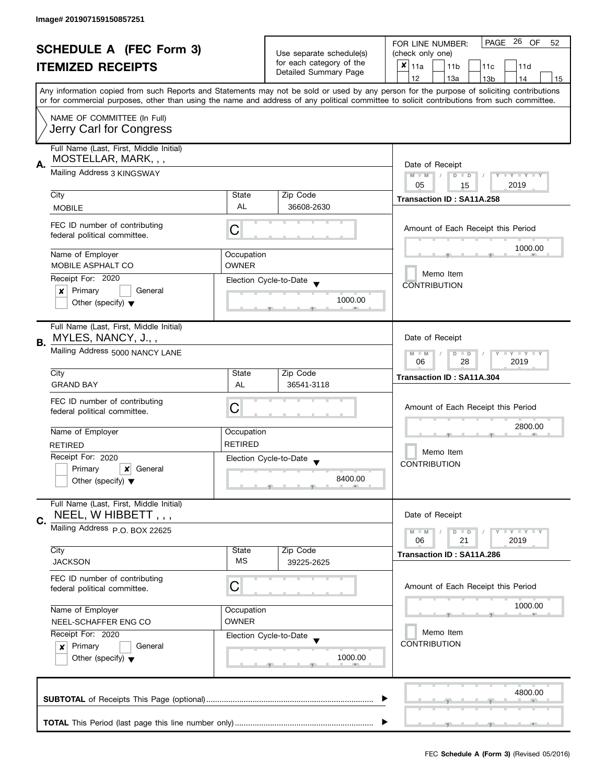| <b>SCHEDULE A (FEC Form 3)</b> |                                         |                            | PAGE 26<br>OF<br>FOR LINE NUMBER:<br>52           |                                                                                                                                            |  |
|--------------------------------|-----------------------------------------|----------------------------|---------------------------------------------------|--------------------------------------------------------------------------------------------------------------------------------------------|--|
|                                |                                         |                            | Use separate schedule(s)                          | (check only one)                                                                                                                           |  |
|                                | <b>ITEMIZED RECEIPTS</b>                |                            | for each category of the<br>Detailed Summary Page | $x _{11a}$<br>11 <sub>b</sub><br>11c<br>11d                                                                                                |  |
|                                |                                         |                            |                                                   | 12<br>13a<br>14<br>13 <sub>b</sub><br>15                                                                                                   |  |
|                                |                                         |                            |                                                   | Any information copied from such Reports and Statements may not be sold or used by any person for the purpose of soliciting contributions  |  |
|                                |                                         |                            |                                                   | or for commercial purposes, other than using the name and address of any political committee to solicit contributions from such committee. |  |
|                                | NAME OF COMMITTEE (In Full)             |                            |                                                   |                                                                                                                                            |  |
|                                | Jerry Carl for Congress                 |                            |                                                   |                                                                                                                                            |  |
|                                |                                         |                            |                                                   |                                                                                                                                            |  |
|                                | Full Name (Last, First, Middle Initial) |                            |                                                   |                                                                                                                                            |  |
|                                | MOSTELLAR, MARK, , ,                    | Date of Receipt            |                                                   |                                                                                                                                            |  |
| А.                             | Mailing Address 3 KINGSWAY              |                            |                                                   | $M - M$<br>$D$ $D$<br>Y TY TY TY                                                                                                           |  |
|                                |                                         |                            |                                                   | 05<br>2019<br>15                                                                                                                           |  |
|                                | City                                    | State                      | Zip Code                                          |                                                                                                                                            |  |
|                                | <b>MOBILE</b>                           | AL                         | 36608-2630                                        | Transaction ID: SA11A.258                                                                                                                  |  |
|                                |                                         |                            |                                                   |                                                                                                                                            |  |
|                                | FEC ID number of contributing           | С                          |                                                   | Amount of Each Receipt this Period                                                                                                         |  |
|                                | federal political committee.            |                            |                                                   |                                                                                                                                            |  |
|                                |                                         |                            |                                                   | 1000.00                                                                                                                                    |  |
|                                | Name of Employer<br>MOBILE ASPHALT CO   | Occupation<br><b>OWNER</b> |                                                   |                                                                                                                                            |  |
|                                |                                         |                            |                                                   | Memo Item                                                                                                                                  |  |
|                                | Receipt For: 2020                       |                            | Election Cycle-to-Date                            | <b>CONTRIBUTION</b>                                                                                                                        |  |
|                                | Primary<br>General<br>×                 |                            |                                                   |                                                                                                                                            |  |
|                                | Other (specify) $\blacktriangledown$    |                            | 1000.00                                           |                                                                                                                                            |  |
|                                |                                         |                            |                                                   |                                                                                                                                            |  |
|                                | Full Name (Last, First, Middle Initial) |                            |                                                   |                                                                                                                                            |  |
| В.                             | MYLES, NANCY, J.,,                      |                            |                                                   | Date of Receipt                                                                                                                            |  |
|                                | Mailing Address 5000 NANCY LANE         |                            |                                                   | Y LY LY<br>$M - M$<br>$D$ $D$                                                                                                              |  |
|                                |                                         |                            |                                                   | 28<br>2019<br>06                                                                                                                           |  |
|                                | City                                    | State                      | Zip Code                                          | Transaction ID: SA11A.304                                                                                                                  |  |
|                                | <b>GRAND BAY</b>                        | AL                         | 36541-3118                                        |                                                                                                                                            |  |
|                                | FEC ID number of contributing           |                            |                                                   |                                                                                                                                            |  |
|                                | federal political committee.            | C                          |                                                   | Amount of Each Receipt this Period                                                                                                         |  |
|                                |                                         |                            |                                                   |                                                                                                                                            |  |
|                                | Name of Employer                        | Occupation                 |                                                   | 2800.00                                                                                                                                    |  |
|                                | <b>RETIRED</b>                          | <b>RETIRED</b>             |                                                   |                                                                                                                                            |  |
|                                | Receipt For: 2020                       |                            |                                                   | Memo Item                                                                                                                                  |  |
|                                | Primary<br>General<br>x                 |                            | Election Cycle-to-Date                            | <b>CONTRIBUTION</b>                                                                                                                        |  |
|                                | Other (specify) $\blacktriangledown$    |                            | 8400.00                                           |                                                                                                                                            |  |
|                                |                                         |                            |                                                   |                                                                                                                                            |  |
|                                | Full Name (Last, First, Middle Initial) |                            |                                                   |                                                                                                                                            |  |
|                                | NEEL, W HIBBETT,,,                      |                            |                                                   | Date of Receipt                                                                                                                            |  |
| C.                             |                                         |                            |                                                   |                                                                                                                                            |  |
|                                | Mailing Address P.O. BOX 22625          |                            |                                                   | $M - M$<br>T Y T Y T Y<br>$D$ $D$                                                                                                          |  |
|                                | City                                    | State                      | Zip Code                                          | 06<br>21<br>2019                                                                                                                           |  |
|                                | <b>JACKSON</b>                          | <b>MS</b>                  | 39225-2625                                        | Transaction ID: SA11A.286                                                                                                                  |  |
|                                |                                         |                            |                                                   |                                                                                                                                            |  |
|                                | FEC ID number of contributing           |                            |                                                   |                                                                                                                                            |  |
|                                | federal political committee.            | С                          |                                                   | Amount of Each Receipt this Period                                                                                                         |  |
|                                |                                         |                            |                                                   | 1000.00                                                                                                                                    |  |
|                                | Name of Employer                        | Occupation                 |                                                   |                                                                                                                                            |  |
|                                | NEEL-SCHAFFER ENG CO                    | <b>OWNER</b>               |                                                   |                                                                                                                                            |  |
|                                | Receipt For: 2020                       |                            | Election Cycle-to-Date                            | Memo Item                                                                                                                                  |  |
|                                | Primary<br>General<br>$\mathbf{x}$      |                            |                                                   | <b>CONTRIBUTION</b>                                                                                                                        |  |
|                                | Other (specify) $\blacktriangledown$    |                            | 1000.00                                           |                                                                                                                                            |  |
|                                |                                         |                            |                                                   |                                                                                                                                            |  |
|                                |                                         |                            |                                                   |                                                                                                                                            |  |
|                                |                                         |                            |                                                   | 4800.00                                                                                                                                    |  |
|                                |                                         |                            |                                                   |                                                                                                                                            |  |
|                                |                                         |                            |                                                   |                                                                                                                                            |  |
|                                |                                         |                            |                                                   |                                                                                                                                            |  |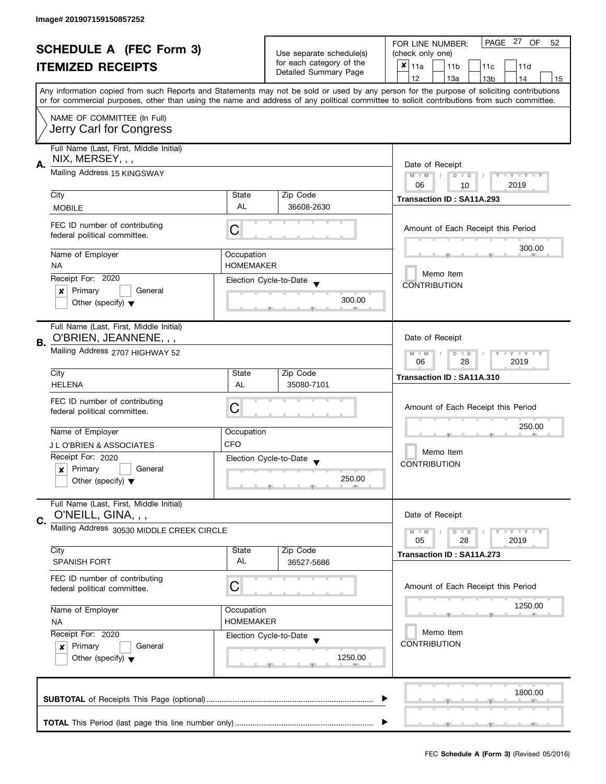|    | <b>SCHEDULE A (FEC Form 3)</b><br><b>ITEMIZED RECEIPTS</b>                                                                                                                                                           |                                | Use separate schedule(s)<br>for each category of the<br>Detailed Summary Page | PAGE 27 OF<br>FOR LINE NUMBER:<br>52<br>(check only one)<br>$\boldsymbol{x}$<br>  11a<br>11 <sub>b</sub><br>11 <sub>c</sub><br>11d<br>12<br>13a<br>13 <sub>b</sub><br>14<br>15                                                                                                          |
|----|----------------------------------------------------------------------------------------------------------------------------------------------------------------------------------------------------------------------|--------------------------------|-------------------------------------------------------------------------------|-----------------------------------------------------------------------------------------------------------------------------------------------------------------------------------------------------------------------------------------------------------------------------------------|
|    | NAME OF COMMITTEE (In Full)<br>Jerry Carl for Congress                                                                                                                                                               |                                |                                                                               | Any information copied from such Reports and Statements may not be sold or used by any person for the purpose of soliciting contributions<br>or for commercial purposes, other than using the name and address of any political committee to solicit contributions from such committee. |
| А. | Full Name (Last, First, Middle Initial)<br>NIX, MERSEY, , ,<br>Mailing Address 15 KINGSWAY                                                                                                                           |                                |                                                                               | Date of Receipt<br>Y TY TY TY<br>$M - M$<br>$D$ $D$<br>2019<br>06<br>10                                                                                                                                                                                                                 |
|    | City                                                                                                                                                                                                                 | State                          | Zip Code                                                                      | Transaction ID: SA11A.293                                                                                                                                                                                                                                                               |
|    | <b>MOBILE</b><br>FEC ID number of contributing<br>federal political committee.                                                                                                                                       | AL<br>C                        | 36608-2630                                                                    | Amount of Each Receipt this Period                                                                                                                                                                                                                                                      |
|    | Name of Employer<br><b>NA</b><br>Receipt For: 2020<br>General<br>Primary<br>x<br>Other (specify) $\blacktriangledown$                                                                                                | Occupation<br><b>HOMEMAKER</b> | Election Cycle-to-Date<br>300.00                                              | 300.00<br>Memo Item<br><b>CONTRIBUTION</b>                                                                                                                                                                                                                                              |
| В. | Full Name (Last, First, Middle Initial)<br>O'BRIEN, JEANNENE, , ,<br>Mailing Address 2707 HIGHWAY 52<br>City                                                                                                         | State                          | Zip Code                                                                      | Date of Receipt<br>$Y - Y - Y - Y - Y$<br>$M - M$<br>$D$ $D$<br>28<br>2019<br>06                                                                                                                                                                                                        |
|    | <b>HELENA</b>                                                                                                                                                                                                        | AL                             | 35080-7101                                                                    | Transaction ID: SA11A.310                                                                                                                                                                                                                                                               |
|    | FEC ID number of contributing<br>federal political committee.<br>Name of Employer<br>J L O'BRIEN & ASSOCIATES<br>Receipt For: 2020<br>Primary<br>General<br>$\boldsymbol{x}$<br>Other (specify) $\blacktriangledown$ | C<br>Occupation<br><b>CFO</b>  | Election Cycle-to-Date<br>$\overline{\phantom{a}}$<br>250.00                  | Amount of Each Receipt this Period<br>250.00<br>Memo Item<br><b>CONTRIBUTION</b>                                                                                                                                                                                                        |
| C. | Full Name (Last, First, Middle Initial)<br>O'NEILL, GINA, , ,                                                                                                                                                        |                                |                                                                               | Date of Receipt                                                                                                                                                                                                                                                                         |
|    | Mailing Address 30530 MIDDLE CREEK CIRCLE                                                                                                                                                                            |                                |                                                                               | Y X Y X Y X<br>$M - M$<br>$D$ $D$                                                                                                                                                                                                                                                       |
|    | City<br><b>SPANISH FORT</b>                                                                                                                                                                                          | State<br>AL                    | Zip Code<br>36527-5686                                                        | 2019<br>05<br>28<br>Transaction ID: SA11A.273                                                                                                                                                                                                                                           |
|    | FEC ID number of contributing<br>federal political committee.                                                                                                                                                        | C                              |                                                                               | Amount of Each Receipt this Period                                                                                                                                                                                                                                                      |
|    | Name of Employer<br><b>NA</b>                                                                                                                                                                                        | Occupation<br><b>HOMEMAKER</b> |                                                                               | 1250.00                                                                                                                                                                                                                                                                                 |
|    | Receipt For: 2020<br>Primary<br>General<br>$\boldsymbol{x}$<br>Other (specify) $\blacktriangledown$                                                                                                                  |                                | Election Cycle-to-Date<br>1250.00                                             | Memo Item<br><b>CONTRIBUTION</b>                                                                                                                                                                                                                                                        |
|    |                                                                                                                                                                                                                      |                                |                                                                               | 1800.00                                                                                                                                                                                                                                                                                 |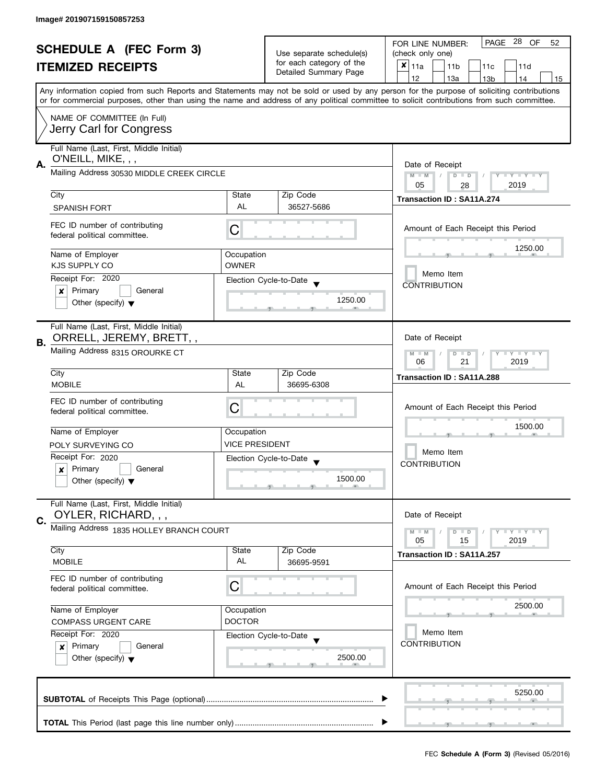| <b>SCHEDULE A (FEC Form 3)</b> |                                                               |                                                               | PAGE 28 OF<br>FOR LINE NUMBER:<br>52               |                                                                                                                                                                                                                                                                                         |  |
|--------------------------------|---------------------------------------------------------------|---------------------------------------------------------------|----------------------------------------------------|-----------------------------------------------------------------------------------------------------------------------------------------------------------------------------------------------------------------------------------------------------------------------------------------|--|
|                                |                                                               | Use separate schedule(s)                                      | (check only one)                                   |                                                                                                                                                                                                                                                                                         |  |
|                                | <b>ITEMIZED RECEIPTS</b>                                      |                                                               | for each category of the                           | $x _{11a}$<br>11 <sub>b</sub><br>11c<br>11d                                                                                                                                                                                                                                             |  |
|                                |                                                               |                                                               | Detailed Summary Page                              | 12<br>13a<br>13 <sub>b</sub><br>14<br>15                                                                                                                                                                                                                                                |  |
|                                |                                                               |                                                               |                                                    | Any information copied from such Reports and Statements may not be sold or used by any person for the purpose of soliciting contributions<br>or for commercial purposes, other than using the name and address of any political committee to solicit contributions from such committee. |  |
|                                | NAME OF COMMITTEE (In Full)                                   |                                                               |                                                    |                                                                                                                                                                                                                                                                                         |  |
|                                | Jerry Carl for Congress                                       |                                                               |                                                    |                                                                                                                                                                                                                                                                                         |  |
|                                | Full Name (Last, First, Middle Initial)                       |                                                               |                                                    |                                                                                                                                                                                                                                                                                         |  |
| А.                             | O'NEILL, MIKE, , ,                                            |                                                               |                                                    | Date of Receipt                                                                                                                                                                                                                                                                         |  |
|                                | Mailing Address 30530 MIDDLE CREEK CIRCLE                     |                                                               | Y TY TY TY<br>$M - M$<br>$\sqrt{2}$<br>$D$ $D$     |                                                                                                                                                                                                                                                                                         |  |
|                                | City                                                          | State                                                         | Zip Code                                           | 05<br>2019<br>28                                                                                                                                                                                                                                                                        |  |
|                                | <b>SPANISH FORT</b>                                           | AL                                                            | 36527-5686                                         | Transaction ID: SA11A.274                                                                                                                                                                                                                                                               |  |
|                                |                                                               |                                                               |                                                    |                                                                                                                                                                                                                                                                                         |  |
|                                | FEC ID number of contributing<br>federal political committee. | C                                                             |                                                    | Amount of Each Receipt this Period                                                                                                                                                                                                                                                      |  |
|                                | Name of Employer                                              | Occupation                                                    |                                                    | 1250.00                                                                                                                                                                                                                                                                                 |  |
|                                | KJS SUPPLY CO                                                 | <b>OWNER</b>                                                  |                                                    |                                                                                                                                                                                                                                                                                         |  |
|                                | Receipt For: 2020                                             |                                                               | Election Cycle-to-Date                             | Memo Item<br><b>CONTRIBUTION</b>                                                                                                                                                                                                                                                        |  |
|                                | Primary<br>General<br>×                                       |                                                               | 1250.00                                            |                                                                                                                                                                                                                                                                                         |  |
|                                | Other (specify) $\blacktriangledown$                          |                                                               |                                                    |                                                                                                                                                                                                                                                                                         |  |
|                                | Full Name (Last, First, Middle Initial)                       |                                                               |                                                    |                                                                                                                                                                                                                                                                                         |  |
| В.                             | ORRELL, JEREMY, BRETT,,                                       |                                                               |                                                    | Date of Receipt                                                                                                                                                                                                                                                                         |  |
|                                | Mailing Address 8315 OROURKE CT                               | $Y - Y - Y - Y - Y$<br>$M - M$<br>$D$ $D$<br>21<br>2019<br>06 |                                                    |                                                                                                                                                                                                                                                                                         |  |
|                                | City                                                          | State                                                         | Zip Code                                           | Transaction ID: SA11A.288                                                                                                                                                                                                                                                               |  |
|                                | <b>MOBILE</b>                                                 | AL                                                            | 36695-6308                                         |                                                                                                                                                                                                                                                                                         |  |
|                                | FEC ID number of contributing                                 | C                                                             |                                                    | Amount of Each Receipt this Period                                                                                                                                                                                                                                                      |  |
|                                | federal political committee.                                  |                                                               |                                                    |                                                                                                                                                                                                                                                                                         |  |
|                                | Name of Employer                                              | Occupation                                                    |                                                    | 1500.00                                                                                                                                                                                                                                                                                 |  |
|                                | POLY SURVEYING CO                                             | <b>VICE PRESIDENT</b>                                         |                                                    |                                                                                                                                                                                                                                                                                         |  |
|                                | Receipt For: 2020                                             |                                                               |                                                    | Memo Item                                                                                                                                                                                                                                                                               |  |
|                                | Primary<br>General<br>×                                       |                                                               | Election Cycle-to-Date<br>$\overline{\phantom{a}}$ | <b>CONTRIBUTION</b>                                                                                                                                                                                                                                                                     |  |
|                                | Other (specify) $\blacktriangledown$                          |                                                               | 1500.00                                            |                                                                                                                                                                                                                                                                                         |  |
|                                |                                                               |                                                               |                                                    |                                                                                                                                                                                                                                                                                         |  |
|                                | Full Name (Last, First, Middle Initial)                       |                                                               |                                                    |                                                                                                                                                                                                                                                                                         |  |
| C.                             | OYLER, RICHARD, , ,                                           |                                                               |                                                    | Date of Receipt                                                                                                                                                                                                                                                                         |  |
|                                | Mailing Address 1835 HOLLEY BRANCH COURT                      |                                                               |                                                    | <b>LYLYLY</b><br>$M - M$<br>$D$ $D$<br>05<br>15<br>2019                                                                                                                                                                                                                                 |  |
|                                | City                                                          | State                                                         | Zip Code                                           | Transaction ID: SA11A.257                                                                                                                                                                                                                                                               |  |
|                                | <b>MOBILE</b>                                                 | AL                                                            | 36695-9591                                         |                                                                                                                                                                                                                                                                                         |  |
|                                | FEC ID number of contributing                                 |                                                               |                                                    |                                                                                                                                                                                                                                                                                         |  |
|                                | federal political committee.                                  | С                                                             |                                                    | Amount of Each Receipt this Period                                                                                                                                                                                                                                                      |  |
|                                | Name of Employer                                              | Occupation                                                    |                                                    | 2500.00                                                                                                                                                                                                                                                                                 |  |
|                                | <b>COMPASS URGENT CARE</b>                                    | <b>DOCTOR</b>                                                 |                                                    |                                                                                                                                                                                                                                                                                         |  |
|                                | Receipt For: 2020                                             |                                                               | Election Cycle-to-Date                             | Memo Item                                                                                                                                                                                                                                                                               |  |
|                                | Primary<br>General<br>$\boldsymbol{x}$                        |                                                               |                                                    | <b>CONTRIBUTION</b>                                                                                                                                                                                                                                                                     |  |
|                                | Other (specify) $\blacktriangledown$                          |                                                               | 2500.00                                            |                                                                                                                                                                                                                                                                                         |  |
|                                |                                                               |                                                               |                                                    |                                                                                                                                                                                                                                                                                         |  |
|                                |                                                               |                                                               |                                                    |                                                                                                                                                                                                                                                                                         |  |
|                                |                                                               |                                                               |                                                    | 5250.00                                                                                                                                                                                                                                                                                 |  |
|                                |                                                               |                                                               |                                                    |                                                                                                                                                                                                                                                                                         |  |
|                                |                                                               |                                                               |                                                    |                                                                                                                                                                                                                                                                                         |  |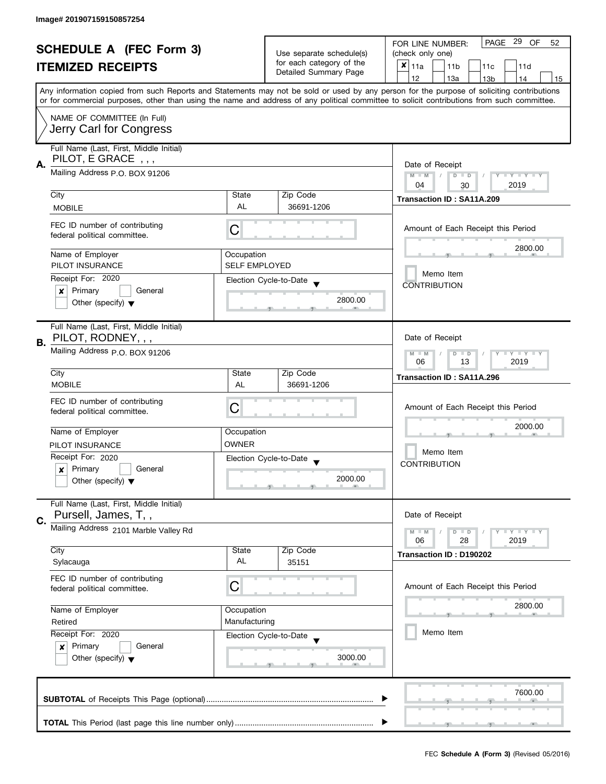|                          |                                         |                                    | PAGE 29 OF<br>FOR LINE NUMBER:<br>52               |                                                                                                                                            |  |
|--------------------------|-----------------------------------------|------------------------------------|----------------------------------------------------|--------------------------------------------------------------------------------------------------------------------------------------------|--|
|                          | <b>SCHEDULE A (FEC Form 3)</b>          |                                    | Use separate schedule(s)                           | (check only one)                                                                                                                           |  |
| <b>ITEMIZED RECEIPTS</b> |                                         | for each category of the           | $x _{11a}$<br>11 <sub>b</sub><br>11c<br>11d        |                                                                                                                                            |  |
|                          |                                         |                                    | Detailed Summary Page                              | 12<br>13a<br>13 <sub>b</sub><br>14<br>15                                                                                                   |  |
|                          |                                         |                                    |                                                    | Any information copied from such Reports and Statements may not be sold or used by any person for the purpose of soliciting contributions  |  |
|                          |                                         |                                    |                                                    | or for commercial purposes, other than using the name and address of any political committee to solicit contributions from such committee. |  |
|                          | NAME OF COMMITTEE (In Full)             |                                    |                                                    |                                                                                                                                            |  |
|                          |                                         |                                    |                                                    |                                                                                                                                            |  |
|                          | Jerry Carl for Congress                 |                                    |                                                    |                                                                                                                                            |  |
|                          | Full Name (Last, First, Middle Initial) |                                    |                                                    |                                                                                                                                            |  |
|                          | PILOT, E GRACE, ,,                      |                                    |                                                    |                                                                                                                                            |  |
| А.                       | Mailing Address P.O. BOX 91206          |                                    |                                                    | Date of Receipt                                                                                                                            |  |
|                          |                                         |                                    |                                                    | Y TY TY TY<br>$M - M$<br>$D$ $D$<br>2019<br>04<br>30                                                                                       |  |
|                          | City                                    | State                              | Zip Code                                           |                                                                                                                                            |  |
|                          | <b>MOBILE</b>                           | AL                                 | 36691-1206                                         | Transaction ID: SA11A.209                                                                                                                  |  |
|                          |                                         |                                    |                                                    |                                                                                                                                            |  |
|                          | FEC ID number of contributing           | С                                  |                                                    | Amount of Each Receipt this Period                                                                                                         |  |
|                          | federal political committee.            |                                    |                                                    |                                                                                                                                            |  |
|                          | Name of Employer                        |                                    |                                                    | 2800.00                                                                                                                                    |  |
|                          | PILOT INSURANCE                         | Occupation<br><b>SELF EMPLOYED</b> |                                                    |                                                                                                                                            |  |
|                          |                                         |                                    |                                                    | Memo Item                                                                                                                                  |  |
|                          | Receipt For: 2020                       |                                    | Election Cycle-to-Date                             | <b>CONTRIBUTION</b>                                                                                                                        |  |
|                          | Primary<br>General<br>×                 |                                    | 2800.00                                            |                                                                                                                                            |  |
|                          | Other (specify) $\blacktriangledown$    |                                    |                                                    |                                                                                                                                            |  |
|                          |                                         |                                    |                                                    |                                                                                                                                            |  |
|                          | Full Name (Last, First, Middle Initial) |                                    |                                                    |                                                                                                                                            |  |
| В.                       | PILOT, RODNEY, , ,                      |                                    |                                                    | Date of Receipt                                                                                                                            |  |
|                          | Mailing Address p.O. BOX 91206          |                                    |                                                    | $T + Y = Y + Y$<br>$M - M$<br>$D$ $D$                                                                                                      |  |
|                          |                                         |                                    |                                                    | 13<br>2019<br>06                                                                                                                           |  |
|                          | City                                    | State                              | Zip Code                                           | Transaction ID: SA11A.296                                                                                                                  |  |
|                          | <b>MOBILE</b>                           | AL                                 | 36691-1206                                         |                                                                                                                                            |  |
|                          | FEC ID number of contributing           |                                    |                                                    |                                                                                                                                            |  |
|                          | federal political committee.            | С                                  |                                                    | Amount of Each Receipt this Period                                                                                                         |  |
|                          |                                         |                                    |                                                    | 2000.00                                                                                                                                    |  |
|                          | Name of Employer                        | Occupation                         |                                                    |                                                                                                                                            |  |
|                          | PILOT INSURANCE                         | <b>OWNER</b>                       |                                                    |                                                                                                                                            |  |
|                          | Receipt For: 2020                       |                                    | Election Cycle-to-Date<br>$\overline{\phantom{a}}$ | Memo Item                                                                                                                                  |  |
|                          | Primary<br>General<br>x                 |                                    |                                                    | <b>CONTRIBUTION</b>                                                                                                                        |  |
|                          | Other (specify) $\blacktriangledown$    |                                    | 2000.00                                            |                                                                                                                                            |  |
|                          |                                         |                                    |                                                    |                                                                                                                                            |  |
|                          | Full Name (Last, First, Middle Initial) |                                    |                                                    |                                                                                                                                            |  |
| C.                       | Pursell, James, T,,                     |                                    |                                                    | Date of Receipt                                                                                                                            |  |
|                          | Mailing Address 2101 Marble Valley Rd   |                                    |                                                    | <b>LYLYLY</b><br>$M - M$<br>$D$ $D$                                                                                                        |  |
|                          |                                         |                                    |                                                    | 06<br>28<br>2019                                                                                                                           |  |
|                          | City                                    | State                              | Zip Code                                           | Transaction ID: D190202                                                                                                                    |  |
|                          | Sylacauga                               | AL                                 | 35151                                              |                                                                                                                                            |  |
|                          | FEC ID number of contributing           |                                    |                                                    |                                                                                                                                            |  |
|                          | federal political committee.            | С                                  |                                                    | Amount of Each Receipt this Period                                                                                                         |  |
|                          |                                         |                                    |                                                    |                                                                                                                                            |  |
|                          | Name of Employer                        | Occupation                         |                                                    | 2800.00                                                                                                                                    |  |
|                          | Retired                                 | Manufacturing                      |                                                    |                                                                                                                                            |  |
|                          | Receipt For: 2020                       |                                    | Election Cycle-to-Date                             | Memo Item                                                                                                                                  |  |
|                          | Primary<br>General<br>$\mathsf{x}$      |                                    |                                                    |                                                                                                                                            |  |
|                          | Other (specify) $\blacktriangledown$    |                                    | 3000.00                                            |                                                                                                                                            |  |
|                          |                                         |                                    |                                                    |                                                                                                                                            |  |
|                          |                                         |                                    |                                                    |                                                                                                                                            |  |
|                          |                                         |                                    |                                                    | 7600.00                                                                                                                                    |  |
|                          |                                         |                                    |                                                    |                                                                                                                                            |  |
|                          |                                         |                                    |                                                    |                                                                                                                                            |  |
|                          |                                         |                                    |                                                    |                                                                                                                                            |  |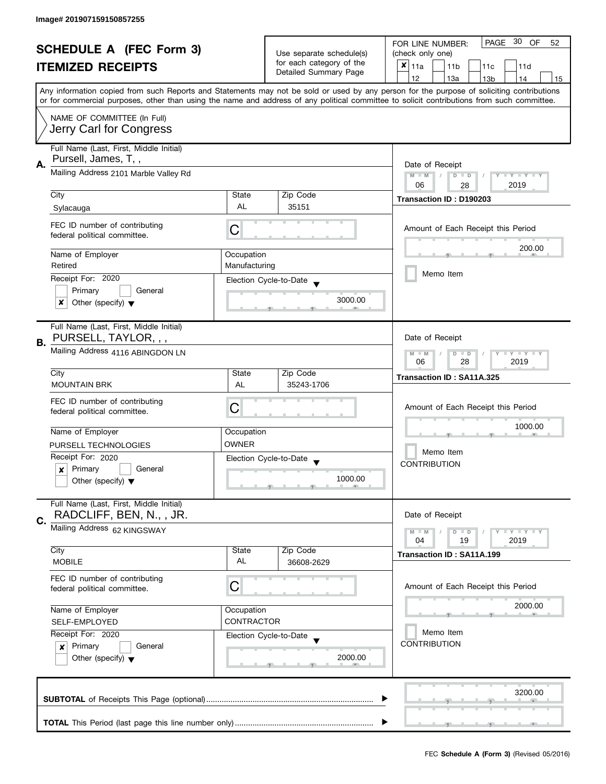| <b>SCHEDULE A (FEC Form 3)</b>                         |                                                                     |                                                               | PAGE 30 OF<br>FOR LINE NUMBER:<br>52           |                                                                                                                                                                                                                                                                                         |  |
|--------------------------------------------------------|---------------------------------------------------------------------|---------------------------------------------------------------|------------------------------------------------|-----------------------------------------------------------------------------------------------------------------------------------------------------------------------------------------------------------------------------------------------------------------------------------------|--|
|                                                        |                                                                     | Use separate schedule(s)                                      | (check only one)                               |                                                                                                                                                                                                                                                                                         |  |
|                                                        | <b>ITEMIZED RECEIPTS</b>                                            |                                                               | for each category of the                       | $x _{11a}$<br>11 <sub>b</sub><br>11d<br>11c                                                                                                                                                                                                                                             |  |
|                                                        |                                                                     |                                                               | Detailed Summary Page                          | 12<br>13a<br>13 <sub>b</sub><br>14<br>15                                                                                                                                                                                                                                                |  |
|                                                        |                                                                     |                                                               |                                                | Any information copied from such Reports and Statements may not be sold or used by any person for the purpose of soliciting contributions<br>or for commercial purposes, other than using the name and address of any political committee to solicit contributions from such committee. |  |
|                                                        |                                                                     |                                                               |                                                |                                                                                                                                                                                                                                                                                         |  |
| NAME OF COMMITTEE (In Full)<br>Jerry Carl for Congress |                                                                     |                                                               |                                                |                                                                                                                                                                                                                                                                                         |  |
| Full Name (Last, First, Middle Initial)                |                                                                     |                                                               |                                                |                                                                                                                                                                                                                                                                                         |  |
| А.                                                     | Pursell, James, T,,                                                 |                                                               |                                                | Date of Receipt                                                                                                                                                                                                                                                                         |  |
|                                                        | Mailing Address 2101 Marble Valley Rd                               | Y TY TY TY<br>$M - M$<br>$D$ $D$<br>06<br>2019<br>28          |                                                |                                                                                                                                                                                                                                                                                         |  |
|                                                        | City                                                                | State                                                         | Zip Code                                       | Transaction ID: D190203                                                                                                                                                                                                                                                                 |  |
|                                                        | Sylacauga                                                           | AL                                                            | 35151                                          |                                                                                                                                                                                                                                                                                         |  |
|                                                        | FEC ID number of contributing<br>federal political committee.       | С                                                             |                                                | Amount of Each Receipt this Period                                                                                                                                                                                                                                                      |  |
|                                                        | Name of Employer                                                    | Occupation                                                    |                                                | 200.00                                                                                                                                                                                                                                                                                  |  |
|                                                        | Retired                                                             | Manufacturing                                                 |                                                |                                                                                                                                                                                                                                                                                         |  |
|                                                        | Receipt For: 2020                                                   |                                                               |                                                | Memo Item                                                                                                                                                                                                                                                                               |  |
|                                                        | Primary<br>General                                                  |                                                               | Election Cycle-to-Date                         |                                                                                                                                                                                                                                                                                         |  |
|                                                        | x<br>Other (specify) $\blacktriangledown$                           |                                                               | 3000.00                                        |                                                                                                                                                                                                                                                                                         |  |
| В.                                                     | Full Name (Last, First, Middle Initial)<br>PURSELL, TAYLOR, , ,     |                                                               |                                                | Date of Receipt                                                                                                                                                                                                                                                                         |  |
|                                                        | Mailing Address 4116 ABINGDON LN                                    | $Y - Y - Y - Y - Y$<br>$M - M$<br>$D$ $D$<br>28<br>2019<br>06 |                                                |                                                                                                                                                                                                                                                                                         |  |
|                                                        | City                                                                | State                                                         | Zip Code                                       | Transaction ID: SA11A.325                                                                                                                                                                                                                                                               |  |
|                                                        | <b>MOUNTAIN BRK</b>                                                 | AL                                                            | 35243-1706                                     |                                                                                                                                                                                                                                                                                         |  |
|                                                        | FEC ID number of contributing                                       |                                                               |                                                |                                                                                                                                                                                                                                                                                         |  |
|                                                        | federal political committee.                                        | C                                                             |                                                | Amount of Each Receipt this Period                                                                                                                                                                                                                                                      |  |
|                                                        |                                                                     |                                                               |                                                | 1000.00                                                                                                                                                                                                                                                                                 |  |
|                                                        | Name of Employer                                                    | Occupation                                                    |                                                |                                                                                                                                                                                                                                                                                         |  |
|                                                        | PURSELL TECHNOLOGIES                                                | <b>OWNER</b>                                                  |                                                | Memo Item                                                                                                                                                                                                                                                                               |  |
|                                                        | Receipt For: 2020                                                   |                                                               | Election Cycle-to-Date<br>$\blacktriangledown$ | <b>CONTRIBUTION</b>                                                                                                                                                                                                                                                                     |  |
|                                                        | Primary<br>General<br>x                                             |                                                               | 1000.00                                        |                                                                                                                                                                                                                                                                                         |  |
|                                                        | Other (specify) $\blacktriangledown$                                |                                                               |                                                |                                                                                                                                                                                                                                                                                         |  |
|                                                        | Full Name (Last, First, Middle Initial)<br>RADCLIFF, BEN, N., , JR. |                                                               |                                                | Date of Receipt                                                                                                                                                                                                                                                                         |  |
| C.                                                     | Mailing Address 62 KINGSWAY                                         |                                                               |                                                | <b>LYLYLY</b><br>$M - M$<br>$D$ $D$                                                                                                                                                                                                                                                     |  |
|                                                        |                                                                     |                                                               |                                                | 04<br>19<br>2019                                                                                                                                                                                                                                                                        |  |
|                                                        | City                                                                | State                                                         | Zip Code                                       | Transaction ID: SA11A.199                                                                                                                                                                                                                                                               |  |
|                                                        | <b>MOBILE</b>                                                       | AL                                                            | 36608-2629                                     |                                                                                                                                                                                                                                                                                         |  |
|                                                        | FEC ID number of contributing<br>federal political committee.       | C                                                             |                                                | Amount of Each Receipt this Period                                                                                                                                                                                                                                                      |  |
|                                                        | Name of Employer                                                    | Occupation                                                    |                                                | 2000.00                                                                                                                                                                                                                                                                                 |  |
|                                                        | SELF-EMPLOYED                                                       | <b>CONTRACTOR</b>                                             |                                                |                                                                                                                                                                                                                                                                                         |  |
|                                                        | Receipt For: 2020                                                   |                                                               | Election Cycle-to-Date                         | Memo Item                                                                                                                                                                                                                                                                               |  |
|                                                        | Primary<br>General<br>$\mathsf{x}$                                  |                                                               |                                                | <b>CONTRIBUTION</b>                                                                                                                                                                                                                                                                     |  |
|                                                        | Other (specify) $\blacktriangledown$                                |                                                               | 2000.00                                        |                                                                                                                                                                                                                                                                                         |  |
|                                                        |                                                                     |                                                               |                                                | 3200.00                                                                                                                                                                                                                                                                                 |  |
|                                                        |                                                                     |                                                               |                                                |                                                                                                                                                                                                                                                                                         |  |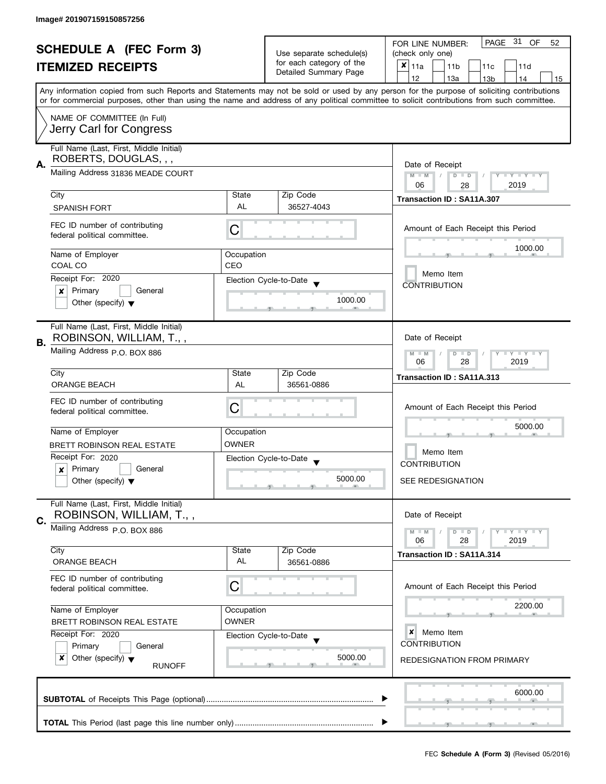| <b>SCHEDULE A (FEC Form 3)</b> |                                                               |                          | PAGE 31 OF<br>FOR LINE NUMBER:<br>52 |                                                                                                                                            |  |
|--------------------------------|---------------------------------------------------------------|--------------------------|--------------------------------------|--------------------------------------------------------------------------------------------------------------------------------------------|--|
|                                |                                                               | Use separate schedule(s) | (check only one)                     |                                                                                                                                            |  |
|                                | <b>ITEMIZED RECEIPTS</b>                                      |                          | for each category of the             | $x _{11a}$<br>11 <sub>b</sub><br>11c<br>11d                                                                                                |  |
|                                |                                                               |                          | Detailed Summary Page                | 12<br>13a<br>14<br>13 <sub>b</sub><br>15                                                                                                   |  |
|                                |                                                               |                          |                                      | Any information copied from such Reports and Statements may not be sold or used by any person for the purpose of soliciting contributions  |  |
|                                |                                                               |                          |                                      | or for commercial purposes, other than using the name and address of any political committee to solicit contributions from such committee. |  |
|                                | NAME OF COMMITTEE (In Full)                                   |                          |                                      |                                                                                                                                            |  |
|                                |                                                               |                          |                                      |                                                                                                                                            |  |
| Jerry Carl for Congress        |                                                               |                          |                                      |                                                                                                                                            |  |
|                                | Full Name (Last, First, Middle Initial)                       |                          |                                      |                                                                                                                                            |  |
| А.                             | ROBERTS, DOUGLAS, , ,                                         |                          |                                      | Date of Receipt                                                                                                                            |  |
|                                | Mailing Address 31836 MEADE COURT                             |                          |                                      | $M - M$<br>$D$ $D$<br>Y TY TY TY                                                                                                           |  |
|                                |                                                               |                          |                                      | 06<br>2019<br>28                                                                                                                           |  |
|                                | City                                                          | State                    | Zip Code                             | Transaction ID: SA11A.307                                                                                                                  |  |
|                                | <b>SPANISH FORT</b>                                           | AL                       | 36527-4043                           |                                                                                                                                            |  |
|                                |                                                               |                          |                                      |                                                                                                                                            |  |
|                                | FEC ID number of contributing                                 | С                        |                                      | Amount of Each Receipt this Period                                                                                                         |  |
|                                | federal political committee.                                  |                          |                                      |                                                                                                                                            |  |
|                                | Name of Employer                                              | Occupation               |                                      | 1000.00                                                                                                                                    |  |
|                                | COAL CO                                                       | CEO                      |                                      |                                                                                                                                            |  |
|                                | Receipt For: 2020                                             |                          | Election Cycle-to-Date               | Memo Item                                                                                                                                  |  |
|                                | Primary<br>General<br>×                                       |                          |                                      | <b>CONTRIBUTION</b>                                                                                                                        |  |
|                                | Other (specify) $\blacktriangledown$                          |                          | 1000.00                              |                                                                                                                                            |  |
|                                |                                                               |                          |                                      |                                                                                                                                            |  |
|                                | Full Name (Last, First, Middle Initial)                       |                          |                                      |                                                                                                                                            |  |
|                                | ROBINSON, WILLIAM, T.,,                                       |                          |                                      | Date of Receipt                                                                                                                            |  |
| В.                             | Mailing Address P.O. BOX 886                                  |                          |                                      | Y LY LY                                                                                                                                    |  |
|                                |                                                               |                          |                                      | $M - M$<br>$D$ $D$<br>28<br>2019<br>06                                                                                                     |  |
|                                | City                                                          | State                    | Zip Code                             | Transaction ID: SA11A.313                                                                                                                  |  |
|                                | <b>ORANGE BEACH</b>                                           | AL                       | 36561-0886                           |                                                                                                                                            |  |
|                                |                                                               |                          |                                      |                                                                                                                                            |  |
|                                | FEC ID number of contributing<br>federal political committee. | C                        |                                      | Amount of Each Receipt this Period                                                                                                         |  |
|                                |                                                               |                          |                                      |                                                                                                                                            |  |
|                                | Name of Employer                                              | Occupation               |                                      | 5000.00                                                                                                                                    |  |
|                                | <b>BRETT ROBINSON REAL ESTATE</b>                             | <b>OWNER</b>             |                                      |                                                                                                                                            |  |
|                                | Receipt For: 2020                                             |                          | Election Cycle-to-Date               | Memo Item                                                                                                                                  |  |
|                                | Primary<br>General<br>$\boldsymbol{x}$                        |                          |                                      | <b>CONTRIBUTION</b>                                                                                                                        |  |
|                                | Other (specify) $\blacktriangledown$                          |                          | 5000.00                              | <b>SEE REDESIGNATION</b>                                                                                                                   |  |
|                                |                                                               |                          |                                      |                                                                                                                                            |  |
|                                | Full Name (Last, First, Middle Initial)                       |                          |                                      |                                                                                                                                            |  |
| C.                             | ROBINSON, WILLIAM, T.,,                                       |                          |                                      | Date of Receipt                                                                                                                            |  |
|                                | Mailing Address P.O. BOX 886                                  |                          |                                      | $M - M$<br>$D$ $D$<br><b>LYLYLY</b>                                                                                                        |  |
|                                |                                                               |                          |                                      | 06<br>28<br>2019                                                                                                                           |  |
|                                | City                                                          | State                    | Zip Code                             | Transaction ID: SA11A.314                                                                                                                  |  |
|                                | <b>ORANGE BEACH</b>                                           | AL                       | 36561-0886                           |                                                                                                                                            |  |
|                                | FEC ID number of contributing                                 |                          |                                      |                                                                                                                                            |  |
|                                | federal political committee.                                  | С                        |                                      | Amount of Each Receipt this Period                                                                                                         |  |
|                                |                                                               |                          |                                      |                                                                                                                                            |  |
|                                | Name of Employer                                              | Occupation               |                                      | 2200.00                                                                                                                                    |  |
|                                | BRETT ROBINSON REAL ESTATE                                    | <b>OWNER</b>             |                                      |                                                                                                                                            |  |
|                                | Receipt For: 2020<br>Election Cycle-to-Date                   |                          |                                      | ×<br>Memo Item                                                                                                                             |  |
|                                | Primary<br>General                                            |                          |                                      | <b>CONTRIBUTION</b>                                                                                                                        |  |
|                                | x<br>Other (specify) $\blacktriangledown$<br><b>RUNOFF</b>    |                          | 5000.00                              | <b>REDESIGNATION FROM PRIMARY</b>                                                                                                          |  |
|                                |                                                               |                          |                                      |                                                                                                                                            |  |
|                                |                                                               |                          |                                      |                                                                                                                                            |  |
|                                |                                                               |                          |                                      | 6000.00                                                                                                                                    |  |
|                                |                                                               |                          |                                      |                                                                                                                                            |  |
|                                |                                                               |                          |                                      |                                                                                                                                            |  |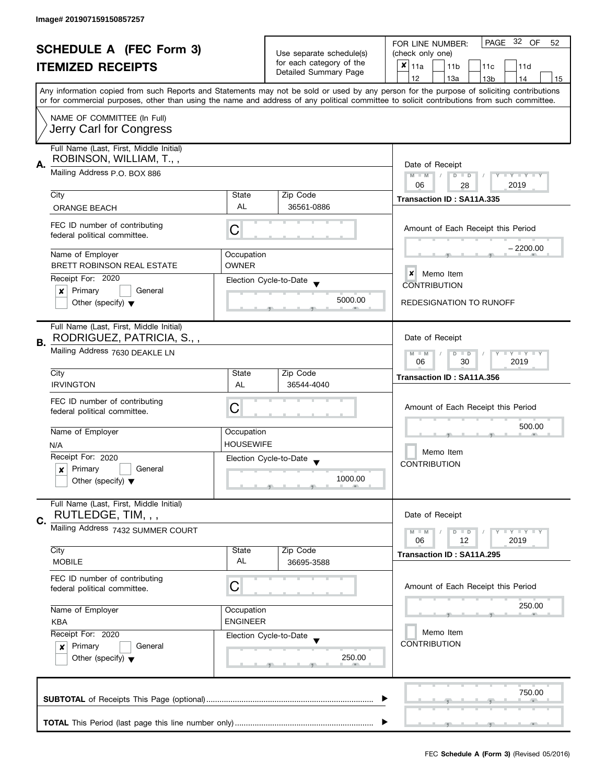| <b>SCHEDULE A (FEC Form 3)</b><br><b>ITEMIZED RECEIPTS</b>                                                                             |                                | Use separate schedule(s)<br>for each category of the<br>Detailed Summary Page | PAGE 32 OF<br>FOR LINE NUMBER:<br>52<br>(check only one)<br>$x _{11a}$<br>11 <sub>b</sub><br>11d<br>11c<br>12<br>13a<br>14                                                                                                                                                                                       |
|----------------------------------------------------------------------------------------------------------------------------------------|--------------------------------|-------------------------------------------------------------------------------|------------------------------------------------------------------------------------------------------------------------------------------------------------------------------------------------------------------------------------------------------------------------------------------------------------------|
|                                                                                                                                        |                                |                                                                               | 13 <sub>b</sub><br>15<br>Any information copied from such Reports and Statements may not be sold or used by any person for the purpose of soliciting contributions<br>or for commercial purposes, other than using the name and address of any political committee to solicit contributions from such committee. |
| NAME OF COMMITTEE (In Full)<br>Jerry Carl for Congress                                                                                 |                                |                                                                               |                                                                                                                                                                                                                                                                                                                  |
| Full Name (Last, First, Middle Initial)<br>ROBINSON, WILLIAM, T.,,<br>Α.<br>Mailing Address P.O. BOX 886                               |                                |                                                                               | Date of Receipt<br>$M - M$<br>$\sqrt{2}$<br>$D$ $D$<br>Y - Y - Y -                                                                                                                                                                                                                                               |
| City                                                                                                                                   | State                          | Zip Code                                                                      | 06<br>2019<br>28<br>Transaction ID: SA11A.335                                                                                                                                                                                                                                                                    |
| <b>ORANGE BEACH</b><br>FEC ID number of contributing<br>federal political committee.                                                   | AL<br>С                        | 36561-0886                                                                    | Amount of Each Receipt this Period                                                                                                                                                                                                                                                                               |
| Name of Employer<br>BRETT ROBINSON REAL ESTATE<br>Receipt For: 2020<br>Primary<br>General<br>x<br>Other (specify) $\blacktriangledown$ | Occupation<br><b>OWNER</b>     | Election Cycle-to-Date<br>5000.00                                             | – 2200.00<br>×<br>Memo Item<br><b>CONTRIBUTION</b><br><b>REDESIGNATION TO RUNOFF</b>                                                                                                                                                                                                                             |
| Full Name (Last, First, Middle Initial)<br>RODRIGUEZ, PATRICIA, S.,,<br>В.<br>Mailing Address 7630 DEAKLE LN<br>City                   | State                          | Zip Code                                                                      | Date of Receipt<br>$Y = Y = Y$<br>$M - M$<br>D<br>$\Box$<br>06<br>30<br>2019<br>Transaction ID: SA11A.356                                                                                                                                                                                                        |
| <b>IRVINGTON</b><br>FEC ID number of contributing<br>federal political committee.                                                      | AL<br>С                        | 36544-4040                                                                    | Amount of Each Receipt this Period                                                                                                                                                                                                                                                                               |
| Name of Employer<br>N/A<br>Receipt For: 2020<br>$\vert x \vert$ Primary<br>General<br>Other (specify) $\blacktriangledown$             | Occupation<br><b>HOUSEWIFE</b> | Election Cycle-to-Date<br>1000.00                                             | 500.00<br>Memo Item<br><b>CONTRIBUTION</b>                                                                                                                                                                                                                                                                       |
| Full Name (Last, First, Middle Initial)<br>RUTLEDGE, TIM, , ,<br>C.<br>Mailing Address 7432 SUMMER COURT                               |                                | Date of Receipt<br>Y FY FY FY<br>$D$ $D$<br>06<br>12<br>2019                  |                                                                                                                                                                                                                                                                                                                  |
| City<br><b>MOBILE</b>                                                                                                                  | State<br><b>AL</b>             | Zip Code<br>36695-3588                                                        | Transaction ID: SA11A.295                                                                                                                                                                                                                                                                                        |
|                                                                                                                                        |                                |                                                                               |                                                                                                                                                                                                                                                                                                                  |
| FEC ID number of contributing<br>federal political committee.                                                                          | С                              |                                                                               | Amount of Each Receipt this Period                                                                                                                                                                                                                                                                               |
| Name of Employer<br><b>KBA</b>                                                                                                         | Occupation<br><b>ENGINEER</b>  |                                                                               | 250.00                                                                                                                                                                                                                                                                                                           |
| Receipt For: 2020<br>Primary<br>General<br>×<br>Other (specify) $\blacktriangledown$                                                   |                                | Election Cycle-to-Date<br>250.00                                              | Memo Item<br><b>CONTRIBUTION</b>                                                                                                                                                                                                                                                                                 |
|                                                                                                                                        |                                |                                                                               | 750.00                                                                                                                                                                                                                                                                                                           |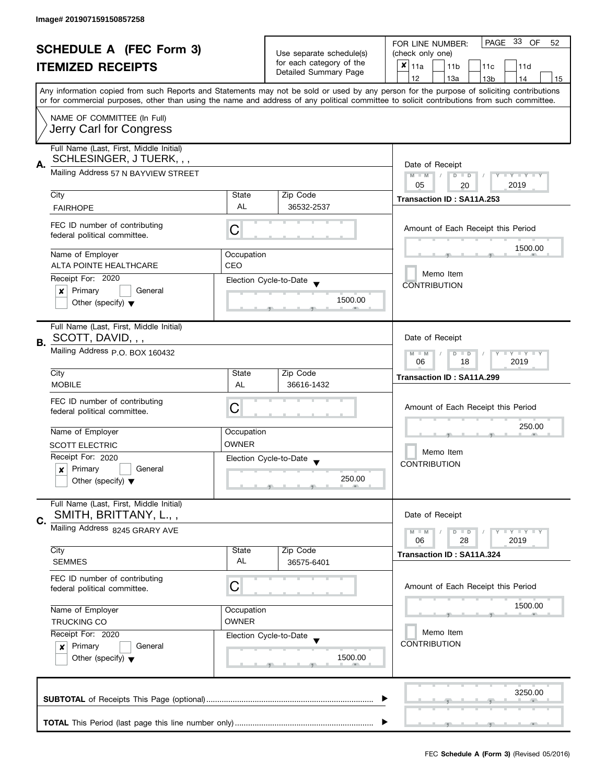| <b>SCHEDULE A (FEC Form 3)</b><br><b>ITEMIZED RECEIPTS</b> |                                                              |                          | PAGE 33 OF<br>FOR LINE NUMBER:<br>52        |                                                                                                                                            |  |  |
|------------------------------------------------------------|--------------------------------------------------------------|--------------------------|---------------------------------------------|--------------------------------------------------------------------------------------------------------------------------------------------|--|--|
|                                                            |                                                              | Use separate schedule(s) | (check only one)                            |                                                                                                                                            |  |  |
|                                                            |                                                              | for each category of the | $x _{11a}$<br>11 <sub>b</sub><br>11c<br>11d |                                                                                                                                            |  |  |
|                                                            |                                                              |                          | Detailed Summary Page                       | 12<br>13a<br>14<br>13 <sub>b</sub><br>15                                                                                                   |  |  |
|                                                            |                                                              |                          |                                             | Any information copied from such Reports and Statements may not be sold or used by any person for the purpose of soliciting contributions  |  |  |
|                                                            |                                                              |                          |                                             | or for commercial purposes, other than using the name and address of any political committee to solicit contributions from such committee. |  |  |
|                                                            |                                                              |                          |                                             |                                                                                                                                            |  |  |
|                                                            | NAME OF COMMITTEE (In Full)                                  |                          |                                             |                                                                                                                                            |  |  |
|                                                            | Jerry Carl for Congress                                      |                          |                                             |                                                                                                                                            |  |  |
|                                                            | Full Name (Last, First, Middle Initial)                      |                          |                                             |                                                                                                                                            |  |  |
|                                                            | SCHLESINGER, J TUERK, , ,                                    |                          |                                             |                                                                                                                                            |  |  |
| А.                                                         |                                                              |                          |                                             | Date of Receipt                                                                                                                            |  |  |
|                                                            | Mailing Address 57 N BAYVIEW STREET                          |                          |                                             | Y TY TY TY<br>$M - M$<br>$D$ $D$                                                                                                           |  |  |
|                                                            |                                                              |                          |                                             | 2019<br>05<br>20                                                                                                                           |  |  |
|                                                            | City                                                         | State                    | Zip Code                                    | Transaction ID: SA11A.253                                                                                                                  |  |  |
|                                                            | <b>FAIRHOPE</b>                                              | AL                       | 36532-2537                                  |                                                                                                                                            |  |  |
|                                                            | FEC ID number of contributing                                |                          |                                             |                                                                                                                                            |  |  |
|                                                            | federal political committee.                                 | С                        |                                             | Amount of Each Receipt this Period                                                                                                         |  |  |
|                                                            |                                                              |                          |                                             | 1500.00                                                                                                                                    |  |  |
|                                                            | Name of Employer                                             | Occupation               |                                             |                                                                                                                                            |  |  |
|                                                            | <b>ALTA POINTE HEALTHCARE</b>                                | CEO                      |                                             |                                                                                                                                            |  |  |
|                                                            | Receipt For: 2020                                            |                          | Election Cycle-to-Date                      | Memo Item                                                                                                                                  |  |  |
|                                                            | Primary<br>General<br>×                                      |                          |                                             | <b>CONTRIBUTION</b>                                                                                                                        |  |  |
|                                                            | Other (specify) $\blacktriangledown$                         |                          | 1500.00                                     |                                                                                                                                            |  |  |
|                                                            |                                                              |                          |                                             |                                                                                                                                            |  |  |
|                                                            |                                                              |                          |                                             |                                                                                                                                            |  |  |
|                                                            | Full Name (Last, First, Middle Initial)<br>SCOTT, DAVID, , , |                          |                                             |                                                                                                                                            |  |  |
| В.                                                         |                                                              |                          |                                             | Date of Receipt                                                                                                                            |  |  |
|                                                            | Mailing Address p.O. BOX 160432                              |                          |                                             | <b>LYLYLY</b><br>$M - M$<br>$D$ $D$                                                                                                        |  |  |
|                                                            |                                                              |                          |                                             | 18<br>2019<br>06                                                                                                                           |  |  |
|                                                            | City                                                         | State                    | Zip Code                                    | Transaction ID: SA11A.299                                                                                                                  |  |  |
|                                                            | <b>MOBILE</b>                                                | AL                       | 36616-1432                                  |                                                                                                                                            |  |  |
|                                                            | FEC ID number of contributing                                |                          |                                             |                                                                                                                                            |  |  |
|                                                            | federal political committee.                                 | С                        |                                             | Amount of Each Receipt this Period                                                                                                         |  |  |
|                                                            |                                                              |                          |                                             |                                                                                                                                            |  |  |
|                                                            | Name of Employer                                             | Occupation               |                                             | 250.00                                                                                                                                     |  |  |
|                                                            | <b>SCOTT ELECTRIC</b>                                        | <b>OWNER</b>             |                                             |                                                                                                                                            |  |  |
|                                                            | Receipt For: 2020                                            |                          | Election Cycle-to-Date                      | Memo Item                                                                                                                                  |  |  |
|                                                            | Primary<br>General<br>×                                      |                          |                                             | <b>CONTRIBUTION</b>                                                                                                                        |  |  |
|                                                            | Other (specify) $\blacktriangledown$                         |                          | 250.00                                      |                                                                                                                                            |  |  |
|                                                            |                                                              |                          |                                             |                                                                                                                                            |  |  |
|                                                            | Full Name (Last, First, Middle Initial)                      |                          |                                             |                                                                                                                                            |  |  |
|                                                            | SMITH, BRITTANY, L.,,                                        |                          |                                             | Date of Receipt                                                                                                                            |  |  |
| C.                                                         |                                                              |                          |                                             |                                                                                                                                            |  |  |
|                                                            | Mailing Address 8245 GRARY AVE                               |                          |                                             | <b>LYLYLY</b><br>$M - M$<br>$D$ $D$                                                                                                        |  |  |
|                                                            |                                                              |                          |                                             | 06<br>28<br>2019                                                                                                                           |  |  |
|                                                            | City                                                         | State<br>AL              | Zip Code                                    | Transaction ID: SA11A.324                                                                                                                  |  |  |
|                                                            | <b>SEMMES</b>                                                |                          | 36575-6401                                  |                                                                                                                                            |  |  |
|                                                            | FEC ID number of contributing                                |                          |                                             |                                                                                                                                            |  |  |
|                                                            | federal political committee.                                 | C                        |                                             | Amount of Each Receipt this Period                                                                                                         |  |  |
|                                                            |                                                              |                          |                                             |                                                                                                                                            |  |  |
|                                                            | Name of Employer                                             | Occupation               |                                             | 1500.00                                                                                                                                    |  |  |
|                                                            | <b>TRUCKING CO</b>                                           | <b>OWNER</b>             |                                             |                                                                                                                                            |  |  |
|                                                            | Receipt For: 2020                                            |                          | Election Cycle-to-Date                      | Memo Item                                                                                                                                  |  |  |
|                                                            | Primary<br>General<br>$\mathbf{x}$                           |                          |                                             | <b>CONTRIBUTION</b>                                                                                                                        |  |  |
|                                                            | Other (specify) $\blacktriangledown$                         |                          | 1500.00                                     |                                                                                                                                            |  |  |
|                                                            |                                                              |                          |                                             |                                                                                                                                            |  |  |
|                                                            |                                                              |                          |                                             |                                                                                                                                            |  |  |
|                                                            |                                                              |                          |                                             | 3250.00                                                                                                                                    |  |  |
|                                                            |                                                              |                          |                                             |                                                                                                                                            |  |  |
|                                                            |                                                              |                          |                                             |                                                                                                                                            |  |  |
|                                                            |                                                              |                          |                                             |                                                                                                                                            |  |  |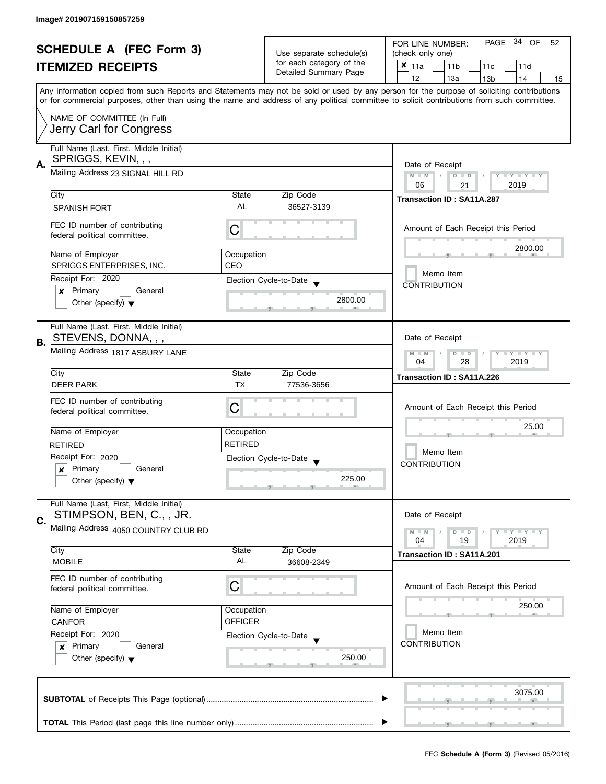| <b>SCHEDULE A (FEC Form 3)</b><br><b>ITEMIZED RECEIPTS</b><br>Any information copied from such Reports and Statements may not be sold or used by any person for the purpose of soliciting contributions<br>or for commercial purposes, other than using the name and address of any political committee to solicit contributions from such committee. |                                                                                                     |                                                               | Use separate schedule(s)<br>for each category of the<br>Detailed Summary Page | PAGE 34 OF<br>FOR LINE NUMBER:<br>52<br>(check only one)<br>$x _{11a}$<br>11 <sub>b</sub><br>11c<br>11d |  |  |  |  |
|-------------------------------------------------------------------------------------------------------------------------------------------------------------------------------------------------------------------------------------------------------------------------------------------------------------------------------------------------------|-----------------------------------------------------------------------------------------------------|---------------------------------------------------------------|-------------------------------------------------------------------------------|---------------------------------------------------------------------------------------------------------|--|--|--|--|
|                                                                                                                                                                                                                                                                                                                                                       |                                                                                                     |                                                               |                                                                               | 12<br>13a<br>13 <sub>b</sub><br>14<br>15                                                                |  |  |  |  |
|                                                                                                                                                                                                                                                                                                                                                       | NAME OF COMMITTEE (In Full)<br>Jerry Carl for Congress                                              |                                                               |                                                                               |                                                                                                         |  |  |  |  |
| А.                                                                                                                                                                                                                                                                                                                                                    | Full Name (Last, First, Middle Initial)<br>SPRIGGS, KEVIN, , ,<br>Mailing Address 23 SIGNAL HILL RD |                                                               |                                                                               | Date of Receipt<br>Y TY TY TY<br>$M - M$<br>$D$ $D$                                                     |  |  |  |  |
|                                                                                                                                                                                                                                                                                                                                                       |                                                                                                     |                                                               |                                                                               | 2019<br>06<br>21                                                                                        |  |  |  |  |
|                                                                                                                                                                                                                                                                                                                                                       | City<br><b>SPANISH FORT</b>                                                                         | State<br>AL                                                   | Zip Code<br>36527-3139                                                        | <b>Transaction ID: SA11A.287</b>                                                                        |  |  |  |  |
|                                                                                                                                                                                                                                                                                                                                                       | FEC ID number of contributing<br>federal political committee.                                       | С                                                             |                                                                               | Amount of Each Receipt this Period                                                                      |  |  |  |  |
|                                                                                                                                                                                                                                                                                                                                                       | Name of Employer                                                                                    | Occupation                                                    |                                                                               | 2800.00                                                                                                 |  |  |  |  |
|                                                                                                                                                                                                                                                                                                                                                       | SPRIGGS ENTERPRISES, INC.                                                                           | CEO                                                           |                                                                               | Memo Item                                                                                               |  |  |  |  |
|                                                                                                                                                                                                                                                                                                                                                       | Receipt For: 2020                                                                                   |                                                               | Election Cycle-to-Date                                                        | <b>CONTRIBUTION</b>                                                                                     |  |  |  |  |
|                                                                                                                                                                                                                                                                                                                                                       | Primary<br>General<br>×<br>Other (specify) $\blacktriangledown$                                     |                                                               | 2800.00                                                                       |                                                                                                         |  |  |  |  |
| В.                                                                                                                                                                                                                                                                                                                                                    | Full Name (Last, First, Middle Initial)<br>STEVENS, DONNA, , ,                                      |                                                               |                                                                               | Date of Receipt                                                                                         |  |  |  |  |
|                                                                                                                                                                                                                                                                                                                                                       | Mailing Address 1817 ASBURY LANE                                                                    | $Y - Y - Y - Y - Y$<br>$M - M$<br>$D$ $D$<br>04<br>28<br>2019 |                                                                               |                                                                                                         |  |  |  |  |
|                                                                                                                                                                                                                                                                                                                                                       | City                                                                                                | State                                                         | Zip Code                                                                      | Transaction ID: SA11A.226                                                                               |  |  |  |  |
|                                                                                                                                                                                                                                                                                                                                                       | <b>DEER PARK</b>                                                                                    | <b>TX</b>                                                     | 77536-3656                                                                    |                                                                                                         |  |  |  |  |
|                                                                                                                                                                                                                                                                                                                                                       | FEC ID number of contributing<br>federal political committee.                                       | С                                                             |                                                                               | Amount of Each Receipt this Period                                                                      |  |  |  |  |
|                                                                                                                                                                                                                                                                                                                                                       | Name of Employer                                                                                    | Occupation                                                    |                                                                               | 25.00<br>Memo Item<br><b>CONTRIBUTION</b>                                                               |  |  |  |  |
|                                                                                                                                                                                                                                                                                                                                                       | <b>RETIRED</b>                                                                                      | <b>RETIRED</b>                                                |                                                                               |                                                                                                         |  |  |  |  |
|                                                                                                                                                                                                                                                                                                                                                       | Receipt For: 2020                                                                                   |                                                               | Election Cycle-to-Date<br>$\overline{\phantom{a}}$                            |                                                                                                         |  |  |  |  |
|                                                                                                                                                                                                                                                                                                                                                       | Primary<br>General<br>$\boldsymbol{x}$<br>Other (specify) $\blacktriangledown$                      |                                                               | 225.00                                                                        |                                                                                                         |  |  |  |  |
| C.                                                                                                                                                                                                                                                                                                                                                    | Full Name (Last, First, Middle Initial)<br>STIMPSON, BEN, C., , JR.                                 |                                                               |                                                                               | Date of Receipt                                                                                         |  |  |  |  |
|                                                                                                                                                                                                                                                                                                                                                       | Mailing Address 4050 COUNTRY CLUB RD                                                                |                                                               |                                                                               | Y TY TY TY<br>$M - M$<br>$D$ $D$<br>2019<br>04<br>19                                                    |  |  |  |  |
|                                                                                                                                                                                                                                                                                                                                                       | City<br><b>MOBILE</b>                                                                               | State<br>AL                                                   | Zip Code<br>36608-2349                                                        | <b>Transaction ID: SA11A.201</b>                                                                        |  |  |  |  |
|                                                                                                                                                                                                                                                                                                                                                       | FEC ID number of contributing<br>federal political committee.                                       | C                                                             |                                                                               | Amount of Each Receipt this Period                                                                      |  |  |  |  |
|                                                                                                                                                                                                                                                                                                                                                       | Name of Employer<br><b>CANFOR</b>                                                                   | Occupation<br><b>OFFICER</b>                                  |                                                                               | 250.00                                                                                                  |  |  |  |  |
|                                                                                                                                                                                                                                                                                                                                                       | Receipt For: 2020<br>Primary<br>General<br>$\boldsymbol{x}$<br>Other (specify) $\blacktriangledown$ |                                                               | Election Cycle-to-Date<br>250.00                                              | Memo Item<br><b>CONTRIBUTION</b>                                                                        |  |  |  |  |
|                                                                                                                                                                                                                                                                                                                                                       |                                                                                                     |                                                               |                                                                               | 3075.00                                                                                                 |  |  |  |  |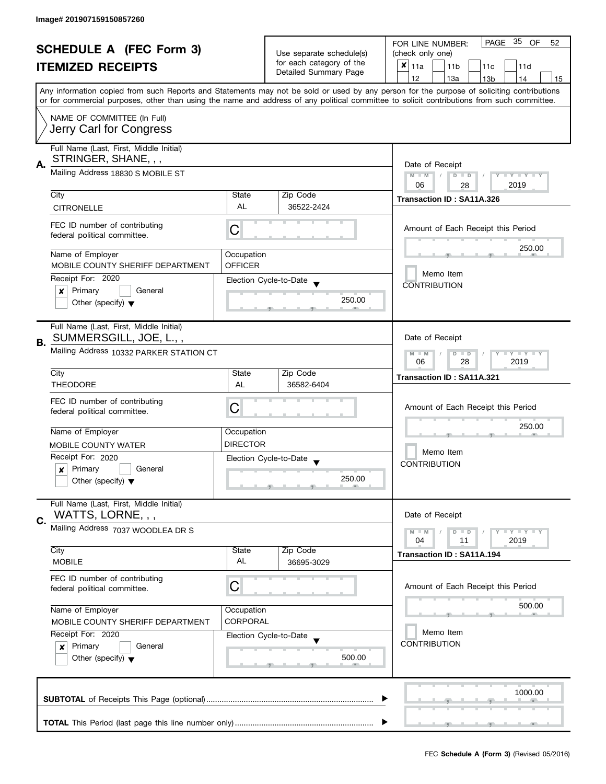| <b>SCHEDULE A (FEC Form 3)</b> |                                                     |                                                   |                          | PAGE 35 OF<br>FOR LINE NUMBER:<br>52                                                                                                       |  |  |  |  |  |  |
|--------------------------------|-----------------------------------------------------|---------------------------------------------------|--------------------------|--------------------------------------------------------------------------------------------------------------------------------------------|--|--|--|--|--|--|
| <b>ITEMIZED RECEIPTS</b>       |                                                     |                                                   | Use separate schedule(s) | (check only one)                                                                                                                           |  |  |  |  |  |  |
|                                |                                                     |                                                   | for each category of the | $x _{11a}$<br>11 <sub>b</sub><br>11c<br>11d                                                                                                |  |  |  |  |  |  |
|                                |                                                     |                                                   | Detailed Summary Page    | 12<br>13a<br>14<br>13 <sub>b</sub><br>15                                                                                                   |  |  |  |  |  |  |
|                                |                                                     |                                                   |                          | Any information copied from such Reports and Statements may not be sold or used by any person for the purpose of soliciting contributions  |  |  |  |  |  |  |
|                                |                                                     |                                                   |                          | or for commercial purposes, other than using the name and address of any political committee to solicit contributions from such committee. |  |  |  |  |  |  |
|                                | NAME OF COMMITTEE (In Full)                         |                                                   |                          |                                                                                                                                            |  |  |  |  |  |  |
|                                | Jerry Carl for Congress                             |                                                   |                          |                                                                                                                                            |  |  |  |  |  |  |
|                                |                                                     |                                                   |                          |                                                                                                                                            |  |  |  |  |  |  |
|                                | Full Name (Last, First, Middle Initial)             |                                                   |                          |                                                                                                                                            |  |  |  |  |  |  |
| А.                             | STRINGER, SHANE, , ,                                | Date of Receipt                                   |                          |                                                                                                                                            |  |  |  |  |  |  |
|                                | Mailing Address 18830 S MOBILE ST                   |                                                   |                          | $M - M$<br>$D$ $D$<br>Y TY TY TY                                                                                                           |  |  |  |  |  |  |
|                                |                                                     |                                                   |                          | 06<br>2019<br>28                                                                                                                           |  |  |  |  |  |  |
|                                | City                                                | State                                             | Zip Code                 | Transaction ID: SA11A.326                                                                                                                  |  |  |  |  |  |  |
|                                | <b>CITRONELLE</b>                                   | AL                                                | 36522-2424               |                                                                                                                                            |  |  |  |  |  |  |
|                                |                                                     |                                                   |                          |                                                                                                                                            |  |  |  |  |  |  |
|                                | FEC ID number of contributing                       | С                                                 |                          | Amount of Each Receipt this Period                                                                                                         |  |  |  |  |  |  |
|                                | federal political committee.                        |                                                   |                          |                                                                                                                                            |  |  |  |  |  |  |
|                                | Name of Employer                                    | Occupation                                        |                          | 250.00                                                                                                                                     |  |  |  |  |  |  |
|                                | MOBILE COUNTY SHERIFF DEPARTMENT                    | <b>OFFICER</b>                                    |                          |                                                                                                                                            |  |  |  |  |  |  |
|                                | Receipt For: 2020                                   |                                                   | Election Cycle-to-Date   | Memo Item                                                                                                                                  |  |  |  |  |  |  |
|                                | Primary<br>General<br>x                             |                                                   |                          | <b>CONTRIBUTION</b>                                                                                                                        |  |  |  |  |  |  |
|                                | Other (specify) $\blacktriangledown$                |                                                   | 250.00                   |                                                                                                                                            |  |  |  |  |  |  |
|                                |                                                     |                                                   |                          |                                                                                                                                            |  |  |  |  |  |  |
|                                | Full Name (Last, First, Middle Initial)             |                                                   |                          |                                                                                                                                            |  |  |  |  |  |  |
|                                | SUMMERSGILL, JOE, L.,,                              |                                                   |                          | Date of Receipt                                                                                                                            |  |  |  |  |  |  |
| <b>B.</b>                      |                                                     |                                                   |                          |                                                                                                                                            |  |  |  |  |  |  |
|                                | Mailing Address 10332 PARKER STATION CT             | Y LY LY<br>$M - M$<br>$D$ $D$<br>28<br>2019<br>06 |                          |                                                                                                                                            |  |  |  |  |  |  |
|                                | City                                                | State                                             | Zip Code                 |                                                                                                                                            |  |  |  |  |  |  |
|                                | <b>THEODORE</b>                                     | AL                                                | 36582-6404               | Transaction ID: SA11A.321                                                                                                                  |  |  |  |  |  |  |
|                                |                                                     |                                                   |                          |                                                                                                                                            |  |  |  |  |  |  |
|                                | FEC ID number of contributing                       | C                                                 |                          | Amount of Each Receipt this Period                                                                                                         |  |  |  |  |  |  |
|                                | federal political committee.                        |                                                   |                          | 250.00                                                                                                                                     |  |  |  |  |  |  |
|                                | Name of Employer                                    | Occupation                                        |                          |                                                                                                                                            |  |  |  |  |  |  |
|                                | <b>MOBILE COUNTY WATER</b>                          | <b>DIRECTOR</b>                                   |                          | Memo Item                                                                                                                                  |  |  |  |  |  |  |
|                                | Receipt For: 2020                                   |                                                   |                          |                                                                                                                                            |  |  |  |  |  |  |
|                                | Primary<br>General<br>$\boldsymbol{x}$              |                                                   | Election Cycle-to-Date   | <b>CONTRIBUTION</b>                                                                                                                        |  |  |  |  |  |  |
|                                | Other (specify) $\blacktriangledown$                |                                                   | 250.00                   |                                                                                                                                            |  |  |  |  |  |  |
|                                |                                                     |                                                   |                          |                                                                                                                                            |  |  |  |  |  |  |
|                                | Full Name (Last, First, Middle Initial)             |                                                   |                          |                                                                                                                                            |  |  |  |  |  |  |
|                                | WATTS, LORNE, , ,                                   |                                                   |                          | Date of Receipt                                                                                                                            |  |  |  |  |  |  |
| C.                             | Mailing Address 7037 WOODLEA DR S                   |                                                   |                          |                                                                                                                                            |  |  |  |  |  |  |
|                                |                                                     |                                                   |                          | $M - M$<br>T Y T Y T Y<br>$D$ $D$<br>04<br>2019<br>11                                                                                      |  |  |  |  |  |  |
|                                | City                                                | State                                             | Zip Code                 | <b>Transaction ID: SA11A.194</b>                                                                                                           |  |  |  |  |  |  |
|                                | <b>MOBILE</b>                                       | AL                                                | 36695-3029               |                                                                                                                                            |  |  |  |  |  |  |
|                                | FEC ID number of contributing                       |                                                   |                          |                                                                                                                                            |  |  |  |  |  |  |
|                                | federal political committee.                        | C                                                 |                          | Amount of Each Receipt this Period                                                                                                         |  |  |  |  |  |  |
|                                |                                                     |                                                   |                          |                                                                                                                                            |  |  |  |  |  |  |
|                                | Name of Employer                                    | Occupation                                        |                          | 500.00                                                                                                                                     |  |  |  |  |  |  |
|                                | <b>CORPORAL</b><br>MOBILE COUNTY SHERIFF DEPARTMENT |                                                   |                          |                                                                                                                                            |  |  |  |  |  |  |
|                                | Receipt For: 2020                                   |                                                   | Election Cycle-to-Date   | Memo Item                                                                                                                                  |  |  |  |  |  |  |
|                                | Primary<br>General<br>$\boldsymbol{x}$              |                                                   |                          | <b>CONTRIBUTION</b>                                                                                                                        |  |  |  |  |  |  |
|                                | Other (specify) $\blacktriangledown$                |                                                   | 500.00                   |                                                                                                                                            |  |  |  |  |  |  |
|                                |                                                     |                                                   |                          |                                                                                                                                            |  |  |  |  |  |  |
|                                |                                                     |                                                   |                          |                                                                                                                                            |  |  |  |  |  |  |
|                                |                                                     |                                                   |                          | 1000.00                                                                                                                                    |  |  |  |  |  |  |
|                                |                                                     |                                                   |                          |                                                                                                                                            |  |  |  |  |  |  |
|                                |                                                     |                                                   |                          |                                                                                                                                            |  |  |  |  |  |  |
|                                |                                                     |                                                   |                          |                                                                                                                                            |  |  |  |  |  |  |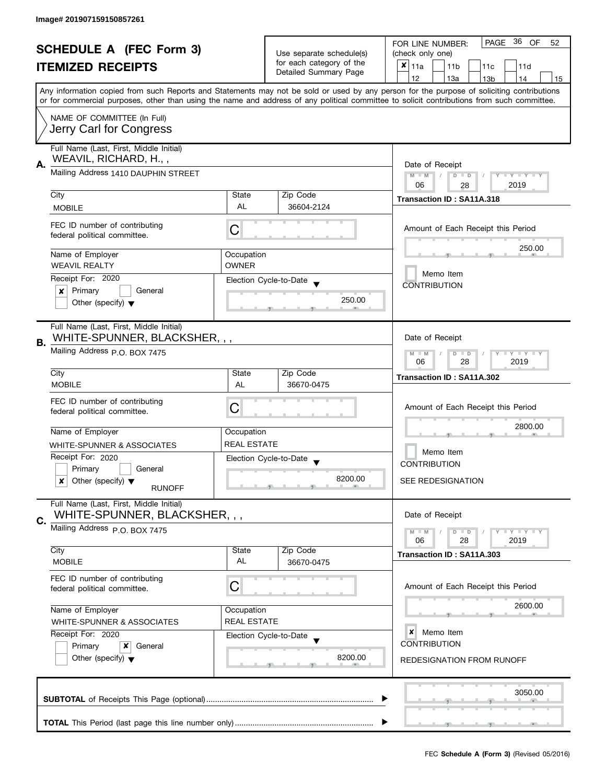| <b>SCHEDULE A (FEC Form 3)</b><br><b>ITEMIZED RECEIPTS</b> |                                                                          | Use separate schedule(s)<br>for each category of the<br>Detailed Summary Page | PAGE 36 OF<br>FOR LINE NUMBER:<br>52<br>(check only one)<br>$\pmb{\times}$<br>11a<br>11 <sub>b</sub><br>11c<br>11d |                                                                                                                                                                                                                                                                                         |  |  |  |  |  |
|------------------------------------------------------------|--------------------------------------------------------------------------|-------------------------------------------------------------------------------|--------------------------------------------------------------------------------------------------------------------|-----------------------------------------------------------------------------------------------------------------------------------------------------------------------------------------------------------------------------------------------------------------------------------------|--|--|--|--|--|
|                                                            |                                                                          |                                                                               |                                                                                                                    | 12<br>13a<br>13 <sub>b</sub><br>14<br>15                                                                                                                                                                                                                                                |  |  |  |  |  |
|                                                            |                                                                          |                                                                               |                                                                                                                    | Any information copied from such Reports and Statements may not be sold or used by any person for the purpose of soliciting contributions<br>or for commercial purposes, other than using the name and address of any political committee to solicit contributions from such committee. |  |  |  |  |  |
|                                                            | NAME OF COMMITTEE (In Full)<br>Jerry Carl for Congress                   |                                                                               |                                                                                                                    |                                                                                                                                                                                                                                                                                         |  |  |  |  |  |
| А.                                                         | Full Name (Last, First, Middle Initial)<br>WEAVIL, RICHARD, H.,,         |                                                                               |                                                                                                                    |                                                                                                                                                                                                                                                                                         |  |  |  |  |  |
|                                                            | Mailing Address 1410 DAUPHIN STREET                                      | Date of Receipt<br>$M - M$<br>Y TY TY TY<br>$D$ $D$                           |                                                                                                                    |                                                                                                                                                                                                                                                                                         |  |  |  |  |  |
|                                                            | City                                                                     | State                                                                         | Zip Code                                                                                                           | 2019<br>06<br>28<br>Transaction ID: SA11A.318                                                                                                                                                                                                                                           |  |  |  |  |  |
|                                                            | <b>MOBILE</b>                                                            | AL                                                                            | 36604-2124                                                                                                         |                                                                                                                                                                                                                                                                                         |  |  |  |  |  |
|                                                            | FEC ID number of contributing<br>federal political committee.            | C                                                                             |                                                                                                                    | Amount of Each Receipt this Period                                                                                                                                                                                                                                                      |  |  |  |  |  |
|                                                            | Name of Employer                                                         | Occupation                                                                    |                                                                                                                    | 250.00                                                                                                                                                                                                                                                                                  |  |  |  |  |  |
|                                                            | <b>WEAVIL REALTY</b>                                                     | <b>OWNER</b>                                                                  |                                                                                                                    | Memo Item                                                                                                                                                                                                                                                                               |  |  |  |  |  |
|                                                            | Receipt For: 2020<br>Primary<br>General<br>x                             |                                                                               | Election Cycle-to-Date                                                                                             | <b>CONTRIBUTION</b>                                                                                                                                                                                                                                                                     |  |  |  |  |  |
|                                                            | Other (specify) $\blacktriangledown$                                     |                                                                               | 250.00                                                                                                             |                                                                                                                                                                                                                                                                                         |  |  |  |  |  |
| В.                                                         | Full Name (Last, First, Middle Initial)<br>WHITE-SPUNNER, BLACKSHER, , , |                                                                               |                                                                                                                    | Date of Receipt                                                                                                                                                                                                                                                                         |  |  |  |  |  |
|                                                            | Mailing Address P.O. BOX 7475                                            | $T - Y = T - Y$<br>$M - M$<br>$D$ $D$<br>28<br>2019<br>06                     |                                                                                                                    |                                                                                                                                                                                                                                                                                         |  |  |  |  |  |
|                                                            | City                                                                     | State                                                                         | Zip Code                                                                                                           | Transaction ID: SA11A.302                                                                                                                                                                                                                                                               |  |  |  |  |  |
|                                                            | <b>MOBILE</b>                                                            | AL                                                                            | 36670-0475                                                                                                         |                                                                                                                                                                                                                                                                                         |  |  |  |  |  |
|                                                            | FEC ID number of contributing<br>federal political committee.            | С                                                                             |                                                                                                                    | Amount of Each Receipt this Period<br>2800.00<br>Memo Item<br><b>CONTRIBUTION</b>                                                                                                                                                                                                       |  |  |  |  |  |
|                                                            | Name of Employer                                                         | Occupation                                                                    |                                                                                                                    |                                                                                                                                                                                                                                                                                         |  |  |  |  |  |
|                                                            | WHITE-SPUNNER & ASSOCIATES                                               | <b>REAL ESTATE</b>                                                            |                                                                                                                    |                                                                                                                                                                                                                                                                                         |  |  |  |  |  |
|                                                            | Receipt For: 2020<br>Primary<br>General                                  |                                                                               | Election Cycle-to-Date<br>$\overline{\phantom{a}}$                                                                 |                                                                                                                                                                                                                                                                                         |  |  |  |  |  |
|                                                            | Other (specify) $\blacktriangledown$<br>x<br><b>RUNOFF</b>               |                                                                               | 8200.00                                                                                                            | <b>SEE REDESIGNATION</b>                                                                                                                                                                                                                                                                |  |  |  |  |  |
|                                                            | Full Name (Last, First, Middle Initial)<br>WHITE-SPUNNER, BLACKSHER, , , |                                                                               |                                                                                                                    | Date of Receipt                                                                                                                                                                                                                                                                         |  |  |  |  |  |
| C.                                                         | Mailing Address P.O. BOX 7475                                            |                                                                               |                                                                                                                    | $T - Y = T - Y$<br>$M - M$<br>$D$ $D$                                                                                                                                                                                                                                                   |  |  |  |  |  |
|                                                            | City                                                                     | State                                                                         | Zip Code                                                                                                           | 2019<br>06<br>28                                                                                                                                                                                                                                                                        |  |  |  |  |  |
|                                                            | <b>MOBILE</b>                                                            | AL                                                                            | 36670-0475                                                                                                         | Transaction ID: SA11A.303                                                                                                                                                                                                                                                               |  |  |  |  |  |
|                                                            | FEC ID number of contributing<br>federal political committee.            | C                                                                             |                                                                                                                    | Amount of Each Receipt this Period                                                                                                                                                                                                                                                      |  |  |  |  |  |
|                                                            | Name of Employer<br>WHITE-SPUNNER & ASSOCIATES                           | Occupation<br><b>REAL ESTATE</b>                                              |                                                                                                                    | 2600.00                                                                                                                                                                                                                                                                                 |  |  |  |  |  |
|                                                            | Receipt For: 2020                                                        |                                                                               | Election Cycle-to-Date                                                                                             | ×<br>Memo Item                                                                                                                                                                                                                                                                          |  |  |  |  |  |
|                                                            | Primary<br>x<br>General<br>Other (specify) $\blacktriangledown$          |                                                                               | 8200.00                                                                                                            | <b>CONTRIBUTION</b><br>REDESIGNATION FROM RUNOFF                                                                                                                                                                                                                                        |  |  |  |  |  |
|                                                            |                                                                          |                                                                               |                                                                                                                    | 3050.00                                                                                                                                                                                                                                                                                 |  |  |  |  |  |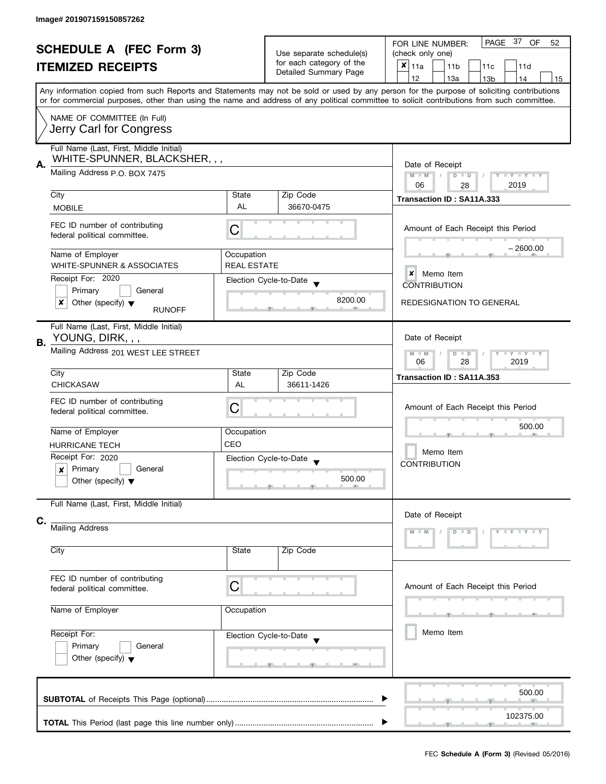| <b>SCHEDULE A (FEC Form 3)</b> |                                                               |                    |                                                   | PAGE 37 OF<br>52<br>FOR LINE NUMBER:                                                                                                                                                                                                                                                    |  |  |  |  |  |  |
|--------------------------------|---------------------------------------------------------------|--------------------|---------------------------------------------------|-----------------------------------------------------------------------------------------------------------------------------------------------------------------------------------------------------------------------------------------------------------------------------------------|--|--|--|--|--|--|
| <b>ITEMIZED RECEIPTS</b>       |                                                               |                    | Use separate schedule(s)                          | (check only one)                                                                                                                                                                                                                                                                        |  |  |  |  |  |  |
|                                |                                                               |                    | for each category of the<br>Detailed Summary Page | X<br>11a<br>11 <sub>b</sub><br>11c<br>11d                                                                                                                                                                                                                                               |  |  |  |  |  |  |
|                                |                                                               |                    |                                                   | 12<br>13a<br>13 <sub>b</sub><br>14<br>15                                                                                                                                                                                                                                                |  |  |  |  |  |  |
|                                |                                                               |                    |                                                   | Any information copied from such Reports and Statements may not be sold or used by any person for the purpose of soliciting contributions<br>or for commercial purposes, other than using the name and address of any political committee to solicit contributions from such committee. |  |  |  |  |  |  |
|                                | NAME OF COMMITTEE (In Full)                                   |                    |                                                   |                                                                                                                                                                                                                                                                                         |  |  |  |  |  |  |
|                                | Jerry Carl for Congress                                       |                    |                                                   |                                                                                                                                                                                                                                                                                         |  |  |  |  |  |  |
|                                | Full Name (Last, First, Middle Initial)                       |                    |                                                   |                                                                                                                                                                                                                                                                                         |  |  |  |  |  |  |
| А.                             | WHITE-SPUNNER, BLACKSHER, , ,                                 |                    |                                                   | Date of Receipt                                                                                                                                                                                                                                                                         |  |  |  |  |  |  |
|                                | Mailing Address P.O. BOX 7475                                 |                    |                                                   | $M - M$<br>$Y + Y + Y$<br>$D$ $D$                                                                                                                                                                                                                                                       |  |  |  |  |  |  |
|                                |                                                               |                    |                                                   | 2019<br>06<br>28                                                                                                                                                                                                                                                                        |  |  |  |  |  |  |
|                                | City                                                          | State              | Zip Code                                          | Transaction ID: SA11A.333                                                                                                                                                                                                                                                               |  |  |  |  |  |  |
|                                | <b>MOBILE</b>                                                 | AL                 | 36670-0475                                        |                                                                                                                                                                                                                                                                                         |  |  |  |  |  |  |
|                                | FEC ID number of contributing<br>federal political committee. | C                  |                                                   | Amount of Each Receipt this Period                                                                                                                                                                                                                                                      |  |  |  |  |  |  |
|                                |                                                               |                    |                                                   |                                                                                                                                                                                                                                                                                         |  |  |  |  |  |  |
|                                | Name of Employer                                              | Occupation         |                                                   | – 2600.00                                                                                                                                                                                                                                                                               |  |  |  |  |  |  |
|                                | WHITE-SPUNNER & ASSOCIATES                                    | <b>REAL ESTATE</b> |                                                   |                                                                                                                                                                                                                                                                                         |  |  |  |  |  |  |
|                                | Receipt For: 2020                                             |                    | Election Cycle-to-Date                            | $\boldsymbol{x}$<br>Memo Item                                                                                                                                                                                                                                                           |  |  |  |  |  |  |
|                                | Primary<br>General                                            |                    |                                                   | <b>CONTRIBUTION</b>                                                                                                                                                                                                                                                                     |  |  |  |  |  |  |
|                                | x<br>Other (specify) $\blacktriangledown$                     |                    | 8200.00                                           | <b>REDESIGNATION TO GENERAL</b>                                                                                                                                                                                                                                                         |  |  |  |  |  |  |
|                                | <b>RUNOFF</b>                                                 |                    |                                                   |                                                                                                                                                                                                                                                                                         |  |  |  |  |  |  |
|                                | Full Name (Last, First, Middle Initial)                       |                    |                                                   |                                                                                                                                                                                                                                                                                         |  |  |  |  |  |  |
| <b>B.</b>                      | YOUNG, DIRK, , ,                                              |                    |                                                   | Date of Receipt                                                                                                                                                                                                                                                                         |  |  |  |  |  |  |
|                                | Mailing Address 201 WEST LEE STREET                           |                    |                                                   | $\bot$ $\gamma$ $\bot$ $\gamma$ $\bot$ $\gamma$<br>$M - M$<br>$D$ $D$                                                                                                                                                                                                                   |  |  |  |  |  |  |
|                                |                                                               | 2019<br>06<br>28   |                                                   |                                                                                                                                                                                                                                                                                         |  |  |  |  |  |  |
|                                | City                                                          | State              | Zip Code                                          | Transaction ID: SA11A.353                                                                                                                                                                                                                                                               |  |  |  |  |  |  |
|                                | <b>CHICKASAW</b>                                              | AL                 | 36611-1426                                        |                                                                                                                                                                                                                                                                                         |  |  |  |  |  |  |
|                                | FEC ID number of contributing                                 |                    |                                                   |                                                                                                                                                                                                                                                                                         |  |  |  |  |  |  |
|                                | federal political committee.                                  | C                  |                                                   | Amount of Each Receipt this Period                                                                                                                                                                                                                                                      |  |  |  |  |  |  |
|                                |                                                               |                    |                                                   |                                                                                                                                                                                                                                                                                         |  |  |  |  |  |  |
|                                | Name of Employer                                              | Occupation         |                                                   | 500.00<br>Memo Item                                                                                                                                                                                                                                                                     |  |  |  |  |  |  |
|                                | <b>HURRICANE TECH</b>                                         | CEO                |                                                   |                                                                                                                                                                                                                                                                                         |  |  |  |  |  |  |
|                                | Receipt For: 2020                                             |                    | Election Cycle-to-Date                            |                                                                                                                                                                                                                                                                                         |  |  |  |  |  |  |
|                                | $x$ Primary<br>General                                        |                    |                                                   | <b>CONTRIBUTION</b>                                                                                                                                                                                                                                                                     |  |  |  |  |  |  |
|                                | Other (specify) $\blacktriangledown$                          |                    | 500.00                                            |                                                                                                                                                                                                                                                                                         |  |  |  |  |  |  |
|                                |                                                               |                    |                                                   |                                                                                                                                                                                                                                                                                         |  |  |  |  |  |  |
|                                | Full Name (Last, First, Middle Initial)                       |                    |                                                   |                                                                                                                                                                                                                                                                                         |  |  |  |  |  |  |
| C.                             |                                                               |                    |                                                   | Date of Receipt                                                                                                                                                                                                                                                                         |  |  |  |  |  |  |
|                                | Mailing Address                                               |                    |                                                   | $Y - Y - Y - Y$<br>D<br>$\Box$                                                                                                                                                                                                                                                          |  |  |  |  |  |  |
|                                |                                                               |                    |                                                   |                                                                                                                                                                                                                                                                                         |  |  |  |  |  |  |
|                                | City                                                          | State              | Zip Code                                          |                                                                                                                                                                                                                                                                                         |  |  |  |  |  |  |
|                                |                                                               |                    |                                                   |                                                                                                                                                                                                                                                                                         |  |  |  |  |  |  |
|                                | FEC ID number of contributing                                 |                    |                                                   |                                                                                                                                                                                                                                                                                         |  |  |  |  |  |  |
|                                | C<br>federal political committee.                             |                    |                                                   | Amount of Each Receipt this Period                                                                                                                                                                                                                                                      |  |  |  |  |  |  |
| Name of Employer               |                                                               |                    |                                                   |                                                                                                                                                                                                                                                                                         |  |  |  |  |  |  |
|                                |                                                               | Occupation         |                                                   |                                                                                                                                                                                                                                                                                         |  |  |  |  |  |  |
|                                | Receipt For:                                                  |                    |                                                   |                                                                                                                                                                                                                                                                                         |  |  |  |  |  |  |
|                                |                                                               |                    | Election Cycle-to-Date                            | Memo Item                                                                                                                                                                                                                                                                               |  |  |  |  |  |  |
|                                | Primary<br>General                                            |                    |                                                   |                                                                                                                                                                                                                                                                                         |  |  |  |  |  |  |
|                                | Other (specify) $\blacktriangledown$                          |                    |                                                   |                                                                                                                                                                                                                                                                                         |  |  |  |  |  |  |
|                                |                                                               |                    |                                                   |                                                                                                                                                                                                                                                                                         |  |  |  |  |  |  |
|                                |                                                               |                    |                                                   |                                                                                                                                                                                                                                                                                         |  |  |  |  |  |  |
|                                |                                                               |                    |                                                   | 500.00                                                                                                                                                                                                                                                                                  |  |  |  |  |  |  |
|                                |                                                               |                    |                                                   |                                                                                                                                                                                                                                                                                         |  |  |  |  |  |  |
|                                |                                                               |                    |                                                   | 102375.00                                                                                                                                                                                                                                                                               |  |  |  |  |  |  |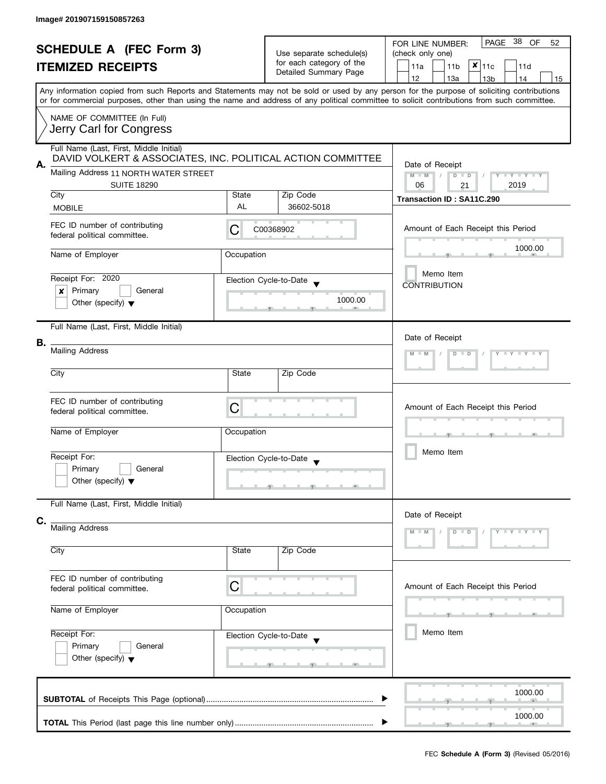| <b>SCHEDULE A (FEC Form 3)</b><br><b>ITEMIZED RECEIPTS</b><br>Any information copied from such Reports and Statements may not be sold or used by any person for the purpose of soliciting contributions |                                                                                                                                                 | Use separate schedule(s)<br>for each category of the<br>Detailed Summary Page | PAGE 38<br>OF<br>52<br>FOR LINE NUMBER:<br>(check only one)<br>$x _{11c}$<br>11a<br>11 <sub>b</sub><br>11d<br>12<br>13a<br>13 <sub>b</sub><br>14<br>15 |                                                                                                                                            |  |  |  |
|---------------------------------------------------------------------------------------------------------------------------------------------------------------------------------------------------------|-------------------------------------------------------------------------------------------------------------------------------------------------|-------------------------------------------------------------------------------|--------------------------------------------------------------------------------------------------------------------------------------------------------|--------------------------------------------------------------------------------------------------------------------------------------------|--|--|--|
|                                                                                                                                                                                                         | NAME OF COMMITTEE (In Full)<br>Jerry Carl for Congress                                                                                          |                                                                               |                                                                                                                                                        | or for commercial purposes, other than using the name and address of any political committee to solicit contributions from such committee. |  |  |  |
| А.                                                                                                                                                                                                      | Full Name (Last, First, Middle Initial)<br>DAVID VOLKERT & ASSOCIATES, INC. POLITICAL ACTION COMMITTEE<br>Mailing Address 11 NORTH WATER STREET |                                                                               |                                                                                                                                                        | Date of Receipt<br>$M - M$<br>$\sqrt{ }$<br>$D$ $D$<br>$Y - Y - Y - Y - Y$                                                                 |  |  |  |
|                                                                                                                                                                                                         | <b>SUITE 18290</b><br>City<br><b>MOBILE</b>                                                                                                     | State<br>AL                                                                   | Zip Code<br>36602-5018                                                                                                                                 | 06<br>2019<br>21<br>Transaction ID: SA11C.290                                                                                              |  |  |  |
|                                                                                                                                                                                                         | FEC ID number of contributing<br>federal political committee.                                                                                   | C                                                                             | C00368902                                                                                                                                              | Amount of Each Receipt this Period                                                                                                         |  |  |  |
|                                                                                                                                                                                                         | Name of Employer                                                                                                                                | Occupation                                                                    |                                                                                                                                                        | 1000.00<br>Memo Item                                                                                                                       |  |  |  |
|                                                                                                                                                                                                         | Receipt For: 2020<br>Primary<br>General<br>X<br>Other (specify) $\blacktriangledown$                                                            |                                                                               | Election Cycle-to-Date<br>1000.00                                                                                                                      | <b>CONTRIBUTION</b>                                                                                                                        |  |  |  |
| В.                                                                                                                                                                                                      | Full Name (Last, First, Middle Initial)<br><b>Mailing Address</b>                                                                               |                                                                               |                                                                                                                                                        | Date of Receipt<br>$Y - Y - Y - Y$<br>$D$ $D$<br>$M - M$                                                                                   |  |  |  |
|                                                                                                                                                                                                         | City                                                                                                                                            | State                                                                         | Zip Code                                                                                                                                               |                                                                                                                                            |  |  |  |
|                                                                                                                                                                                                         | FEC ID number of contributing<br>federal political committee.                                                                                   | C                                                                             |                                                                                                                                                        | Amount of Each Receipt this Period                                                                                                         |  |  |  |
|                                                                                                                                                                                                         | Name of Employer<br>Receipt For:<br>Primary<br>General<br>Other (specify) $\blacktriangledown$                                                  | Occupation                                                                    | Election Cycle-to-Date<br><b>The Contract Contract Contract</b><br><b>The Contract Contract Contract</b>                                               | Memo Item                                                                                                                                  |  |  |  |
| C.                                                                                                                                                                                                      | Full Name (Last, First, Middle Initial)                                                                                                         |                                                                               |                                                                                                                                                        | Date of Receipt                                                                                                                            |  |  |  |
|                                                                                                                                                                                                         | Mailing Address<br>City                                                                                                                         | State                                                                         | Zip Code                                                                                                                                               |                                                                                                                                            |  |  |  |
|                                                                                                                                                                                                         | FEC ID number of contributing<br>C<br>federal political committee.                                                                              |                                                                               |                                                                                                                                                        | Amount of Each Receipt this Period                                                                                                         |  |  |  |
| Name of Employer<br>Occupation                                                                                                                                                                          |                                                                                                                                                 |                                                                               |                                                                                                                                                        |                                                                                                                                            |  |  |  |
|                                                                                                                                                                                                         | Receipt For:<br>Primary<br>General<br>Other (specify) $\blacktriangledown$                                                                      |                                                                               | Election Cycle-to-Date                                                                                                                                 | Memo Item                                                                                                                                  |  |  |  |
|                                                                                                                                                                                                         |                                                                                                                                                 |                                                                               |                                                                                                                                                        | 1000.00                                                                                                                                    |  |  |  |
|                                                                                                                                                                                                         |                                                                                                                                                 |                                                                               |                                                                                                                                                        | 1000.00                                                                                                                                    |  |  |  |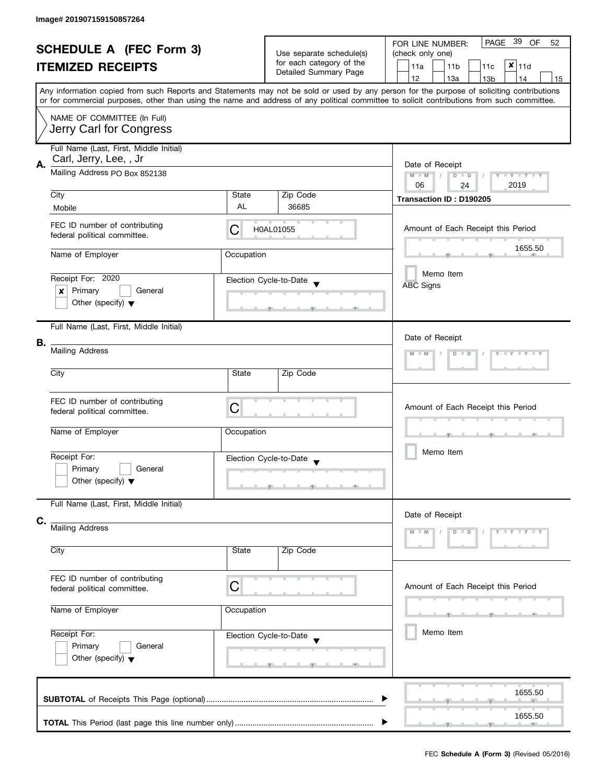| <b>SCHEDULE A (FEC Form 3)</b> |                                                               |            | PAGE 39 OF<br>FOR LINE NUMBER:<br>52              |                                                                                                                                                                                                                                                                                         |  |  |  |  |  |  |  |
|--------------------------------|---------------------------------------------------------------|------------|---------------------------------------------------|-----------------------------------------------------------------------------------------------------------------------------------------------------------------------------------------------------------------------------------------------------------------------------------------|--|--|--|--|--|--|--|
| <b>ITEMIZED RECEIPTS</b>       |                                                               |            | Use separate schedule(s)                          | (check only one)                                                                                                                                                                                                                                                                        |  |  |  |  |  |  |  |
|                                |                                                               |            | for each category of the                          | $x _{11d}$<br>11a<br>11 <sub>b</sub><br>11c                                                                                                                                                                                                                                             |  |  |  |  |  |  |  |
|                                |                                                               |            | Detailed Summary Page                             | 12<br>13a<br>13 <sub>b</sub><br>14<br>15                                                                                                                                                                                                                                                |  |  |  |  |  |  |  |
|                                |                                                               |            |                                                   | Any information copied from such Reports and Statements may not be sold or used by any person for the purpose of soliciting contributions<br>or for commercial purposes, other than using the name and address of any political committee to solicit contributions from such committee. |  |  |  |  |  |  |  |
|                                | NAME OF COMMITTEE (In Full)                                   |            |                                                   |                                                                                                                                                                                                                                                                                         |  |  |  |  |  |  |  |
|                                | Jerry Carl for Congress                                       |            |                                                   |                                                                                                                                                                                                                                                                                         |  |  |  |  |  |  |  |
|                                | Full Name (Last, First, Middle Initial)                       |            |                                                   |                                                                                                                                                                                                                                                                                         |  |  |  |  |  |  |  |
| А.                             | Carl, Jerry, Lee, , Jr                                        |            |                                                   | Date of Receipt                                                                                                                                                                                                                                                                         |  |  |  |  |  |  |  |
|                                | Mailing Address PO Box 852138                                 |            | Y FY FY FY<br>$M - M$<br>$D$ $D$<br>06            |                                                                                                                                                                                                                                                                                         |  |  |  |  |  |  |  |
|                                | City                                                          | State      | Zip Code                                          | 2019<br>24                                                                                                                                                                                                                                                                              |  |  |  |  |  |  |  |
|                                | Mobile                                                        | AL         | 36685                                             | Transaction ID: D190205                                                                                                                                                                                                                                                                 |  |  |  |  |  |  |  |
|                                | FEC ID number of contributing<br>federal political committee. | С          | H0AL01055                                         | Amount of Each Receipt this Period                                                                                                                                                                                                                                                      |  |  |  |  |  |  |  |
|                                | Name of Employer                                              | Occupation |                                                   | 1655.50                                                                                                                                                                                                                                                                                 |  |  |  |  |  |  |  |
|                                |                                                               |            |                                                   |                                                                                                                                                                                                                                                                                         |  |  |  |  |  |  |  |
|                                | Receipt For: 2020                                             |            | Election Cycle-to-Date                            | Memo Item                                                                                                                                                                                                                                                                               |  |  |  |  |  |  |  |
|                                | Primary<br>General<br>×                                       |            |                                                   | <b>ABC Signs</b>                                                                                                                                                                                                                                                                        |  |  |  |  |  |  |  |
|                                | Other (specify) $\blacktriangledown$                          |            | -90                                               |                                                                                                                                                                                                                                                                                         |  |  |  |  |  |  |  |
|                                | Full Name (Last, First, Middle Initial)                       |            |                                                   |                                                                                                                                                                                                                                                                                         |  |  |  |  |  |  |  |
|                                |                                                               |            |                                                   | Date of Receipt                                                                                                                                                                                                                                                                         |  |  |  |  |  |  |  |
| В.                             | <b>Mailing Address</b>                                        |            |                                                   | $Y - Y - Y - Y - Y$<br>$D$ $D$                                                                                                                                                                                                                                                          |  |  |  |  |  |  |  |
|                                |                                                               |            |                                                   |                                                                                                                                                                                                                                                                                         |  |  |  |  |  |  |  |
|                                | City                                                          | State      | Zip Code                                          |                                                                                                                                                                                                                                                                                         |  |  |  |  |  |  |  |
|                                | FEC ID number of contributing                                 |            |                                                   |                                                                                                                                                                                                                                                                                         |  |  |  |  |  |  |  |
|                                | federal political committee.                                  | С          |                                                   | Amount of Each Receipt this Period                                                                                                                                                                                                                                                      |  |  |  |  |  |  |  |
|                                | Name of Employer                                              | Occupation |                                                   |                                                                                                                                                                                                                                                                                         |  |  |  |  |  |  |  |
|                                |                                                               |            |                                                   | ___                                                                                                                                                                                                                                                                                     |  |  |  |  |  |  |  |
|                                | Receipt For:                                                  |            | Election Cycle-to-Date<br>$\overline{\mathbf{v}}$ | Memo Item                                                                                                                                                                                                                                                                               |  |  |  |  |  |  |  |
|                                | Primary<br>General                                            |            |                                                   |                                                                                                                                                                                                                                                                                         |  |  |  |  |  |  |  |
|                                | Other (specify) $\blacktriangledown$                          |            |                                                   |                                                                                                                                                                                                                                                                                         |  |  |  |  |  |  |  |
|                                | Full Name (Last, First, Middle Initial)                       |            |                                                   |                                                                                                                                                                                                                                                                                         |  |  |  |  |  |  |  |
|                                |                                                               |            |                                                   | Date of Receipt                                                                                                                                                                                                                                                                         |  |  |  |  |  |  |  |
| C.                             | <b>Mailing Address</b>                                        |            |                                                   | Y T Y T Y T Y<br>$M - M$<br>D                                                                                                                                                                                                                                                           |  |  |  |  |  |  |  |
|                                |                                                               |            |                                                   |                                                                                                                                                                                                                                                                                         |  |  |  |  |  |  |  |
|                                | City                                                          | State      | Zip Code                                          |                                                                                                                                                                                                                                                                                         |  |  |  |  |  |  |  |
|                                | FEC ID number of contributing                                 | C          |                                                   | Amount of Each Receipt this Period                                                                                                                                                                                                                                                      |  |  |  |  |  |  |  |
|                                | federal political committee.                                  |            |                                                   |                                                                                                                                                                                                                                                                                         |  |  |  |  |  |  |  |
|                                | Name of Employer                                              | Occupation |                                                   |                                                                                                                                                                                                                                                                                         |  |  |  |  |  |  |  |
|                                | Receipt For:                                                  |            | Election Cycle-to-Date                            | Memo Item                                                                                                                                                                                                                                                                               |  |  |  |  |  |  |  |
|                                | Primary<br>General                                            |            |                                                   |                                                                                                                                                                                                                                                                                         |  |  |  |  |  |  |  |
|                                | Other (specify) $\blacktriangledown$                          |            |                                                   |                                                                                                                                                                                                                                                                                         |  |  |  |  |  |  |  |
|                                |                                                               |            |                                                   |                                                                                                                                                                                                                                                                                         |  |  |  |  |  |  |  |
|                                |                                                               |            |                                                   | 1655.50                                                                                                                                                                                                                                                                                 |  |  |  |  |  |  |  |
|                                |                                                               |            |                                                   |                                                                                                                                                                                                                                                                                         |  |  |  |  |  |  |  |
|                                |                                                               |            |                                                   | 1655.50                                                                                                                                                                                                                                                                                 |  |  |  |  |  |  |  |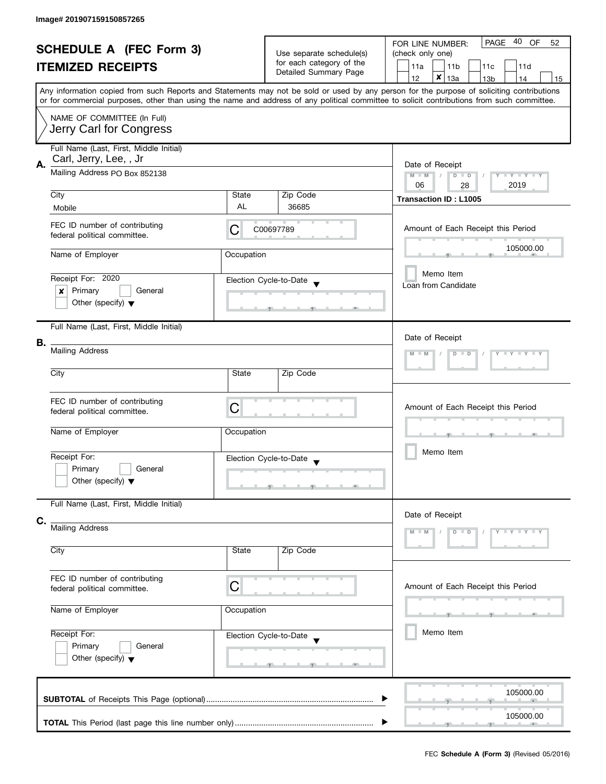| <b>SCHEDULE A (FEC Form 3)</b><br><b>ITEMIZED RECEIPTS</b> |                                                                                                                                                                                                                                                                                         |                        | Use separate schedule(s)<br>for each category of the |                                    | PAGE 40 OF<br>FOR LINE NUMBER:<br>52<br>(check only one)<br>11a<br>11 <sub>b</sub><br>11c<br>11d |                                                   |                                  |  |                 |      |                 |    |
|------------------------------------------------------------|-----------------------------------------------------------------------------------------------------------------------------------------------------------------------------------------------------------------------------------------------------------------------------------------|------------------------|------------------------------------------------------|------------------------------------|--------------------------------------------------------------------------------------------------|---------------------------------------------------|----------------------------------|--|-----------------|------|-----------------|----|
|                                                            |                                                                                                                                                                                                                                                                                         |                        | Detailed Summary Page                                |                                    | 12                                                                                               | $\pmb{\times}$                                    | 13a                              |  | 13 <sub>b</sub> |      | 14              | 15 |
|                                                            | Any information copied from such Reports and Statements may not be sold or used by any person for the purpose of soliciting contributions<br>or for commercial purposes, other than using the name and address of any political committee to solicit contributions from such committee. |                        |                                                      |                                    |                                                                                                  |                                                   |                                  |  |                 |      |                 |    |
|                                                            | NAME OF COMMITTEE (In Full)<br>Jerry Carl for Congress                                                                                                                                                                                                                                  |                        |                                                      |                                    |                                                                                                  |                                                   |                                  |  |                 |      |                 |    |
| А.                                                         | Full Name (Last, First, Middle Initial)<br>Carl, Jerry, Lee, , Jr                                                                                                                                                                                                                       |                        |                                                      |                                    |                                                                                                  |                                                   |                                  |  |                 |      |                 |    |
|                                                            | Mailing Address PO Box 852138                                                                                                                                                                                                                                                           |                        |                                                      |                                    |                                                                                                  |                                                   | Date of Receipt<br>$D$ $D$<br>28 |  |                 | 2019 | Y I Y I Y I Y   |    |
|                                                            | City<br>Mobile                                                                                                                                                                                                                                                                          | State<br>AL            | Zip Code<br>36685                                    |                                    | <b>Transaction ID: L1005</b>                                                                     |                                                   |                                  |  |                 |      |                 |    |
|                                                            | FEC ID number of contributing<br>federal political committee.                                                                                                                                                                                                                           | C                      | C00697789                                            |                                    | Amount of Each Receipt this Period                                                               |                                                   |                                  |  |                 |      |                 |    |
|                                                            | Name of Employer                                                                                                                                                                                                                                                                        | Occupation             |                                                      |                                    |                                                                                                  |                                                   |                                  |  |                 |      | 105000.00       |    |
|                                                            | Receipt For: 2020<br>Primary<br>General<br>x<br>Other (specify) $\blacktriangledown$                                                                                                                                                                                                    | Election Cycle-to-Date |                                                      | Loan from Candidate                |                                                                                                  | Memo Item                                         |                                  |  |                 |      |                 |    |
|                                                            | Full Name (Last, First, Middle Initial)                                                                                                                                                                                                                                                 |                        |                                                      |                                    |                                                                                                  |                                                   |                                  |  |                 |      |                 |    |
| В.                                                         | <b>Mailing Address</b>                                                                                                                                                                                                                                                                  |                        |                                                      |                                    |                                                                                                  | Date of Receipt<br>$Y - Y - Y - Y - Y$<br>$D$ $D$ |                                  |  |                 |      |                 |    |
|                                                            | City                                                                                                                                                                                                                                                                                    | State                  | Zip Code                                             |                                    |                                                                                                  |                                                   |                                  |  |                 |      |                 |    |
|                                                            | FEC ID number of contributing<br>federal political committee.                                                                                                                                                                                                                           | С                      |                                                      | Amount of Each Receipt this Period |                                                                                                  |                                                   |                                  |  |                 |      |                 |    |
|                                                            | Name of Employer                                                                                                                                                                                                                                                                        | Occupation             |                                                      |                                    | <b>ALC: NO</b>                                                                                   |                                                   |                                  |  |                 |      |                 |    |
|                                                            | Receipt For:<br>Primary<br>General<br>Other (specify) $\blacktriangledown$                                                                                                                                                                                                              | Election Cycle-to-Date |                                                      |                                    |                                                                                                  | Memo Item                                         |                                  |  |                 |      |                 |    |
|                                                            | Full Name (Last, First, Middle Initial)                                                                                                                                                                                                                                                 |                        |                                                      |                                    |                                                                                                  |                                                   |                                  |  |                 |      |                 |    |
| C.                                                         | <b>Mailing Address</b>                                                                                                                                                                                                                                                                  |                        |                                                      |                                    | Date of Receipt                                                                                  |                                                   | $D$ $D$                          |  |                 |      | $Y - Y - Y - Y$ |    |
|                                                            | City                                                                                                                                                                                                                                                                                    | State                  |                                                      |                                    |                                                                                                  |                                                   |                                  |  |                 |      |                 |    |
|                                                            | FEC ID number of contributing<br>federal political committee.                                                                                                                                                                                                                           | C                      |                                                      | Amount of Each Receipt this Period |                                                                                                  |                                                   |                                  |  |                 |      |                 |    |
|                                                            | Name of Employer                                                                                                                                                                                                                                                                        | Occupation             |                                                      |                                    |                                                                                                  |                                                   |                                  |  |                 |      |                 |    |
|                                                            | Receipt For:<br>Primary<br>General<br>Other (specify) $\blacktriangledown$                                                                                                                                                                                                              | Election Cycle-to-Date |                                                      |                                    |                                                                                                  | Memo Item                                         |                                  |  |                 |      |                 |    |
|                                                            |                                                                                                                                                                                                                                                                                         |                        |                                                      |                                    |                                                                                                  |                                                   |                                  |  |                 |      | 105000.00       |    |
|                                                            |                                                                                                                                                                                                                                                                                         |                        |                                                      |                                    |                                                                                                  |                                                   |                                  |  |                 |      | 105000.00       |    |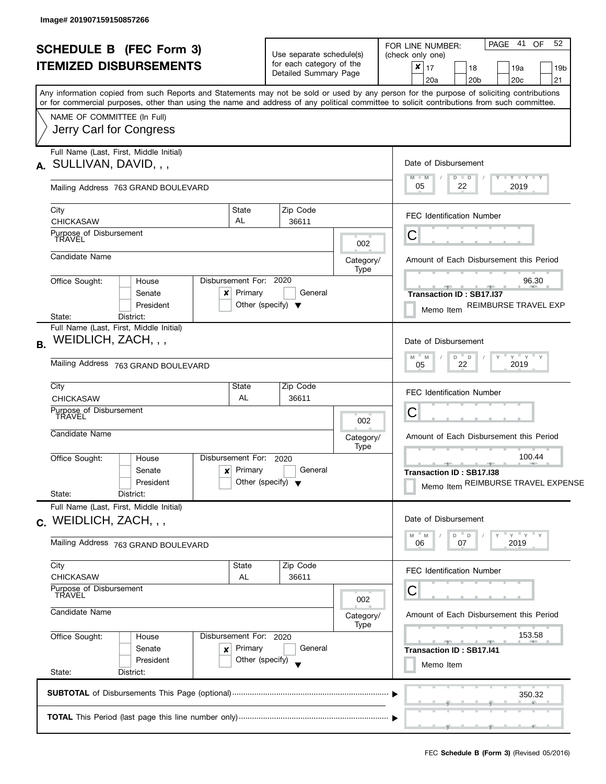| Any information copied from such Reports and Statements may not be sold or used by any person for the purpose of soliciting contributions<br>or for commercial purposes, other than using the name and address of any political committee to solicit contributions from such committee.<br>NAME OF COMMITTEE (In Full)<br>Jerry Carl for Congress<br>Full Name (Last, First, Middle Initial)<br>Date of Disbursement<br>$A.$ SULLIVAN, DAVID, , ,<br>$M - M$<br>$D$ $D$<br>05<br>22<br>Mailing Address 763 GRAND BOULEVARD<br>Zip Code<br>City<br>State<br><b>FEC Identification Number</b><br>AL<br><b>CHICKASAW</b><br>36611<br>Purpose of Disbursement<br>TRAVEL<br>C<br>002<br>Candidate Name<br>Amount of Each Disbursement this Period<br>Category/<br>Type<br>Disbursement For: 2020<br>Office Sought:<br>House<br>Primary<br>General<br>Senate<br>$\boldsymbol{\mathsf{x}}$<br><b>Transaction ID: SB17.I37</b><br>Other (specify) $\blacktriangledown$<br>President<br>Memo Item<br>State:<br>District:<br>Full Name (Last, First, Middle Initial)<br>WEIDLICH, ZACH, , ,<br>Date of Disbursement<br><b>B.</b><br>$\overline{\phantom{a}}$ D<br>Y<br>M<br>M<br>D<br>Mailing Address 763 GRAND BOULEVARD<br>22<br>05<br>City<br>Zip Code<br>State<br>FEC Identification Number<br>AL<br><b>CHICKASAW</b><br>36611<br>Purpose of Disbursement<br>С<br>TRAVEL<br>002<br>Candidate Name<br>Amount of Each Disbursement this Period<br>Category/ | 52<br>PAGE 41 OF<br>19a<br>19b<br>21<br>20 <sub>c</sub> |
|-----------------------------------------------------------------------------------------------------------------------------------------------------------------------------------------------------------------------------------------------------------------------------------------------------------------------------------------------------------------------------------------------------------------------------------------------------------------------------------------------------------------------------------------------------------------------------------------------------------------------------------------------------------------------------------------------------------------------------------------------------------------------------------------------------------------------------------------------------------------------------------------------------------------------------------------------------------------------------------------------------------------------------------------------------------------------------------------------------------------------------------------------------------------------------------------------------------------------------------------------------------------------------------------------------------------------------------------------------------------------------------------------------------------------------------------------------|---------------------------------------------------------|
|                                                                                                                                                                                                                                                                                                                                                                                                                                                                                                                                                                                                                                                                                                                                                                                                                                                                                                                                                                                                                                                                                                                                                                                                                                                                                                                                                                                                                                                     |                                                         |
|                                                                                                                                                                                                                                                                                                                                                                                                                                                                                                                                                                                                                                                                                                                                                                                                                                                                                                                                                                                                                                                                                                                                                                                                                                                                                                                                                                                                                                                     | $Y - Y - Y - Y + Y$<br>2019                             |
|                                                                                                                                                                                                                                                                                                                                                                                                                                                                                                                                                                                                                                                                                                                                                                                                                                                                                                                                                                                                                                                                                                                                                                                                                                                                                                                                                                                                                                                     |                                                         |
|                                                                                                                                                                                                                                                                                                                                                                                                                                                                                                                                                                                                                                                                                                                                                                                                                                                                                                                                                                                                                                                                                                                                                                                                                                                                                                                                                                                                                                                     |                                                         |
|                                                                                                                                                                                                                                                                                                                                                                                                                                                                                                                                                                                                                                                                                                                                                                                                                                                                                                                                                                                                                                                                                                                                                                                                                                                                                                                                                                                                                                                     |                                                         |
|                                                                                                                                                                                                                                                                                                                                                                                                                                                                                                                                                                                                                                                                                                                                                                                                                                                                                                                                                                                                                                                                                                                                                                                                                                                                                                                                                                                                                                                     | 96.30<br>REIMBURSE TRAVEL EXP                           |
|                                                                                                                                                                                                                                                                                                                                                                                                                                                                                                                                                                                                                                                                                                                                                                                                                                                                                                                                                                                                                                                                                                                                                                                                                                                                                                                                                                                                                                                     | $Y'$ $Y'$ $Y$                                           |
|                                                                                                                                                                                                                                                                                                                                                                                                                                                                                                                                                                                                                                                                                                                                                                                                                                                                                                                                                                                                                                                                                                                                                                                                                                                                                                                                                                                                                                                     | 2019                                                    |
|                                                                                                                                                                                                                                                                                                                                                                                                                                                                                                                                                                                                                                                                                                                                                                                                                                                                                                                                                                                                                                                                                                                                                                                                                                                                                                                                                                                                                                                     |                                                         |
| Type                                                                                                                                                                                                                                                                                                                                                                                                                                                                                                                                                                                                                                                                                                                                                                                                                                                                                                                                                                                                                                                                                                                                                                                                                                                                                                                                                                                                                                                |                                                         |
| Disbursement For: 2020<br>Office Sought:<br>House<br><u>_____</u><br>Primary<br>General<br>Senate<br>$\boldsymbol{x}$<br>Transaction ID: SB17.I38<br>Other (specify) $\blacktriangledown$<br>President<br>Memo Item REIMBURSE TRAVEL EXPENSE<br>State:<br>District:                                                                                                                                                                                                                                                                                                                                                                                                                                                                                                                                                                                                                                                                                                                                                                                                                                                                                                                                                                                                                                                                                                                                                                                 | 100.44<br><b>Brita Alberta</b>                          |
| Full Name (Last, First, Middle Initial)<br>Date of Disbursement<br>$C.$ WEIDLICH, ZACH, , ,                                                                                                                                                                                                                                                                                                                                                                                                                                                                                                                                                                                                                                                                                                                                                                                                                                                                                                                                                                                                                                                                                                                                                                                                                                                                                                                                                         |                                                         |
| $^{\circ}$ D<br>D<br>M<br>M<br>Mailing Address 763 GRAND BOULEVARD<br>07<br>06                                                                                                                                                                                                                                                                                                                                                                                                                                                                                                                                                                                                                                                                                                                                                                                                                                                                                                                                                                                                                                                                                                                                                                                                                                                                                                                                                                      | $Y = Y$<br>2019                                         |
| City<br>Zip Code<br>State<br><b>FEC Identification Number</b><br><b>CHICKASAW</b><br>AL<br>36611<br>Purpose of Disbursement                                                                                                                                                                                                                                                                                                                                                                                                                                                                                                                                                                                                                                                                                                                                                                                                                                                                                                                                                                                                                                                                                                                                                                                                                                                                                                                         |                                                         |
| С<br><b>TRAVEL</b><br>002<br>Candidate Name<br>Amount of Each Disbursement this Period<br>Category/                                                                                                                                                                                                                                                                                                                                                                                                                                                                                                                                                                                                                                                                                                                                                                                                                                                                                                                                                                                                                                                                                                                                                                                                                                                                                                                                                 |                                                         |
| Type<br>Office Sought:<br>Disbursement For: 2020<br>House<br>Primary<br>General<br>Senate<br>$\pmb{\times}$<br>Transaction ID: SB17.I41<br>Other (specify)<br>President                                                                                                                                                                                                                                                                                                                                                                                                                                                                                                                                                                                                                                                                                                                                                                                                                                                                                                                                                                                                                                                                                                                                                                                                                                                                             | 153.58                                                  |
| Memo Item<br>State:<br>District:                                                                                                                                                                                                                                                                                                                                                                                                                                                                                                                                                                                                                                                                                                                                                                                                                                                                                                                                                                                                                                                                                                                                                                                                                                                                                                                                                                                                                    |                                                         |
|                                                                                                                                                                                                                                                                                                                                                                                                                                                                                                                                                                                                                                                                                                                                                                                                                                                                                                                                                                                                                                                                                                                                                                                                                                                                                                                                                                                                                                                     | 350.32                                                  |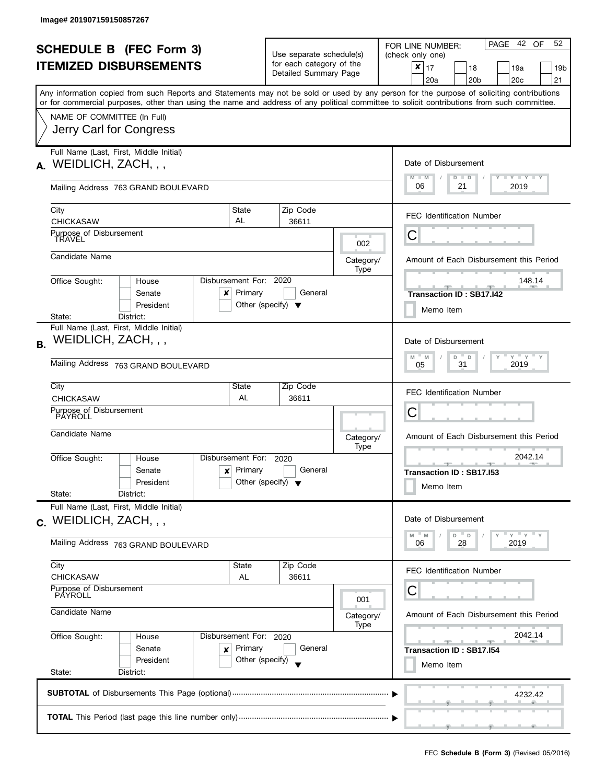| <b>SCHEDULE B (FEC Form 3)</b>                    |                                                                                                                                                                                                                                                                                         |                                   | Use separate schedule(s)<br>for each category of the    |  |                          | PAGE 42 OF<br>52<br>FOR LINE NUMBER:<br>(check only one)                                                                                                                                                                                                                                       |  |  |  |
|---------------------------------------------------|-----------------------------------------------------------------------------------------------------------------------------------------------------------------------------------------------------------------------------------------------------------------------------------------|-----------------------------------|---------------------------------------------------------|--|--------------------------|------------------------------------------------------------------------------------------------------------------------------------------------------------------------------------------------------------------------------------------------------------------------------------------------|--|--|--|
|                                                   | <b>ITEMIZED DISBURSEMENTS</b>                                                                                                                                                                                                                                                           |                                   | Detailed Summary Page                                   |  |                          | $\pmb{\times}$<br>17<br>18<br>19a<br>19b<br>20 <sub>c</sub><br>21<br>20a<br>20 <sub>b</sub>                                                                                                                                                                                                    |  |  |  |
|                                                   | Any information copied from such Reports and Statements may not be sold or used by any person for the purpose of soliciting contributions<br>or for commercial purposes, other than using the name and address of any political committee to solicit contributions from such committee. |                                   |                                                         |  |                          |                                                                                                                                                                                                                                                                                                |  |  |  |
|                                                   | NAME OF COMMITTEE (In Full)                                                                                                                                                                                                                                                             |                                   |                                                         |  |                          |                                                                                                                                                                                                                                                                                                |  |  |  |
|                                                   | Jerry Carl for Congress                                                                                                                                                                                                                                                                 |                                   |                                                         |  |                          |                                                                                                                                                                                                                                                                                                |  |  |  |
| А.                                                | Full Name (Last, First, Middle Initial)<br>WEIDLICH, ZACH, , ,                                                                                                                                                                                                                          |                                   |                                                         |  |                          | Date of Disbursement                                                                                                                                                                                                                                                                           |  |  |  |
|                                                   | Mailing Address 763 GRAND BOULEVARD                                                                                                                                                                                                                                                     |                                   |                                                         |  |                          | $T$ $Y$ $T$ $Y$ $T$ $Y$<br>$M - M$<br>$D$ $D$<br>06<br>21<br>2019                                                                                                                                                                                                                              |  |  |  |
|                                                   | City<br><b>CHICKASAW</b>                                                                                                                                                                                                                                                                | State<br>AL                       | Zip Code<br>36611                                       |  |                          | <b>FEC Identification Number</b>                                                                                                                                                                                                                                                               |  |  |  |
|                                                   | Purpose of Disbursement<br>TRAVEL                                                                                                                                                                                                                                                       |                                   |                                                         |  | 002                      | Ĉ                                                                                                                                                                                                                                                                                              |  |  |  |
|                                                   | Candidate Name                                                                                                                                                                                                                                                                          |                                   |                                                         |  | Category/<br>Type        | Amount of Each Disbursement this Period                                                                                                                                                                                                                                                        |  |  |  |
|                                                   | Office Sought:<br>House<br>Senate<br>x<br>President                                                                                                                                                                                                                                     | Disbursement For: 2020<br>Primary | General<br>Other (specify) $\blacktriangledown$         |  |                          | 148.14<br><b>Transaction ID: SB17.142</b><br>Memo Item                                                                                                                                                                                                                                         |  |  |  |
|                                                   | State:<br>District:<br>Full Name (Last, First, Middle Initial)                                                                                                                                                                                                                          |                                   |                                                         |  |                          |                                                                                                                                                                                                                                                                                                |  |  |  |
| <b>B.</b>                                         | WEIDLICH, ZACH, , ,                                                                                                                                                                                                                                                                     |                                   |                                                         |  |                          | Date of Disbursement<br>$Y$ $Y$ $Y$<br>$M$ $-$<br>D<br>M<br>$\mathsf D$                                                                                                                                                                                                                        |  |  |  |
|                                                   | Mailing Address 763 GRAND BOULEVARD                                                                                                                                                                                                                                                     |                                   |                                                         |  |                          | 31<br>2019<br>05                                                                                                                                                                                                                                                                               |  |  |  |
|                                                   | City<br><b>CHICKASAW</b>                                                                                                                                                                                                                                                                | State<br>AL                       | Zip Code<br>36611                                       |  |                          | <b>FEC Identification Number</b>                                                                                                                                                                                                                                                               |  |  |  |
|                                                   | Purpose of Disbursement<br>PAYROLL                                                                                                                                                                                                                                                      |                                   |                                                         |  |                          | С                                                                                                                                                                                                                                                                                              |  |  |  |
|                                                   | Candidate Name                                                                                                                                                                                                                                                                          |                                   | Category/                                               |  |                          | Amount of Each Disbursement this Period                                                                                                                                                                                                                                                        |  |  |  |
|                                                   |                                                                                                                                                                                                                                                                                         |                                   | Type                                                    |  |                          | 2042.14                                                                                                                                                                                                                                                                                        |  |  |  |
|                                                   | Office Sought:<br>House<br>Senate<br>$\boldsymbol{x}$<br>President                                                                                                                                                                                                                      | Disbursement For:<br>Primary      | 2020<br>General<br>Other (specify) $\blacktriangledown$ |  |                          | <u>and the state of the state of the state of the state of the state of the state of the state of the state of the state of the state of the state of the state of the state of the state of the state of the state of the state</u><br><b>AND IN</b><br>Transaction ID: SB17.I53<br>Memo Item |  |  |  |
|                                                   | State:<br>District:<br>Full Name (Last, First, Middle Initial)                                                                                                                                                                                                                          |                                   |                                                         |  |                          |                                                                                                                                                                                                                                                                                                |  |  |  |
|                                                   | c. WEIDLICH, ZACH, , ,                                                                                                                                                                                                                                                                  |                                   |                                                         |  |                          | Date of Disbursement                                                                                                                                                                                                                                                                           |  |  |  |
|                                                   | Mailing Address 763 GRAND BOULEVARD                                                                                                                                                                                                                                                     |                                   |                                                         |  |                          | $Y'$ $Y'$<br>M<br>M<br>D<br>$\mathsf D$<br>2019<br>06<br>28                                                                                                                                                                                                                                    |  |  |  |
|                                                   | City<br><b>CHICKASAW</b>                                                                                                                                                                                                                                                                | State<br>AL                       | Zip Code<br>36611                                       |  |                          | <b>FEC Identification Number</b>                                                                                                                                                                                                                                                               |  |  |  |
|                                                   | Purpose of Disbursement<br>PAYROLL<br>Candidate Name                                                                                                                                                                                                                                    |                                   |                                                         |  |                          | С                                                                                                                                                                                                                                                                                              |  |  |  |
|                                                   |                                                                                                                                                                                                                                                                                         |                                   |                                                         |  | 001<br>Category/<br>Type | Amount of Each Disbursement this Period                                                                                                                                                                                                                                                        |  |  |  |
| Office Sought:<br>Disbursement For: 2020<br>House |                                                                                                                                                                                                                                                                                         |                                   |                                                         |  |                          | 2042.14                                                                                                                                                                                                                                                                                        |  |  |  |
|                                                   | Senate<br>×<br>President                                                                                                                                                                                                                                                                | Primary<br>Other (specify)        | General                                                 |  |                          | <b>Transaction ID: SB17.154</b><br>Memo Item                                                                                                                                                                                                                                                   |  |  |  |
|                                                   | State:<br>District:                                                                                                                                                                                                                                                                     |                                   |                                                         |  |                          |                                                                                                                                                                                                                                                                                                |  |  |  |
|                                                   |                                                                                                                                                                                                                                                                                         |                                   |                                                         |  |                          | 4232.42                                                                                                                                                                                                                                                                                        |  |  |  |
|                                                   |                                                                                                                                                                                                                                                                                         |                                   |                                                         |  |                          |                                                                                                                                                                                                                                                                                                |  |  |  |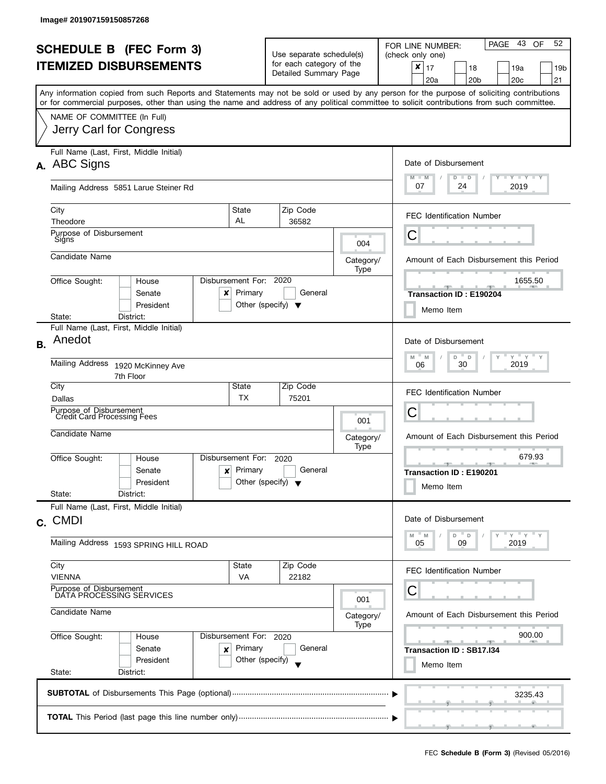| <b>SCHEDULE B (FEC Form 3)</b><br><b>ITEMIZED DISBURSEMENTS</b><br>Any information copied from such Reports and Statements may not be sold or used by any person for the purpose of soliciting contributions<br>or for commercial purposes, other than using the name and address of any political committee to solicit contributions from such committee. |                                                                                                                    |                                                 | Use separate schedule(s)<br>for each category of the<br>Detailed Summary Page |                          | 52<br>PAGE 43<br>OF<br>FOR LINE NUMBER:<br>(check only one)<br>$\pmb{\times}$<br>17<br>18<br>19a<br>19b<br>20 <sub>b</sub><br>20 <sub>c</sub><br>21<br>20a |
|------------------------------------------------------------------------------------------------------------------------------------------------------------------------------------------------------------------------------------------------------------------------------------------------------------------------------------------------------------|--------------------------------------------------------------------------------------------------------------------|-------------------------------------------------|-------------------------------------------------------------------------------|--------------------------|------------------------------------------------------------------------------------------------------------------------------------------------------------|
|                                                                                                                                                                                                                                                                                                                                                            | NAME OF COMMITTEE (In Full)<br>Jerry Carl for Congress                                                             |                                                 |                                                                               |                          |                                                                                                                                                            |
|                                                                                                                                                                                                                                                                                                                                                            | Full Name (Last, First, Middle Initial)<br>A. ABC Signs<br>Mailing Address 5851 Larue Steiner Rd                   |                                                 |                                                                               |                          | Date of Disbursement<br>$M - M$<br>$\bot$ $\gamma$ $\bot$ $\gamma$ $\bot$ $\gamma$<br>$D$ $D$<br>07<br>24<br>2019                                          |
|                                                                                                                                                                                                                                                                                                                                                            | State<br>City<br>AL<br>Theodore<br>Purpose of Disbursement                                                         |                                                 | Zip Code<br>36582                                                             |                          | <b>FEC Identification Number</b>                                                                                                                           |
|                                                                                                                                                                                                                                                                                                                                                            | Signs<br>Candidate Name                                                                                            |                                                 |                                                                               | 004<br>Category/<br>Type | Ĉ<br>Amount of Each Disbursement this Period                                                                                                               |
|                                                                                                                                                                                                                                                                                                                                                            | Disbursement For: 2020<br>Office Sought:<br>House<br>Senate<br>x<br>President<br>District:<br>State:               | Primary<br>Other (specify) $\blacktriangledown$ | General                                                                       |                          | 1655.50<br><b>All Additional Properties</b><br>一<br>$-1$<br>Transaction ID: E190204<br>Memo Item                                                           |
| <b>B.</b>                                                                                                                                                                                                                                                                                                                                                  | Full Name (Last, First, Middle Initial)<br>Anedot<br><b>Mailing Address</b><br>1920 McKinney Ave                   |                                                 |                                                                               |                          | Date of Disbursement<br>$Y$ $Y$ $Y$<br>$M - M$<br>$D$ $D$<br>Y<br>$\mathsf{Y}$<br>2019<br>30<br>06                                                         |
|                                                                                                                                                                                                                                                                                                                                                            | 7th Floor<br>City<br>State<br>Dallas<br>Purpose of Disbursement<br><b>Credit Card Processing Fees</b>              | <b>TX</b>                                       | Zip Code<br>75201                                                             | 001                      | <b>FEC Identification Number</b><br>С                                                                                                                      |
|                                                                                                                                                                                                                                                                                                                                                            | Candidate Name<br>Disbursement For:<br>Office Sought:<br>House<br>Senate<br>x<br>President                         | Primary<br>Other (specify) $\blacktriangledown$ | 2020<br>General                                                               | Category/<br>Type        | Amount of Each Disbursement this Period<br>679.93<br>Transaction ID: E190201<br>Memo Item                                                                  |
|                                                                                                                                                                                                                                                                                                                                                            | State:<br>District:<br>Full Name (Last, First, Middle Initial)<br>c. CMDI<br>Mailing Address 1593 SPRING HILL ROAD |                                                 |                                                                               |                          | Date of Disbursement<br>$Y + Y + Y$<br>$-M$<br>$D$ $D$<br>M<br>09<br>2019<br>05                                                                            |
|                                                                                                                                                                                                                                                                                                                                                            | City<br>State<br><b>VIENNA</b><br>Purpose of Disbursement<br>DATA PROCESSING SERVICES<br>Candidate Name            | VA                                              | Zip Code<br>22182                                                             | 001<br>Category/<br>Type | FEC Identification Number<br>С<br>Amount of Each Disbursement this Period                                                                                  |
|                                                                                                                                                                                                                                                                                                                                                            | Office Sought:<br>Disbursement For: 2020<br>House<br>Senate<br>×<br>President<br>State:<br>District:               | Primary<br>Other (specify)                      | General                                                                       |                          | 900.00<br><b>All Contracts</b><br>Transaction ID: SB17.I34<br>Memo Item                                                                                    |
|                                                                                                                                                                                                                                                                                                                                                            |                                                                                                                    | 3235.43                                         |                                                                               |                          |                                                                                                                                                            |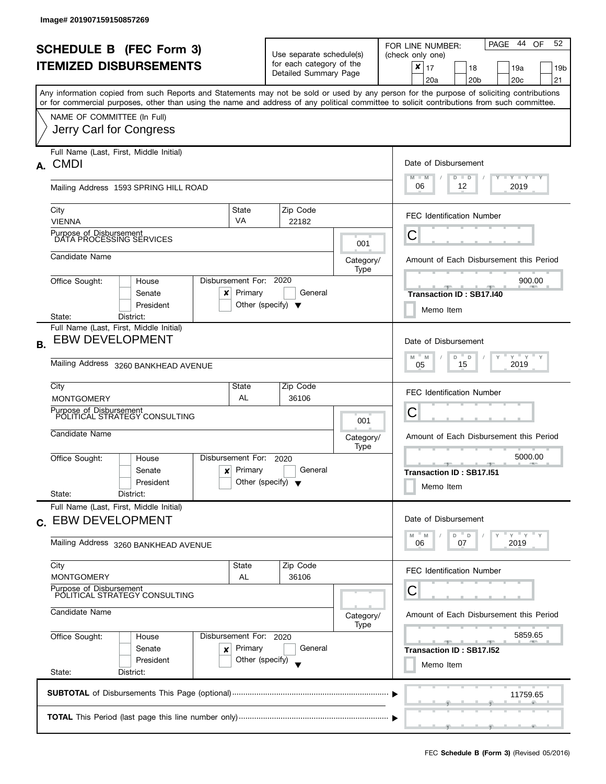|                                                                            |                                                                                                                                            |                            |                                                   |                   | PAGE 44<br>52<br>OF<br>FOR LINE NUMBER:                            |  |  |  |
|----------------------------------------------------------------------------|--------------------------------------------------------------------------------------------------------------------------------------------|----------------------------|---------------------------------------------------|-------------------|--------------------------------------------------------------------|--|--|--|
| <b>SCHEDULE B (FEC Form 3)</b><br><b>ITEMIZED DISBURSEMENTS</b>            |                                                                                                                                            |                            | Use separate schedule(s)                          |                   | (check only one)                                                   |  |  |  |
|                                                                            |                                                                                                                                            |                            | for each category of the<br>Detailed Summary Page |                   | ×<br>17<br>18<br>19a<br>19b                                        |  |  |  |
|                                                                            | Any information copied from such Reports and Statements may not be sold or used by any person for the purpose of soliciting contributions  |                            |                                                   |                   | 20 <sub>b</sub><br>20c<br>21<br>20a                                |  |  |  |
|                                                                            | or for commercial purposes, other than using the name and address of any political committee to solicit contributions from such committee. |                            |                                                   |                   |                                                                    |  |  |  |
|                                                                            | NAME OF COMMITTEE (In Full)                                                                                                                |                            |                                                   |                   |                                                                    |  |  |  |
|                                                                            | Jerry Carl for Congress                                                                                                                    |                            |                                                   |                   |                                                                    |  |  |  |
|                                                                            | Full Name (Last, First, Middle Initial)                                                                                                    |                            |                                                   |                   |                                                                    |  |  |  |
|                                                                            | A. CMDI                                                                                                                                    |                            |                                                   |                   | Date of Disbursement                                               |  |  |  |
|                                                                            |                                                                                                                                            |                            |                                                   |                   | $M - M$<br>Y TY TY TY<br>$D$ $D$                                   |  |  |  |
|                                                                            | Mailing Address 1593 SPRING HILL ROAD                                                                                                      |                            |                                                   |                   | 06<br>12<br>2019                                                   |  |  |  |
|                                                                            | City                                                                                                                                       | State                      | Zip Code                                          |                   | <b>FEC Identification Number</b>                                   |  |  |  |
|                                                                            | <b>VIENNA</b>                                                                                                                              | <b>VA</b>                  | 22182                                             |                   |                                                                    |  |  |  |
|                                                                            | Purpose of Disbursement<br>DATA PROCESSING SERVICES                                                                                        |                            |                                                   | 001               | С                                                                  |  |  |  |
|                                                                            | Candidate Name                                                                                                                             |                            |                                                   | Category/         | Amount of Each Disbursement this Period                            |  |  |  |
|                                                                            |                                                                                                                                            |                            |                                                   | Type              |                                                                    |  |  |  |
|                                                                            | Office Sought:<br>House                                                                                                                    | Disbursement For:          | 2020                                              |                   | 900.00                                                             |  |  |  |
|                                                                            | Senate<br>x<br>President                                                                                                                   | Primary                    | General<br>Other (specify) $\blacktriangledown$   |                   | <b>Transaction ID: SB17.140</b>                                    |  |  |  |
|                                                                            | State:<br>District:                                                                                                                        |                            |                                                   |                   | Memo Item                                                          |  |  |  |
|                                                                            | Full Name (Last, First, Middle Initial)                                                                                                    |                            |                                                   |                   |                                                                    |  |  |  |
| <b>B.</b>                                                                  | <b>EBW DEVELOPMENT</b>                                                                                                                     |                            |                                                   |                   | Date of Disbursement                                               |  |  |  |
|                                                                            | Mailing Address 3260 BANKHEAD AVENUE                                                                                                       |                            |                                                   |                   | $Y = Y - Y$<br>D<br>$\mathsf D$<br>Y<br>M<br>M<br>2019<br>15<br>05 |  |  |  |
|                                                                            |                                                                                                                                            |                            |                                                   |                   |                                                                    |  |  |  |
|                                                                            | City<br><b>MONTGOMERY</b>                                                                                                                  | State<br>AL                | Zip Code<br>36106                                 |                   | <b>FEC Identification Number</b>                                   |  |  |  |
|                                                                            | Purpose of Disbursement<br>POLITICAL STRATEGY CONSULTING                                                                                   |                            |                                                   |                   | С                                                                  |  |  |  |
|                                                                            |                                                                                                                                            |                            |                                                   | 001               |                                                                    |  |  |  |
|                                                                            | Candidate Name                                                                                                                             |                            |                                                   | Category/         | Amount of Each Disbursement this Period                            |  |  |  |
|                                                                            | Office Sought:<br>House                                                                                                                    | Disbursement For:          | 2020                                              | Type              | 5000.00                                                            |  |  |  |
|                                                                            | Senate<br>x                                                                                                                                | Primary                    | General                                           |                   | $-1$<br>Transaction ID: SB17.151                                   |  |  |  |
|                                                                            | President                                                                                                                                  |                            | Other (specify) $\blacktriangledown$              |                   | Memo Item                                                          |  |  |  |
|                                                                            | State:<br>District:<br>Full Name (Last, First, Middle Initial)                                                                             |                            |                                                   |                   |                                                                    |  |  |  |
|                                                                            | c. EBW DEVELOPMENT                                                                                                                         |                            |                                                   |                   | Date of Disbursement                                               |  |  |  |
|                                                                            |                                                                                                                                            |                            |                                                   |                   | ≡ү = γ = γ<br>M<br>D<br>$^-$ D<br>- M                              |  |  |  |
|                                                                            | Mailing Address 3260 BANKHEAD AVENUE                                                                                                       |                            |                                                   |                   | 2019<br>06<br>07                                                   |  |  |  |
|                                                                            | City                                                                                                                                       | State                      | Zip Code                                          |                   |                                                                    |  |  |  |
|                                                                            | <b>MONTGOMERY</b>                                                                                                                          | AL                         | 36106                                             |                   | FEC Identification Number                                          |  |  |  |
| Purpose of Disbursement<br>POLITICAL STRATEGY CONSULTING<br>Candidate Name |                                                                                                                                            |                            |                                                   |                   | С                                                                  |  |  |  |
|                                                                            |                                                                                                                                            |                            |                                                   |                   | Amount of Each Disbursement this Period                            |  |  |  |
|                                                                            |                                                                                                                                            |                            |                                                   | Category/<br>Type |                                                                    |  |  |  |
|                                                                            | Office Sought:<br>House                                                                                                                    | Disbursement For: 2020     |                                                   |                   | 5859.65                                                            |  |  |  |
|                                                                            | Senate<br>×<br>President                                                                                                                   | Primary<br>Other (specify) | General                                           |                   | Transaction ID: SB17.152                                           |  |  |  |
|                                                                            | State:<br>District:                                                                                                                        |                            |                                                   |                   | Memo Item                                                          |  |  |  |
|                                                                            |                                                                                                                                            |                            |                                                   |                   |                                                                    |  |  |  |
|                                                                            |                                                                                                                                            |                            |                                                   |                   | 11759.65                                                           |  |  |  |
|                                                                            |                                                                                                                                            |                            |                                                   |                   |                                                                    |  |  |  |
|                                                                            |                                                                                                                                            |                            |                                                   |                   |                                                                    |  |  |  |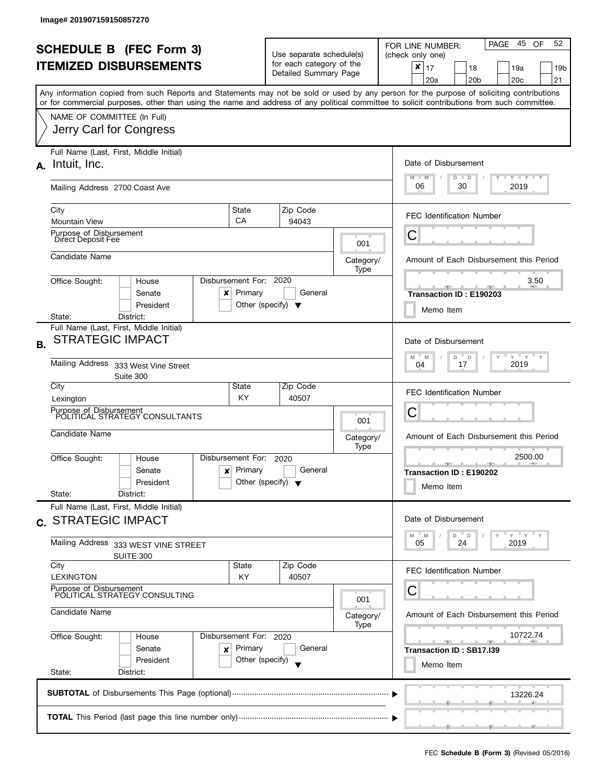|                                |                                                                                                                                            |                                      |                                                                    |                          |             | - 45<br>52                                                                                          |  |  |  |
|--------------------------------|--------------------------------------------------------------------------------------------------------------------------------------------|--------------------------------------|--------------------------------------------------------------------|--------------------------|-------------|-----------------------------------------------------------------------------------------------------|--|--|--|
| <b>SCHEDULE B (FEC Form 3)</b> |                                                                                                                                            |                                      | Use separate schedule(s)                                           |                          |             | PAGE<br>OF<br>FOR LINE NUMBER:<br>(check only one)                                                  |  |  |  |
| <b>ITEMIZED DISBURSEMENTS</b>  |                                                                                                                                            |                                      |                                                                    | for each category of the |             | $\pmb{\times}$<br>17<br>18<br>19a<br>19b                                                            |  |  |  |
|                                |                                                                                                                                            |                                      | Detailed Summary Page                                              |                          |             | 20 <sub>c</sub><br>20a<br>20 <sub>b</sub><br>21                                                     |  |  |  |
|                                | Any information copied from such Reports and Statements may not be sold or used by any person for the purpose of soliciting contributions  |                                      |                                                                    |                          |             |                                                                                                     |  |  |  |
|                                | or for commercial purposes, other than using the name and address of any political committee to solicit contributions from such committee. |                                      |                                                                    |                          |             |                                                                                                     |  |  |  |
|                                | NAME OF COMMITTEE (In Full)                                                                                                                |                                      |                                                                    |                          |             |                                                                                                     |  |  |  |
|                                | Jerry Carl for Congress                                                                                                                    |                                      |                                                                    |                          |             |                                                                                                     |  |  |  |
|                                |                                                                                                                                            |                                      |                                                                    |                          |             |                                                                                                     |  |  |  |
|                                | Full Name (Last, First, Middle Initial)<br>Intuit, Inc.                                                                                    |                                      |                                                                    |                          |             | Date of Disbursement                                                                                |  |  |  |
| А.                             |                                                                                                                                            |                                      |                                                                    |                          |             | $\mathbf{I}$ $\mathbf{Y}$ $\mathbf{I}$ $\mathbf{Y}$ $\mathbf{I}$ $\mathbf{Y}$<br>$M - M$<br>$D$ $D$ |  |  |  |
|                                | Mailing Address 2700 Coast Ave                                                                                                             |                                      |                                                                    |                          |             | 06<br>30<br>2019                                                                                    |  |  |  |
|                                |                                                                                                                                            |                                      |                                                                    |                          |             |                                                                                                     |  |  |  |
|                                | City                                                                                                                                       | State<br>CA                          |                                                                    | Zip Code                 |             | <b>FEC Identification Number</b>                                                                    |  |  |  |
|                                | <b>Mountain View</b><br>Purpose of Disbursement                                                                                            |                                      |                                                                    | 94043                    |             |                                                                                                     |  |  |  |
|                                | Direct Deposit Fee                                                                                                                         |                                      |                                                                    |                          | 001         | Ĉ                                                                                                   |  |  |  |
|                                | Candidate Name                                                                                                                             |                                      |                                                                    |                          | Category/   | Amount of Each Disbursement this Period                                                             |  |  |  |
|                                |                                                                                                                                            |                                      |                                                                    |                          | Type        |                                                                                                     |  |  |  |
|                                | Office Sought:<br>House                                                                                                                    | Disbursement For: 2020               |                                                                    |                          |             | 3.50                                                                                                |  |  |  |
|                                | Senate<br>x                                                                                                                                | Primary                              |                                                                    | General                  |             | <b>Transaction ID: E190203</b>                                                                      |  |  |  |
|                                | President<br>State:<br>District:                                                                                                           | Other (specify) $\blacktriangledown$ |                                                                    |                          |             | Memo Item                                                                                           |  |  |  |
|                                | Full Name (Last, First, Middle Initial)                                                                                                    |                                      |                                                                    |                          |             |                                                                                                     |  |  |  |
| В.                             | <b>STRATEGIC IMPACT</b>                                                                                                                    |                                      |                                                                    |                          |             | Date of Disbursement                                                                                |  |  |  |
|                                |                                                                                                                                            |                                      |                                                                    |                          |             | $Y$ $Y$ $Y$<br>M<br>D<br>D<br>M                                                                     |  |  |  |
|                                | Mailing Address 333 West Vine Street                                                                                                       |                                      |                                                                    |                          |             | 2019<br>17<br>04                                                                                    |  |  |  |
|                                | Suite 300                                                                                                                                  |                                      |                                                                    |                          |             |                                                                                                     |  |  |  |
|                                | City                                                                                                                                       | State<br>KY.                         |                                                                    | Zip Code<br>40507        |             | <b>FEC Identification Number</b>                                                                    |  |  |  |
|                                | Lexington<br>Purpose of Disbursement                                                                                                       |                                      |                                                                    |                          |             | С                                                                                                   |  |  |  |
|                                | POLITICAL STRATEGY CONSULTANTS                                                                                                             |                                      | 001<br>Category/                                                   |                          |             |                                                                                                     |  |  |  |
|                                | Candidate Name                                                                                                                             |                                      |                                                                    |                          |             | Amount of Each Disbursement this Period                                                             |  |  |  |
|                                |                                                                                                                                            |                                      | Type                                                               |                          |             |                                                                                                     |  |  |  |
|                                | Office Sought:<br>House                                                                                                                    | Disbursement For:                    | 2020<br>Primary<br>General<br>Other (specify) $\blacktriangledown$ |                          |             | 2500.00<br><b>STATE</b>                                                                             |  |  |  |
|                                | Senate<br>$\boldsymbol{x}$<br>President                                                                                                    |                                      |                                                                    |                          |             | Transaction ID: E190202                                                                             |  |  |  |
|                                | State:<br>District:                                                                                                                        |                                      |                                                                    |                          |             | Memo Item                                                                                           |  |  |  |
|                                | Full Name (Last, First, Middle Initial)                                                                                                    |                                      |                                                                    |                          |             |                                                                                                     |  |  |  |
|                                | c. STRATEGIC IMPACT                                                                                                                        |                                      |                                                                    |                          |             | Date of Disbursement                                                                                |  |  |  |
|                                |                                                                                                                                            |                                      |                                                                    |                          |             | $Y = Y$<br>D<br>D<br>M<br>M                                                                         |  |  |  |
|                                | Mailing Address 333 WEST VINE STREET                                                                                                       |                                      |                                                                    |                          |             | 2019<br>05<br>24                                                                                    |  |  |  |
|                                | SUITE 300<br>City                                                                                                                          | State                                |                                                                    | Zip Code                 |             |                                                                                                     |  |  |  |
|                                | <b>LEXINGTON</b>                                                                                                                           | KY                                   |                                                                    | 40507                    |             | <b>FEC Identification Number</b>                                                                    |  |  |  |
|                                | Purpose of Disbursement                                                                                                                    |                                      |                                                                    |                          |             | Ü                                                                                                   |  |  |  |
|                                | POLITICAL STRATEGY CONSULTING<br>Candidate Name<br>Office Sought:<br>Disbursement For: 2020<br>House                                       |                                      |                                                                    |                          | 001         |                                                                                                     |  |  |  |
|                                |                                                                                                                                            |                                      |                                                                    |                          | Category/   | Amount of Each Disbursement this Period                                                             |  |  |  |
|                                |                                                                                                                                            |                                      |                                                                    |                          | <b>Type</b> | 10722.74                                                                                            |  |  |  |
|                                |                                                                                                                                            |                                      |                                                                    | General                  |             | $-$                                                                                                 |  |  |  |
|                                | Primary<br>Senate<br>×<br>President                                                                                                        |                                      |                                                                    |                          |             | Transaction ID: SB17.I39                                                                            |  |  |  |
|                                | Other (specify)<br>State:<br>District:                                                                                                     |                                      |                                                                    |                          |             | Memo Item                                                                                           |  |  |  |
|                                |                                                                                                                                            |                                      |                                                                    |                          |             |                                                                                                     |  |  |  |
|                                |                                                                                                                                            |                                      |                                                                    |                          |             | 13226.24                                                                                            |  |  |  |
|                                |                                                                                                                                            |                                      |                                                                    |                          |             |                                                                                                     |  |  |  |
|                                |                                                                                                                                            |                                      |                                                                    |                          |             |                                                                                                     |  |  |  |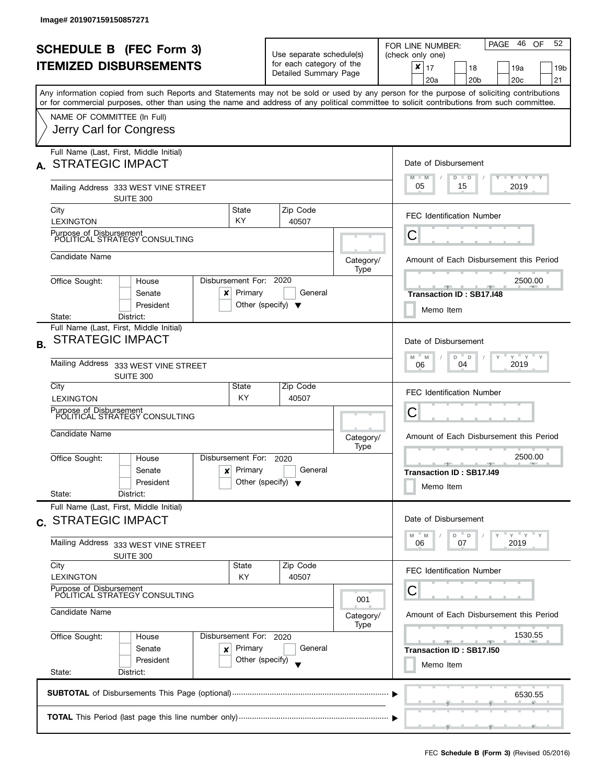| <b>SCHEDULE B</b> (FEC Form 3)<br><b>ITEMIZED DISBURSEMENTS</b> |                                                                                                                                                                                                      |                                                         | Use separate schedule(s)<br>for each category of the<br>Detailed Summary Page |                                                  | PAGE 46<br>52<br>OF<br>FOR LINE NUMBER:<br>(check only one)<br>x<br>17<br>18<br>19a<br>19b<br>20 <sub>c</sub><br>21<br>20a<br>20 <sub>b</sub> |  |  |  |  |
|-----------------------------------------------------------------|------------------------------------------------------------------------------------------------------------------------------------------------------------------------------------------------------|---------------------------------------------------------|-------------------------------------------------------------------------------|--------------------------------------------------|-----------------------------------------------------------------------------------------------------------------------------------------------|--|--|--|--|
|                                                                 | Any information copied from such Reports and Statements may not be sold or used by any person for the purpose of soliciting contributions                                                            |                                                         |                                                                               |                                                  |                                                                                                                                               |  |  |  |  |
|                                                                 | or for commercial purposes, other than using the name and address of any political committee to solicit contributions from such committee.<br>NAME OF COMMITTEE (In Full)<br>Jerry Carl for Congress |                                                         |                                                                               |                                                  |                                                                                                                                               |  |  |  |  |
|                                                                 | Full Name (Last, First, Middle Initial)<br>A. STRATEGIC IMPACT                                                                                                                                       |                                                         |                                                                               |                                                  | Date of Disbursement<br>$T$ $Y$ $Y$ $Y$ $Y$<br>$M - M$<br>$D$ $D$                                                                             |  |  |  |  |
|                                                                 | Mailing Address 333 WEST VINE STREET<br>SUITE 300                                                                                                                                                    |                                                         |                                                                               |                                                  | 05<br>2019<br>15                                                                                                                              |  |  |  |  |
|                                                                 | City<br><b>LEXINGTON</b>                                                                                                                                                                             | State<br><b>KY</b>                                      | Zip Code<br>40507                                                             |                                                  | <b>FEC Identification Number</b>                                                                                                              |  |  |  |  |
|                                                                 | Purpose of Disbursement<br>POLITICAL STRATEGY CONSULTING                                                                                                                                             |                                                         |                                                                               |                                                  | С                                                                                                                                             |  |  |  |  |
|                                                                 | Candidate Name                                                                                                                                                                                       |                                                         |                                                                               | Category/<br>Type                                | Amount of Each Disbursement this Period                                                                                                       |  |  |  |  |
|                                                                 | Disbursement For: 2020<br>Office Sought:<br>House<br>Senate<br>x<br>President                                                                                                                        | 2500.00<br><b>Transaction ID: SB17.148</b><br>Memo Item |                                                                               |                                                  |                                                                                                                                               |  |  |  |  |
| <b>B.</b>                                                       | District:<br>State:<br>Full Name (Last, First, Middle Initial)<br><b>STRATEGIC IMPACT</b>                                                                                                            |                                                         |                                                                               |                                                  | Date of Disbursement<br>$-\gamma + \gamma + \gamma$<br>M<br>$-M$<br>D<br>$\mathbb D$<br>Y                                                     |  |  |  |  |
|                                                                 | Mailing Address 333 WEST VINE STREET<br>SUITE 300                                                                                                                                                    |                                                         |                                                                               |                                                  | 2019<br>04<br>06                                                                                                                              |  |  |  |  |
|                                                                 | City<br><b>LEXINGTON</b>                                                                                                                                                                             | State<br><b>KY</b>                                      | Zip Code<br>40507                                                             |                                                  | <b>FEC Identification Number</b>                                                                                                              |  |  |  |  |
|                                                                 | Purpose of Disbursement<br>POLITICAL STRATEGY CONSULTING                                                                                                                                             |                                                         |                                                                               |                                                  | Ĉ                                                                                                                                             |  |  |  |  |
|                                                                 | Candidate Name                                                                                                                                                                                       |                                                         |                                                                               | Category/<br>Type                                | Amount of Each Disbursement this Period                                                                                                       |  |  |  |  |
|                                                                 | Disbursement For:<br>Office Sought:<br>House<br>Senate<br>$\mathbf{x}$<br>President<br>State:<br>District:                                                                                           |                                                         | 2500.00<br>$-1$<br><b>Transaction ID: SB17.I49</b><br>Memo Item               |                                                  |                                                                                                                                               |  |  |  |  |
|                                                                 | Full Name (Last, First, Middle Initial)<br>c. STRATEGIC IMPACT                                                                                                                                       |                                                         |                                                                               |                                                  | Date of Disbursement                                                                                                                          |  |  |  |  |
|                                                                 | Mailing Address 333 WEST VINE STREET<br>SUITE 300                                                                                                                                                    |                                                         |                                                                               |                                                  | $Y = Y + Y$<br>M<br>D<br>$\Box$<br>M<br>07<br>2019<br>06                                                                                      |  |  |  |  |
|                                                                 | City<br><b>LEXINGTON</b>                                                                                                                                                                             | State<br>KY                                             | Zip Code<br>40507                                                             |                                                  | <b>FEC Identification Number</b>                                                                                                              |  |  |  |  |
|                                                                 | Purpose of Disbursement<br>POLITICAL STRATEGY CONSULTING                                                                                                                                             |                                                         |                                                                               | 001                                              | Ĉ<br>Amount of Each Disbursement this Period                                                                                                  |  |  |  |  |
|                                                                 | Candidate Name                                                                                                                                                                                       |                                                         |                                                                               | Category/<br>Type                                |                                                                                                                                               |  |  |  |  |
|                                                                 | Office Sought:<br>House<br>Senate<br>x<br>President<br>State:<br>District:                                                                                                                           | Disbursement For: 2020<br>Primary<br>Other (specify)    |                                                                               | 1530.55<br>Transaction ID: SB17.150<br>Memo Item |                                                                                                                                               |  |  |  |  |
|                                                                 |                                                                                                                                                                                                      |                                                         |                                                                               |                                                  | 6530.55                                                                                                                                       |  |  |  |  |
|                                                                 |                                                                                                                                                                                                      |                                                         |                                                                               |                                                  |                                                                                                                                               |  |  |  |  |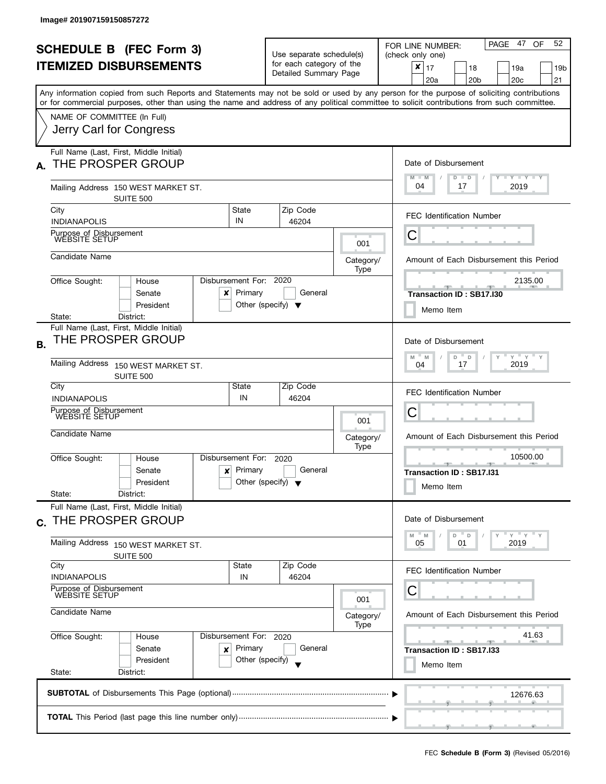| <b>SCHEDULE B</b> (FEC Form 3)<br><b>ITEMIZED DISBURSEMENTS</b><br>Any information copied from such Reports and Statements may not be sold or used by any person for the purpose of soliciting contributions |                                                                                                           |                                                                                                                                                                                                                                                                                                        | Use separate schedule(s)<br>for each category of the<br>Detailed Summary Page |                   | 52<br>PAGE 47 OF<br>FOR LINE NUMBER:<br>(check only one)<br>$\boldsymbol{x}$<br>17<br>18<br>19a<br>19 <sub>b</sub><br>20c<br>20a<br>20 <sub>b</sub><br>21 |  |  |  |
|--------------------------------------------------------------------------------------------------------------------------------------------------------------------------------------------------------------|-----------------------------------------------------------------------------------------------------------|--------------------------------------------------------------------------------------------------------------------------------------------------------------------------------------------------------------------------------------------------------------------------------------------------------|-------------------------------------------------------------------------------|-------------------|-----------------------------------------------------------------------------------------------------------------------------------------------------------|--|--|--|
| or for commercial purposes, other than using the name and address of any political committee to solicit contributions from such committee.<br>NAME OF COMMITTEE (In Full)<br>Jerry Carl for Congress         |                                                                                                           |                                                                                                                                                                                                                                                                                                        |                                                                               |                   |                                                                                                                                                           |  |  |  |
| A.                                                                                                                                                                                                           | Full Name (Last, First, Middle Initial)<br>THE PROSPER GROUP<br>Mailing Address 150 WEST MARKET ST.       |                                                                                                                                                                                                                                                                                                        |                                                                               |                   | Date of Disbursement<br>Y TY TY TY<br>$M - M$<br>$D$ $D$<br>04<br>2019<br>17                                                                              |  |  |  |
|                                                                                                                                                                                                              | <b>SUITE 500</b><br>City<br><b>INDIANAPOLIS</b>                                                           | Zip Code<br>State<br>IN<br>46204                                                                                                                                                                                                                                                                       |                                                                               |                   | <b>FEC Identification Number</b>                                                                                                                          |  |  |  |
|                                                                                                                                                                                                              | Purpose of Disbursement<br>WEBSITE SETUP                                                                  |                                                                                                                                                                                                                                                                                                        |                                                                               | 001               | С                                                                                                                                                         |  |  |  |
|                                                                                                                                                                                                              | Candidate Name                                                                                            |                                                                                                                                                                                                                                                                                                        |                                                                               | Category/<br>Type | Amount of Each Disbursement this Period                                                                                                                   |  |  |  |
|                                                                                                                                                                                                              | Disbursement For: 2020<br>Office Sought:<br>House<br>Senate<br>x<br>President<br>District:<br>State:      | 2135.00<br>Transaction ID: SB17.I30<br>Memo Item                                                                                                                                                                                                                                                       |                                                                               |                   |                                                                                                                                                           |  |  |  |
| Β.                                                                                                                                                                                                           | Full Name (Last, First, Middle Initial)<br>THE PROSPER GROUP                                              |                                                                                                                                                                                                                                                                                                        |                                                                               |                   | Date of Disbursement<br>$Y$ $Y$ $Y$ $Y$<br>M<br>M<br>D<br>$\mathsf D$                                                                                     |  |  |  |
|                                                                                                                                                                                                              | Mailing Address<br>150 WEST MARKET ST.<br><b>SUITE 500</b>                                                |                                                                                                                                                                                                                                                                                                        |                                                                               |                   | 2019<br>17<br>04                                                                                                                                          |  |  |  |
|                                                                                                                                                                                                              | City<br><b>INDIANAPOLIS</b>                                                                               | State<br>IN                                                                                                                                                                                                                                                                                            | Zip Code<br>46204                                                             |                   | <b>FEC Identification Number</b>                                                                                                                          |  |  |  |
|                                                                                                                                                                                                              | Purpose of Disbursement<br><b>WEBSITE SETUP</b>                                                           |                                                                                                                                                                                                                                                                                                        |                                                                               | 001               | С                                                                                                                                                         |  |  |  |
|                                                                                                                                                                                                              | Candidate Name                                                                                            |                                                                                                                                                                                                                                                                                                        |                                                                               | Category/<br>Type | Amount of Each Disbursement this Period                                                                                                                   |  |  |  |
|                                                                                                                                                                                                              | Disbursement For:<br>Office Sought:<br>House<br>$x$ Primary<br>Senate<br>President<br>State:<br>District: | 10500.00<br>Transaction ID: SB17.131<br>Memo Item                                                                                                                                                                                                                                                      |                                                                               |                   |                                                                                                                                                           |  |  |  |
|                                                                                                                                                                                                              | Full Name (Last, First, Middle Initial)<br>c. THE PROSPER GROUP                                           |                                                                                                                                                                                                                                                                                                        |                                                                               |                   | Date of Disbursement<br>" γ " γ " γ<br>D<br>$\Box$<br>M<br>M                                                                                              |  |  |  |
|                                                                                                                                                                                                              | Mailing Address 150 WEST MARKET ST.<br><b>SUITE 500</b>                                                   |                                                                                                                                                                                                                                                                                                        |                                                                               |                   | 2019<br>05<br>01                                                                                                                                          |  |  |  |
|                                                                                                                                                                                                              | City<br><b>INDIANAPOLIS</b>                                                                               | State<br>IN                                                                                                                                                                                                                                                                                            | Zip Code<br>46204                                                             |                   | <b>FEC Identification Number</b>                                                                                                                          |  |  |  |
|                                                                                                                                                                                                              | Purpose of Disbursement<br>WEBSITE SETUP                                                                  |                                                                                                                                                                                                                                                                                                        |                                                                               | 001               | U<br>Amount of Each Disbursement this Period                                                                                                              |  |  |  |
|                                                                                                                                                                                                              | Candidate Name                                                                                            |                                                                                                                                                                                                                                                                                                        |                                                                               | Category/<br>Type |                                                                                                                                                           |  |  |  |
|                                                                                                                                                                                                              | Office Sought:<br>Disbursement For: 2020<br>House<br>Senate<br>×<br>President<br>State:<br>District:      | 41.63<br><u> 1950 - Jan 1950 - Jan 1950 - Jan 1950 - Jan 1950 - Jan 1950 - Jan 1950 - Jan 1950 - Jan 1950 - Jan 1950 - Jan 1950 - Jan 1950 - Jan 1950 - Jan 1950 - Jan 1950 - Jan 1950 - Jan 1950 - Jan 1950 - Jan 1950 - Jan 1950 - Jan </u><br><b>AND A</b><br>Transaction ID: SB17.I33<br>Memo Item |                                                                               |                   |                                                                                                                                                           |  |  |  |
|                                                                                                                                                                                                              |                                                                                                           |                                                                                                                                                                                                                                                                                                        |                                                                               |                   | 12676.63                                                                                                                                                  |  |  |  |
|                                                                                                                                                                                                              |                                                                                                           |                                                                                                                                                                                                                                                                                                        |                                                                               |                   | ويتقرب المستلمسي والمتناسب والمستر                                                                                                                        |  |  |  |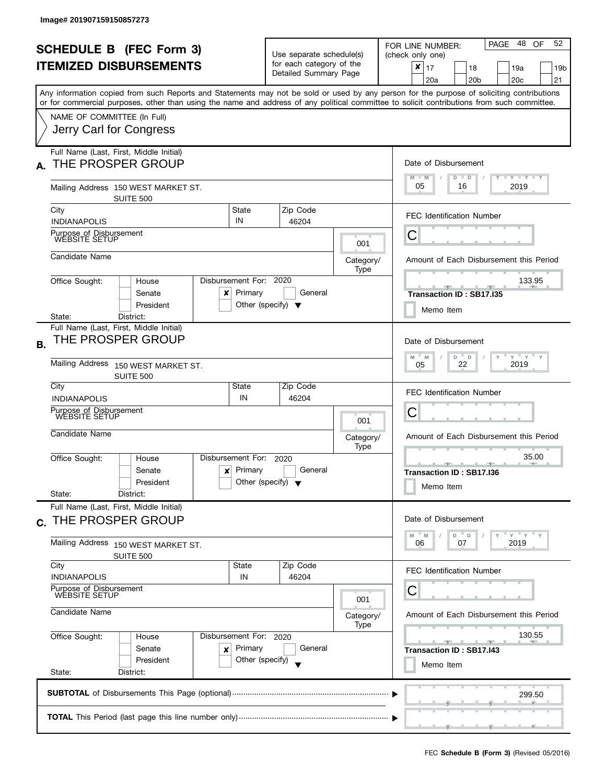| <b>SCHEDULE B (FEC Form 3)</b><br><b>ITEMIZED DISBURSEMENTS</b> |                                                                                                                                            |                                                                      | Use separate schedule(s)<br>for each category of the |                                                                                                                                                                                                                                                                                                        | -48<br>52<br>PAGE<br><b>OF</b><br>FOR LINE NUMBER:<br>(check only one)<br>$\boldsymbol{x}$<br>17<br>18<br>19a<br>19 <sub>b</sub>          |  |  |  |  |  |
|-----------------------------------------------------------------|--------------------------------------------------------------------------------------------------------------------------------------------|----------------------------------------------------------------------|------------------------------------------------------|--------------------------------------------------------------------------------------------------------------------------------------------------------------------------------------------------------------------------------------------------------------------------------------------------------|-------------------------------------------------------------------------------------------------------------------------------------------|--|--|--|--|--|
|                                                                 |                                                                                                                                            |                                                                      | Detailed Summary Page                                |                                                                                                                                                                                                                                                                                                        | 20 <sub>b</sub><br>20 <sub>c</sub><br>21<br>20a                                                                                           |  |  |  |  |  |
|                                                                 | or for commercial purposes, other than using the name and address of any political committee to solicit contributions from such committee. |                                                                      |                                                      |                                                                                                                                                                                                                                                                                                        | Any information copied from such Reports and Statements may not be sold or used by any person for the purpose of soliciting contributions |  |  |  |  |  |
|                                                                 | NAME OF COMMITTEE (In Full)<br>Jerry Carl for Congress                                                                                     |                                                                      |                                                      |                                                                                                                                                                                                                                                                                                        |                                                                                                                                           |  |  |  |  |  |
| А.                                                              | Full Name (Last, First, Middle Initial)<br>THE PROSPER GROUP                                                                               |                                                                      | Date of Disbursement                                 |                                                                                                                                                                                                                                                                                                        |                                                                                                                                           |  |  |  |  |  |
|                                                                 | Mailing Address 150 WEST MARKET ST.                                                                                                        |                                                                      |                                                      |                                                                                                                                                                                                                                                                                                        | $T - Y - T - Y - T - Y$<br>$M - M$<br>$D$ $D$<br>05<br>2019<br>16                                                                         |  |  |  |  |  |
|                                                                 | SUITE 500                                                                                                                                  |                                                                      |                                                      |                                                                                                                                                                                                                                                                                                        |                                                                                                                                           |  |  |  |  |  |
|                                                                 | City<br><b>INDIANAPOLIS</b>                                                                                                                | State<br>IN                                                          | Zip Code<br>46204                                    |                                                                                                                                                                                                                                                                                                        | <b>FEC Identification Number</b>                                                                                                          |  |  |  |  |  |
|                                                                 | Purpose of Disbursement<br>WEBSITE SETUP                                                                                                   |                                                                      | 001                                                  |                                                                                                                                                                                                                                                                                                        | C                                                                                                                                         |  |  |  |  |  |
|                                                                 | Candidate Name                                                                                                                             |                                                                      |                                                      | Category/<br>Type                                                                                                                                                                                                                                                                                      | Amount of Each Disbursement this Period                                                                                                   |  |  |  |  |  |
|                                                                 | Disbursement For:<br>Office Sought:<br>House<br>Senate<br>x<br>President                                                                   | 133.95<br>Transaction ID: SB17.I35                                   |                                                      |                                                                                                                                                                                                                                                                                                        |                                                                                                                                           |  |  |  |  |  |
| <b>B.</b>                                                       | District:<br>State:<br>Full Name (Last, First, Middle Initial)<br>THE PROSPER GROUP<br><b>Mailing Address</b><br>150 WEST MARKET ST.       |                                                                      |                                                      |                                                                                                                                                                                                                                                                                                        | Memo Item<br>Date of Disbursement<br>$Y$ $Y$ $Y$<br>M<br>D<br>M<br>D<br>22<br>2019<br>05<br><b>FEC Identification Number</b>              |  |  |  |  |  |
|                                                                 | SUITE 500<br>City<br><b>INDIANAPOLIS</b>                                                                                                   | State<br>IN                                                          | Zip Code<br>46204                                    |                                                                                                                                                                                                                                                                                                        |                                                                                                                                           |  |  |  |  |  |
|                                                                 | Purpose of Disbursement<br>WEBSITE SETUP                                                                                                   | 001                                                                  |                                                      |                                                                                                                                                                                                                                                                                                        | С                                                                                                                                         |  |  |  |  |  |
|                                                                 | Candidate Name                                                                                                                             |                                                                      |                                                      | Category/<br>Type                                                                                                                                                                                                                                                                                      | Amount of Each Disbursement this Period                                                                                                   |  |  |  |  |  |
|                                                                 | Office Sought:<br>House<br>Senate<br>$\boldsymbol{x}$<br>President<br>State:<br>District:                                                  | Disbursement For:<br>Primary<br>Other (specify) $\blacktriangledown$ | General                                              | 35.00<br><u> grad al grad al grad al grad al grad al grad al grad al grad al grad al grad al grad al grad al grad al grad al grad al grad al grad al grad al grad al grad al grad al grad al grad al grad al grad al grad al grad al grad</u><br><b>AND A</b><br>Transaction ID: SB17.I36<br>Memo Item |                                                                                                                                           |  |  |  |  |  |
| C.                                                              | Full Name (Last, First, Middle Initial)<br>THE PROSPER GROUP                                                                               |                                                                      |                                                      |                                                                                                                                                                                                                                                                                                        | Date of Disbursement                                                                                                                      |  |  |  |  |  |
|                                                                 | Mailing Address 150 WEST MARKET ST.<br>SUITE 500                                                                                           |                                                                      |                                                      |                                                                                                                                                                                                                                                                                                        | $Y = Y$<br>M<br>D<br>$\mathsf D$<br>M<br>2019<br>06<br>07                                                                                 |  |  |  |  |  |
|                                                                 | City<br><b>INDIANAPOLIS</b>                                                                                                                | State<br>IN                                                          | Zip Code<br>46204                                    |                                                                                                                                                                                                                                                                                                        | <b>FEC Identification Number</b>                                                                                                          |  |  |  |  |  |
|                                                                 | Purpose of Disbursement<br><b>WEBSITE SETUP</b>                                                                                            |                                                                      | 001                                                  | С                                                                                                                                                                                                                                                                                                      |                                                                                                                                           |  |  |  |  |  |
|                                                                 | Candidate Name                                                                                                                             |                                                                      |                                                      | Category/<br>Type                                                                                                                                                                                                                                                                                      | Amount of Each Disbursement this Period<br>130.55<br>Transaction ID: SB17.I43                                                             |  |  |  |  |  |
|                                                                 | Office Sought:<br>House<br>Senate<br>×                                                                                                     | Disbursement For: 2020<br>Primary                                    | General                                              |                                                                                                                                                                                                                                                                                                        |                                                                                                                                           |  |  |  |  |  |
|                                                                 | President<br>State:<br>District:                                                                                                           | Other (specify)                                                      |                                                      |                                                                                                                                                                                                                                                                                                        | Memo Item                                                                                                                                 |  |  |  |  |  |
|                                                                 |                                                                                                                                            |                                                                      |                                                      |                                                                                                                                                                                                                                                                                                        | 299.50                                                                                                                                    |  |  |  |  |  |
|                                                                 |                                                                                                                                            |                                                                      |                                                      |                                                                                                                                                                                                                                                                                                        |                                                                                                                                           |  |  |  |  |  |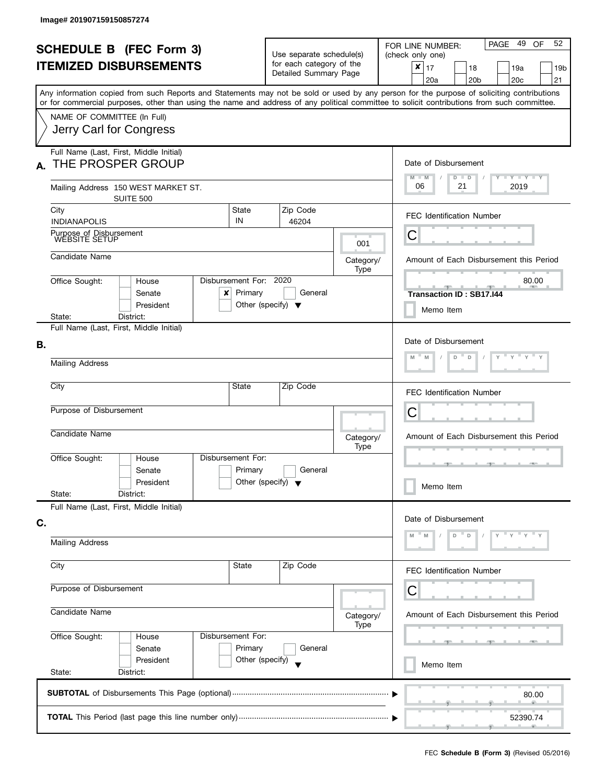| <b>SCHEDULE B (FEC Form 3)</b><br><b>ITEMIZED DISBURSEMENTS</b> |                                                                                                                                            |                                                    | Use separate schedule(s)<br>for each category of the<br>Detailed Summary Page |                   | PAGE 49<br>52<br>OF<br>FOR LINE NUMBER:<br>(check only one)<br>$\pmb{\times}$<br>17<br>18<br>19a<br>19 <sub>b</sub>                                                                          |  |  |  |  |
|-----------------------------------------------------------------|--------------------------------------------------------------------------------------------------------------------------------------------|----------------------------------------------------|-------------------------------------------------------------------------------|-------------------|----------------------------------------------------------------------------------------------------------------------------------------------------------------------------------------------|--|--|--|--|
|                                                                 | or for commercial purposes, other than using the name and address of any political committee to solicit contributions from such committee. |                                                    |                                                                               |                   | 20a<br>20 <sub>b</sub><br>20 <sub>c</sub><br>21<br>Any information copied from such Reports and Statements may not be sold or used by any person for the purpose of soliciting contributions |  |  |  |  |
|                                                                 | NAME OF COMMITTEE (In Full)<br>Jerry Carl for Congress                                                                                     |                                                    |                                                                               |                   |                                                                                                                                                                                              |  |  |  |  |
| А.                                                              | Full Name (Last, First, Middle Initial)<br>THE PROSPER GROUP                                                                               |                                                    | Date of Disbursement<br>$M - M$<br>$T - Y = T - Y$<br>$D$ $D$                 |                   |                                                                                                                                                                                              |  |  |  |  |
|                                                                 | Mailing Address 150 WEST MARKET ST.<br><b>SUITE 500</b>                                                                                    |                                                    |                                                                               |                   | 06<br>21<br>2019                                                                                                                                                                             |  |  |  |  |
|                                                                 | City<br><b>INDIANAPOLIS</b>                                                                                                                | State<br>IN                                        | Zip Code<br>46204                                                             |                   | <b>FEC Identification Number</b>                                                                                                                                                             |  |  |  |  |
|                                                                 | Purpose of Disbursement<br>WEBSITE SETUP                                                                                                   |                                                    |                                                                               | 001               | C                                                                                                                                                                                            |  |  |  |  |
|                                                                 | Candidate Name                                                                                                                             |                                                    |                                                                               | Category/<br>Type | Amount of Each Disbursement this Period                                                                                                                                                      |  |  |  |  |
|                                                                 | Disbursement For: 2020<br>Office Sought:<br>House<br>Senate<br>x<br>President                                                              |                                                    | 80.00<br><u>.</u><br>$-1$<br><b>Transaction ID: SB17.144</b><br>Memo Item     |                   |                                                                                                                                                                                              |  |  |  |  |
|                                                                 | State:<br>District:<br>Full Name (Last, First, Middle Initial)                                                                             |                                                    |                                                                               |                   |                                                                                                                                                                                              |  |  |  |  |
| В.                                                              |                                                                                                                                            | Date of Disbursement<br>$Y$ $Y$ $Y$<br>D<br>$\Box$ |                                                                               |                   |                                                                                                                                                                                              |  |  |  |  |
|                                                                 | <b>Mailing Address</b>                                                                                                                     |                                                    |                                                                               |                   |                                                                                                                                                                                              |  |  |  |  |
|                                                                 | City                                                                                                                                       | State                                              | Zip Code                                                                      |                   | <b>FEC Identification Number</b>                                                                                                                                                             |  |  |  |  |
|                                                                 | Purpose of Disbursement                                                                                                                    |                                                    |                                                                               |                   | C                                                                                                                                                                                            |  |  |  |  |
|                                                                 | Candidate Name                                                                                                                             |                                                    |                                                                               | Category/<br>Type | Amount of Each Disbursement this Period                                                                                                                                                      |  |  |  |  |
|                                                                 | Office Sought:<br>House<br>Senate<br>President                                                                                             | Disbursement For:<br>Primary                       | General<br>Other (specify) $\blacktriangledown$                               |                   | - 1 -<br>Memo Item                                                                                                                                                                           |  |  |  |  |
|                                                                 | State:<br>District:<br>Full Name (Last, First, Middle Initial)                                                                             |                                                    |                                                                               |                   |                                                                                                                                                                                              |  |  |  |  |
| C.                                                              |                                                                                                                                            |                                                    |                                                                               |                   | Date of Disbursement                                                                                                                                                                         |  |  |  |  |
|                                                                 | <b>Mailing Address</b>                                                                                                                     |                                                    |                                                                               |                   | D<br>D                                                                                                                                                                                       |  |  |  |  |
|                                                                 | City                                                                                                                                       | State                                              | Zip Code                                                                      |                   | FEC Identification Number                                                                                                                                                                    |  |  |  |  |
|                                                                 | Purpose of Disbursement                                                                                                                    |                                                    |                                                                               |                   | С                                                                                                                                                                                            |  |  |  |  |
|                                                                 | Candidate Name                                                                                                                             |                                                    |                                                                               | Category/<br>Type | Amount of Each Disbursement this Period                                                                                                                                                      |  |  |  |  |
|                                                                 | Office Sought:<br>House<br>Senate                                                                                                          | Disbursement For:<br>Primary                       | General                                                                       |                   |                                                                                                                                                                                              |  |  |  |  |
|                                                                 | President<br>State:<br>District:                                                                                                           | Other (specify)                                    |                                                                               |                   | Memo Item                                                                                                                                                                                    |  |  |  |  |
|                                                                 |                                                                                                                                            |                                                    |                                                                               |                   | 80.00                                                                                                                                                                                        |  |  |  |  |
|                                                                 |                                                                                                                                            | 52390.74                                           |                                                                               |                   |                                                                                                                                                                                              |  |  |  |  |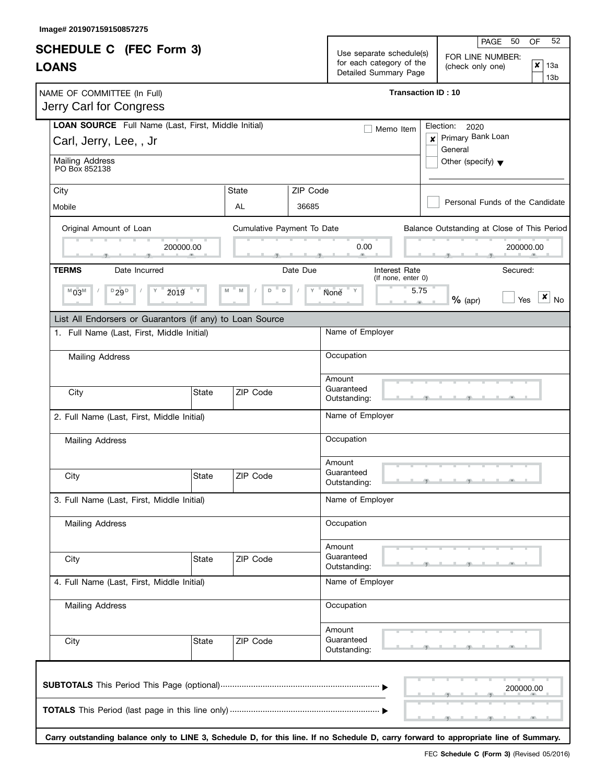$\mathbf{I}$ 

|                                                                               |                            |                                                                               | 52<br>PAGE<br>50<br>OF                                               |  |  |  |  |  |
|-------------------------------------------------------------------------------|----------------------------|-------------------------------------------------------------------------------|----------------------------------------------------------------------|--|--|--|--|--|
| <b>SCHEDULE C</b> (FEC Form 3)<br><b>LOANS</b>                                |                            | Use separate schedule(s)<br>for each category of the<br>Detailed Summary Page | FOR LINE NUMBER:<br>∣×<br>(check only one)<br>13a<br>13 <sub>b</sub> |  |  |  |  |  |
| NAME OF COMMITTEE (In Full)<br>Jerry Carl for Congress                        |                            |                                                                               | <b>Transaction ID: 10</b>                                            |  |  |  |  |  |
| LOAN SOURCE Full Name (Last, First, Middle Initial)<br>Carl, Jerry, Lee, , Jr |                            | Memo Item                                                                     | Election: 2020<br>Primary Bank Loan<br>x<br>General                  |  |  |  |  |  |
| Mailing Address<br>PO Box 852138                                              |                            |                                                                               | Other (specify) $\blacktriangledown$                                 |  |  |  |  |  |
| City<br>Mobile                                                                | State<br>AL                | ZIP Code<br>36685                                                             | Personal Funds of the Candidate                                      |  |  |  |  |  |
| Original Amount of Loan<br>200000.00                                          | Cumulative Payment To Date | 0.00                                                                          | Balance Outstanding at Close of This Period<br>200000.00             |  |  |  |  |  |
| <b>TERMS</b><br>Date Incurred                                                 |                            | Interest Rate<br>Date Due<br>(If none, enter 0)                               | Secured:                                                             |  |  |  |  |  |
| $D_{29}D$<br>ž019<br>$^{M}03^{M}$<br>Υ                                        | D<br>D                     | None Y<br>Y                                                                   | 5.75<br>×<br>$%$ (apr)<br>Yes<br><b>No</b><br>40                     |  |  |  |  |  |
| List All Endorsers or Guarantors (if any) to Loan Source                      |                            |                                                                               |                                                                      |  |  |  |  |  |
| 1. Full Name (Last, First, Middle Initial)                                    |                            | Name of Employer                                                              |                                                                      |  |  |  |  |  |
| <b>Mailing Address</b>                                                        |                            | Occupation                                                                    |                                                                      |  |  |  |  |  |
| City                                                                          | State<br>ZIP Code          | Amount<br>Guaranteed<br>Outstanding:                                          |                                                                      |  |  |  |  |  |
| 2. Full Name (Last, First, Middle Initial)                                    |                            | Name of Employer                                                              |                                                                      |  |  |  |  |  |
| <b>Mailing Address</b>                                                        |                            | Occupation                                                                    |                                                                      |  |  |  |  |  |
| City                                                                          | State<br>ZIP Code          | Amount<br>Guaranteed<br>Outstanding:                                          |                                                                      |  |  |  |  |  |
| 3. Full Name (Last, First, Middle Initial)                                    |                            | Name of Employer                                                              |                                                                      |  |  |  |  |  |
| Mailing Address                                                               |                            | Occupation                                                                    |                                                                      |  |  |  |  |  |
| City                                                                          | State<br>ZIP Code          | Amount<br>Guaranteed<br>Outstanding:                                          |                                                                      |  |  |  |  |  |
| 4. Full Name (Last, First, Middle Initial)                                    |                            | Name of Employer                                                              |                                                                      |  |  |  |  |  |
| <b>Mailing Address</b>                                                        |                            | Occupation                                                                    |                                                                      |  |  |  |  |  |
| City                                                                          | ZIP Code<br>State          | Amount<br>Guaranteed<br>Outstanding:                                          |                                                                      |  |  |  |  |  |
|                                                                               |                            |                                                                               | 200000.00                                                            |  |  |  |  |  |

**Carry outstanding balance only to LINE 3, Schedule D, for this line. If no Schedule D, carry forward to appropriate line of Summary.**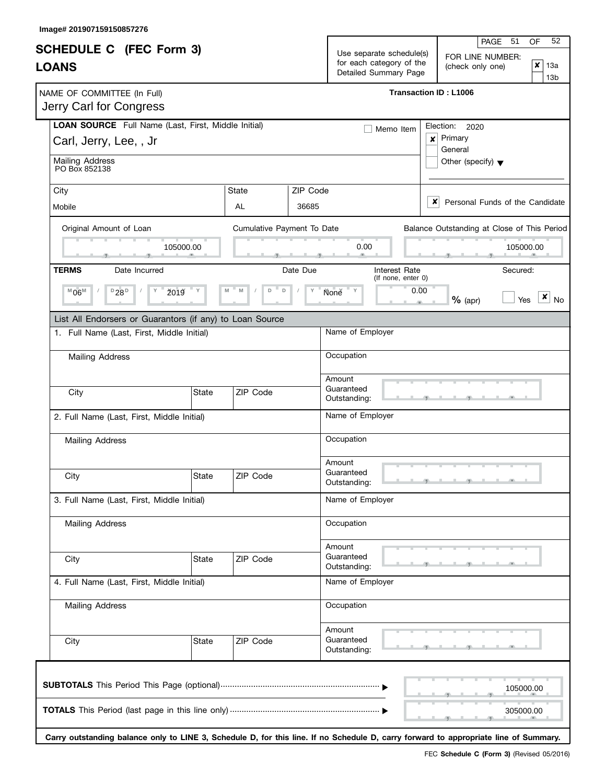|                                                                                                        |                                            |                            |                   |                                                                               | 52<br>PAGE<br>-51<br>OF                                                                                                              |  |  |  |  |
|--------------------------------------------------------------------------------------------------------|--------------------------------------------|----------------------------|-------------------|-------------------------------------------------------------------------------|--------------------------------------------------------------------------------------------------------------------------------------|--|--|--|--|
| <b>SCHEDULE C</b> (FEC Form 3)<br><b>LOANS</b>                                                         |                                            |                            |                   | Use separate schedule(s)<br>for each category of the<br>Detailed Summary Page | FOR LINE NUMBER:<br>∣×<br>(check only one)<br>13a<br>13 <sub>b</sub>                                                                 |  |  |  |  |
| NAME OF COMMITTEE (In Full)<br>Jerry Carl for Congress                                                 |                                            |                            |                   |                                                                               | <b>Transaction ID: L1006</b>                                                                                                         |  |  |  |  |
| LOAN SOURCE Full Name (Last, First, Middle Initial)<br>Carl, Jerry, Lee, , Jr                          |                                            |                            |                   | Memo Item                                                                     | Election: 2020<br>Primary<br>$\mathsf{x}$<br>General                                                                                 |  |  |  |  |
| <b>Mailing Address</b><br>PO Box 852138                                                                |                                            |                            |                   | Other (specify) $\blacktriangledown$                                          |                                                                                                                                      |  |  |  |  |
| City<br>Mobile                                                                                         |                                            | State<br>AL                | ZIP Code<br>36685 |                                                                               | x<br>Personal Funds of the Candidate                                                                                                 |  |  |  |  |
| Original Amount of Loan                                                                                | 105000.00                                  | Cumulative Payment To Date |                   | 0.00                                                                          | Balance Outstanding at Close of This Period<br>105000.00                                                                             |  |  |  |  |
| <b>TERMS</b><br>Date Incurred<br>$D_{28}D$<br>ž019<br>$^{\mathbb{M}}06^{\mathbb{M}}$<br>Υ              |                                            | D<br>D                     | Date Due<br>Y     | Interest Rate<br>(If none, enter 0)<br>None Y                                 | Secured:<br>0.00<br>×<br>$%$ (apr)<br>Yes<br><b>No</b><br>$\sim$                                                                     |  |  |  |  |
| List All Endorsers or Guarantors (if any) to Loan Source<br>1. Full Name (Last, First, Middle Initial) |                                            |                            |                   | Name of Employer                                                              |                                                                                                                                      |  |  |  |  |
| <b>Mailing Address</b>                                                                                 |                                            |                            |                   | Occupation<br>Amount                                                          |                                                                                                                                      |  |  |  |  |
| City                                                                                                   | State                                      | ZIP Code                   |                   | Guaranteed<br>Outstanding:                                                    |                                                                                                                                      |  |  |  |  |
|                                                                                                        | 2. Full Name (Last, First, Middle Initial) |                            |                   | Name of Employer                                                              |                                                                                                                                      |  |  |  |  |
| <b>Mailing Address</b>                                                                                 |                                            |                            |                   | Occupation<br>Amount                                                          |                                                                                                                                      |  |  |  |  |
| City                                                                                                   | State                                      | ZIP Code                   |                   | Guaranteed<br>Outstanding:                                                    |                                                                                                                                      |  |  |  |  |
| 3. Full Name (Last, First, Middle Initial)                                                             |                                            |                            |                   | Name of Employer                                                              |                                                                                                                                      |  |  |  |  |
| <b>Mailing Address</b>                                                                                 |                                            |                            |                   | Occupation                                                                    |                                                                                                                                      |  |  |  |  |
| City                                                                                                   | State                                      | ZIP Code                   |                   | Amount<br>Guaranteed<br>Outstanding:                                          |                                                                                                                                      |  |  |  |  |
| 4. Full Name (Last, First, Middle Initial)                                                             |                                            |                            |                   | Name of Employer                                                              |                                                                                                                                      |  |  |  |  |
| Mailing Address                                                                                        |                                            |                            |                   | Occupation                                                                    |                                                                                                                                      |  |  |  |  |
| City                                                                                                   | State                                      | ZIP Code                   |                   | Amount<br>Guaranteed<br>Outstanding:                                          |                                                                                                                                      |  |  |  |  |
|                                                                                                        |                                            |                            |                   |                                                                               | 105000.00                                                                                                                            |  |  |  |  |
|                                                                                                        |                                            |                            |                   |                                                                               | 305000.00                                                                                                                            |  |  |  |  |
|                                                                                                        |                                            |                            |                   |                                                                               | Carry outstanding balance only to LINE 3, Schedule D, for this line. If no Schedule D, carry forward to appropriate line of Summary. |  |  |  |  |